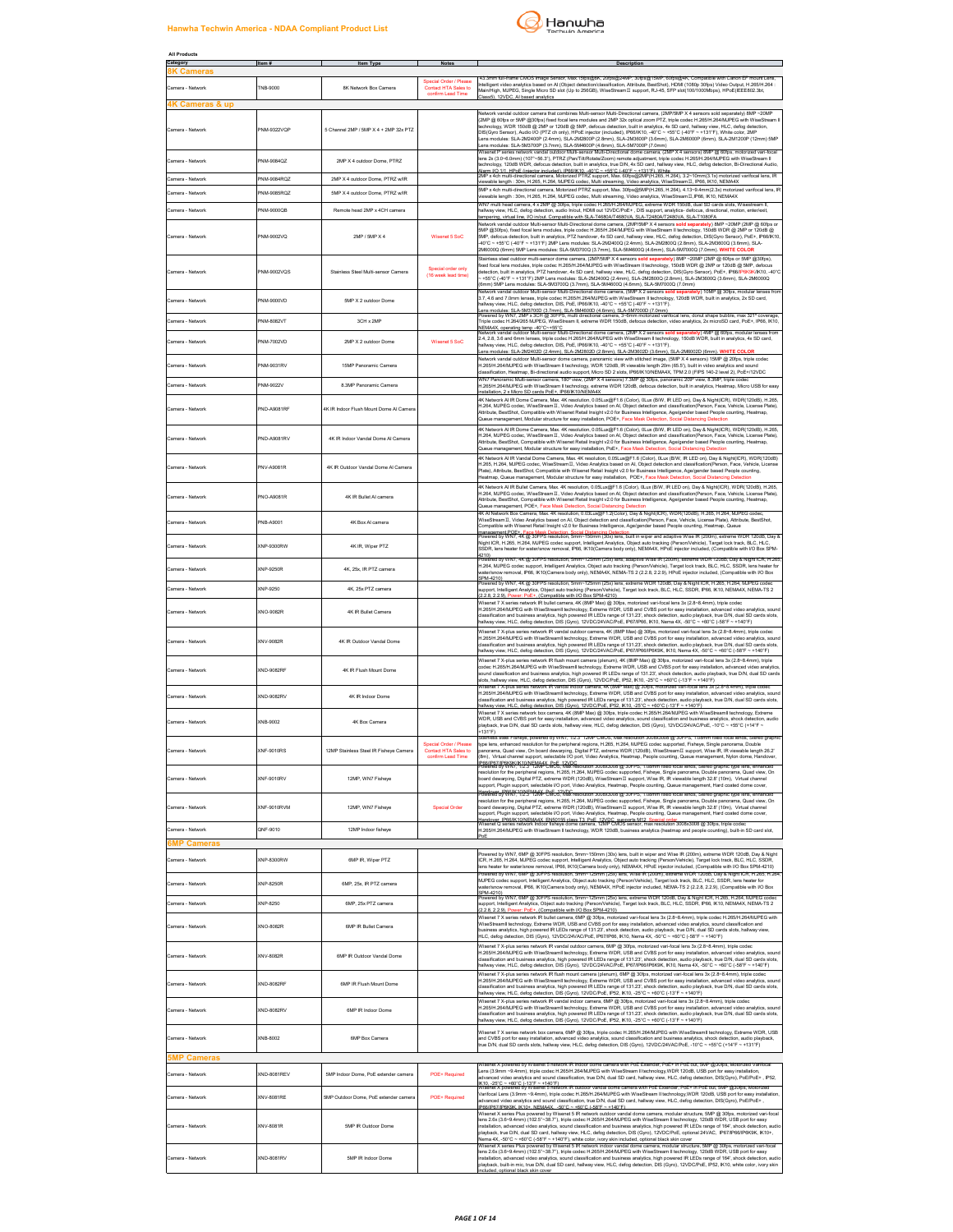## **Hanwha Techwin America - NDAA Compliant Product List**



| All Products                                   |                  |                                        |                                                                     |                                                                                                                                                                                                                                                                                                                    |                                                                                                                                                                                                                                                                                                                                                                                                                                                                                                                                                                                                                                                            |
|------------------------------------------------|------------------|----------------------------------------|---------------------------------------------------------------------|--------------------------------------------------------------------------------------------------------------------------------------------------------------------------------------------------------------------------------------------------------------------------------------------------------------------|------------------------------------------------------------------------------------------------------------------------------------------------------------------------------------------------------------------------------------------------------------------------------------------------------------------------------------------------------------------------------------------------------------------------------------------------------------------------------------------------------------------------------------------------------------------------------------------------------------------------------------------------------------|
| Category<br><b>K Cameras</b>                   | Item #           | <b>Item Type</b>                       | Notes                                                               |                                                                                                                                                                                                                                                                                                                    | Description                                                                                                                                                                                                                                                                                                                                                                                                                                                                                                                                                                                                                                                |
| Camera - Network<br><b>4K Cameras &amp; up</b> | TNB-9000         | 8K Network Box Camera                  | Special Order / Please<br>Contact HTA Sales to<br>confirm Lead Time | 3mm full-frame CMOS Image Sensor, Max.15fps@8K, 20fps@24MP, 30fps@15MP, 60fps@4K, Compatib<br>lass5), 12VDC. Al based analytics                                                                                                                                                                                    | Intelligent video analytics based on AI (Object detection/classification, Attribute, BestShot), HDMI (1080p 30fps) Video Output, H.265/H.264 :<br>Main/High, MJPEG, Single Micro SD slot (Up to 256GB), WiseStream II support, RJ-45, SFP slot(100/1000Mbps), HPoE(IEEE802.3bt,                                                                                                                                                                                                                                                                                                                                                                            |
| Camera - Network                               | NM-9322VQP       | 5 Channel 2MP / 5MP X 4 + 2MP 32x PTZ  |                                                                     | ens modules: SLA-5M3700P (3.7mm), SLA-5M4600P (4.6mm), SLA-5M7000P (7.0mm)                                                                                                                                                                                                                                         | Network vandal outdoor camera that combines Multi-sensor Multi-Directional camera, (2MP/5MP X 4 sensors sold separately) 8MP ~20MP<br>2MP @ 60fps or 5MP @30fps) fixed focal lens modules and 2MP 32x optical zoom PTZ, triple codec H.265/H.264/MJPEG with WiseStrean<br>technology, WDR 150dB @ 2MP or 120dB @ 5MP, defocus detection, built in analytics, 4x SD card, hallway view, HLC, defog detection,<br>DIS(Gyro Sensor), Audio I/O (PTZ ch only), HPoE injector (included), IP86/IK10, -40°C ~ +5<br>ens modules: SLA-2M2400P (2.4mm), SLA-2M2800P (2.8mm), SLA-2M3600P (3.6mm), SLA-2M6000P (6mm), SLA-2M1200P (12mm) 5MP                        |
| Camera - Network                               | NM-9084QZ        | 2MP X 4 outdoor Dome, PTRZ             |                                                                     |                                                                                                                                                                                                                                                                                                                    | Nisenet P series network vandal outdoor Multi-sensor Multi-Directional dome camera, (2MP X 4 sensors) 8MP @ 60fps, motorized vari-<br>ens 2x (3 0~6 0mm) (107*~56 3*) PTRZ (Pan/Till/Rotate/Zoom) remote adjustment triple codec H 265/H 264/MJPFG with WiseStream II<br>echnology, 120dB WDR, defocus detection, built in analytics, true D/N, 4x ŚD card, hallway view, HLC, defog detection, Bi-Directional Audio,<br>Narm I/O 1/1. HPoE (iniector included). IP86/IK10. -40°C ~ +55°C (-40°F ~ +131°F). While<br>2MP x 4ch multi-directional camera, Motorized PTRZ support, Max. 60fps@2MP(H.265, H.264), 3.2~10mm(3.1x) motorized varifocal lens, IF |
| Camera - Network                               | PNM-9084RQZ      | 2MP X 4 outdoor Dome, PTRZ w/IR        |                                                                     | viewable length : 30m, H.265, H.264, MJPEG codec, Multi streaming, Video analytics, WiseStreamII, IP66, IK10, NEMA43                                                                                                                                                                                               | 5MP x 4ch multi-directional camera, Motorized PTRZ support, Max. 30fps@5MP(H.265, H.264), 4.13~9.4mm(2.3x) motorized varifocal lens, IR                                                                                                                                                                                                                                                                                                                                                                                                                                                                                                                    |
| Camera - Network                               | NM-9085RQZ       | 5MP X 4 outdoor Dome, PTRZ w/IR        |                                                                     | iewable length : 30m, H.265, H.264, MJPEG codec, Multi streaming, Video analytics, WiseStream II,IP66, IK10, NEMA4X                                                                                                                                                                                                | NN7 multi head camera, 4 x 2MP @ 30fps, triple codec H.265/H.264/MJPEG, extreme WDR 150dB, dual SD cards slots, Wisestream II,                                                                                                                                                                                                                                                                                                                                                                                                                                                                                                                             |
| Camera - Network                               | PNM-9000OR       | Remote head 2MP x 4CH camera           |                                                                     | mpering, virtual line, I/O in/out, Compatible with SLA-T4680A/T4680VA, SLA-T2480A/T2480VA, SLA-T1080FA                                                                                                                                                                                                             | hallway view, HLC, defog detection, audio In/out, HDMI out 12VDC/PoE+, DIS support, analytics- defocus, directional, motion, enter/exit,                                                                                                                                                                                                                                                                                                                                                                                                                                                                                                                   |
| Camera - Network                               | PNM-9002VQ       | 2MP / 5MP X 4                          | Wisenet 5 SoC                                                       | 2M6000Q (6mm) 5MP Lens modules: SLA-5M3700Q (3.7mm), SLA-5M4600Q (4.6mm), SLA-5M7000Q (7.0mm). WHITE COLOR                                                                                                                                                                                                         | Network vandal outdoor Multi-sensor Multi-Directional dome camera, (2MP/5MP X 4 sensors sold separately) 8MP ~20MP (2MP @ 60fps or<br>5MP @30fps), fixed focal lens modules, triple codec H.265(H.264/MJPEG with WiseStream II te<br>5MP, defocus detection, built in analytics, PTZ handover, 4x SD card, hallway view, HLC, defog detection, DIS(Gyro Sensor), PoE+, IP66/IK10<br>40°C ~ +55°C (-40°F ~ +131°F) 2MP Lens modules: SLA-2M2400Q (2.4mm), SLA-2M2800Q (2.8mm), SLA-2M3600Q (3.6mm), SLA-                                                                                                                                                    |
| Camera - Network                               | NM-9002VQS       | Stainless Steel Multi-sensor Camera    | Special order only<br>(16 week lead time)                           | 3mm) 5MP Lens modules: SLA-5M3700Q (3.7mm), SLA-5M4600Q (4.6mm), SLA-5M7000Q (7.0mm)                                                                                                                                                                                                                               | tainless steel outdoor multi-sensor dome camera, (2MP/5MP X 4 sensors sold separately) 8MP ~20MP (2MP @ 60fps or 5MP @30fps),<br>ixed focal lens modules, triple codec H.265/H.264/MJPEG with WiseStream II technology, 150dB WDR @ 2MP or 120dB @ 5MP, defocus<br>letection, built in analytics, PTZ handover, 4x SD card, hallway view, HLC, defog detection, D<br>+55°C (-40°F ~ +131°F) 2MP Lens modules: SLA-2M2400Q (2.4mm), SLA-2M2800Q (2.8mm), SLA-2M3600Q (3.6mm), SLA-2M6000Q<br>.<br>Jetwork vandal outdoor Multi-sensor Multi-Directional dome camera, (5MP X 2 sensors <b>sold separately</b> ) 10MP @ 30fps, modular lenses f               |
| Camera - Network                               | NM-9000VD        | 5MP X 2 outdoor Dome                   |                                                                     | allway view, HLC, defog detection, DIS, PoE, IP66/IK10, -40°C ~ +55°C (-40°F ~ +131°F).                                                                                                                                                                                                                            | 3.7, 4.6 and 7.0mm lenses, triple codec H.265/H.264/MJPEG with WiseStream II technology, 120dB WDR, built in analytics, 2x SD card,                                                                                                                                                                                                                                                                                                                                                                                                                                                                                                                        |
| Camera - Network                               | NM-8082VT        | 3CH x 2MP                              |                                                                     | .<br>NEMA4X, operating temp -40°C~+55°C.<br>Network vandal outdoor Multi-sensor Multi-Directional dome camera, (2MP X 2 sensors so                                                                                                                                                                                 | ans modules: SLA-5M3700D (3.7mm), SLA-5M4600D (4.6mm), SLA-5M7000D (7.0mm)<br>owered by WN7, 2MP x 3CH @ 30FPS, multi directional camera, 3~6mm motorized varifocal lens, donut shape bubble, max 321° coverage<br>riple codec H.284/265 MJPEG, WiseStream II, extreme WDR 150dB, defocus detection, video analytics, 2x microSD card, PoE+, IP66, IK10,                                                                                                                                                                                                                                                                                                   |
| Camera - Network                               | PNM-7002VD       | 2MP X 2 outdoor Dome                   | Wisenet 5 SoC                                                       | hallway view. HLC. defog detection. DIS. PoE. IP66/IK10. -40°C ~ +55°C (-40°F ~ +131°F).<br>ens modules: SLA-2M2402D (2.4mm), SLA-2M2802D (2.8mm), SLA-2M3602D (3.6mm), SLA-2M6002D (6mm), WHITE COLOR                                                                                                             | 2.4, 2.8, 3.6 and 6mm lenses, triple codec H.265/H.264/MJPEG with WiseStream II technology, 150dB WDR, built in analytics, 4x SD card,                                                                                                                                                                                                                                                                                                                                                                                                                                                                                                                     |
| Camera - Network                               | NM-9031RV        | 15MP Panoramic Camera                  |                                                                     |                                                                                                                                                                                                                                                                                                                    | Network vandal outdoor Multi-sensor dome camera, panoramic view with stitched image. (5MP X 4 sensors) 15MP @ 20fps, triple codec<br>H.265/H.264/MJPEG with WiseStream II technology, WDR 120dB, IR viewable length 20m (65.5'), built in video analytics and sound<br>assification, Heatmap, Bi-directional audio support, Micro SD 2 slots, IP66/IK10/NEMA4X, TPM 2.0 (FIPS 140-2 level 2), PoE+/12VDC                                                                                                                                                                                                                                                   |
| Camera - Network                               | PNM-9022V        | 8.3MP Panoramic Camera                 |                                                                     | NN7 Panoramic Multi-sensor camera, 180º view, (2MP X 4 sensors) 7.3MP @ 30fps, panoramic 209º view, 8.3MP, triple code<br>nstallation. 2 x Micro SD cards PoE+. IP66/IK10/NEMA4X                                                                                                                                   | .<br>1.265/H.264/MJPEG with WiseStream II technology, extreme WDR 120dB, defocus detection, built in analytics, Heatmap, Micro USB for easy                                                                                                                                                                                                                                                                                                                                                                                                                                                                                                                |
| Camera - Network                               | ND-A9081RF       | 4K IR Indoor Flush Mount Dome AI Camer |                                                                     | ueue management, Modular structure for easy installation, POE+, Face Mask D                                                                                                                                                                                                                                        | 4K Network Al IR Dome Camera, Max. 4K resolution, 0.05Lux@F1.6 (Color), 0Lux (B/W, IR LED on), Day & Night(ICR), WDR(120dB), H.265,<br>H.284, MJPEG codec, WiseStreamII, Video Analytics based on Al, Object detection and classification(Person, Face, Vehicle, License Plate),<br>Attribute, BestShot, Compatible with Wisenet Retail Insight v2.0 for Business Intell<br>ction, S                                                                                                                                                                                                                                                                       |
| Camera - Network                               | PND-A9081RV      | 4K IR Indoor Vandal Dome Al Camera     |                                                                     | Dueue management. Modular structure for easy installation. PoE+, Face Mask Detection. Social Distancing Detection                                                                                                                                                                                                  | 4K Network AI IR Dome Camera, Max, 4K resolution, 0.05Lux@F1.6 (Color), 0Lux (B/W, IR LED on), Day & Night(ICR), WDR(120dB), H.265.<br>H.264, MJPEG codec, WiseStream II, Video Analytics based on AI, Object detection and classification(Person, Face, Vehicle, License Plate),<br>Attribute, BestShot, Compatible with Wisenet Retail Insight v2.0 for Business Intelligence, Age/gender based People counting, Heatmap,                                                                                                                                                                                                                                |
| Camera - Network                               | PNV-A9081R       | 4K IR Outdoor Vandal Dome Al Camera    |                                                                     |                                                                                                                                                                                                                                                                                                                    | 4K Network Al IR Vandal Dome Camera, Max. 4K resolution, 0.05Lux@F1.6 (Color), OLux (B/W, IR LED on), Day & Night(ICR), WDR(120dB)<br>1.265, H.264, MJPEG codec, WiseStream II, Video Analytics based on AI, Object detection and classification(Person, Face, Vehicle, Licen<br>Plate), Attribute, BestShot, Compatible with Wisenet Retail Insight v2.0 for Business Intelligence, Age/gender based People counting,<br>Heatmap, Queue management, Modular structure for easy installation, POE÷, Face Mask Det                                                                                                                                          |
| Camera - Network                               | PNO-A9081R       | 4K IR Bullet AI camera                 |                                                                     | Queue management, POE+, Face Mask Detection, Social Distancing Detection                                                                                                                                                                                                                                           | 4K Network AI IR Bullet Camera, Max. 4K resolution, 0.05Lux@F1.6 (Color), 0Lux (B/W, IR LED on), Day & Night(ICR), WDR(120dB), H.265,<br>1.264, MJPEG codec, WiseStream II, Video Analytics based on AI, Object detection and classification(Person, Face, Vehicle, License Plate),<br>Attribute, BestShot, Compatible with Wisenet Retail Insight v2.0 for Business Intelligence, Age/gender based People counting, Heatmap,<br>.<br>4K Al Network Box Camera, Max. 4K resolution, 0.03Lux@F1.2(Color), Day & Night(ICR), WDR(120dB), H.265, H.264, MJPEG code                                                                                            |
| Camera - Network                               | PNB-A9001        | 4K Box Al camera                       |                                                                     | ompatible with Wisenet Retail Insight v2.0 for Business Intelligence, Age/gender based People counting, Heatmap, Queue                                                                                                                                                                                             | WiseStream II, Video Analytics based on AI, Object detection and classification(Person, Face, Vehicle, License Plate), Attribute, BestShot,                                                                                                                                                                                                                                                                                                                                                                                                                                                                                                                |
| Camera - Network                               | XNP-9300RW       | 4K IR. Wiper PTZ                       |                                                                     | 1210)                                                                                                                                                                                                                                                                                                              | nanagement POE+. Face Mask Detection, Social Distancing Detection.<br>Yowered by WN7, 4K @ 30FPS resolution, 5mm∼150mm (30x) lens, built in wiper and adaptive Wise IR (200m), extreme WDR 120dB, Day<br>Night ICR, H.265, H.264, MJPEG codec support, Intelligent Analytics, Object auto tracking (Person/Vehicle), Target lock track, BLC, HLC,<br>SDR, lens heater for water/snow removal, IP66, IK10(Camera body only), NEMA4X, HPoE injector included, (Compatible with I/O Box SPM-                                                                                                                                                                  |
| Camera - Network                               | XNP-9250R        | 4K. 25x. IR PTZ camera                 |                                                                     |                                                                                                                                                                                                                                                                                                                    | .<br>Powered by WN7: 4K @ 30FPS resolution: 5mm∼125mm (25x) lens: adaptive Wise IR (200m): extreme WDR 120dB. Day & Night ICR: H.265<br>H.264, MJPEG codec support, Intelligent Analytics, Object auto tracking (Person/Vehicle), Target lock track, BLC, HLC, SSDR, lens heater for<br>ater/snow removal, IP66, IK10(Camera body only), NEMA4X, NEMA-TS 2 (2.2.8, 2.2.9), HPoE injector included, (Compatible with I/O Box                                                                                                                                                                                                                                |
| Camera - Network                               | XNP-9250         | 4K, 25x PTZ camera                     |                                                                     |                                                                                                                                                                                                                                                                                                                    | SPM-4210)<br>Powered by WN7, 4K @ 30FPS resolution, 5mm~125mm (25x) lens, extreme WDR 120dB, Day & Night ICR, H.265, H.264, MJPEG codec<br>upport, Intelligent Analytics, Object auto tracking (Person/Vehicle), Target lock track, BLC, HLC, SSDR, IP66, IK10, NEMAAX, NEMA-TS 2                                                                                                                                                                                                                                                                                                                                                                          |
| Camera - Network                               | <b>XNO-9082R</b> | 4K IR Bullet Camera                    |                                                                     | 2.2.8. 2.2.9), Power: PoE+, (Compatible with I/O Box SPM-4210)<br>Wisenet 7 X series network IR bullet camera, 4K (8MP Max) @ 30fps, motorized vari-focal lens 3x (2.8~8.4mm), triple coded                                                                                                                        | H.265/H.264/MJPEG with WiseStreamlI technology, Extreme WDR, USB and CVBS port for easy installation, advanced video analytics, sound<br>classification and business analytics, high powered IR LEDs range of 131.23', shock detection, audio playback, true D/N, dual SD cards slots,<br>hallway view, HLC, defog detection, DIS (Gyro), 12VDC/24VAC/PoE, IP67/IP66, IK1                                                                                                                                                                                                                                                                                  |
| Camera - Network                               | XNV-9082R        | 4K IR Outdoor Vandal Dome              |                                                                     |                                                                                                                                                                                                                                                                                                                    | Wisenet 7 X-plus series network IR vandal outdoor camera, 4K (8MP Max) @ 30fps, motorized vari-focal lens 3x (2.8~8.4mm), triple codec<br>1.265/H.264/MJPEG with WiseStreamli technology, Extreme WDR, USB and CVBS port for easy installation, advanced video analytics, soun<br>dassification and business analytics, high powered IR LEDs range of 131.23', shock detection, audio playback, true D/N, dual SD cards slots,<br>allway view, HLC, defog detection, DIS (Gyro), 12VDC/24VAC/PoE, IP67/IP66/IP6K9K, IK10, Nema 4X, -50℃ ~ +60℃ (-58°F ~ +140°F)                                                                                            |
| Samera - Network                               | KND-9082RF       | 4K IR Flush Mount Dome                 |                                                                     | lots, hallway view, HLC, defog detection, DIS (Gyro), 12VDC/PoE, IP52, IK10, -25°C ~ +60°C (-13°F ~ +140°F)                                                                                                                                                                                                        | Nisenet 7 X-plus series network IR flush mount camera (plenum), 4K (8MP Max) @ 30fps, motorized vari-focal lens 3x (2.8~8.4mm), triple<br>codec H.265/H.264/MJPEG with WiseStreamII technology, Extreme WDR, USB and CVBS port for easy installation, advanced video analytics,<br>sound classification and business analytics, high powered IR LEDs range of 131.23', shock detection, audio playback, true D/N, dual SD cards                                                                                                                                                                                                                            |
| Camera - Networl                               | XND-9082RV       | 4K IR Indoor Dome                      |                                                                     |                                                                                                                                                                                                                                                                                                                    | work IR vandal indoor camera, 4K (8MP Max) @ 30fps, motorized vari-focal lens 3x (2<br>H.265/H.264/MJPEG with WiseStreamlI technology, Extreme WDR, USB and CVBS port for easy installation, advanced video analytics, sound<br>classification and business analytics, high powered IR LEDs range of 131.23', shock detection, audio playback, true D/N, dual SD cards slots,<br>hallwav view. HLC. defog detection. DIS (Gwo). 12VDC/PoE. IP52. IK10. -25°C ~ +6                                                                                                                                                                                          |
| Camera - Network                               | (NB-9002         | 4K Box Camera                          |                                                                     | +131°F)                                                                                                                                                                                                                                                                                                            | Nisenet 7 X series network box camera, 4K (8MP Max) @ 30fps, triple codec H.265/H.264/MJPEG with WiseStreamII technology, Extreme<br>WDR, USB and CVBS port for easy installation, advanced video analytics, sound classification and business analytics, shock detection, audio<br>playback, true D/N, dual SD cards slots, hallway view, HLC, defog detection, DIS (Gyro), 12VDC/24VAC/PoE, -10°C ~ +55°C (+14°F ~                                                                                                                                                                                                                                       |
| Camera - Network                               | KNF-9010RS       | 12MP Stainless Steel IR Fisheve Camera | Special Order / Please<br>Contact HTA Sales to<br>confirm Lead Time | el Fisheye, pow<br>ne lens, enhanced resolution for the nerioberal regions. H 265, H 264, MJPEG codec sun<br>PRAUPRT/IPAKSK/IK 10.N*FMAAX_ROE_12VDC<br>PRAUPRT/IPAKSK/IK 10.N*FMAAX_ROE_12VDC<br>Yowered by WN7, 112.3* 12MP CMOS, Max resorution 3008x3008 @ 30FPS, 1.08mm fixed focal lends, Stereo graphic type | ed by WN7, 1/2.3" 12MP CMOS, Max resolution 3008x3008 @ 30FPS, 1.08mm fixed focal lends,<br>norted Fisheus Single nor<br>ia Double<br>panorama, Quad view, On board dewarping, Digital PTZ, extreme WDR (120dB), WiseStreamII support, Wise IR, IR viewable length 26.2'<br>8m), Virtual channel support, selectable I/O port, Video Analytics, Heatmap, People counting, Queue management, Nylon dome, Handover,                                                                                                                                                                                                                                          |
| Camera - Network                               | XNF-9010RV       | 12MP. WN7 Fisheve                      |                                                                     |                                                                                                                                                                                                                                                                                                                    | esolution for the peripheral regions, H.265, H.264, MJPEG codec supported, Fisheye, Single panorama, Double panorama, Quad view, On<br>board dewarping, Digital PTZ, extreme WDR (120dB), WiseStreamII support, Wise IR, IR viewable length 32.8' (10m), Virtual channel<br>upport, Plugin support, selectable I/O port, Video Analytics, Heatmap, People counting, Queue management, Hard coated dome cover,                                                                                                                                                                                                                                              |
| Camera - Network                               | XNF-9010RVM      | 12MP. WN7 Fisheve                      | Special Order                                                       |                                                                                                                                                                                                                                                                                                                    | tandover "IPRAIK (ONEMAAX, PRE 12VDC.<br>Gwered by WNY, 1223-12M- PMOS, Max resolution suusxsuus @ 30FPS, 1.08mm tixed focal lends, Stereo graphic type lens, enhanced<br>esolution for the peripheral regions, H.265, H.264, MJPEG codec supported, Fisheye, Single panorama, Double panorama, Quad view, On<br>board dewarping, Digital PTZ, extreme WDR (120dB), WiseStreamII support, Wise IR, IR viewable length 32.8' (10m), Virtual channel<br>support, Plugin support, selectable I/O port, Video Analytics, Heatmap, People counting, Queue management, Hard coated dome cover,                                                                   |
| Camera - Network<br><b>SMP Cameras</b>         | QNF-9010         | 12MP Indoor fisheye                    |                                                                     | rdrwer, IPBR/IK10/NEMA4X, EN50155 class T3, PoE, 12VDC, supports M12, Special order<br>enet Q series network Indoor fisheye dome camera, 12MP CMOS sensor, max resolution 3008x3008 @ 30fps, triple                                                                                                                | H.265/H.264/MJPEG with WiseStream II technology, WDR 120dB, business analytics (heatmap and people counting), built-in SD card slot,                                                                                                                                                                                                                                                                                                                                                                                                                                                                                                                       |
| Camera - Network                               | XNP-8300RW       | 6MP IR, Wiper PTZ                      |                                                                     |                                                                                                                                                                                                                                                                                                                    | Powered by WN7, 6MP @ 30FPS resolution, 5mm~150mm (30x) lens, built in wiper and Wise IR (200m), extreme WDR 120dB, Day & Night<br>ICR, H.265, H.264, MJPEG codec support, Intelligent Analytics, Object auto tracking (Person/Vehicle), Target lock track, BLC, HLC, SSDR,                                                                                                                                                                                                                                                                                                                                                                                |
| Camera - Network                               | KNP-8250R        | 6MP, 25x, IR PTZ camera                |                                                                     |                                                                                                                                                                                                                                                                                                                    | ns heater for water/snow removal, IP66, IK10(Camera body only), NEMA4X, HPoE injector included, (Compatible with I/O Box SPM-4210)<br>.<br>^owered by WN7, 6MP @ 30FPS resolution, 5mm∼125mm (25x) lens, Wise IR (200m), extreme WDR 120dB, Day & Night ICR, H.265, H.264<br>MJPEG codec support, Intelligent Analytics, Object auto tracking (Person/Vehicle), Target lock track, BLC, HLC, SSDR, lens heater for<br>rater/snow removal, IP66, IK10(Camera body only), NEMA4X, HPoE injector included, NEMA-TS 2 (2.2.8, 2.2.9), (Compatible with I/O Box                                                                                                 |
| Camera - Network                               | (NP-8250         | 6MP, 25x PTZ camera                    |                                                                     | SPM-4210)                                                                                                                                                                                                                                                                                                          | .<br>owered by WN7, 6MP @ 30FPS resolution, 5mm~125mm (25x) lens, extreme WDR 120dB, Day & Night ICR, H.265, H.264, MJPEG codes<br>upport, Intelligent Analytics, Object auto tracking (Person/Vehicle), Target lock track, BLC, HLC, SSDR, IP66, IK10, NEMA4X, NEMA-TS 2                                                                                                                                                                                                                                                                                                                                                                                  |
| Camera - Network                               | XNO-8082R        | 6MP IR Bullet Camera                   |                                                                     | PoE+, (Compatible with I/O Box SPM-4210)<br>$2291$ F<br>ILC. defog detection, DIS (Gyro), 12//DC/24VAC/PoE, IP67/IP66, IK10, Nema 4X, -50°C ~ +60°C (-58°F ~ +140°F)                                                                                                                                               | Wisenet 7 X series network IR bullet camera, 6MP @ 30fps, motorized vari-focal lens 3x (2.8~8.4mm), triple codec H.265/H.264/MJPEG with<br>WiseStreamlI technology, Extreme WDR, USB and CVBS port for easy installation, advanced video analytics, sound classification and<br>business analytics, high powered IR LEDs range of 131.23', shock detection, audio playback, true D/N, dual SD cards slots, hallway view,                                                                                                                                                                                                                                   |
| Camera - Network                               | KNV-8082R        | 6MP IR Outdoor Vandal Dome             |                                                                     | Wisenet 7 X-plus series network IR vandal outdoor camera, 6MP @ 30fps, motorized vari-focal lens 3x (2.8~8.4mm), triple codec                                                                                                                                                                                      | H.265/H.264/MJPEG with WiseStreamlI technology, Extreme WDR, USB and CVBS port for easy installation, advanced video analytics, sound<br>dassification and business analytics, high powered IR LEDs range of 131.23', shock detection, audio playback, true D/N, dual SD cards slots,                                                                                                                                                                                                                                                                                                                                                                      |
| Camera - Network                               | KND-8082RF       | 6MP IR Flush Mount Dome                |                                                                     | vallway view, HLC, defog detection, DIS (Gyro), 12VDC/PoE, IP52, IK10, -25°C ~ +60°C (-13°F ~ +140°F)                                                                                                                                                                                                              | hallway view, HLC, defog detection, DIS (Gyro), 12VDC/24VAC/PoE, IP67/IP66/IP6K9K, IK10, Nema 4X, -50°C ~ +60°C (-58°F ~ +140°F)<br>Visenet 7 X-plus series network IR flush mount camera (plenum), 6MP @ 30fps, motorized vari-focal lens 3x (2.8~8.4mm), triple codec<br>H.265/H.264/MJPEG with WiseStreamlI technology, Extreme WDR, USB and CVBS port for easy installation, advanced video analytics, sound<br>dassification and business analytics, high powered IR LEDs range of 131.23', shock detection, audio playback, true D/N, dual SD cards slots,                                                                                           |
| Camera - Network                               | KND-8082RV       | 6MP IR Indoor Dome                     |                                                                     | Wisenet 7 X-plus series network IR vandal indoor camera, 6MP @ 30fps, motorized vari-focal lens 3x (2.8~8.4mm), triple codec<br>vallway view, HLC, defog detection, DIS (Gyro), 12VDC/PoE, IP52, IK10, -25°C ~ +60°C (-13°F ~ +140°F)                                                                              | H.265/H.264/MJPEG with WiseStreamll technology, Extreme WDR, USB and CVBS port for easy installation, advanced video analytics, sound<br>classification and business analytics, high powered IR LEDs range of 131.23', shock dete                                                                                                                                                                                                                                                                                                                                                                                                                          |
| Camera - Network                               | XNB-8002         | 6MP Box Camera                         |                                                                     |                                                                                                                                                                                                                                                                                                                    | Wisenet 7 X series network box camera, 6MP @ 30fps, triple codec H.265/H.264/MJPEG with WiseStreamlI technology, Extreme WDR, USB<br>and CVBS port for easy installation, advanced video analytics, sound classification and business analytics, shock detection, audio playback<br>true D/N, dual SD cards slots, hallway view, HLC, defog detection, DIS (Gyro), 12VDC/24VAC/PoE, -10°C ~ +55°C (+14°F ~ +131°F)                                                                                                                                                                                                                                         |
| <b>5MP Cameras</b>                             |                  |                                        |                                                                     |                                                                                                                                                                                                                                                                                                                    |                                                                                                                                                                                                                                                                                                                                                                                                                                                                                                                                                                                                                                                            |
| Camera - Network                               | XND-8081REV      | 5MP Indoor Dome, PoE extender camera   | POE+ Required                                                       |                                                                                                                                                                                                                                                                                                                    | red by Wisenet 5 network IR indoor dome camera with PoE Extender: PoE+ in PoE out: 5MP @30fos. Motorized Varifocal<br>Lens (3.9mm ~9.4mm), triple codec H.265/H.264/MJPEG with WiseStream II technology,WDR 120dB, USB port for easy installation<br>advanced video analytics and sound classification, true D/N, dual SD card, hallway view, HLC, defog detection, DIS(Gyro), PoE/PoE+, IP52,                                                                                                                                                                                                                                                             |
| Camera - Network                               | XNV-8081RE       | 5MP Outdoor Dome, PoE extender camera  | POE+ Required                                                       | P66/IP67/IP6K9K, IK10+, NEMA4X, -50°C ~ +60°C (-58°F ~ +140°F).                                                                                                                                                                                                                                                    | K10. -25°C ~ +60°C i-13°F ~ +140°F).<br>Visenet X powered by Wisenet 5 network IR outdoor vandal dome camera with PoE Extender, PoE÷ in PoE out, 5MP @30fps, Motorized<br>Varifocal Lens (3.9mm ~9.4mm), triple codec H.265/H.264/MJPEG with WiseStream II technology,WDR 120dB, USB port for easy installation<br>advanced video analytics and sound classification, true D/N, dual SD card, hallway view, HLC, defog detection, DIS(Gyro), PoE/PoE+,                                                                                                                                                                                                     |
| Camera - Network                               | XNV-8081R        | 5MP IR Outdoor Dome                    |                                                                     |                                                                                                                                                                                                                                                                                                                    | Wisenet X series Plus powered by Wisenet 5 IR network outdoor vandal dome camera, modular structure, 5MP @ 30fps, motorized vari-focal<br>ens 2.6x (3.6~9.4mm) (102.5"~38.7"), triple codec H.265/H.264/MJPEG with WiseStream II technology, 120dB WDR, USB port for easy<br>installation, advanced video analytics, sound classification and business analytics, high powered IR LEDs range of 164', shock detection, audi<br>layback, true D/N, dual SD card, hallway view, HLC, defog detection, DIS (Gyro), 12VDC/PoE, optional 24VAC, IP67/IP66/IP6K9K, IK10+,                                                                                        |
| Camera - Network                               | XND-8081RV       | 5MP IR Indoor Dome                     |                                                                     | Nema 4X, -50°C ~ +60°C (-58°F ~ +140°F), white color, ivory skin included, optional black skin cover                                                                                                                                                                                                               | Wisenet X series Plus powered by Wisenet 5 IR network indoor vandal dome camera; modular structure; SMP @ 30fps; motorized vari-foc<br>lens 2.6x (3.6~9.4mm) (102.5"~38.7"), triple codec H.265/H.264/MJPEG with WiseStream II technology, 120dB WDR, USB port for easy<br>stallation, advanced video analytics, sound classification and business analytics, high powered IR LEDs range of 164', shock detection, audi<br>playback, built-in mic, true D/N, dual SD card, hallway view, HLC, defog detection, DIS (Gyro), 12VDC/PoE, IP52, IK10, white color, ivory skin                                                                                  |

included, optional black skin cover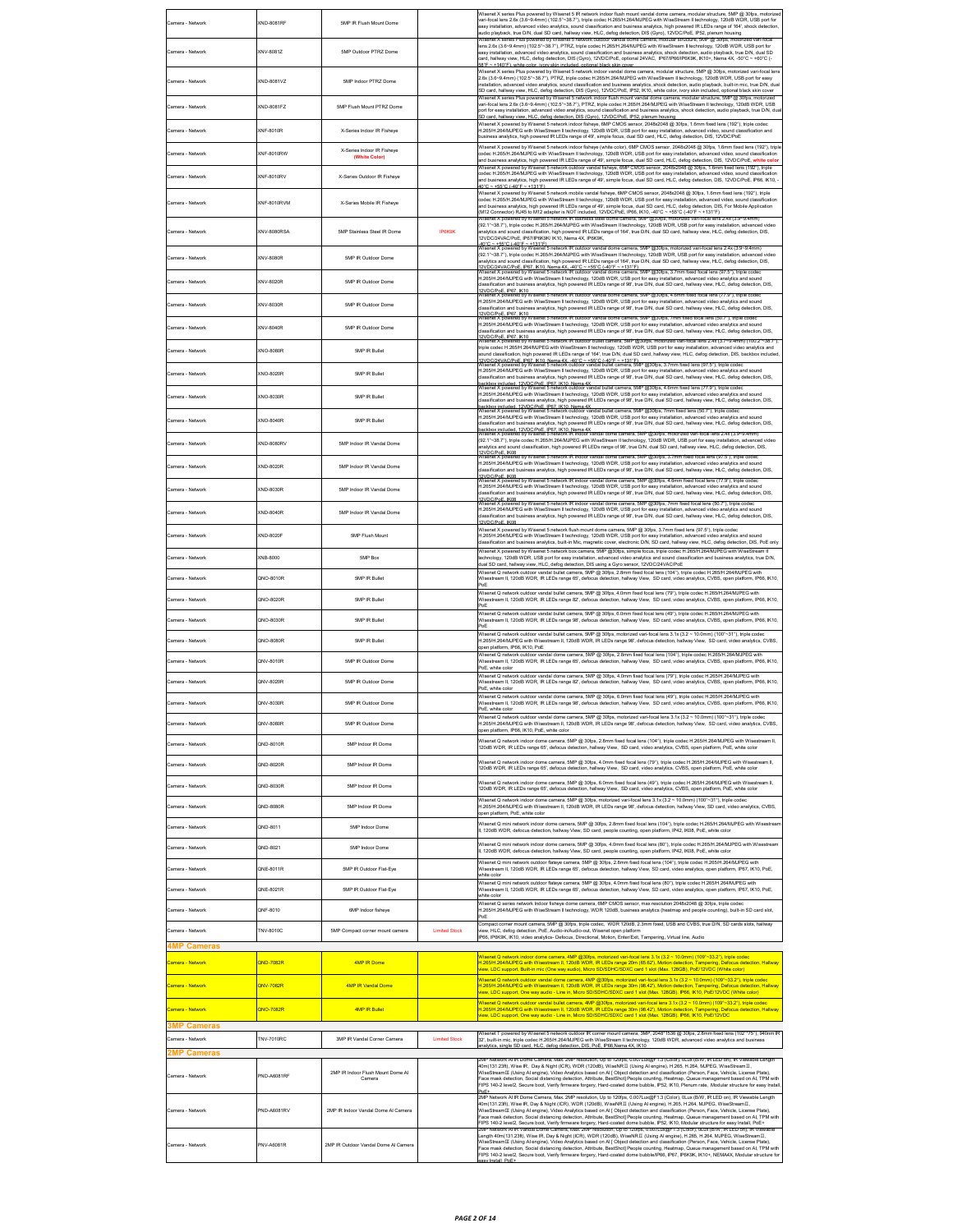| amera - Network                        | (ND-8081RF             | 5MP IR Flush Mount Dome                     |                      | Nisenet X series Plus powered by Wisenet 5 IR network indoor flush mount vandal dome camera, modular structure, 5MP @ 30fps, motorized<br>rari-focal lens 2.6x (3.6~9.4mm) (102.5"~38.7"), triple codec H.265/H.264/MJPEG with WiseStream II technology, 120dB WDR, USB port for                                                                                                                                                                                                                                                                                                                                                                                                                                                                                                                       |
|----------------------------------------|------------------------|---------------------------------------------|----------------------|--------------------------------------------------------------------------------------------------------------------------------------------------------------------------------------------------------------------------------------------------------------------------------------------------------------------------------------------------------------------------------------------------------------------------------------------------------------------------------------------------------------------------------------------------------------------------------------------------------------------------------------------------------------------------------------------------------------------------------------------------------------------------------------------------------|
|                                        |                        |                                             |                      | asy installation, advanced video analytics, sound classification and business analytics, high powered IR LEDs range of 164', shock detection.<br>audio playback, true D/N, dual SD card, hallway view, HLC, defog detection, DIS (Gyro), 12VDC/PoE, IP52, plenum housing<br>-<br>Plus powered by Wisenet 5 network outdoor vandal dome camera, modular structure, 5MP @ 30fps, moto<br>ens 2.6x (3.6~9.4mm) (102.5"~38.7"), PTRZ, triple codec H.265/H.264/MJPEG with WiseStream II technology, 120dB WDR, USB port for                                                                                                                                                                                                                                                                                |
| Camera - Network                       | XNV-8081Z              | 5MP Outdoor PTRZ Dome                       |                      | asy installation, advanced video analytics, sound classification and business analytics, shock detection, audio playback, true D/N, dual SD<br>card, hallway view, HLC, defog detection, DIS (Gyro), 12VDC/PoE, optional 24VAC, IP67/IP66/IP6K9K, IK10+, Nema 4X, -50°C ~ +60°C (-<br>SR*F<br>~+140°F) white color jvory skin included ontional black skin cover                                                                                                                                                                                                                                                                                                                                                                                                                                       |
| Camera - Network                       | XND-8081VZ             | 5MP Indoor PTRZ Dome                        |                      | Wisenet X series Plus powered by Wisenet 5 network indoor vandal dome camera, modular structure, 5MP @ 30fps, motorized vari-focal lens<br>2.6x (3.6~9.4mm) (102.5*~38.7*), PTRZ, triple codec H.265/H.264/MJPEG with WiseStream II technology, 120dB WDR, USB port for easy<br>nstallation, advanced video analytics, sound classification and business analytics, shock detection, audio playback, built-in mic, true D/N, dua<br>SD card, hallway view, HLC, defog detection, DIS (Gyro), 12VDC/PoE, IP52, IK10, white color, ivory skin included, optional black skin cover                                                                                                                                                                                                                        |
| amera - Network                        | (ND-8081FZ             | 5MP Flush Mount PTRZ Dome                   |                      | series Plus powered by Wisenet 5 network indoor flush mount vandal dome camera, mod<br>ar structure, 5MP @<br>rari-focal lens 2.6x (3.6~9.4mm) (102.5"~38.7"), PTRZ, triple codec H.265/H.264/MJPEG with WiseStream II technology, 120dB WDR, USB<br>oort for easy installation, advanced video analytics, sound classification and business analytics, shock detection, audio playback, true D/N, dua<br>v view HLC, defog detection, DIS (Gyrn), 12VDC/PoE, IP52, plenum housi                                                                                                                                                                                                                                                                                                                       |
| Samera - Network                       | (NF-8010R              | X-Series Indoor IR Fisheye                  |                      | Wisenet X powered by Wisenet 5 network indoor fisheye, 6MP CMOS sensor, 2048x2048 @ 30fps, 1.6mm fixed lens (192°), triple codec<br>1.265/H.264/MJPEG with WiseStream II technology, 120dB WDR, USB port for easy installation, advanced video, sound classification and<br>pusiness analytics, high powered IR LEDs range of 49', simple focus, dual SD card, HLC, defog detection, DIS, 12VDC/PoE                                                                                                                                                                                                                                                                                                                                                                                                    |
| Camera - Network                       | (NF-8010RW             | X-Series Indoor IR Fisheye<br>(White Color) |                      | Wisenet X powered by Wisenet 5 network indoor fisheye (white color), 6MP CMOS sensor, 2048x2048 @ 30fps, 1.6mm fixed lens (192"), triple<br>odec H.265/H.264/MJPEG with WiseStream II technology, 120dB WDR, USB port for easy installation, advanced video, sound classification<br>and business analytics, high powered IR LEDs range of 49', simple focus, dual SD card, HLC, defog detection, DIS, 12VDC/PoE, white colo                                                                                                                                                                                                                                                                                                                                                                           |
| Samera - Network                       | (NF-8010RV             | X-Series Outdoor IR Fisheve                 |                      | Visenet X powered by Wisenet 5 network outdoor vandal fisheye, 6MP CMOS sensor, 2048x2048 @ 30fps, 1.6mm fixed lens (192°), triple<br>codec H.265/H.264/MJPEG with WiseStream II technology, 120dB WDR, USB port for easy installation, advanced video, sound classification<br>and business analytics, high powered IR LEDs range of 49', simple focus, dual SD card, HLC, defog detection, DIS, 12VDC/PoE, IP66, IK10,<br>40°C ~ +55°C (-40°F ~ +131°F)                                                                                                                                                                                                                                                                                                                                              |
| Camera - Networl                       | KNF-8010RVM            | X-Series Mobile IR Fisheve                  |                      | Wisenet X powered by Wisenet 5 network mobile vandal fisheye, 6MP CMOS sensor, 2048x2048 @ 30fps, 1.6mm fixed lens (192"), triple<br>odec H.265/H.264/MJPEG with WiseStream II technology, 120dB WDR, USB port for easy installation, advanced video, sound classification<br>and business analytics, high powered IR LEDs range of 49', simple focus, dual SD card, HLC, defog detection, DIS, For Mobile Application                                                                                                                                                                                                                                                                                                                                                                                 |
| Camera - Network                       | XNV-8080RSA            | 5MP Stainless Steel IR Dome                 | <b>IP6K9K</b>        | M12 Connector) RJ45 to M12 adapter is NOT included, 12VDC/PoE, IP66, IK10, -40°C ~ +55°C (-40°F ~ +131°F)<br>(powered by Wisenet 5 network IR stainless steel dome camera, 5MP @30fps, motorized vari-focal lens 2.4x (3.9~9.4mm)<br>92.1"~38.7"), triple codec H.265/H.264/MJPEG with WiseStream II technology, 120dB WDR, USB port for easy installation, advanced video<br>analytics and sound classification, high powered IR LEDs range of 164', true D/N, dual SD card, hallway view, HLC, defog detection, DIS,<br>2VDC/24VAC/PoE, IP67/IP6K9K/ IK10, Nema 4X, IP6K9K,                                                                                                                                                                                                                          |
| Camera - Network                       | KNV-8080R              | 5MP IR Outdoor Dome                         |                      | -40°C ~ +55°C (-40°F ~ +131°F).<br>Wisenet X powered by Wisenet 5 network IR outdoor vandal dome camera, 5MP @30fps, motorized vari-focal lens 2.4x (3.9~9.4mm)<br>(92.1"~38.7"), triple codec H.265/H.264/MJPEG with WiseStream II technology, 120dB WDR, USB port for easy installation, advanced video<br>nalytics and sound classification, high powered IR LEDs range of 164', true D/N, dual SD card, hallway view, HLC, defog detection, DIS,                                                                                                                                                                                                                                                                                                                                                   |
| Camera - Network                       | XNV-8020R              | 5MP IR Outdoor Dome                         |                      | I <u>2VDC/24VAC/PoE_IP67, IK10. Nema 4X, -40°C ~ +55°C (-40°F ~ +131°F)</u><br>Visenet X powered by Wisenet 5 network IR outdoor vandal dome camera, 5MP @30fps, 3.7mm fixed focal lens (97.5°), triple codec<br>H.265/H.264/MJPEG with WiseStream II technology, 120dB WDR, USB port for easy installation, advanced video analytics and sound<br>assification and business analytics, high powered IR LEDs range of 98', true D/N, dual SD card, hallway view, HLC, defog detection, DIS,                                                                                                                                                                                                                                                                                                            |
| Camera - Network                       | KNV-8030R              | 5MP IR Outdoor Dome                         |                      | 12VDC/PoE. IP67. IK10<br>Wisenet X powered by Wisenet 5 network IR outdoor vandal dome camera, 5MP @301ps, 4.6mm fixed focal lens (77:9"), triple codec<br>H.265/H.264/MJPEG with WiseStream II technology, 120dB WDR, USB port for easy installation, advanced video analytics and sound<br>assification and business analytics, high powered IR LEDs range of 98', true D/N, dual SD card, hallway view, HLC, defog detection, DIS,                                                                                                                                                                                                                                                                                                                                                                  |
| Camera - Network                       | XNV-8040R              | 5MP IR Outdoor Dome                         |                      | 12VDC/PoE. IP67. IK10<br>Wisenet X powered by Wisenet 5 network IR outdoor vandal dome camera, 5MP @30fps, 7mm fixed focal lens (50.7°), triple codec<br>H.265/H.264/MJPEG with WiseStream II technology, 120dB WDR, USB port for easy installation, advanced video analytics and sound<br>assification and business analytics, high powered IR LEDs range of 98', true D/N, dual SD card, hallway view, HLC, defog detection, DIS,                                                                                                                                                                                                                                                                                                                                                                    |
| Camera - Network                       | KNO-8080R              | <b>SMP IR Bullet</b>                        |                      | 12VDC/PoE. IP67. IK10<br>Wisenet X powered by Wisenet 5 network IR outdoor bullet camera, SMP @30fps, motorized vari-focal lens 2.4x (3.7~9.4mm) (100.2"~38.7")<br>iriple codec H.265/H.264/MJPEG with WiseStream II technology, 120dB WDR, USB port for easy installation, advanced video analytics and                                                                                                                                                                                                                                                                                                                                                                                                                                                                                               |
| Camera - Network                       | XNO-8020R              | <b>SMP IR Bullet</b>                        |                      | ound classification, high powered IR LEDs range of 164', true D/N, dual SD card, hallway view, HLC, defog detection, DIS, backbox included<br>.<br>12VDC/24VAC/PoE_IP67_IK10_Nema 4X_-40°C ~ +55°C (-40°F ~ +131°F)<br>Wisenet X powered by Wisenet 5 network outdoor vandal bullet camera, 5MP @30fps, 3.7mm fixed lens (97.5°), triple codec<br>H.265/H.264/MJPEG with WiseStream II technology, 120dB WDR, USB port for easy installation, advanced video analytics and sound                                                                                                                                                                                                                                                                                                                       |
| Camera - Network                       | KNO-8030R              | 5MP IR Bullet                               |                      | dassification and business analytics, high powered IR LEDs range of 98', true D/N, dual SD card, hallway view, HLC, defog detection, DIS,<br>backbox included, 12VDC/PoE, IP67, IK10, Nema 4X.<br>Wisenet X powered by Wisenet 5 network outdoor vandal bullet camera, 5MP @30fps, 4.6mm fixed lens (77.9°), triple codec<br>H.265/H.264/MJPEG with WiseStream II technology, 120dB WDR, USB port for easy installation, advanced video analytics and sound                                                                                                                                                                                                                                                                                                                                            |
|                                        |                        | <b>5MP IR Bullet</b>                        |                      | classification and business analytics, high powered IR LEDs range of 98', true D/N, dual SD card, hallway view, HLC, defog detection, DIS,<br>backbox included. 12VDC/PoE. IP67. IK10. Nema 4X<br>Backbox included. 12VDC/PoE. IP67. IK10. Nema 4X<br>Wisenet X powered by Wisenet 5 network outdoor vandal bullet camera, 5MP @30fps, 7mm fixed lens (50.7"), triple codec<br>H.265/H.264/MJPEG with WiseStream II technology, 120dB WDR, USB port for easy installation, advanced video analytics and sound                                                                                                                                                                                                                                                                                          |
| Camera - Network                       | KNO-8040R              |                                             |                      | dassification and business analytics, high powered IR LEDs range of 98', true D/N, dual SD card, hallway view, HLC, defog detection, DIS,<br>s<br>Arkbox included . 12VDC/PoE . IP67 . IK10 . Nema 4X<br>fisenet X powered by Wisenet 5 network IR indoor vandal dome camera, 5MP @30fps, motorized var<br>(92.1"~38.7"), triple codec H.265/H.264/MJPEG with WiseStream II technology, 120dB WDR, USB port for easy installation, advanced video                                                                                                                                                                                                                                                                                                                                                      |
| Camera - Network                       | KND-8080RV             | 5MP Indoor IR Vandal Dome                   |                      | analytics and sound classification, high powered IR LEDs range of 98', true D/N, dual SD card, hallway view, HLC, defog detection, DIS,<br>2VDC/PoE. IK08<br>/isenet X powered by Wisenet 5 network IR indoor vandal dome camera, 5MP @30fps, 3.7mm fixed focal lens (97.5"), triple cod                                                                                                                                                                                                                                                                                                                                                                                                                                                                                                               |
| Samera - Network                       | (ND-8020R              | 5MP Indoor IR Vandal Dome                   |                      | H.265/H.264/MJPEG with WiseStream II technology, 120dB WDR, USB port for easy installation, advanced video analytics and sound<br>dassification and business analytics, high powered IR LEDs range of 98', true D/N, dual SD card, hallway view, HLC, defog detection, DIS,<br>zvnc:iPoF_iKri8<br>Zvnc:iPoF_iKri8<br>/isenet X powered by Wisenet 5 network IR indoor vandal dome camera, 5MP @301ps, 4.6mm fixed focal lens (77.9"), triple codec                                                                                                                                                                                                                                                                                                                                                     |
| Samera - Network                       | (ND-8030R              | 5MP Indoor IR Vandal Dome                   |                      | H.265/H.264/MJPEG with WiseStream II technology, 120dB WDR, USB port for easy installation, advanced video analytics and sound<br>dassification and business analytics, high powered IR LEDs range of 98', true D/N, dual SD card, hallway view, HLC, defog detection, DIS,<br>2VDC/PoE. IK08<br>Visenet X powered by Wisenet 5 network IR indoor vandal dome camera, SMP @30fps, 7mm fixed focal lens (50.7"), triple code                                                                                                                                                                                                                                                                                                                                                                            |
| Samera - Network                       | (ND-8040R              | 5MP Indoor IR Vandal Dome                   |                      | H.265/H.264/MJPEG with WiseStream II technology, 120dB WDR, USB port for easy installation, advanced video analytics and sound<br>dassification and business analytics, high powered IR LEDs range of 98', true D/N, dual SD card, hallway view, HLC, defog detection, DIS,<br>12VDC/PoE. IK08                                                                                                                                                                                                                                                                                                                                                                                                                                                                                                         |
| Camera - Network                       | KND-8020F              | 5MP Flush Mount                             |                      | Wisenet X powered by Wisenet 5 network flush mount dome camera, 5MP @ 30fps, 3.7mm fixed lens (97.5*), triple codec<br>H.265/H.264/MJPEG with WiseStream II technology, 120dB WDR, USB port for easy installation, advanced video analytics and sound<br>dassification and business analytics, built-in Mic, magnetic cover, electronic D/N, SD card, hallway view, HLC, defog detection, DIS, PoE only                                                                                                                                                                                                                                                                                                                                                                                                |
| Camera - Network                       | KNB-8000               | <b>5MP Box</b>                              |                      | Wisenet X powered by Wisenet 5 network box camera, 5MP @30fps, simple focus, triple codec H.265/H.264/MJPEG with WiseStream II<br>technology, 120dB WDR, USB port for easy installation, advanced video analytics and sound classification and business analytics, true D/N,<br>dual SD card, hallway view, HLC, defog detection, DIS using a Gyro sensor, 12VDC/24VAC/PoE                                                                                                                                                                                                                                                                                                                                                                                                                             |
| amera - Network                        | 2NO-8010R              | 5MP IR Bullet                               |                      | Wisenet Q network outdoor vandal bullet camera, 5MP @ 30fps, 2.8mm fixed focal lens (104°), triple codec H.265/H.264/MJPEG with<br>Visestream II, 120dB WDR, IR LEDs range 65', defocus detection, hallway View, SD card, video analytics, CVBS, open platform, IP66, IK10,<br>PoF                                                                                                                                                                                                                                                                                                                                                                                                                                                                                                                     |
| Camera - Network                       | 2NO-8020R              | 5MP IR Bullet                               |                      | Wisenet Q network outdoor vandal bullet camera, 5MP @ 30fps, 4.0mm fixed focal lens (79"), triple codec H.265/H.264/MJPEG with<br>Wisestream II, 120dB WDR, IR LEDs range 82', defocus detection, hallway View, SD card, video analytics, CVBS, open platform, IP66, IK10,<br>PoE<br>Wisenet Q network outdoor vandal bullet camera, 5MP @ 30fps, 6.0mm fixed focal lens (49"), triple codec H.265/H.284/MJPEG with                                                                                                                                                                                                                                                                                                                                                                                    |
| Camera - Network                       | 2NO-8030R              | <b>5MP IR Bullet</b>                        |                      | Wisestream II, 120dB WDR, IR LEDs range 98', defocus detection, hallway View, SD card, video analytics, CVBS, open platform, IP86, IK10,<br>PoE<br>Visenet Q network outdoor vandal bullet camera, 5MP @ 30fps, motorized vari-focal lens 3.1x (3.2 ~ 10.0mm) (100"~31"), triple codec                                                                                                                                                                                                                                                                                                                                                                                                                                                                                                                 |
| Camera - Network                       | QNO-8080R              | 5MP IR Bullet                               |                      | H.265/H.264/MJPEG with Wisestream II, 120dB WDR, IR LEDs range 98', defocus detection, hallway View, SD card, video analytics, CVBS,<br>pen platform, IP66, IK10, PoE<br>Wisenet Q network outdoor vandal dome camera, 5MP @ 30fps, 2.8mm fixed focal lens (104"), triple codec H.265/H.264/MJPEG with                                                                                                                                                                                                                                                                                                                                                                                                                                                                                                 |
| Camera - Network                       | QNV-8010R              | 5MP IR Outdoor Dome                         |                      | Wisestream II, 120dB WDR, IR LEDs range 65', defocus detection, hallway View, SD card, video analytics, CVBS, open platform, IP66, IK10,<br>OE, white color<br>Wisenet Q network outdoor vandal dome camera, 5MP @ 30fps, 4.0mm fixed focal lens (79"), triple codec H.265/H.264/MJPEG with                                                                                                                                                                                                                                                                                                                                                                                                                                                                                                            |
| Camera - Network                       | QNV-8020R              | 5MP IR Outdoor Dome                         |                      | Wisestream II, 120dB WDR, IR LEDs range 82', defocus detection, hallway View, SD card, video analytics, CVBS, open platform, IP66, IK10,<br>PoE, white color<br>Wisenet Q network outdoor vandal dome camera, 5MP @ 30fps, 6.0mm fixed focal lens (49"), triple codec H.265/H.284/MJPEG with                                                                                                                                                                                                                                                                                                                                                                                                                                                                                                           |
| Camera - Network<br>Camera - Network   | QNV-8030R<br>2NV-8080R | 5MP IR Outdoor Dome<br>5MP IR Outdoor Dome  |                      | Wisestream II, 120dB WDR, IR LEDs range 98°, defocus detection, hallway View, SD card, video analytics, CVBS, open platform, IP66, IK10,<br>OE, white color<br>Wisenet Q network outdoor vandal dome camera, 5MP @ 30fps, motorized vari-focal lens 3.1x (3.2 ~ 10.0mm) (100*~31*), triple codec<br>H.265/H.264/MJPEG with Wisestream II, 120dB WDR, IR LEDs range 98', defocus detection, hallway View, SD card, video analytics, CVBS,                                                                                                                                                                                                                                                                                                                                                               |
| Camera - Network                       | 2ND-8010R              | 5MP Indoor IR Dome                          |                      | open platform, IP66, IK10, PoE, white color<br>Visenet Q network indoor dome camera, 5MP @ 30fps, 2.8mm fixed focal lens (104"), triple codec H.265/H.264/MJPEG with Wisestream II,                                                                                                                                                                                                                                                                                                                                                                                                                                                                                                                                                                                                                    |
| Camera - Network                       | 2ND-8020R              | 5MP Indoor IR Dome                          |                      | 120dB WDR, IR LEDs range 65', defocus detection, hallway View, SD card, video analytics, CVBS, open platform, PoE, white color<br>Visenet Q network indoor dome camera, 5MP @ 30fps, 4.0mm fixed focal lens (79"), triple codec H.265/H.264/MJPEG with Wisestream II.                                                                                                                                                                                                                                                                                                                                                                                                                                                                                                                                  |
| Camera - Network                       | QND-8030R              | 5MP Indoor IR Dome                          |                      | 120dB WDR, IR LEDs range 65', defocus detection, hallway View, SD card, video analytics, CVBS, open platform, PoE, white color<br>Wisenet Q network indoor dome camera, 5MP @ 30fps, 6.0mm fixed focal lens (49"), triple codec H.265/H.264/MJPEG with Wisestream II,<br>120dB WDR. IR LEDs range 65', defocus detection, hallway View. SD card, video analytics, CVBS, open platform, PoE, white color                                                                                                                                                                                                                                                                                                                                                                                                |
| Camera - Network                       | QND-8080R              | 5MP Indoor IR Dome                          |                      | Wisenet Q network indoor dome camera, 5MP @ 30fps, motorized vari-focal lens 3.1x (3.2 ~ 10.0mm) (100°~31°), triple code<br>H.265/H.264/MJPEG with Wisestream II, 120dB WDR, IR LEDs range 98', defocus detection, hallway View, SD card, video analytics, CVBS,                                                                                                                                                                                                                                                                                                                                                                                                                                                                                                                                       |
| Camera - Network                       | QND-8011               | <b>SMP Indoor Dome</b>                      |                      | oen platform, PoE, white color<br>Wisenet Q mini network indoor dome camera, 5MP @ 30fps, 2.8mm fixed focal lens (104"), triple codec H.265/H.264/MJPEG with Wisestream                                                                                                                                                                                                                                                                                                                                                                                                                                                                                                                                                                                                                                |
| Camera - Network                       | QND-8021               | <b>SMP Indoor Dome</b>                      |                      | , 120dB WDR, defocus detection, hallway View, SD card, people counting, open platform, IP42, IK08, PoE, white color<br>Wisenet Q mini network indoor dome camera, 5MP @ 30fps, 4.0mm fixed focal lens (80*), triple codec H.265/H.264/MJPEG with Wisestream<br>I, 120dB WDR, defocus detection, hallway View, SD card, people counting, open platform, IP42, IK08, PoE, white color                                                                                                                                                                                                                                                                                                                                                                                                                    |
| Camera - Network                       | 2NE-8011R              | 5MP IR Outdoor Flat-Eye                     |                      | Wisenet Q mini network outdoor flateye camera, 5MP @ 30fps, 2.8mm fixed focal lens (104"), triple codec H.265/H.264/MJPEG with<br>.<br>Wisestream II, 120dB WDR, IR LEDs range 65', defocus detection, hallway View, SD card, video analytics, open platform, IP67, IK10, PoE,                                                                                                                                                                                                                                                                                                                                                                                                                                                                                                                         |
| Camera - Network                       | QNE-8021R              | 5MP IR Outdoor Flat-Eye                     |                      | white color<br>Wisenet Q mini network outdoor flateye camera, 5MP @ 30fps, 4.0mm fixed focal lens (80"), triple codec H.265/H.284/MJPEG with<br>Wisestream II, 120dB WDR, IR LEDs range 65', defocus detection, hallway View, SD card, video analytics, open platform, IP67, IK10, PoE,<br>white color                                                                                                                                                                                                                                                                                                                                                                                                                                                                                                 |
| Camera - Network                       | ONF-8010               | 6MP Indoor fisheye                          |                      | Wisenet Q series network Indoor fisheye dome camera, 6MP CMOS sensor, max resolution 2048x2048 @ 30fps, triple coded<br>H.265/H.264/MJPEG with WiseStream II technology, WDR 120dB, business analytics (heatmap and people counting), built-in SD card slot,<br>PoF                                                                                                                                                                                                                                                                                                                                                                                                                                                                                                                                    |
| Camera - Network                       | TNV-8010C              | 5MP Compact corner mount camera             | <b>Limited Stock</b> | Compact corner mount camera, 5MP @ 30fps, triple codec, WDR 120dB, 2.3mm fixed, USB and CVBS, true D/N, SD cards slots, hallway<br>iew, HLC, defog detection, PoE, Audio-in/Audio-out, Wisenet open platform<br>P66, IP6K9K, IK10, video analytics- Defocus, Directional, Motion, Enter/Exit, Tampering, Virtual line, Audio                                                                                                                                                                                                                                                                                                                                                                                                                                                                           |
| <b>4MP Cameras</b>                     |                        |                                             |                      | /isenet Q network indoor dome camera, 4MP @30fps, motorized vari-focal lens 3.1x (3.2 ~ 10.0mm) (109"~33.2"), triple codec                                                                                                                                                                                                                                                                                                                                                                                                                                                                                                                                                                                                                                                                             |
| Camera - Network                       | <b>DND-7082R</b>       | 4MP IR Dome                                 |                      | H.265/H.264/MJPEG with Wisestream II, 120dB WDR, IR LEDs range 20m (65.62'), Motion detection, Tampering, Defocus detection, Hallway<br>iew, LDC support, Built-in mic (One way audio), Micro SD/SDHC/SDXC card 1 slot (Max. 128GB), PoE/12VDC (White color)<br>Wisenet Q network outdoor vandal dome camera, 4MP @30fps, motorized vari-focal lens 3.1x (3.2 ~ 10.0mm) (109"~33.2"), triple codec                                                                                                                                                                                                                                                                                                                                                                                                     |
| Camera - Network                       | <b>2NV-7082R</b>       | 4MP IR Vandal Dome                          |                      | H.265/H.264/MJPEG with Wisestream II, 120dB WDR, IR LEDs range 30m (98.42'), Motion detection, Tampering, Defocus detection, Hallway<br>iew, LDC support, One way audio - Line in, Micro SD/SDHC/SDXC card 1 slot (Max. 128GB). IP66, IK10, PoE/12VDC (White color)                                                                                                                                                                                                                                                                                                                                                                                                                                                                                                                                    |
| Samera - Network                       | ONO-7082R              | 4MP IR Bullet                               |                      | Nisenet Q network outdoor vandal bullet camera, 4MP @30fps, motorized vari-focal lens 3.1x (3.2 ~ 10.0mm) (109°~33.2°), triple codec<br>H.265H.264/MJPEG with Wisestream II, 1208B WDR, IR LEDs range 30m (98.42"), Motion detection, Tampering, Defocus detection, Hallway<br>view, LDC support, One way audio - Line in, Micro SD/SDHC/SDXC card 1 slot (Max. 128GB). I                                                                                                                                                                                                                                                                                                                                                                                                                              |
| <b>3MP Cameras</b><br>Camera - Network | <b>TNV-7010RC</b>      | 3MP IR Vandal Corner Camera                 | <b>Limited Stock</b> | /isenet T powered by Wisenet 5 network outdoor IR corner mount camera, 3MP, 2048*1536 @ 30fps, 2.8mm fixed lens (102**75*), 940nm IF<br>32, built-in mic, triple codec H.265/H.264/MJPEG with WiseStream II technology, 120dB WDR, advanced video analytics and business                                                                                                                                                                                                                                                                                                                                                                                                                                                                                                                               |
| <b>MP Cameras</b>                      |                        |                                             |                      | nalytics, single SD card, HLC, defog detection, DIS, PoE, IP66,Nema 4X, IK10<br>MP Network All IR Dome Camera, Max. 2MP resolution, Up to 1201ps, 0.007Lux(2H=1.3 (Color), ULux (B/W, IR LED on), IR Viewable Length                                                                                                                                                                                                                                                                                                                                                                                                                                                                                                                                                                                   |
| Camera - Network                       | PND-A6081RF            | 2MP IR Indoor Flush Mount Dome AI<br>Camera |                      | 40m(131.23ft), Wise IR, Day & Night (ICR), WDR (120dB), WiseNRII (Using Al engine), H.265, H.264, MJPEG, WiseStreamII,<br>WiseStreamⅢ (Using Al engine), Video Analytics based on Al [ Object detection and classification (Person, Face, Vehicle, License Plate),<br>Face mask detection, Social distancing detection, Attribute, BestShot] People counting, Heatmap, Queue management based on AI, TPM with<br>FIPS 140-2 level2, Secure boot, Verify firmware forgery, Hard-coated dome bubble, IP52, IK10, Plenum rate, Modular structure for easy Instal                                                                                                                                                                                                                                          |
| Camera - Network                       | PND-A6081RV            | 2MP IR Indoor Vandal Dome Al Camera         |                      | 2MP Network AI IR Dome Camera, Max, 2MP resolution, Up to 120fps, 0.007Lux/BF1.3 (Color), OLux (B/W, IR LED on), IR Viewable Length<br>40m(131.23ft), Wise IR, Day & Night (ICR), WDR (120dB), WiseNRII (Using Al engine), H.265, H.264, MJPEG, WiseStreamII,<br>WiseStreamIII (Using Al engine), Video Analytics based on Al [ Object detection and classification (Person, Face, Vehicle, License Plate),<br>Face mask detection, Social distancing detection, Attribute, BestShot] People counting, Heatmap, Queue management based on AI, TPM with                                                                                                                                                                                                                                                 |
| Camera - Network                       | PNV-A6081R             | 2MP IR Outdoor Vandal Dome Al Camera        |                      | FIPS 140-2 level2, Secure boot, Verify firmware forgery, Hard-coated dome bubble, IPS2, IK10, Modular structure for easy Install, PoE+<br>2MP Network ATIR Vandal Dome Camera, Max. 2MP resolution, Up to 120(ps, 0.00/Lux@r1.3<br>Length 40m(131.23ft), Wise IR, Day & Night (ICR), WDR (120dB), WiseNRII (Using Al engine), H.265, H.264, MJPEG, WiseStreamII,<br>WiseStreamIII (Using Al engine), Video Analytics based on Al [ Object detection and classification (Person, Face, Vehicle, License Plate),<br>Face mask detection, Social distancing detection, Attribute, BestShot] People counting, Heatmap, Queue management based on AI, TPM with<br>FIPS 140-2 level2, Secure boot, Verify firmware forgery, Hard-coated dome bubble/IP66, IP67, IP6K9K, IK10+, NEMA4X, Modular structure for |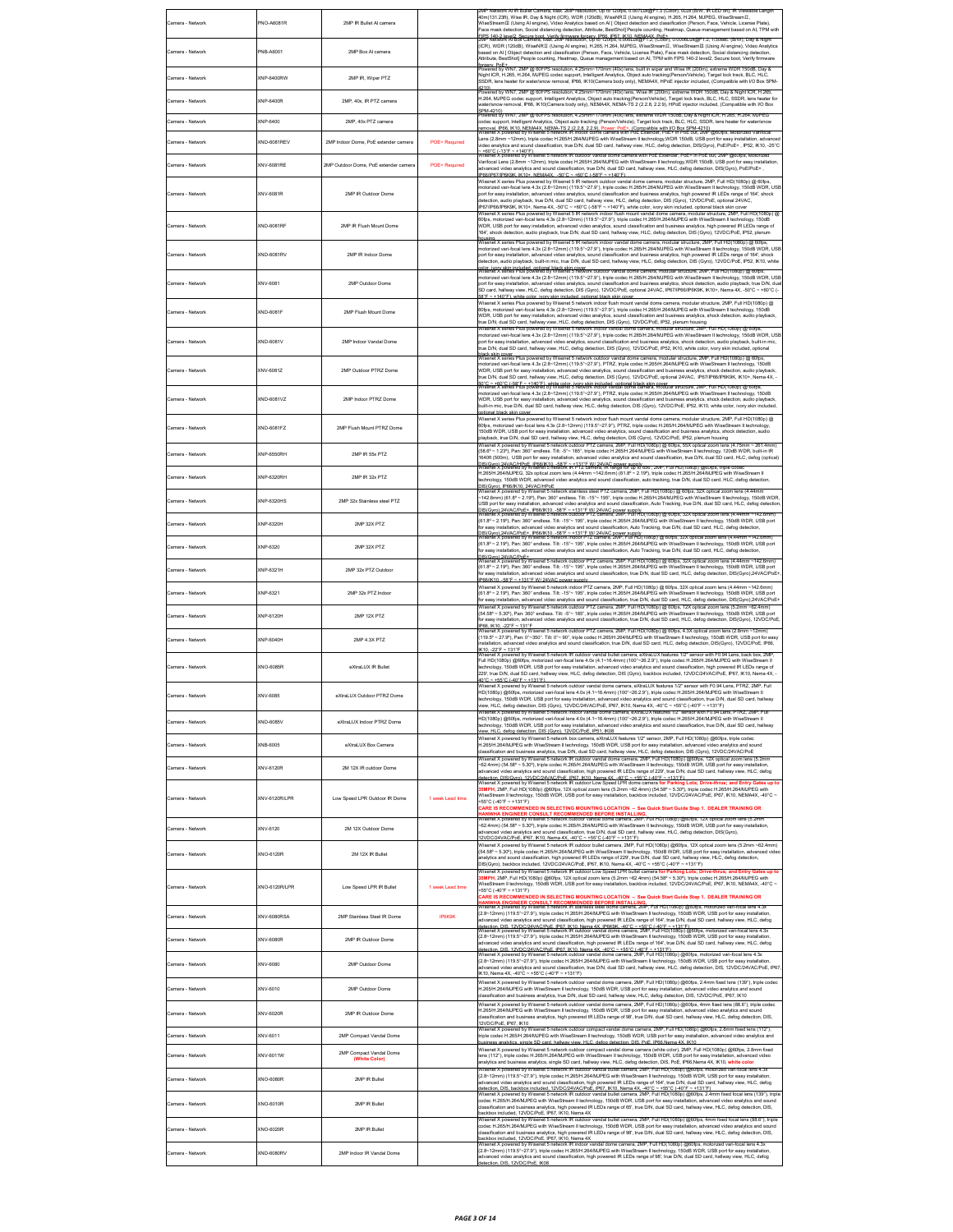| Camera - Network | PNO-A6081R        | 2MP IR Bullet Al camera                  |                  | Network Al IR Bullet Camera, Max. 2MP resolution, Up to 120fps, 0.007Lux@F1:3 (Color), 0Lux (B/W, IR LED on), IR Viewable Lengtl<br>40m(131.23ft), Wise IR, Day & Night (ICR), WDR (120dB), WiseNRII (Using Alengine), H.265, H.264, MJPEG, WiseStreamII,<br>WiseStreamⅢ (Using Al engine), Video Analytics based on Al [ Object detection and classification (Person, Face, Vehicle, License Plate),<br>Face mask detection, Social distancing detection, Attribute, BestShot] People counting, Heatmap, Queue management based on AI, TPM with<br>.<br>IPS 140-2 level2, Secure hori, Verify firmware forgery, IPBB, IPB7, IK10, NEMA4X, PoE+.<br>MP Network Al Box Camera, Max. 2MP resolution, Up to 120fps, 0.008Lux@F1.2, (Color), 0.0008Lux@F1.2, 1/30sec. (B/W), Day & Night                 |
|------------------|-------------------|------------------------------------------|------------------|------------------------------------------------------------------------------------------------------------------------------------------------------------------------------------------------------------------------------------------------------------------------------------------------------------------------------------------------------------------------------------------------------------------------------------------------------------------------------------------------------------------------------------------------------------------------------------------------------------------------------------------------------------------------------------------------------------------------------------------------------------------------------------------------------|
| Camera - Network | PNB-A6001         | 2MP Box Al camera                        |                  | (ICR), WDR (120dB), WiseNRII (Using Al engine), H.265, H.264, MJPEG, WiseStreamII, WiseStreamIII (Using Al engine), Video Analytics<br>based on AI [Object detection and classification (Person, Face, Vehicle, License Plate), Face mask detection, Social distancing detection,<br>Attribute, BestShot] People counting, Heatmap, Queue management based on AI, TPM with FIPS 140-2 level2, Secure boot, Verify firmware                                                                                                                                                                                                                                                                                                                                                                           |
| Camera - Network | KNP-6400RW        | 2MP IR, Wiper PTZ                        |                  | vroery. PoE+<br>Yowered by WN7, 2MP @ 60FPS resolution, 4.25mm~170mm (40x) lens, built in wiper and Wise IR (200m), extreme<br>Night ICR, H.265, H.264, MJPEG codec support, Intelligent Analytics, Object auto tracking(Person/Vehicle), Target lock track, BLC, HLC,<br>SSDR, lens heater for water/snow removal, IP66, IK10(Camera body only), NEMA4X, HPoE injector included, (Compatible with I/O Box SPM-<br>2101                                                                                                                                                                                                                                                                                                                                                                              |
| Camera - Network | (NP-6400R         | 2MP, 40x, IR PTZ camera                  |                  | by WN7, 2MP @ 60FPS resolution, 4.25mm~170mm (40x) lens, Wise IR (200m), extreme WDR 150dB, Day & Night ICR, H.285,<br>H.264, MJPEG codec support, Intelligent Analytics, Object auto tracking(Person/Vehicle), Target lock track, BLC, HLC, SSDR, lens heater for<br>rater/snow removal, IP66, IK10(Camera body only), NEMA4X, NEMA-TS 2 (2.2.8, 2.2.9), HPoE injector included, (Compatible with I/O Box                                                                                                                                                                                                                                                                                                                                                                                           |
| Camera - Network | KNP-6400          | 2MP, 40x PTZ camera                      |                  | SPM-4210)<br>PM-4210)<br>Powered by WN7, 2MP @ 60FPS resolution, 4.25mm~170mm (40x) lens, extreme WDR 150dB, Day & Night ICR, H.265, H.284, MJPEG<br>odec support, Intelligent Analytics, Object auto tracking (Person/Vehicle), Target lock track, BLC, HLC, SSDR, lens heater for water/snow<br>removal. IP66. IK10. NEMA4X. NEMA-TS 2 (2.2.8. 2.2.9). Power: PoE+. (Compatible with I/O Box SPM-4210)<br>Wisenet X powered by Wisenet 5 network IR indoor dome camera with PoE Extender, PoE+ in PoE out, 2MP @60fps, Motorized                                                                                                                                                                                                                                                                   |
| Camera - Network | XND-6081REV       | 2MP Indoor Dome. PoE extender camera     | POE+ Required    | Lens (2.8mm ~12mm), triple codec H.265/H.264/MJPEG with WiseStream II technology,WDR 150dB, USB port for easy installation, advanced<br>ideo analytics and sound classification, true D/N, dual SD card, hallway view, HLC, defog detection, DIS(Gyro), PoE/PoE+ , IP52, IK10, -25℃<br>~ +60°C (-13°F ~ +140°F)<br>Wisenet X powered by Wisenet 5 network IR outdoor vandal dome camera with PoE Extender, PoE+ in PoE out, 2MP @60fps, Motorized                                                                                                                                                                                                                                                                                                                                                    |
| Camera - Network | XNV-6081RE        | 2MP Outdoor Dome, PoE extender camera    | POE+ Required    | Varifocal Lens (2.8mm ~12mm), triple codec H.265/H.264/MJPEG with WiseStream II technology,WDR 150dB, USB port for easy installation<br>advanced video analytics and sound classification, true D/N, dual SD card, hallway view, HLC, defog detection, DIS(Gyro), PoE/PoE+,<br>IP66/IP67/IP6K9K, IK10+, NEMA4X, -50°C ~ +60°C (-58°F ~ +140°F)                                                                                                                                                                                                                                                                                                                                                                                                                                                       |
| Camera - Network | XNV-6081R         | 2MP IR Outdoor Dome                      |                  | Wisenet X series Plus powered by Wisenet 5 IR network outdoor vandal dome camera, modular structure, 2MP, Full HD(1080p) @ 60fps,<br>notorized vari-focal lens 4.3x (2.8~12mm) (119.5"~27.9"), triple codec H.265/H.264/MJPEG with WiseStream II technology, 150dB WDR, USI<br>ort for easy installation, advanced video analytics, sound classification and business analytics, high powered IR LEDs range of 164", shock<br>detection, audio playback, true D/N, dual SD card, hallway view, HLC, defog detection, DIS (Gyro), 12VDC/PoE, optional 24VAC,<br>IP67/IP66/IP6K9K, IK10+, Nema 4X, -50°C ~ +60°C (-58°F ~ +140°F), white color, ivory skin inclu<br>enet X series Plus powered by Wisenet 5 IR network indoor flush mount vandal dome camera, modular structure, 2MP, Full HD(1080p) ( |
| Camera - Network | XND-6081RF        | 2MP IR Flush Mount Dome                  |                  | 60fps, motorized vari-focal lens 4.3x (2.8~12mm) (119.5"~27.9"), triple codec H.265/H.264/MJPEG with WiseStream II technology, 150dB<br>WDR, USB port for easy installation, advanced video analytics, sound classification and business analytics, high powered IR LEDs range of<br>164", shock detection, audio playback, true D/N, dual SD card, hallway view, HLC, defog detection, DIS (Gyro), 12VDC/PoE, IP52, plenum<br>pusing<br>Visenet X series Plus powered by Wisenet 5 IR network indoor vandal dome camera, modular structure, 2MP, Full HD(1080p) @ 601                                                                                                                                                                                                                               |
| Camera - Network | <b>XND-6081RV</b> | 2MP IR Indoor Dome                       |                  | motorized vari-focal lens 4.3x (2.8~12mm) (119.5"~27.9"), triple codec H.265/H.264/MJPEG with WiseStream II technology, 150dB WDR, USE<br>port for easy installation, advanced video analytics, sound classification and business analytics, high powered IR LEDs range of 164', shock<br>detection, audio playback, built-in mic, true D/N, dual SD card, hallway view, HLC, defog detection, DIS (Gyro), 12VDC/PoE, IP52, IK10, white                                                                                                                                                                                                                                                                                                                                                              |
| Camera - Network | XNV-6081          | 2MP Outdoor Dome                         |                  | rolor, ivory skin included, onliggel hlack skin cover.<br>Wisenet X series Plus powered by Wisenet 5 network outdoor vandal dome camera, modular structure, 2MP, Full HD(1080p) @ 601<br>notorized vari-focal lens 4.3x (2.8~12mm) (119.5"~27.9"), triple codec H.265/H.264/MJPEG with WiseStream II technology, 150dB WDR, USE<br>port for easy installation, advanced video analytics, sound classification and business analytics, shock detection, audio playback, true D/N, dua<br>SD card, hallway view, HLC, defog detection, DIS (Gyro), 12VDC/PoE, optional 24VAC, IP67/IP66/IP6K9K, IK10+, Nema 4X, -50°C ~ +60°C (-<br>+140°F) white color ivory skin included optional black skin cov                                                                                                    |
| Camera - Network | XND-6081F         | 2MP Flush Mount Dome                     |                  | Wisenet X series Plus powered by Wisenet 5 network indoor flush mount vandal dome camera, modular structure, 2MP, Full HD(1080p) @<br>60fps, motorized vari-focal lens 4.3x (2.8~12mm) (119.5"~27.9"), triple codec H.265/H.264/MJPEG with WiseStream II technology, 150dB<br>WDR, USB port for easy installation, advanced video analytics, sound classification and business analytics, shock detection, audio playback<br>rue D/N, dual SD card, hallway view, HLC, defog detection, DIS (Gyro), 12VDC/PoE, IP52, plenum housing<br>Wisenet X series Plus powered by Wisenet 5 network indoor vandal dome camera, modular structure, 2MP, Full HD(1080p) @ 60fp                                                                                                                                   |
| Camera - Network | XND-6081V         | 2MP Indoor Vandal Dome                   |                  | motorized vari-focal lens 4.3x (2.8~12mm) (119.5"~27.9"), triple codec H.265/H.264/MJPEG with WiseStream II technology, 150dB WDR, USE<br>port for easy installation, advanced video analytics, sound classification and business analytics, shock detection, audio playback, built-in mic<br>rue D/N, dual SD card, hallway view, HLC, defog detection, DIS (Gyro), 12VDC/PoE, IP52, IK10, white color, ivory skin included, optional<br>lack skin cover.<br>Visenet X series Plus powered by Wisenet 5 network outdoor vandal dome camera, modular structure, 2MP, Full HD(1080p) @ 6                                                                                                                                                                                                              |
| Camera - Network | XNV-6081Z         | 2MP Outdoor PTRZ Dome                    |                  | notorized vari-focal lens 4.3x (2.8~12mm) (119.5"~27.9"), PTRZ, triple codec H.265/H.264/MJPEG with WiseStream II technology, 150dB<br>WDR, USB port for easy installation, advanced video analytics, sound classification and business analytics, shock detection, audio playback,<br>true D/N, dual SD card, hallway view, HLC, defog detection, DIS (Gyro), 12VDC/PoE, optional 24VAC, IP67/IP66/IP6K9K, IK10+, Nema 4X, -<br>50°C ~ +60°C (-58°F ~ +140°F), white color, ivory skin included, optional black skin cover<br>Wisenet X series Plus powered by Wisenet 5 network indoor vandal dome camera, modular structure, 2MP, Full HD(1080p) @ 60fp                                                                                                                                           |
| Camera - Network | XND-6081VZ        | 2MP Indoor PTRZ Dome                     |                  | notorized vari-focal lens 4.3x (2.8~12mm) (119.5"~27.9"), PTRZ, triple codec H.265/H.264/MJPEG with WiseStream II technology, 150dB<br>WDR, USB port for easy installation, advanced video analytics, sound classification and business analytics, shock detection, audio playback,<br>built-in mic, true D/N, dual SD card, hallway view, HLC, defog detection, DIS (Gy<br>ntional hlack skin cove                                                                                                                                                                                                                                                                                                                                                                                                  |
| Camera - Network | KND-6081FZ        | 2MP Flush Mount PTRZ Dome                |                  | Wisenet X series Plus powered by Wisenet 5 network indoor flush mount vandal dome camera, modular structure, 2MP, Full HD(1080p) @<br>60fps, motorized vari-focal lens 4.3x (2.8~12mm) (119.5"~27.9"), PTRZ, triple codec H.265/H.264/MJPEG with WiseStream II technology,<br>150dB WDR. USB port for easy installation, advanced video analytics, sound classification and business analytics, shock detection, audio<br>layback, true D/N, dual SD card, hallway view, HLC, defog detection, DIS (Gyro), 12VDC/PoE, IP52, plenum housing                                                                                                                                                                                                                                                           |
| Camera - Network | XNP-6550RH        | 2MP IR 55x PTZ                           |                  | Wisenet X powered by Wisenet 5 network outdoor PTZ camera, 2MP, Full HD(1080p) @ 60fps, 55X optical zoom lens (4.75mm ~ 261.4mm)<br>(58.6° ~ 1.23°), Pan: 360° endless. Tilt: -5°~ 185°, triple codec H.265/H.264/MJPEG with WiseStream II technology, 120dB WDR, built-in IR<br>640ft (500m), USB port for easy installation, advanced video analytics and sound classification, true D/N, dual SD card, HLC, defog (optical)                                                                                                                                                                                                                                                                                                                                                                       |
| Camera - Network | KNP-6320RH        | 2MP IR 32x PTZ                           |                  | H.265/H.264/MJPEG, 32x optical zoom lens (4.44mm ~142.6mm) (61.8°~2.19°), triple codec H.265/H.264/MJPEG with WiseStream II<br>echnology, 150dB WDR, advanced video analytics and sound classification, auto tracking, true D/N, dual SD card, HLC, defog detection,                                                                                                                                                                                                                                                                                                                                                                                                                                                                                                                                 |
| Camera - Network | KNP-6320HS        | 2MP 32x Stainless steel PTZ              |                  | -142.6mm) (61.8° ~ 2.19°), Pan: 360° endless. Tilt: -15°~ 195°, triple codec H.265/H.264/MJPEG with WiseStream II technology, 150dB WDR<br>USB port for easy installation, advanced video analytics and sound classification, Auto Tracking, true D/N, dual SD card, HLC, defog detection                                                                                                                                                                                                                                                                                                                                                                                                                                                                                                            |
| Camera - Network | KNP-6320H         | 2MP 32X PTZ                              |                  | )<br>IS(Gyro),24VAC/PoE+ . IP66/IK10. -58°F ~ +131°F W/ 24VAC power supply.<br>Wisenet X powered by Wisenet 5 network outdoor PTZ camera, 2MP, Full HD(1080p) @ 60fps, 32X opt<br>(61.8° ~ 2.19°), Pan: 360° endless. Tilt: -15"~ 195°, triple codec H.265/H.264/MJPEG with WiseStream II technology, 150dB WDR, USB port<br>for easy installation, advanced video analytics and sound classification, Auto Tracking, true D/N, dual SD card, HLC, defog detection,                                                                                                                                                                                                                                                                                                                                  |
| Camera - Network | KNP-6320          | 2MP 32X PTZ                              |                  | (61.8° ~ 2.19°), Pan: 360° endless. Tilt: -15"~ 195°, triple codec H.265/H.264/MJPEG with WiseStream II technology, 150dB WDR, USB port<br>for easy installation, advanced video analytics and sound classification, Auto Tracking, true D/N, dual SD card, HLC, defog detection                                                                                                                                                                                                                                                                                                                                                                                                                                                                                                                     |
| Camera - Network | KNP-6321H         | 2MP 32x PTZ Outdoor                      |                  | ns (4 44mm ∼142 Rmn<br>(61.8° ~ 2.19°), Pan: 360° endless. Tilt: -15° ~ 195°, triple codec H.265/H.264/MJPEG with WiseStream II technology, 150dB WDR, USB port<br>for easy installation, advanced video analytics and sound classification, true D/N, dual SD card, HLC, defog detection, DIS(Gyro),24VAC/PoE                                                                                                                                                                                                                                                                                                                                                                                                                                                                                       |
| Camera - Network | KNP-6321          | 2MP 32x PTZ Indoor                       |                  | P66/IK10. - 58°F ~ +131°F W/ 24VAC power supply<br>Wisenet X powered by Wisenet 5 network indoor PTZ camera, 2MP, Full HD(1080p) @ 60fps, 32X optical zoom lens (4.44mm ~142.6mm)<br>(61.8° ~ 2.19°), Pan: 360° endless. Till: -15"~ 195°, triple codec H.265/H.264/MJPEG with WiseStream II technology, 150dB WDR, USB port<br>or easy installation, advanced video analytics and sound classification, true D/N, dual SD card, HLC, defog detection, DIS(Gyro),24VAC/PoE-                                                                                                                                                                                                                                                                                                                          |
| Camera - Network | KNP-6120H         | <b>2MP 12X PTZ</b>                       |                  | red by Wisenet 5 network outdoor PTZ camera, 2MP, Full HD(1080p) @ 60fps, 12X optical zoom lens (5.2mm ~62.4mm<br>Visenet X nov<br>(54.58° ~ 5.30°), Pan: 360° endless. Tilt -5°~ 185°, triple codec H.265/H.264/MJPEG with WiseStream II technology, 150dB WDR, USB port<br>for easy installation, advanced video analytics and sound classification, true D/N, dual SD card, HLC, defog detection, DIS(Gyro), 12VDC/PoE                                                                                                                                                                                                                                                                                                                                                                            |
| Camera - Network | KNP-6040H         | 2MP 4.3X PTZ                             |                  | P66. IK10. -22"F ~ 131"F<br>Wisenet X powered by Wisenet 5 network outdoor PTZ camera, 2MP, Full HD(1080p) @ 60fps, 4.3X optical zoom lens (2.8mm ~12mm)<br>(119.5° ~ 27.9°), Pan: 0°~350°. Tilt: 0°~ 90°, triple codec H.265/H.264/MJPEG with WiseStream II technology, 150dB WDR, USB port for easy<br>nstallation, advanced video analytics and sound classification, true D/N, dual SD card, HLC, defog detection, DIS(Gyro), 12VDC/PoE, IP66,                                                                                                                                                                                                                                                                                                                                                   |
| Camera - Network | XNO-6085R         | eXtraLUX IR Bullet                       |                  | ork IR outdoor vandal bullet camera, eXtraLUX features 1/2<br>Full HD(1080p) @60fps, motorized vari-focal lens 4.0x (4.1~16.4mm) (100*~26.2.9"), triple codec H.265/H.264/MJPEG with WiseStream II<br>technology, 150dB WDR, USB port for easy installation, advanced video analytics and sound classification, high powered IR LEDs range of<br>229', true D/N, dual SD card, hallway view, HLC, defog detection, DIS (Gyro), backbox included, 12VDC/24VAC/PoE, IP67, IK10, Nema 4X, -<br>+55°C (-40°F ~ +131°F)                                                                                                                                                                                                                                                                                   |
| Camera - Network | XNV-6085          | eXtraLUX Outdoor PTRZ Dome               |                  | Wisenet X powered by Wisenet 5 network outdoor vandal dome camera, eXtraLUX features 1/2" sensor with F0.94 Lens, PTRZ, 2MP, Full<br>HD(1080p) @60fps, motorized vari-focal lens 4.0x (4.1~16.4mm) (100°~26.2.9"), triple codec H.265/H.264/MJPEG with WiseStream II<br>technology, 150dB WDR, USB port for easy installation, advanced video analytics and sound classification, true D/N, dual SD card, hallway<br>iew, HLC, defog detection, DIS (Gyro), 12VDC/24VAC/PoE, IP67, IK10, Nema 4X, -40°C ~ +55°C (-40°F ~ +131°F)                                                                                                                                                                                                                                                                     |
| Camera - Network | (ND-6085V         | eXtraLUX Indoor PTRZ Dome                |                  | et X powered by Wisenet 5 network indoor vandal dome camera. eXtraLUX features 1/2" sensor with F0.94 Lens. PTRZ. 2MP. Ful<br>HD(1080p) @60fps, motorized vari-focal lens 4.0x (4.1~16.4mm) (100*~26.2.9"), triple codec H.265/H.264/MJPEG with WiseStream II<br>technology, 150dB WDR, USB port for easy installation, advanced video analytics and sound clas<br>lew, HLC, defog detection, DIS (Gyro), 12VDC/PoE, IP51, IK08                                                                                                                                                                                                                                                                                                                                                                      |
| Camera - Network | NB-6005           | eXtraLUX Box Camera                      |                  | Wisenet X powered by Wisenet 5 network box camera, eXtraLUX features 1/2" sensor, 2MP, Full HD(1080p) @60fps, triple codec<br>H.265/H.264/MJPEG with WiseStream II technology, 150dB WDR, USB port for easy installation, advanced video analytics and sound<br>classification and business analytics, true D/N, dual SD card, hallway view, HLC, defog detection, DIS (Gyro), 12VDC/24VAC/PoE                                                                                                                                                                                                                                                                                                                                                                                                       |
| Camera - Network | XNV-6120R         | 2M 12X IR outdoor Dome                   |                  | 7.5). Wisenet X powered by Wisenet 5 network IR outdoor vandal dome camera, 2MP, Full HD(1080p) @60fps, 12X optical zoom lens<br>-62.4mm) (54.58° ~ 5.30°), triple codec H.265/H.264/MJPEG with WiseStream II technology, 150dB WDR, USB port for easy installation,<br>advanced video analytics and sound classification, high powered IR LEDs range of 229', true D/N, dual SD card, hallway view, HLC, defog<br>tetection, DIS(Gyrn), 12VDC/24VAC/PnE, IPB7, IK10, Nema 4X, -40°C, ~ +55°C (-40°E ~ +131°E).<br>Wisenet X powered by Wisenet 5 network IR outdoor Low Speed LPR dome camera <mark>for Parking Lots; Drive-thrus; a</mark>                                                                                                                                                         |
| Camera - Network | XNV-6120R/LPR     | Low Speed LPR Outdoor IR Dome            | 1 week Lead time | 5MPH, 2MP, Full HD(1080p) @60fps, 12X optical zoom lens (5.2mm ~62.4mm) (54.58° ~ 5.30°), triple codec H.265/H.264/MJPEG with<br>WiseStream II technology, 150dB WDR, USB port for easy installation, backbox included, 12VDC/24VAC/PoE, IP67, IK10, NEMA4X, -40°C ~<br>+55°C (-40°F ~ +131°F)<br>CARE IS RECOMMENDED IN SELECTING MOUNTING LOCATION – See Quick Start Guide Step 1. DEALER TRAINING OR                                                                                                                                                                                                                                                                                                                                                                                              |
| Camera - Network | XNV-6120          | 2M 12X Outdoor Dome                      |                  | <mark>HANWHA ENGINEER CONSULT RECOMMENDED BEFORE INSTALLING.</mark><br>Wisenet X powered by Wisenet 5 network outdoor vandal dome camera, 2MP, Full HD(1080p) @60fps, 12X optical zoom lens (5.2mn<br>.<br>⊷62.4mm) (54.58° ~ 5.30°), triple codec H.265/H.264/MJPEG with WiseStream II lechnology, 150dB WDR, USB port for easy installation,<br>advanced video analytics and sound classification, true D/N, dual SD card, hallway view<br>12VDC/24VAC/PoE. IP67. IK10. Nema 4X. -40°C ~ +55°C (-40°F ~ +131°F).                                                                                                                                                                                                                                                                                   |
| Camera - Network | XNO-6120R         | 2M 12X IR Bullet                         |                  | Wisenet X powered by Wisenet 5 network IR outdoor bullet camera, 2MP, Full HD(1080p) @60fps, 12X optical zoom lens (5.2mm ~62.4mm)<br>(54.58° ~ 5.30°), triple codec H.265/H.264/MJPEG with WiseStream II technology, 150dB WDR, USB port for easy installation, advanced vide<br>.<br>analytics and sound classification, high powered IR LEDs range of 229', true D/N, dual SD card, hallway view, HLC, defog detection,<br>.<br>DIS(Gyro), backbox included, 12VDC/24VAC/PoE, IP67, IK10, Nema 4X, -40°C ~ +55°C (-40°F ~ +131°F)<br>enet X powered by Wisenet 5 network IR outdoor Low Speed LPR bullet camera for                                                                                                                                                                               |
| Camera - Network | KNO-6120R/LPR     | Low Speed LPR IR Bullet                  | 1 week Lead time | 5MPH, 2MP, Full HD(1080p) @60fps, 12X optical zoom lens (5.2mm ~62.4mm) (54.58° ~ 5.30°), triple codec H.265/H.264/MJPEG with<br>WiseStream II technology, 150dB WDR, USB port for easy installation, backbox included, 12VDC/24VAC/PoE, IP67, IK10, NEMA4X, -40°C ~<br>+55°C (-40°F ~ +131°F)<br>CARE IS RECOMMENDED IN SELECTING MOUNTING LOCATION - See Quick Start Guide Step 1. DEALER TRAINING OR                                                                                                                                                                                                                                                                                                                                                                                              |
| Camera - Network | XNV-6080RSA       | 2MP Stainless Steel IR Dome              | <b>IP6K9K</b>    | HANWHA ENGINEER CONSULT RECOMMENDED BEFORE INSTALLING.<br>Wisenet X powered by Wisenet 5 network IR stainless steel dome camera, 2MP, Full HD(1080p) @601ps, motorized vari-focal lens 4.3x<br>(2.8~12mm) (119.5"~27.9"), triple codec H.265/H.264/MJPEG with WiseStream II technology, 150dB WDR, USB port for easy installation,<br>advanced video analytics and sound classification, high powered IR LEDs range of 164", true D/N, dual SD card, hallway view, HLC, defog                                                                                                                                                                                                                                                                                                                        |
| Camera - Network | KNV-6080R         | 2MP IR Outdoor Dome                      |                  | detection, DIS, 12VDC/24VAC/PoE, IP67, IK10, Nema 4X, IP6K9K, -40°C ~ +55°C (-40°F ~ +131°F)<br>Wisenet X powered by Wisenet 5 network IR outdoor vandal dome camera, 2MP, Full HD(1080p) @60fps, motorized vari focal lens 4.3x<br><br>(2.8~12mm) (119.5"~27.9"), triple codec H.265/H.264/MJPEG with WiseStream II technology, 150dB WDR, USB port for easy installation,<br>advanced video analytics and sound classification, high powered IR LEDs range of 164", true D/N, dual SD card, hallway view, HLC, defog                                                                                                                                                                                                                                                                               |
| Camera - Network | XNV-6080          | 2MP Outdoor Dome                         |                  | detection, DIS, 12VDC/24VAC/PoE, IP67, IK10, Nema 4X, -40°C ~ +55°C (-40°F ~ +131°F)<br>Wisenet X powered by Wisenet 5 network outdoor vandal dome camera, 2MP, Full HD(1080p) @60fps, motorized vari-focal lens 4.3x<br>(2.8~12mm) (119.5"~27.9"), triple codec H.265/H.264/MJPEG with WiseStream II technology, 150dB WDR, USB port for easy installation,<br>.<br>advanced video analytics and sound classification, true D/N, dual SD card, hallway view, HLC, defog detection, DIS, 12VDC/24VAC/PoE, IP6.<br>K10, Nema 4X, -40°C ~ +55°C (-40°F ~ +131°F)                                                                                                                                                                                                                                       |
| Camera - Network | XNV-6010          | 2MP Outdoor Dome                         |                  | Wisenet X powered by Wisenet 5 network outdoor vandal dome camera, 2MP, Full HD(1080p) @60fps, 2.4mm fixed lens (139"), triple codec<br>H.265/H.264/MJPEG with WiseStream II technology, 150dB WDR, USB port for easy installation, advanced video analytics and sound<br>classification and business analytics, true D/N, dual SD card, hallway view, HLC, defog detecti                                                                                                                                                                                                                                                                                                                                                                                                                            |
| Camera - Network | KNV-6020R         | 2MP IR Outdoor Dome                      |                  | Wisenet X powered by Wisenet 5 network outdoor vandal dome camera, 2MP, Full HD(1080p) @60fps, 4mm fixed lens (88.6*), triple coded<br>H.265/H.264/MJPEG with WiseStream II technology, 150dB WDR, USB port for easy installation, advanced video analytics and sound<br>dassification and business analytics, high powered IR LEDs range of 98', true D/N, dual SD card, hallway view, HLC, defog detection, DIS,<br>2VDC/PoE, IP67, IK10                                                                                                                                                                                                                                                                                                                                                           |
| Camera - Network | KNV-6011          | 2MP Compact Vandal Dome                  |                  | Visenet X powered by Wisenet 5 network outdoor compact vandal dome camera, 2MP, Full HD(1080p) @60fps, 2.8mm fixed lens (112*),<br>riple codec H.265/H.264/MJPEG with WiseStream II technology, 150dB WDR, USB port for easy installation, advanced video analytics and<br>usiness analytics, single SD card, hallway view, HLC, defog detection, DIS, PoE, IP66 Nema 4X, IK10                                                                                                                                                                                                                                                                                                                                                                                                                       |
| Camera - Network | KNV-6011W         | 2MP Compact Vandal Dome<br>(White Color) |                  | Wisenet X powered by Wisenet 5 network outdoor compact vandal dome camera (white color), 2MP, Full HD(1080p) @60fps, 2.8mm fixed<br>ens (112°), triple codec H.265/H.264/MJPEG with WiseStream II technology, 150dB WDR, USB port for easy installation, advanced video<br>malytics and business analytics, single SD card, hallway view, HLC, defog detection, DIS, PoE, IP66,Nema 4X, IK10, wh <mark>ite color</mark>                                                                                                                                                                                                                                                                                                                                                                              |
| Camera - Network | KNO-6080R         | 2MP IR Bullet                            |                  | network IR outdoor vandal bullet camera, 2MP, Full HD(1080p) @60fps, mr<br>(2.8~12mm) (119.5"~27.9"), triple codec H.265/H.264/MJPEG with WiseStream II technology, 150dB WDR, USB port for easy installation,<br>advanced video analytics and sound classification, high powered IR LEDs range of 164", true D/N, dual SD card, hallway view, HLC, defog<br>letection, DIS, backbox included, 12VDC/24VAC/PoE, IP67, IK10, Nema 4X, -40°C ~ +55°C (-40°F ~ +131°F)                                                                                                                                                                                                                                                                                                                                  |
| Camera - Network | XNO-6010R         | 2MP IR Bullet                            |                  | Wisenet X powered by Wisenet 5 network IR outdoor vandal bullet camera, 2MP, Full HD(1080p) @60fps, 2.4mm fixed focal lens (139"), triple<br>codec H.265/H.264/MJPEG with WiseStream II technology, 150dB WDR, USB port for easy installation, advanced video analytics and sound<br>dassification and business analytics, high powered IR LEDs range of 65', true D/N, dual SD card, hallway view, HLC, defog detection, DIS,<br>ackbox included, 12VDC/PoE, IP67, IK10, Nema 4X                                                                                                                                                                                                                                                                                                                    |
| Camera - Network | XNO-6020R         | 2MP IR Bullet                            |                  | Wisenet X powered by Wisenet 5 network IR outdoor vandal builet camera. 2MP, Full HD(1080p) @60fps, 4mm fixed focal lens (88.6"), triple<br>codec H.265/H.264/MJPEG with WiseStream II technology, 150dB WDR, USB port for easy installation, advanced video analytics and sound<br>lassification and business analytics, high powered IR LEDs range of 98', true D/N, dual SD card, hallway view, HLC, defog detection, DIS,                                                                                                                                                                                                                                                                                                                                                                        |
| Camera - Network | KND-6080RV        | 2MP Indoor IR Vandal Dome                |                  | ackbox included, 12VDC/PoE, IP67, IK10, Nema 4X<br>Visenet X powered by Wisenet 5 network IR indoor vandal dome camera, 2MP, Full HD(1080p) @60fps, motorized vari-focal lens 4.3x<br>(2.8~12mm) (119.5"~27.9"), triple codec H.265/H.264/MJPEG with WiseStream II technology, 150dB WDR, USB port for easy installation,<br>advanced video analytics and sound classification, high powered IR LEDs range of 98', true D/N, dual SD card, hallway view, HLC, defog<br>tection, DIS, 12VDC/PoE, IK08                                                                                                                                                                                                                                                                                                 |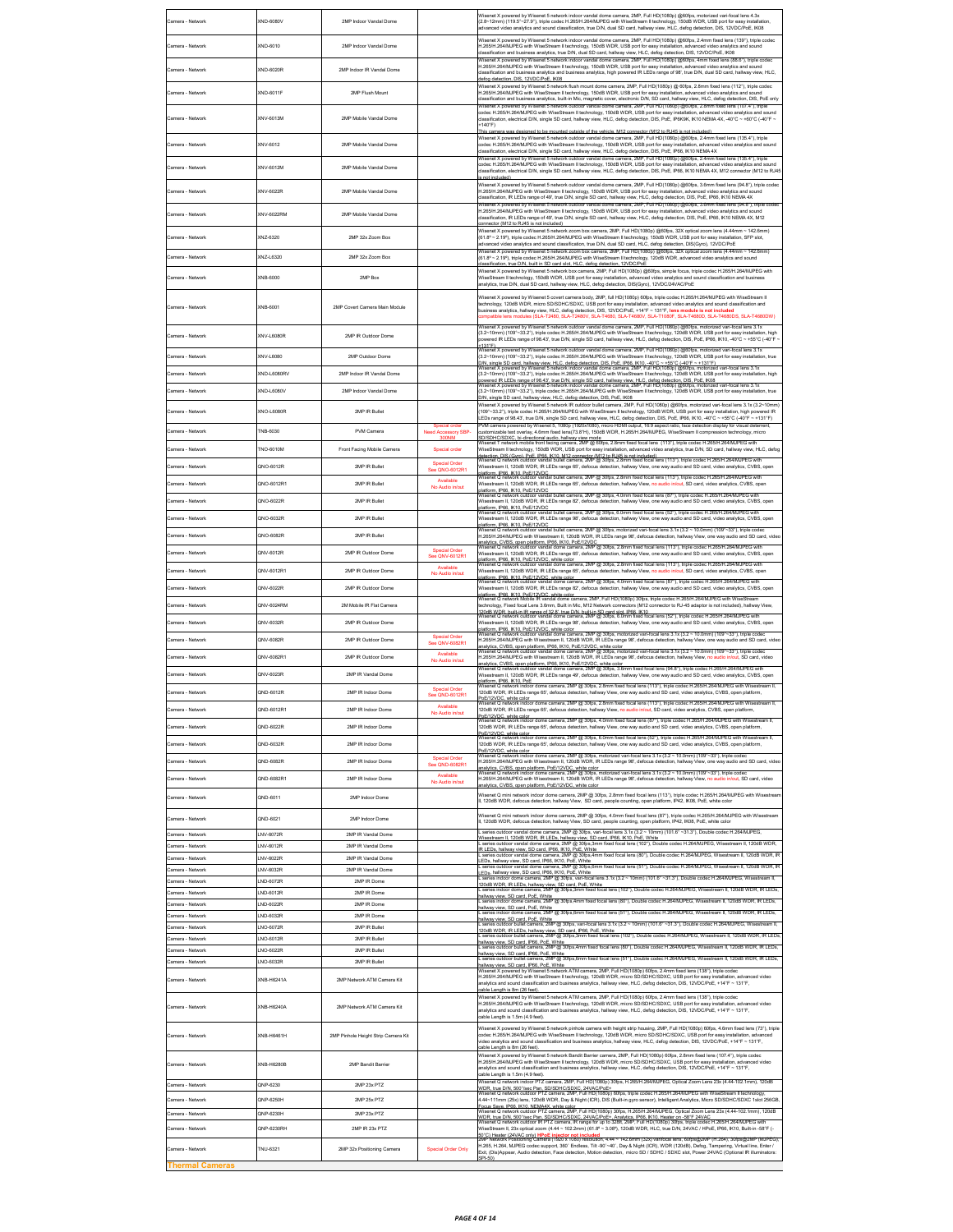| Camera - Network                           | (ND-6080V               | 2MP Indoor Vandal Dome                     |                                                  | Wisenet X powered by Wisenet 5 network indoor vandal dome camera, 2MP, Full HD(1080p) @60fps, motorized vari-focal lens 4.3x<br>(2.8~12mm) (119.5"~27.9"), triple codec H.265/H.264/MJPEG with WiseStream II technology, 150dB WDR, USB port for easy installation,<br>dvanced video analytics and sound classification, true D/N, dual SD card, hallway view, HLC, defog detection, DIS, 12VDC/PoE, IK08                                                                                                                                                             |
|--------------------------------------------|-------------------------|--------------------------------------------|--------------------------------------------------|-----------------------------------------------------------------------------------------------------------------------------------------------------------------------------------------------------------------------------------------------------------------------------------------------------------------------------------------------------------------------------------------------------------------------------------------------------------------------------------------------------------------------------------------------------------------------|
| Camera - Network                           | XND-6010                | 2MP Indoor Vandal Dome                     |                                                  | Wisenet X powered by Wisenet 5 network indoor vandal dome camera. 2MP. Full HD(1080p) @60fps. 2.4mm fixed lens (139"), triple codec<br>H.265/H.264/MJPEG with WiseStream II technology, 150dB WDR, USB port for easy installation, advanced video analytics and sound<br>lassification and business analytics, true D/N, dual SD card, hallway view, HLC, defog detection, DIS, 12VDC/PoE, IK08                                                                                                                                                                       |
| Camera - Network                           | XND-6020R               | 2MP Indoor IR Vandal Dome                  |                                                  | .<br>Wisenet X powered by Wisenet 5 network indoor vandal dome camera, 2MP, Full HD(1080p) @60fps, 4mm fixed lens (88.6°), triple codec<br>.265/H.264/MJPEG with WiseStream II technology, 150dB WDR, USB port for easy installation, advanced video analytics and sound<br>classification and business analytics and business analytics, high powered IR LEDs range of 98", true D/N, dual SD card, hallway view, HLC,                                                                                                                                               |
| Camera - Network                           | KND-6011F               | 2MP Flush Mount                            |                                                  | efog detection, DIS, 12VDC/PoE, IK08<br>Wisenet X powered by Wisenet 5 network flush mount dome camera. 2MP, Full HD(1080p) @ 60fps. 2.8mm fixed lens (112"), triple codec<br>H.265/H.264/MJPEG with WiseStream II technology, 150dB WDR, USB port for easy installation, advanced video analytics and sound                                                                                                                                                                                                                                                          |
|                                            |                         |                                            |                                                  | assification and business analytics, built-in Mic, magnetic cover, electronic D/N, SD card, hallway view, HLC, defog detection, DIS, PoE only<br>X powered by Wisenet 5 network outdoor vandal dome camera, 2MP, Full HD(1080p) @60fps, 2.8mm fixed lens (107.4"), tri<br>odec H.265/H.264/MJPEG with WiseStream II technology, 150dB WDR, USB port for easy installation, advanced video analytics and sound                                                                                                                                                         |
| Camera - Network                           | XNV-6013M               | 2MP Mobile Vandal Dome                     |                                                  | dassification, electrical D/N, single SD card, hallway view, HLC, defog detection, DIS, PoE, IP6K9K, IK10 NEMA 4X, -40°C ~ +60°C (-40°F ~<br>+140°F)<br>de of the vehicle. M12 connector (M12 to R.I45 i<br>Wisenet X powered by Wisenet 5 network outdoor vandal dome camera, 2MP, Full HD(1080p) @60fps, 2.4mm fixed lens (135.4"), triple                                                                                                                                                                                                                          |
| Camera - Network                           | XNV-6012                | 2MP Mobile Vandal Dome                     |                                                  | odec H.265/H.264/MJPEG with WiseStream II technology, 150dB WDR, USB port for easy installation, advanced video analytics and sound<br>dassification, electrical D/N, single SD card, hallway view, HLC, defog detection, DIS, PoE, IP66, IK10 NEMA 4X<br>.<br>Wisenet X powered by Wisenet 5 network outdoor vandal dome camera, 2MP, Full HD(1080p) @60fps, 2.4mm fixed lens (135.4"), triple                                                                                                                                                                       |
| Camera - Network                           | XNV-6012M               | 2MP Mobile Vandal Dome                     |                                                  | codec H.265/H.264/MJPEG with WiseStream II technology, 150dB WDR, USB port for easy installation, advanced video analytics and sound<br>lassification, electrical D/N, single SD card, hallway view, HLC, defog detection, DIS, PoE, IP66, IK10 NEMA 4X, M12 connector (M12 to RJ45<br>(bebuinding                                                                                                                                                                                                                                                                    |
| Camera - Network                           | KNV-6022R               | 2MP Mobile Vandal Dome                     |                                                  | Wisenet X powered by Wisenet 5 network outdoor vandal dome camera, 2MP, Full HD(1080p) @60fps, 3.6mm fixed lens (94.8"), triple coder<br>H.265/H.264/MJPEG with WiseStream II technology, 150dB WDR, USB port for easy installation, advanced video analytics and sound<br>dassification, IR LEDs range of 49', true D/N, single SD card, hallway view, HLC, defog detection, DIS, PoE, IP66, IK10 NEMA 4X                                                                                                                                                            |
| Camera - Network                           | KNV-6022RM              | 2MP Mobile Vandal Dome                     |                                                  | .<br>Wisenet X powered by Wisenet 5 network outdoor vandal dome camera, 2MP, Full HD(1080p) @60fps, 3.6mm fixed lens (94.8"), triple cod<br>.265/H.264/MJPEG with WiseStream II technology, 150dB WDR, USB port for easy installation, advanced video analytics and sound<br>classification, IR LEDs range of 49', true D/N, single SD card, hallway view, HLC, defog detection, DIS, PoE, IP66, IK10 NEMA 4X, M12                                                                                                                                                    |
| Camera - Network                           | KNZ-6320                | 2MP 32x Zoom Box                           |                                                  | onnector (M12 to RJ45 is not included)<br>Wisenet X powered by Wisenet 5 network zoom box camera, 2MP, Full HD(1080p) @60fps, 32X optical zoom lens (4.44mm ~ 142.6mm)<br>(61.8° ~ 2.19°), triple codec H.265/H.264/MJPEG with WiseStream II technology, 150dB WDR, USB port for easy installation, SFP slot,                                                                                                                                                                                                                                                         |
| Camera - Network                           | NZ-L6320                | 2MP 32x Zoom Box                           |                                                  | tvanced video analytics and sound classification, true D/N, dual SD card, HLC, defog detection, DIS(Gyro), 12VDC/PoE<br>Wisenet X powered by Wisenet 5 network zoom box camera, 2MP, Full HD(1080p) @60fps, 32X optical zoom lens (4.44mm ~ 142.6mm)<br>61.8° ~ 2.19°), triple codec H.265/H.264/MJPEG with WiseStream II technology, 120dB WDR, advanced video analytics and sound                                                                                                                                                                                   |
| Camera - Network                           | XNB-6000                | 2MP Box                                    |                                                  | lassification, true D/N, built in SD card slot, HLC, defog detection, 12VDC/Pob<br>Wisenet X powered by Wisenet 5 network box camera, 2MP, Full HD(1080p) @60fps, simple focus, triple codec H.265/H.264/MJPEG with<br>WiseStream II technology, 150dB WDR, USB port for easy installation, advanced video analytics and sound classification and business                                                                                                                                                                                                            |
|                                            |                         |                                            |                                                  | nalytics, true D/N, dual SD card, hallway view, HLC, defog detection, DIS(Gyro), 12VDC/24VAC/PoE<br>Wisenet X powered by Wisenet 5 covert camera body, 2MP, full HD(1080p) 60fps, triple codec H.265/H.264/MJPEG with WiseStream II                                                                                                                                                                                                                                                                                                                                   |
| Camera - Network                           | XNB-6001                | 2MP Covert Camera Main Module              |                                                  | echnology, 120dB WDR, micro SD/SDHC/SDXC, USB port for easy installation, advanced video analytics and sound classification and<br>business analytics, hallway view, HLC, defog detection, DIS, 12VDC/PoE, +14°F ~ 131°F, lens module is not included<br>ompatible lens modules (SLA-T2480, SLA-T2480V, SLA-T4680, SLA-T4680V, SLA-T1080F, SLA-T4680D, SLA-T4680DS, SLA-T4680DW)                                                                                                                                                                                      |
| Camera - Network                           | KNV-L6080R              | 2MP IR Outdoor Dome                        |                                                  | Wisenet X powered by Wisenet 5 network outdoor vandal dome camera, 2MP, Full HD(1080p) @60fps, motorized vari-focal lens 3.1x<br>(3.2~10mm) (109"~33.2"), triple codec H.265/H.264/MJPEG with WiseStream II technology, 120dB WDR<br>vered IR LEDs range of 98.43', true D/N, single SD card, hallway view, HLC, defog detection, DIS, PoE, IP66, IK10, -40°C ~ +55°C (-40°F<br>131"F                                                                                                                                                                                 |
| Camera - Network                           | (NV-L6080               | 2MP Outdoor Dome                           |                                                  | et X powered by Wisenet 5 network outdoor vandal dome camera, 2MP, Full HD(1080p) @60fps, motorized vari-focal lens 3.1x<br>3.2~10mm) (109"~33.2"), triple codec H.265/H.264/MJPEG with WiseStream II technology, 120dB WDR, USB port for easy installation, true<br>.<br>D/N. single SD card. hallway view. HLC. defog detection. DIS. PoE. IP86. IK10. -40°C ~ +55°C (-40°F ~ +131°F).<br>Wisenet X powered by Wisenet 5 network indoor vandal dome camera, 2MP, Full HD(1080p) @60fps, motorized vari                                                              |
| Camera - Network                           | KND-L6080RV             | 2MP Indoor IR Vandal Dome                  |                                                  | 3.2~10mm) (109*~33.2*), triple codec H.265/H.264/MJPEG with WiseStream II technology, 120dB WDR, USB port for easy installation, high<br>powered IR LEDs range of 98.43", true D.N. single SD card, hallway view. HLC, defog detection, DIS, PoE, IK08<br>Wisenet X powered by Wisenet 5 network indoor vandal dome camera, 2MP, Full HD(1080p) @60fos, motorized vari-foc                                                                                                                                                                                            |
| Camera - Network                           | KND-L6080V              | 2MP Indoor Vandal Dome                     |                                                  | (3.2~10mm) (109"~33.2"), triple codec H.265/H.264/MJPEG with WiseStream II technology, 120dB WDR, USB port for easy installation, true<br>0/N. single SD card, hallway yiew, HLC, defog detection, DIS, PoE, IK08                                                                                                                                                                                                                                                                                                                                                     |
| Camera - Network                           | <b>INO-L6080R</b>       | 2MP IR Bullet                              |                                                  | Wisenet X powered by Wisenet 5 network IR outdoor bullet camera, 2MP, Full HD(1080p) @60fps, motorized vari-focal lens 3.1x (3.2~10mm)<br>109"~33.2"), triple codec H.265/H.264/MJPEG with WiseStream II technology, 120dB WDR, USB port for easy installation, high powered IR<br>EDs range of 98.43', true D/N, single SD card, hallway view, HLC, defog detection, DIS, PoE, IP66, IK10, -40°C ~ +55°C (-40°F ~ +131°F).                                                                                                                                           |
| Camera - Network                           | NB-6030                 | PVM Camera                                 | Need Accessory SBP-<br>ถดกม                      | VM camera powered by Wisenet 5, 1080p (1920x1080), micro HDMI output, 16:9 aspect ratio, face detection display for visual deterrer<br>customizable text overlay, 4.6mm fixed lens(73.8"H), 150dB WDR, H.265/H.264/MJPEG, WiseStream II compression technology, micro                                                                                                                                                                                                                                                                                                 |
| Camera - Network                           | NO-6010M                | Front Facing Mobile Camera                 | Special order                                    | SD/SDHC/SDXC, bi-directional audio, hallway view mode<br>Wisered T network mobile front facing camera, 2MP @ 60ps, 2.8mm fixed focal lens (113°), triple codec H.265/H.264MJPEG with<br>WiseStream II technology, 150dB WDR, USB por<br>detection. DIS (Gyro). PoE. IP66. IK10. M12 connector (M12 to RJ45 is not included).<br>Wisenet Q network outdoor vandal bullet camera, 2MP @ 30fps, 2.8mm fixed focal lens (113°), triple codec H.265/H.264/MJPEG with                                                                                                       |
| Camera - Network                           | 2NO-6012R               | 2MP IR Bullet                              | cial Order<br>See QNO-6012R1                     | Wisestream II, 120dB WDR, IR LEDs range 65', defocus detection, hallway View, one way audio and SD card, video analytics, CVBS, open<br>niatform. IPBS. IK10. PoE/12VDC<br>Wisenet Q network outdoor vandal builet camera, 2MP @ 30fps, 2.8mm fixed focal lens (113"), triple codec H.265/H.264/MJPEG with                                                                                                                                                                                                                                                            |
| Camera - Network                           | 2NO-6012R1              | 2MP IR Bullet                              | Available<br>No Audio in/out                     | Visestream II, 120dB WDR, IR LEDs range 65', defocus detection, hallway View, no audio in/out, SD card, video analytics, CVBS, open<br>siafform, IPBB, IK10, PoE/12VDC<br>Nafform, IPBB, IK10, PoE/12VDC<br>Wisenet Q network outdoor vandal bullet camera, 2MP @ 30fps, 4.0mm fixed focal lens (87*), triple codec H.265/H.264/MJPEG with                                                                                                                                                                                                                            |
| Camera - Network                           | 2NO-6022R               | 2MP IR Bullet                              |                                                  | Wisestream II, 120dB WDR, IR LEDs range 82', defocus detection, hallway View, one way audio and SD card, video analytics, CVBS, open<br>blatform. P66. IK10. PoE/12VDC<br>Wisenet Q network outdoor vandal builet camera, 2MP @ 30fps, 6.0mm fixed focal lens (52"), triple codec H.265/H.264/MJPEG with                                                                                                                                                                                                                                                              |
| Camera - Network                           | 2NO-6032R               | 2MP IR Bullet                              |                                                  | Wisestream II, 120dB WDR, IR LEDs range 98", defocus detection, hallway View, one way audio and SD card, video analytics, CVBS, open<br>latform, IP66, IK10, PoE/12VDC<br>Visenet Q network outdoor vandal bullet camera, 2MP @ 30fps, motorized vari-focal lens 3.1x (3.2 ~ 10.0mm) (109"~33"), triple codec                                                                                                                                                                                                                                                         |
| Camera - Network                           | QNO-6082R               | 2MP IR Bullet                              | <b>Special Order</b>                             | H.265/H.264/MJPEG with Wisestream II, 120dB WDR, IR LEDs range 98', defocus detection, hallway View, one way audio and SD card, video<br>analvics. CVBS. open platform. IP66. IK10. PoE/12VDC<br>Wisenet Q network outdoor vandal dome camera, 2MP @ 30fps, 2.8mm fixed focal lens (113°), triple codec H.265/H.264/MJPEG with                                                                                                                                                                                                                                        |
| Camera - Network                           | 2NV-6012R               | 2MP IR Outdoor Dome                        | See QNV-6012R1<br>Available                      | Wisestream II, 120dB WDR, IR LEDs range 65', defocus detection, hallway View, one way audio and SD card, video analytics, CVBS, open<br>ndatform. IPB6. IK10. PoE/12VDC. white color<br>platform. IPB6. IK10. PoE/12VDC. white color<br>Wisenet Q network outdoor vandal dome camera, 2MP @ 30fps, 2.8mm fixed focal lens (113"), triple codec H.265/H.264/MJPEG with                                                                                                                                                                                                 |
| Camera - Network<br>Camera - Network       | INV-6012R1<br>ONV-6022R | 2MP IR Outdoor Dome<br>2MP IR Outdoor Dome | No Audio in/out                                  | Wisestream II, 120dB WDR, IR LEDs range 65', defocus detection, hallway View, no audio in/out, SD card, video analytics, CVBS, open<br>platform. IP66. IK10. PoE/12VDC. white color<br>Wisenet Q network outdoor vandal dome camera, 2MP @ 30fps, 4.0mm fixed focal lens (87*), triple codec H.265/H.264/MJPEG wit                                                                                                                                                                                                                                                    |
|                                            |                         |                                            |                                                  |                                                                                                                                                                                                                                                                                                                                                                                                                                                                                                                                                                       |
|                                            |                         |                                            |                                                  | Wisestream II, 120dB WDR, IR LEDs range 82', defocus detection, hallway View, one way audio and SD card, video analytics, CVBS, open<br>olatform, IP66, IK10, PoE/12VDC, white color<br>Wisenet Q network Mobile IR vandal dome camera, 2MP, Full HD(1080p) 30fps, triple codec H.265/H.264/MJPEG with WiseStream                                                                                                                                                                                                                                                     |
| Camera - Network                           | 2NV-6024RM              | 2M Mobile IR Flat Camera                   |                                                  | echnology, Fixed focal Lens 3.6mm, Built in Mic, M12 Network connectors (M12 connector to RJ-45 adaptor is not included), hallway View,<br>120dB WDR. built-in IR range of 32.8', true D/N. built-in SD card slot. IP66. IK10<br>Wisenet Q network outdoor vandal dome camera, 2MP @ 30fps, 6.0mm fixed focal lens (52"), triple codec H.265/H.264/MJPEG with                                                                                                                                                                                                         |
| Camera - Network<br>Camera - Network       | INV-6032R<br>2NV-6082R  | 2MP IR Outdoor Dome<br>2MP IR Outdoor Dome | <b>Special Order</b>                             | Wisestream II, 120dB WDR, IR LEDs range 98', defocus detection, hallway View, one way audio and SD card, video analytics, CVBS, open<br>platform, IP66, IK10, PoE/12VDC, white color<br>ir so. in the research will do not called the Camera, 2MP @ 30fps, motorized vari-focal lens 3.1x (3.2 ~ 10.0mm) (109°~33°), triple codec<br>Q network outdoor vandal dome camera, 2MP @ 30fps, motorized vari-focal lens 3.1x (3<br>.<br>265/H.264/MJPEG with Wisestream II, 120dB WDR, IR LEDs range 98', defocus detection, hallway View, one way audio and SD card, video |
| Camera - Network                           | 2NV-6082R1              | 2MP IR Outdoor Dome                        | <b>See QNV-6082R1</b><br><b>Mo. Audio inform</b> | analviles. CVBS. open platform. IP66. IK10. PoE/12VDC. white color<br>Wisenet Q network outdoor vandal dome camera, 2MP @ 30fps, motorized vari-focal lens 3.1x (3.2 ~ 10.0mm) (109*~33*), triple code<br>H.265/H.264/MJPEG with Wisestream II, 120dB WDR, IR LEDs range 98', defocus detection, hallway View, no audio in/out, SD card, video                                                                                                                                                                                                                        |
| Camera - Network                           | 2NV-6023R               | 2MP IR Vandal Dome                         |                                                  | analytics, CVBS, open platform, IP66, IK10, PoE/12VDC, white color<br>Wisenet Q network outdoor vandal dome camera, 2MP @ 30fps, 3.6mm fixed focal lens (94.8*), triple codec H.265/H.264/MJPEG w<br>Wisestream II, 120dB WDR, IR LEDs range 49', defocus detection, hallway View, one way audio and SD card, video analytics, CVBS, open                                                                                                                                                                                                                             |
| Camera - Network                           | 2ND-6012R               | 2MP IR Indoor Dome                         | Special Order<br>See QND-6012R1                  | olatform, IP66, IK10, PoE<br>Nisenet Q network indoor dome camera, 2MP @ 30fps, 2.8mm fixed focal lens (113°), triple codec H.265/H.264/MJPEG with Wisestream II,<br>120dB WDR, IR LEDs range 65', defocus detection, hallway View, one way audio and SD card, video analytics, CVBS, open platform,                                                                                                                                                                                                                                                                  |
|                                            |                         |                                            | Available<br>No Audio in/ou                      | PoE/12VDC. white color<br>Wisenet Q network indoor dome camera, 2MP @ 30fps, 2.8mm fixed focal lens (113°), triple codec H.265/H.264/MJPEG with Wisestream II,<br>20dB WDR, IR LEDs range 65', defocus det<br>ay View,                                                                                                                                                                                                                                                                                                                                                |
| Camera - Network                           | 2ND-6022R               | 2MP IR Indoor Dome                         |                                                  | PoE/12VDC, while color<br>Wisenet Q network indoor dome camera, 2MP @ 30fps, 4.0mm fixed focal lens (87"), triple codec H.265H.264MJPEG with Wisestream II,<br>120dB WDR, IR LEDs range 65', defocus detection, hallway View, one way audio and SD card, video analytics, CVBS, open platform,                                                                                                                                                                                                                                                                        |
| Camera - Network                           | IND-6032R               | 2MP IR Indoor Dome                         |                                                  | DC, while color<br>Q network indoor dome camera, 2MP @ 30fps, 6.0mm fixed focal lens (52"), triple codec H.265/H.264/MJPEG with Wisestream II,<br>120dB WDR. IR LEDs range 65', defocus detection, hallway View, one way audio and SD card, video analytics, CVBS, open platform.<br>2oE/12VDC, white color                                                                                                                                                                                                                                                           |
| Camera - Network                           | ND-6082R                | 2MP IR Indoor Dome                         | Special Order<br>See QND-6082R1                  | visenet Q network indoor dome camera, 2MP @ 30fps, motorized vari-focal lens 3.1x (3.2 ~ 10.0mm) (109°∼33°), triple codec<br>.265/H.264/MJPEG with Wisestream II, 120dB WDR, IR LEDs range 98', defocus detection, hallway View, one way audio and SD card, video                                                                                                                                                                                                                                                                                                     |
| Camera - Network                           | OND-6082R1              | 2MP IR Indoor Dome                         | <b>Mo. Audio inform</b>                          | nalvtics. CVBS, open platform. PoE/12VDC, white color<br>Visenet Q network indoor dome camera, 2MP @ 30fps, motorized vari-focal lens 3.1x (3.2 ∼ 10.0mm) (109°∼33°), triple code<br>H.265/H.264/MJPEG with Wisestream II, 120dB WDR, IR LEDs range 98', defocus detection, hallway View, no audio in/out, SD card, video<br>nalvtics. CVBS, open platform, PoE/12VDC, white color                                                                                                                                                                                    |
| Camera - Network                           | OND-6011                | 2MP Indoor Dome                            |                                                  | Wisenet Q mini network indoor dome camera, 2MP @ 30fps, 2.8mm fixed focal lens (113"), triple codec H.265/H.264/MJPEG with Wisestrean<br>, 120dB WDR, defocus detection, hallway View, SD card, people counting, open platform, IP42, IK08, PoE, white color                                                                                                                                                                                                                                                                                                          |
| Camera - Network                           | IND-6021                | 2MP Indoor Dome                            |                                                  | Visenet Q mini network indoor dome camera, 2MP @ 30fps, 4.0mm fixed focal lens (87*), triple codec H.265/H.264/MJPEG with Wisestream<br>120dB WDR, defocus detection, hallway View, SD card, people counting, open platform, IP42, IK08, PoE, white color                                                                                                                                                                                                                                                                                                             |
| Camera - Network<br>Camera - Network       | NV-6072R<br>NV-6012R    | 2MP IR Vandal Dome<br>2MP IR Vandal Dome   |                                                  | series outdoor vandal dome camera, 2MP @ 30fps, vari-focal lens 3.1x (3.2 ~ 10mm) (101.6" ~31.3"), Double codec H.264/MJPEG,<br>Wisestream II, 120dB WDR, IR LEDs, hallway view, SD card, IP66, IK10, PoE, White<br>L series outdoor vandal dome camera, 2MP @ 30fps,3mm fixed focal lens (102*), Double<br>codec H.264/MJPEG. Wisestream II. 120dB WDR.                                                                                                                                                                                                              |
| Camera - Network                           | NV-6022R                | 2MP IR Vandal Dome                         |                                                  | IR LEDs, hallway view, SD card, IP66, IK10, PoE, White<br>L series outdoor vandal dome camera, 2MP @ 30fps,4m<br>@ 30fps,4mm fixed focal lens (80"), Double codec H.264/MJPEG, Wisestream II, 120dB WDR, IR<br>EDs, hallway view, SD card, IP66, IK10, PoE, White                                                                                                                                                                                                                                                                                                     |
| Camera - Network<br>Camera - Network       | NV-6032R<br>ND-6072R    | 2MP IR Vandal Dome<br>2MP IR Dome          |                                                  | series outdoor vandal dome camera, 2MP @ 30fps,6mm fixed focal lens (51"), Double codec H.264/MJPEG, Wisestream II, 120dB WDR, IR<br>.EDs. hallway view. SD card. IP66. IK10. PoE. White<br>. series indoor dome camera, 2MP @ 30fps, vari-focal lens 3.1x (3.2 ~ 10mm) (101.6" ~31.3"), Double codec H.264/MJPEG, Wi                                                                                                                                                                                                                                                 |
| Camera - Network                           | ND-6012R                | 2MP IR Dome                                |                                                  | 120dB WDR, IR LEDs, hallway view, SD card, PoE, White<br>L series indoor dome camera, 2MP @ 30fps,3mm fixed focal lens (102*), Double codec H.264/MJPEG, Wisestream II, 120dB WDR, IR LEDs,<br>allway view. SD card. PoE. White<br>mera, 2MP @ 30fps,4mm fixed focal lens (80"), Double codec H.264/MJPEG<br>m II, 120dB WDR, IR LEDs                                                                                                                                                                                                                                 |
| Camera - Network<br>Camera - Network       | ND-6022R<br>ND-6032R    | 2MP IR Dome<br>2MP IR Dome                 |                                                  | hallway view, SD card, PoE, White<br>L series indoor dome camera, 2MP @ 30fps,6mm fixed focal lens (51"), Double codec H.264/MJPEG, Wisestream II, 120dB WDR, IR LEDs,                                                                                                                                                                                                                                                                                                                                                                                                |
| Camera - Network                           | NO-6072R                | 2MP IR Bullet                              |                                                  | tallway view, SD card, PoE, White<br>camera, 2MP @ 30fps, vari-focal lens 3.1x (3.2 ~ 10mm) (101.6" ~31.3"), Double codec H.264/MJPEG, Wisestream II<br>20dB WDR. IR LEDs, hallway view, SD card, IP66, PoE, White                                                                                                                                                                                                                                                                                                                                                    |
| Camera - Network<br>Camera - Network       | NO-6012R<br>NO-6022R    | 2MP IR Bullet<br>2MP IR Bullet             |                                                  | outdoor bullet camera, 2MP @ 30fps,3mm fixed focal lens (102"), Double codec H.264/MJPEG, Wisestream II, 120dB WDR, IR LEDs<br>allway view. SD card. IP66. PoE. White<br>outdoor bullet camera, 2MP @ 30fps,4mm fixed focal lens (80"), Double codec H.264/MJPEG, Wisestream II, 120dB WDR, IR LEDs,                                                                                                                                                                                                                                                                  |
| amera - Network                            | NO-6032R                | 2MP IR Bullet                              |                                                  | hallway view, SD card, IP66, PoE, White<br>series outdoor bullet camera, 2MP @ 30fps,6mm fixed focal lens (51"), Double codec H.264/MJPEG, Wisestream II. 120dB WDR. IR LEDs.<br>tallway view, SD card, IP66, PoE, White<br>et X powered by Wisenet 5 network ATM camera. 2MP. Full HD(1080p) 60fps. 2.4mm fixed lens (138*), triple codec<br>H.265/H.264/MJPEG with WiseStream II technology, 120dB WDR, micro SD/SDHC/SDXC, USB port for easy installation, advanced video                                                                                          |
| Camera - Network                           | <b>KNB-H6241A</b>       | 2MP Network ATM Camera Kit                 |                                                  | analytics and sound classification and business analytics, hallway view, HLC, defog detection, DIS, 12VDC/PoE, +14°F ~ 131°F,<br>able Length is 8m (26 feet).                                                                                                                                                                                                                                                                                                                                                                                                         |
| Camera - Network                           | XNB-H6240A              | 2MP Network ATM Camera Kit                 |                                                  | Wisenet X powered by Wisenet 5 network ATM camera, 2MP, Full HD(1080p) 60fps, 2.4mm fixed lens (138°), triple codec<br>1.265/H.264/MJPEG with WiseStream II technology, 120dB WDR, micro SD/SDHC/SDXC, USB port for easy installation, advanced video<br>analytics and sound classification and business analytics, hallway view, HLC, defog detection, DIS, 12VDC/PoE, +14°F ~ 131°F,<br>able Length is 1.5m (4.9 feet).                                                                                                                                             |
| Camera - Network                           | XNB-H6461H              | 2MP Pinhole Height Strip Camera Kit        |                                                  | Wisenet X powered by Wisenet 5 network pinhole camera with height strip housing, 2MP, Full HD(1080p) 60fps, 4.6mm fixed lens (73°), triple<br>codec H.265/H.264/MJPEG with WiseStream II technology, 120dB WDR, micro SD/SDHC/SDXC, USB port for easy installation, advanced<br>ideo analytics and sound classification and business analytics, hallway view, HLC, defog detection, DIS, 12VDC/PoE, +14°F ~ 131°F,<br>able Length is 8m (26 feet).                                                                                                                    |
| Camera - Network                           | <b>INB-H6280B</b>       | 2MP Bandit Barrier                         |                                                  | Wisenet X powered by Wisenet 5 network Bandit Barrier camera, 2MP, Full HD(1080p) 60fps, 2.8mm fixed lens (107.4°), triple codec<br>H.265/H.264/MJPEG with WiseStream II technology, 120dB WDR, micro SD/SDHC/SDXC, USB port for easy installation, advanced video<br>analytics and sound classification and business analytics, hallway view, HLC, defog detection, DIS, 12VDC/PoE, +14°F ~ 131°F,<br>ble Length is 1.5m (4.9 feet).                                                                                                                                 |
| Camera - Network                           | QNP-6230                | 2MP 23x PTZ                                |                                                  | Wisenet Q network indoor PTZ camera, 2MP, Full HD(1080p) 30fps, H.265/H.264/MJPEG, Optical Zoom Lens 23x (4.44-102.1mm), 120dB                                                                                                                                                                                                                                                                                                                                                                                                                                        |
| Camera - Network                           | 2NP-6250H               | 2MP 25x PTZ                                |                                                  | WDR, true DJN, 500°/sec Pan, SD/SDHC/SDXC, 24VAC/PoE+<br>Wisenet Q network outdoor PTZ camera, 2MP, Full HD(1080p) 60fps, triple codec H.265M.264MJPEG with WiseStream II technology,<br>44~111mm (25x) lens, 120dB WDR, Day & Night (ICR), DIS (Built-in gyro sensor), Intelligent Analytics, Micro SD/SDHC/SDXC 1slot 256GB,                                                                                                                                                                                                                                        |
| Camera - Network<br>Camera - Network       | 2NP-6230H<br>2NP-6230RH | 2MP 23x PTZ<br>2MP IR 23x PTZ              |                                                  | AT THE WAY THE WAY WANT AND CONTROLLED AND STOLEN AND RESEARCH AND RESEARCH THE STATE OF STATE OF STATE OF STATE OF STATE OF STATE OF STATE OF STATE OF STATE OF STATE OF STATE OF STATE OF STATE OF STATE OF STATE OF STATE O<br>WDR. true D/N. 500*/sec Pan. SD/SDHC/SDXC. 24VAC/PoE+. Analytics. IP86. IK10. Heater on -58°F 24VAC<br>Wisenet Q network outdoor IR PTZ camera, IR range for up to 328ft, 2MP, Full HD(1080p) 30fps, triple codec H.265/H.264/MJ                                                                                                    |
|                                            |                         |                                            |                                                  | WiseStream II, 23x optical zoom (4.44 ~ 102.2mm) (61.8° ~ 3.08°), 120dB WDR, HLC, true D/N, 24VAC / HPoE, IP66, IK10, Built-in -58°F (-<br>Heater (24VAC only) <mark>HPoE injector not included</mark><br>letwork Positioning Camera (1920 x 1080) resolution, 4.44 ∼ 142.6mm (32x) varifocal lens, 60fps@2MP (H.264), 30fps@2MP (MJPEG),                                                                                                                                                                                                                             |
| Camera - Network<br><b>Thermal Cameras</b> | NU-6321                 | 2MP 32x Positioning Camera                 | <b>Special Order Only</b>                        | H.265, H.264, MJPEG codec support, 360' Endless, Tilt -90'~40', Day & Night (ICR), WDR (120dB), Defog, Tampering, Virtual line, Enter /<br>Exit, (Dis)Appear, Audio detection, Face detection, Motion detection, micro SD / SDHC / SDXC slot, Power 24VAC (Optional IR illuminators:<br>SPI-50)                                                                                                                                                                                                                                                                       |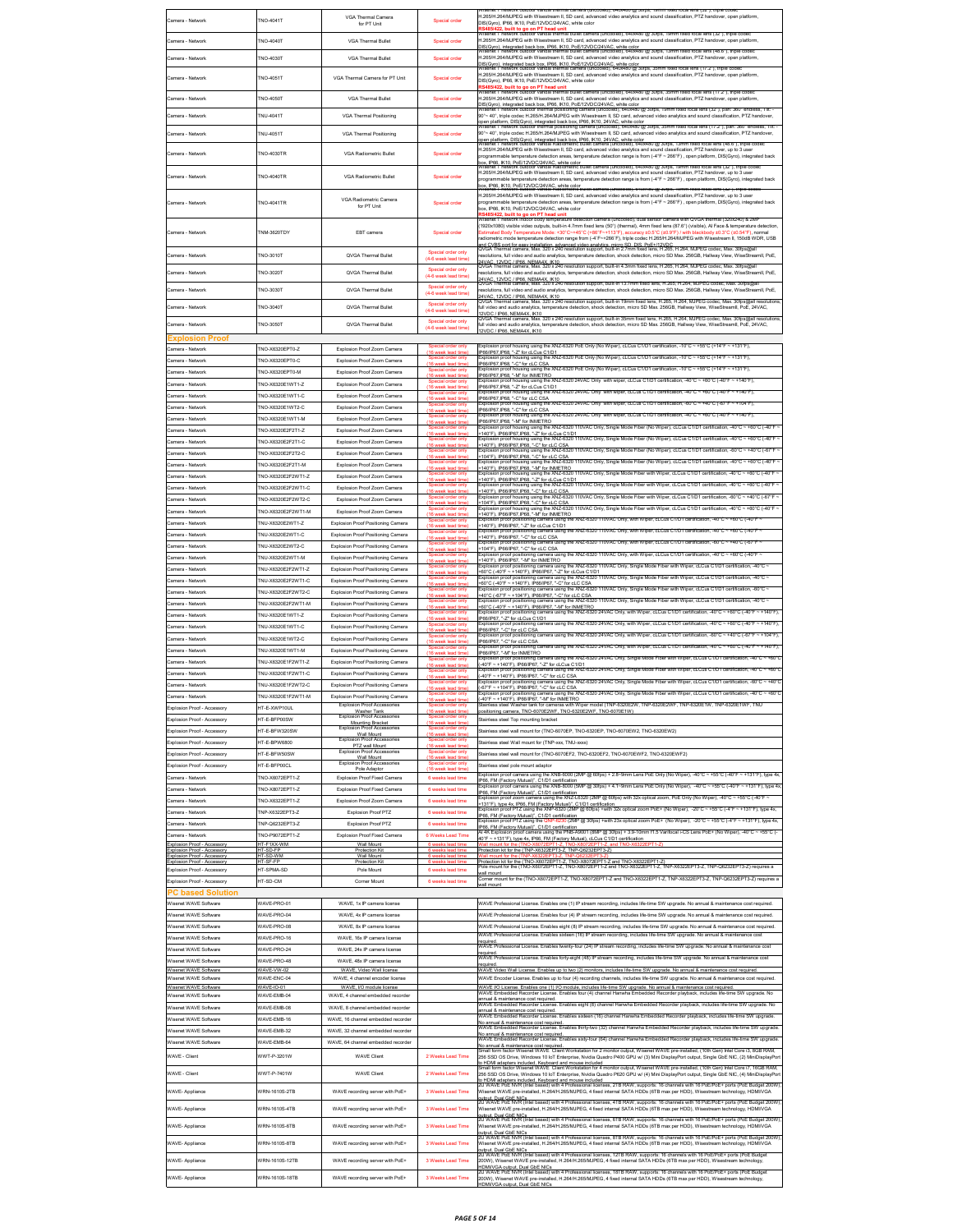| Camera - Network                                           | TNO-4041T                               | VGA Thermal Camera                                                                     | Special order                                               | isenet i network outdoor vandal thermal camera (uncooled), 640x480 (g) 30lps, 19mm fixed focal lens (32"), triple cod<br>1.265/H.264/MJPEG with Wisestream II, SD card, advanced video analytics and sound classification, PTZ handover, open platform                                                                                                                              |
|------------------------------------------------------------|-----------------------------------------|----------------------------------------------------------------------------------------|-------------------------------------------------------------|-------------------------------------------------------------------------------------------------------------------------------------------------------------------------------------------------------------------------------------------------------------------------------------------------------------------------------------------------------------------------------------|
|                                                            |                                         | for PT Unit                                                                            |                                                             | DIS(Gyro), IP66, IK10, PoE/12VDC/24VAC, white color<br>RS485/422, built to go on PT head unit<br>Visenet T network outdoor vandal thermal builet camera (uncooled), 640x480 @ 30lps, 19mm lixed local lens (32°), triple codec                                                                                                                                                      |
| Camera - Network                                           | TNO-4040T                               | VGA Thermal Bullet                                                                     | Special order                                               | 1.265/H.264/MJPEG with Wisestream II, SD card, advanced video analytics and sound classification, PTZ handover, open platform,                                                                                                                                                                                                                                                      |
| Camera - Network                                           | TNO-4030T                               | VGA Thermal Bullet                                                                     | Special order                                               | .<br>DIS(Gyro), integrated back box, IP66, IK10, PoE/12VDC/24VAC, white color<br>Wisenet T network outdoor vandal thermal builet camera (uncooled), 640x48<br>mal bullet camera (uncooled), 640x480 (a) 30fps, 13mm fixed focal lens (48.6"), thi<br>H.265/H.264/MJPEG with Wisestream II, SD card, advanced video analytics and sound classification, PTZ handover, open platform, |
|                                                            |                                         |                                                                                        |                                                             | racor rate - e. -  -<br>IS(Gyro), integrated back box, IP66, IK10, PoE/12VDC/24VAC, white color<br>Visenet T network outdoor vandal thermal camera (uncooled), 640x480 (g) 30lps, 35mm lixed local lens (17.2"), triple<br>H.265/H.264/MJPEG with Wisestream II, SD card, advanced video analytics and sound classification, PTZ handover, open platform,                           |
| Camera - Network                                           | <b>TNO-4051T</b>                        | VGA Thermal Camera for PT Unit                                                         | Special order                                               | DIS(Gyro), IP66, IK10, PoE/12VDC/24VAC, white color                                                                                                                                                                                                                                                                                                                                 |
| Camera - Network                                           | <b>NO-4050T</b>                         | VGA Thermal Bullet                                                                     | Special order                                               | t <mark>S485/422, built to go on PT head unit</mark><br>Visenet T network ouldoor vandal thermal bullet camera (uncooled), 640x480 @ 30fps, 35mm fixed focal lens (17.2°), triple codec<br>.<br>1.265/H.264/MJPEG with Wisestream II, SD card, advanced video analytics and sound classification, PTZ handover, open platform,                                                      |
| Camera - Network                                           | NU-4041T                                | <b>VGA Thermal Positioning</b>                                                         | Special order                                               | IIS(Gyro), integrated back box, IP66, IK10, PoE/12VDC/24VAC, white color<br>Visenet T network outdoor thermal positioning camera (uncooled), 640x480 @ 30fps, 19mm fixed focal lens (32°), pan: 360° endless, Tilt:-<br>90°~40°, triple codec H.265/H.264/MJPEG with Wisestream II, SD card, advanced video analytics and sound classification, PTZ handover,                       |
|                                                            |                                         |                                                                                        |                                                             | platform, DIS(Gyro), integrated back box, IP66, IK10, 24VAC, white color<br>iet T network outdoor thermal positioning camera (uncooled), 640x480 @ 30lps, 35mm lixed focal lens (17.2"), pan: 360                                                                                                                                                                                   |
| Camera - Network                                           | TNU-4051T                               | <b>VGA Thermal Positioning</b>                                                         | Special order                                               | 90°~40°, triple codec H.265/H.264/MJPEG with Wisestream II, SD card, advanced video analytics and sound classification, PTZ handover,<br>pen platform, DIS(Gyro), integrated back box, IP66, IK10, 24VAC, white color<br>Visenet - network outdoor vandal readiometric builet camera (uncooled), 640x460 @ 301ps, T5mm lixed local lens (46.6-), triple-                            |
| Camera - Network                                           | <b>NO-4030TR</b>                        | VGA Radiometric Bullet                                                                 | Special order                                               | 1.265/H.264/MJPEG with Wisestream II, SD card, advanced video analytics and sound classification, PTZ handover, up to 3 user<br>rogrammable temperature detection areas, temperature detection range is from (-4°F ~ 266°F) , open platform, DIS(Gyro), integrated back                                                                                                             |
|                                                            |                                         |                                                                                        |                                                             | эх, IP66, IK10, PoE/12VDC/24VAC, white color<br>лвенет Глеtwork outdoor vandal Kadiometric builet camera (uncooled), 640x480 @ 30fps, 19mm fixed focal lens (32°), triple code<br>1.265/H.264/MJPEG with Wisestream II, SD card, advanced video analytics and sound classification, PTZ handover, up to 3 user                                                                      |
| Camera - Network                                           | <b>NO-4040TR</b>                        | VGA Radiometric Bullet                                                                 | Special order                                               | rogrammable temperature detection areas, temperature detection range is from (-4°F ~ 266°F) , open platform, DIS(Gyro), integrated back<br>x, IP66, IK10, PoE/12VDC/24VAC, white color<br>hsenet Thetwork outdoor varioal Radiometric ou                                                                                                                                            |
|                                                            |                                         | VGA Radiometric Camera                                                                 |                                                             | on ias anibe<br>H.265/H.264/MJPEG with Wisestream II, SD card, advanced video analytics and sound classification, PTZ handover, up to 3 user                                                                                                                                                                                                                                        |
| Camera - Network                                           | TNO-4041TR                              | for PT Unit                                                                            | Special orde                                                | vrogrammable temperature detection areas, temperature detection range is from (-4°F ~ 266°F) , open platform, DIS(Gyro), integrated back<br>box. IP66. IK10. PoE/12VDC/24VAC. white color<br>built to go on PT head unit                                                                                                                                                            |
|                                                            |                                         |                                                                                        |                                                             | enet T network indoor body temperature detection camera (uncooled), dual sensor camera with QVGA thermal (320x240) & 2M<br>1920x1080) visible video outputs, built-in 4.7mm fixed lens (50*) (thermal), 4mm fixed lens (87.6*) (visible), Al Face & temperature detection                                                                                                           |
| Camera - Network                                           | <b>TNM-3620TDY</b>                      | EBT camera                                                                             | Special order                                               | stimated Body Temperature Mode: +30°C~+45°C (+86°F~+113°F), accuracy ±0.5°C (±0.9°F) / with blackbody ±0.3°C (±0.54°F), normal<br>adiometric mode temperature detection range from (-4'F~+266'F), triple codec H.265/H.264/MJPEG with Wisestream II, 150dB WDR, USB                                                                                                                 |
| Camera - Network                                           | TNO-3010T                               | QVGA Thermal Bullet                                                                    | ecial order only                                            | and CVBS port for easy installation, advanced video analytics, micro SD, DIS, PoE+/12VDC<br>QVGA Thermal camera, Max. 320 x 240 resolution support, built-in 2.7mm fixed lens, H.285, H.284, MJPEG codec, Max. 30fps@all<br>resolutions, full video and audio analytics, temperature detection, shock detection, micro SD Max. 256GB, Hallway View, WiseStreamII, PoE,              |
|                                                            |                                         |                                                                                        | (4-6 week lead time)<br>Special order only                  | .<br><u>. 12VDC / IP66. NEMA4X. IK10</u><br>Thermal camera, Max. 320 x 240 resolution support, built-in 4.3mm fixed lens, H.265, H.264, MJPEG codec, Max. 30fps@all                                                                                                                                                                                                                 |
| Camera - Network                                           | TNO-3020T                               | QVGA Thermal Bullet                                                                    |                                                             | esolutions, full video and audio analytics, temperature detection, shock detection, micro SD Max. 256GB, Hallway View, WiseStreamII, PoE,<br>24VAC, 12VDC / IP86, NEMA4X, IK10<br>QVGA Thermal camera, Max, 320 x 240 resolution support, built-in 13.7mm fixed lens, H.265, H.264, M.PEG codec, Max, 30fps@all                                                                     |
| Camera - Network                                           | <b>NO-3030T</b>                         | QVGA Thermal Bullet                                                                    | Special order only<br>(4-6 week lead time)                  | resolutions, full video and audio analytics, temperature detection, shock detection, micro SD Max. 256GB, Hallway View, WiseStreamll, PoE,                                                                                                                                                                                                                                          |
| Camera - Network                                           | <b>TNO-3040T</b>                        | QVGA Thermal Bullet                                                                    | Special order only<br>(4-6 week lead time)                  | .<br>24VAC. 12VDC / IPBB. NEMAAX. IK10<br>QVGA Thermal camera, Max. 320 x 240 resolution support, built-in 19mm fixed lens, H.265, H.264, MJPEG codec, Max. 30fps@all reso<br>full video and audio analytics, temperature detection, shock detection, micro SD Max. 256GB, Hallway View, WiseStreamll, PoE, 24VAC,                                                                  |
| Camera - Network                                           | <b>NO-3050T</b>                         | QVGA Thermal Bullet                                                                    | Special order only                                          | 12VDC / IP66, NEMA4X, IK10<br>QVGA Thermal camera, Max. 320 x 240 resolution support, built-in 35mm fixed lens, H.265, H.264, MJPEG codec, Max. 30fps@all resolutio<br>full video and audio analytics, temperature detection, shock detection, micro SD Max. 256GB, Hallway View, WiseStreamll, PoE, 24VAC,                                                                         |
| <b>xplosion Proof</b>                                      |                                         |                                                                                        | (4-6 week lead time)                                        | 12VDC / IP66, NEMA4X, IK10                                                                                                                                                                                                                                                                                                                                                          |
| amera - Network                                            | TNO-X6320EPT0-Z                         | Explosion Proof Zoom Camera                                                            | Special order only                                          | Explosion proof housing using the XNZ-6320 PoE Only (No Wiper); cLCus C1/D1 certification; -10°C ~ +55°C (+14°F ~ +131°F);<br>66/IP67.IP68. "-Z" for cLCus C1/D1                                                                                                                                                                                                                    |
| amera - Network                                            | TNO-X6320EPT0-C                         | Explosion Proof Zoom Camera                                                            | Snecial order only                                          | colosion proof housing using the XNZ-6320 PoE Only (No Wiper), cLCus C1/D1 certification, -10°C ~ +55°C (+14°F ~ +131°F)<br>66/IP67.IP68. "-C" for cLC CSA.<br>xplosion proof housing using the XNZ-6320 PoE Only (No Wiper), cLCus C1/D1 certification, -10"C                                                                                                                      |
| Camera - Network                                           | NO-X6320EPT0-M                          | Explosion Proof Zoom Camera                                                            | ial order only<br>16 week lead fin                          | +55°C (+14°F<br>P66/IP67.IP68, "-M" for INMETRO<br>Explosion proof housing using the XNZ-6320 24VAC Only with wiper, cLCus C1/D1 certification, -40°C<br>+60°C (-40°F                                                                                                                                                                                                               |
| Camera - Network                                           | TNO-X6320E1WT1-Z                        | Explosion Proof Zoom Camera                                                            | (16 week lead tim<br>al order only                          | 966/IP67, IP68, "-Z" for cLCus C1/D1<br>ion proof housing using the XNZ-6320 24VAC Only with wiper, cLCus C1/D1 certification, -40°C<br>+60°C (-40°F                                                                                                                                                                                                                                |
| amera - Network<br>Camera - Network                        | TNO-X6320E1WT1-C<br>TNO-X6320E1WT2-C    | Explosion Proof Zoom Camera<br>Explosion Proof Zoom Camera                             | <b>FAD month load to</b><br>order only                      | P66/IP67.IP68. "-C" for cLC CSA<br>xplosion proof housing using the XNZ-6320 24VAC Only with wiper, cLCus C1/D1 certification, -60°C ~ +40°C (-67°F<br>$~+104$ F                                                                                                                                                                                                                    |
| Camera - Network                                           | TNO-X6320E1WT1-M                        | Explosion Proof Zoom Camera                                                            | (16 week lead tim<br>al order only<br>wk lead tin           | P66/IP67 IP68 "-C" for cLC CSA<br>· plosion proof housing using the XNZ-6320 24VAC Only with wiper, cLCus C1/D1 certification, -40°C<br>+60°C (-40°F<br>$- +140$ <sup>+</sup> F<br>P66/IP67.IP68. "-M" for INMETRO                                                                                                                                                                  |
| Camera - Network                                           | TNO-X6320E2F2T1-Z                       | Explosion Proof Zoom Camera                                                            | Special order only<br>(16 week lead tim                     | Deplosion proof housing using the XNZ-6320 110VAC Only, Single Mode Fiber (No Wiper), cLCus C1/D1 certification, -40°C ~ +60°C (-40°F<br>140°F). IP66/IP67.IP68. "-Z" for cLCus C1/D1                                                                                                                                                                                               |
| Camera - Network                                           | TNO-X6320E2F2T1-C                       | Explosion Proof Zoom Camera                                                            | Special order only<br>(16 week lead tim                     | Explosion proof housing using the XNZ-6320 110VAC Only, Single Mode<br>Fiber (No Wiper), cLCus C1/D1 certification, -40°C ~ +60°C (-40°F<br>+140°F). IP66/IP67.IP68. "-C" for cLC CSA<br>xplosion proof housing using the XNZ-6320 110VAC Only, Single Mode Fiber (No Wiper), cLCus C1/D1 certification, -60°C ~ +40°C (-67°F                                                       |
| Camera - Network                                           | TNO-X6320E2F2T2-C                       | Explosion Proof Zoom Camera                                                            | (16 week lead time                                          | 104"F), IP66/IP67, IP68, "-C" for cLC CSA<br>n proof housing using the XNZ-6320 110VAC Only, Single Mode Fiber (No Wiper).<br>$-40^{\circ}$ C<br>+60°C (-40°                                                                                                                                                                                                                        |
| Camera - Network<br>Camera - Network                       | NO-X6320E2F2T1-M<br>NO-X6320E2F2WT1-Z   | Explosion Proof Zoom Camera<br>Explosion Proof Zoom Camera                             | (16 week lead time                                          | 140°F), IP66/IP67, IP68, "-M" for INMETRO<br>xplosion proof housing using the XNZ-6320 110VAC Only, Single Mode Fiber with Wiper, cLCus C1/D1 certification, -40°C ~ +60°C (-40°F                                                                                                                                                                                                   |
| Camera - Network                                           | NO-X6320E2F2WT1-C                       | Explosion Proof Zoom Camera                                                            | veek lead time<br>(16 week lead time                        | 140°F), IP66/IP67.IP68, "-Z" for cLCus C1/D1<br>n proof housing using the XNZ-6320 110VAC Only, Single Mode Fiber<br>with Wine<br>cation, -40°C<br>+60°C (-40°<br>140°F), IP66/IP67, IP68, "-C" for cLC CSA                                                                                                                                                                         |
| amera - Network                                            | NO-X6320E2F2WT2-C                       | Explosion Proof Zoom Camera                                                            | (16 week lead time                                          | xplosion proof housing using the XNZ-6320 110VAC Only, Single Mode Fiber with Wiper, cLCus C1/D1 certification, +60°C ~ +40°C (+67°F<br>104"F), IP66/IP67, IP68, "-C" for cLC CSA                                                                                                                                                                                                   |
| amera - Network                                            | NO-X6320E2F2WT1-M                       | Explosion Proof Zoom Camera                                                            | week lead time                                              | -vary to proof housing using the XNZ-6320 110VAC Only, Single Mode Fiber with Wiper, cLCus C1/D1 certification, -40°C ~ +60°C (-40°F<br>140°F), IP66/IP67,IP68, "-M" for INMETRO<br>Explosion proof positioning camera using the XNZ-6320 110VAC Only, with Wiper, cLCus C1/D1 certification, -40°C ~ +60°C (-40°F                                                                  |
| amera - Network                                            | NU-X6320E2WT1-Z                         | Explosion Proof Positioning Camera                                                     | (16 week lead time<br>al order only                         | 140°F), IP66/IP67, "-Z" for cLCus C1/D1<br>Explosion proof positioning camera using the XNZ-6320 110VAC Only, with Wiper, cLCus C1/D1 certification, -40°C ~ +60°C (-40°F                                                                                                                                                                                                           |
| amera - Network<br>amera - Network                         | NU-X6320E2WT1-C<br>NU-X6320E2WT2-C      | Explosion Proof Positioning Camera<br>Explosion Proof Positioning Camera               | (16 week lead time                                          | 140°F), IP66/IP67, "-C" for cLC CSA<br>Explosion proof positioning camera using the XNZ-6320 110VAC Only, with Wiper, cLCus C1/D1 certification, -60°C ~ +40°C (-67°F                                                                                                                                                                                                               |
| Camera - Network                                           | NU-X6320F2WT1-M                         | Explosion Proof Positioning Camera                                                     | ek lead tim<br>(16 week lead time                           | 104"F), IP66/IP67, "-C" for cLC CSA<br>Explosion proof positioning camera using the XNZ-6320 110VAC Only, with Wiper, cLCus C1/D1 certification, -40°C ~ +60°C (-40°F<br>140°F), IP66/IP67, "-M" for INMETRO                                                                                                                                                                        |
| Camera - Network                                           | NU-X6320F2F2WT1-Z                       | Explosion Proof Positioning Camera                                                     | (16 week lead time)                                         | Explosion proof positioning camera using the XNZ-6320 110VAC Only, Single Mode Fiber with Wiper, cLCus C1/D1 certification, -40°C<br>+60°C (-40°F ~ +140°F), IP66/IP67, *-Z" for cLCus C1/D1<br>Explosion proof positioning camera using the XNZ-6320 110VAC Only, Single Mode Fiber with Wiper, cLCus C1/D1 certification,                                                         |
| Camera - Network                                           | TNU-X6320F2F2WT1-C                      | Explosion Proof Positioning Camera                                                     | Special order only<br>(16 week lead time)<br>ial order only | 60°C (-40°F ~ +140°F), IP66/IP67, "-C" for cLC CS.<br>Explosion proof positioning camera using the XNZ-6320 110VAC Only, Single Mode Fiber with Wiper, cLCus C1/D1 certification, -60°C                                                                                                                                                                                             |
| amera - Network                                            | NU-X6320F2F2WT2-C                       | Explosion Proof Positioning Camera                                                     | (16 week lead time                                          | *40°C (+67°F ~ *104°F), IP66/IP67, "-C" for cLC CSA<br>Explosion proof positioning camera using the XNZ-6320 110VAC Only, Single Mode Fiber<br>with Wiper, cLCus C1/D1 certification, -40°C                                                                                                                                                                                         |
| Camera - Network<br>Camera - Network                       | NU-X6320E2F2WT1-M<br>NU-X6320F1WT1-7    | Explosion Proof Positioning Camera<br>Explosion Proof Positioning Camera               | (16 week lead time<br>ial order only                        | .<br>60°C (-40°F ~ +140°F), IP66/IP67, "-M" for INMETRO<br>xplosion proof positioning camera using the XNZ-6320 24VAC Only, with Wiper, cLCus C1/D"                                                                                                                                                                                                                                 |
| Samera - Network                                           | TNU-X6320E1WT1-C                        | Explosion Proof Positioning Camera                                                     | (16 week lead time<br>al order only<br>(16 week lead time)  | P66/IP67 "-7" for cl Cus C1/D1<br>a using the XNZ-6320 24VAC Only<br>ion proof pos<br>iing c<br>P66/IP67 "-C" for cl C CSA                                                                                                                                                                                                                                                          |
| amera - Network                                            | TNU-X6320E1WT2-C                        | Explosion Proof Positioning Camera                                                     | ial order only                                              | oning camera using the XNZ-6320 24VAC Only, with Wiper, cLCus C1/D1 cer<br>xplosion proof posi<br>P66/IP67. "-C" for cLC CSA                                                                                                                                                                                                                                                        |
| Samera - Network                                           | NU-X6320F1WT1-M                         | Explosion Proof Positioning Camera                                                     | Special order only                                          | a using the XNZ-6320 24VAC Only, with Wiper, cLCus<br>+60°C (-40°F<br>+140°F<br>ion proof por<br>oning ca<br><b>RRIPS7. "-M" for INMETRO</b>                                                                                                                                                                                                                                        |
| <b>Jamera - Network</b>                                    | NU-X6320E1F2WT1-Z                       | Explosion Proof Positioning Camera                                                     | ial order only<br><b>unall look fir</b>                     | oning camera using the XNZ-6320 24VAC Only, Single Mode Fiber with Wiper, cLCus C1/D1 certification, -40°C<br>xplosion proof por<br>40°F ~ +140°F), IP66/IP67, "-Z" for cLCus C1/D1<br>>plosion proof positioning camera using the XNZ-6320 24VAC Only                                                                                                                              |
| Camera - Network<br>amera - Network                        | TNU-X6320F1F2WT1-C<br>NU-X6320F1F2WT2-C | Explosion Proof Positioning Camera<br>Explosion Proof Positioning Camera               | (16 week lead tim<br>al order only                          | 40°F ~ +140°F), IP66/IP67, "-C" for cLC CSA<br>oning camera using the XNZ-6320 24VAC Only, Single Mode Fiber with Wiper, cLCus C1/D1 certification, -60°C<br>sion proof por                                                                                                                                                                                                         |
| Camera - Network                                           | NI I-X6320F1F2WT1-M                     | Explosion Proof Positioning Camera                                                     | (16 week lead to<br>al order only<br>(16 week lead time     | -67*F ~ +104*F). IP66/IP67. "-C" for cLC CSA<br>colosion proof positioning camera using the XNZ-6320 24VAC Only, Single Mode Fiber with Wiper, cLCus C1/D1 certification, ⊸40°C ~ +60°C<br>-40°F ~ +140°F), IP66/IP67, "-M" for INMETRO                                                                                                                                             |
| Explosion Proof - Accessory                                | HT-E-XWP10UL                            | Explosion Proof Accessories<br>Washer Tank<br>Explosion Proof Access                   | special order only<br>(16 week lead tim                     | with Wiper mo<br>E2W. TNP<br>positioning camera, TNO-6070E2WF, TNO-6320E2WF, TNO-6070E1W)                                                                                                                                                                                                                                                                                           |
| Explosion Proof - Accessory                                | HT-E-BFP00SW                            | Mounting Bracket                                                                       | al order only<br>(16 week lead time)                        | Stainless steel Top mounting bracket                                                                                                                                                                                                                                                                                                                                                |
| Explosion Proof - Accessory                                | HT-E-BFW320SW                           | <b>Explosion Proof Accessories</b><br>Wall Mount<br><b>Explosion Proof Accessories</b> | Special order only<br>(16 week lead time                    | Stainless steel wall mount for (TNO-6070EP, TNO-6320EP, TNO-6070EW2, TNO-6320EW2)                                                                                                                                                                                                                                                                                                   |
| Explosion Proof - Accessory<br>Explosion Proof - Accessory | 1T-E-BPW6800<br>IT-E-BFW50SW            | PTZ wall Mount<br>Explosion Proof Accessories                                          | (16 week lead time)                                         | Stainless steel Wall mount for (TNP-xxx, TNU-xxxx)<br>Stainless steel wall mount for (TNO-6070EF2, TNO-6320EF2, TNO-6070EWF2, TNO-6320EWF2)                                                                                                                                                                                                                                         |
| Explosion Proof - Accessory                                | IT-E-BFP00CL                            | Wall Mount<br>Explosion Proof Accessories<br>Pole Adaptor                              | (16 week lead time)<br>only<br>(16 week lead time)          | Stainless steel pole mount adaptor                                                                                                                                                                                                                                                                                                                                                  |
| Camera - Network                                           | NO-X6072EPT1-Z                          | Explosion Proof Fixed Camera                                                           | 6 weeks lead time                                           | xplosion proof camera using the XNB-6000 (2MP @ 60fps) + 2.8~9mm Lens PoE Only (No Wiper), -40°C ~ +55°C (-40°F ~ +131°F), type 4x                                                                                                                                                                                                                                                  |
| Camera - Network                                           | NO-X8072EPT1-Z                          | Explosion Proof Fixed Camera                                                           | 6 weeks lead time                                           | IP66, FM (Factory Mutual)", C1/D1 certification<br>Explosion proof camera using the XNB-8000 (SMP @ 30fps) + 4.1~9mm Lens PoE Only (No Wiper), -40°C ~ +55°C (-40°F ~ +131°F), type 4x<br>P66 FM (Factory Mutual)" C1/D1 certification                                                                                                                                              |
| Camera - Network                                           | NO-X6322EPT1-Z                          | Explosion Proof Zoom Camera                                                            | 6 weeks lead time                                           | n proof zoom camera using the XNZ-L6320 (2MP @ 60fps) with 32x optical zoom, PoE Only (No Wiper), -40°C ~ +55°C (-40°F<br>squestion, processes for Microsoft<br>1319: h. Noe 4x, IP66, FM (Factory Mulual)*, C1/D1 certification<br>Siglosion proof PTZ using the XNP-6320 (2MP @ 60fps) +with 32x optical zoom PoE+ (No Wiper), −20°C ~ +55°C (-4°F ~ +131°                        |
| Camera - Network<br>Camera - Network                       | NP-X6322EPT3-Z<br>NP-Q6232EPT3-Z        | Explosion Proof PTZ<br>Explosion Proof PTZ                                             | 6 weeks lead time<br>6 weeks lead time                      | P66, FM (Factory Mutual)", C1/D1 certification<br>30 (2MP @ 30fps) +with 23x optical zoom PoE+ (No Wiper), -20°C ~ +55°C (-4°F ~ +131°F), type 4x<br>n proof PTZ using the ONI                                                                                                                                                                                                      |
| amera - Network                                            | NO-P9072EPT1-Z                          | Explosion Proof Fixed Camera                                                           | 6 Weeks Lead Time                                           | P66, FM (Factory Mutual)", C1/D1 certification<br>Al 4K Explosion proof camera using the PNB-A9001 (8MP @ 30fps) + 3.9-10mm f1.5 Varifocal i-CS Lens PoE+ (No Wiper): -40°C ~ +55°C (-<br>40°F ~ +131°F), type 4x, IP66, FM (Factory Mutual), cLCus C1/D1 certification                                                                                                             |
| Explosion Proof - Acce<br>xplosion Proof - Accessor        | IT-F1XX-WM<br>IT-SD-FF                  | Wall Mount<br>ion K                                                                    |                                                             | refer to the TNP-X6322EPT3-Z, TNP-Q6232EPT3-Z)                                                                                                                                                                                                                                                                                                                                      |
| Evalgeion Proof - Acc<br>Explosion Proof - Accessory       | HT-SD-WM<br>HT-SF-FF                    | Wall Moun<br>Protection Ki                                                             |                                                             | Protection kit for the (TNO-X6072EPT1-Z, TNO-X8072EPT1-Z and TNO-X6322EPT1-Z)<br>Pole mount for the (TNO-X6072EPT1-Z, TNO-X8072EPT1-Z and TNO-X6322EPT1-Z, TNP-X6322EPT3-Z, TNP-Q6232EPT3-Z) requires a                                                                                                                                                                             |
| Explosion Proof - Accessory                                | HT.SDMA.SD                              | Pole Mount                                                                             | 6 weeks lead time                                           | rall mount<br>.<br>Corner mount for the (TNO-X6072EPT1-Z, TNO-X8072EPT1-Z and TNO-X6322EPT1-Z, TNP-X6322EPT3-Z, TNP-Q6232EPT3-Z) requires a                                                                                                                                                                                                                                         |
| Explosion Proof - Accessory<br><b>C based Solution</b>     | IT-SD-CM                                | Corner Mount                                                                           | eeks lead time                                              | wall mount                                                                                                                                                                                                                                                                                                                                                                          |
| Wisenet WAVE Software                                      | WAVE-PRO-01                             | WAVE, 1x IP camera license                                                             |                                                             | WAVE Professional License, Enables one (1) IP stream recording, includes life-time SW upgrade. No annual & maintenance cost required.                                                                                                                                                                                                                                               |
| Wisenet WAVE Software                                      | VAVE-PRO-04                             | WAVE, 4x IP camera license                                                             |                                                             | WAVE Professional License. Enables four (4) IP stream recording, includes life-time SW upgrade. No annual & maintenance cost required.                                                                                                                                                                                                                                              |
| Wisenet WAVE Software                                      | VAVE-PRO-08                             | WAVE, 8x IP camera license                                                             |                                                             | WAVE Professional License. Enables eight (8) IP stream recording, includes life-time SW upgrade. No annual & maintenance cost required.<br>WAVE Professional License. Enables sixteen (16) IP stream recording, includes life-time SW upgrade. No annual & maintenance cost                                                                                                         |
| Wisenet WAVE Software<br>Wisenet WAVE Software             | VAVE-PRO-16<br>NAVE-PRO-24              | WAVE, 16x IP camera license<br>WAVE, 24x IP camera license                             |                                                             | anuire<br>WAVE Professional License. Enables twenty-four (24) IP stream recording, includes life-time SW upgrade. No annual & maintenance cost                                                                                                                                                                                                                                      |
| Wisenet WAVE Software                                      | WAVE-PRO-48                             | WAVE, 48x IP camera license                                                            |                                                             | required.<br>WAVE Professional License. Enables forty-eight (48) IP stream recording, includes life-time SW upgrade. No annual & maintenance cost                                                                                                                                                                                                                                   |
| Wisenet WAVE Software                                      | WAVE-VW-02                              | WAVE. Video Wall license<br>WAVE, 4 channel encoder license                            |                                                             | eauired<br>WAVE Video Wall License. Enables up to two (2) monitors, includes life-time SW upgrade. No annual & maintenance cost required                                                                                                                                                                                                                                            |
| Wisenet WAVE Software<br>Wisenet WAVE Software             | WAVE-ENC-04<br>WAVE-IO-01               | WAVE, I/O module license                                                               |                                                             | WAVE Encoder License. Enables up to four (4) recording channels, includes life-time SW upgrade. No annual & maintenance cost required.<br>NAVE VO License. Enables one (1) VO module, includes life-time SW upgrade. No annual & maintenance cost required.<br>NAVE Embedded Recorder License. Enables four (4) channel Harwina Embedded Recorder playback, includes life-t         |
| Wisenet WAVE Software                                      | WAVE-EMB-04                             | WAVE, 4 channel embedded recorder                                                      |                                                             | nnual & maintenance cost required.<br>WAVE Embedded Recorder License. Enables eight (8) channel Hanwha Embedded Recorder playback, includes life-time SW upgrade. No                                                                                                                                                                                                                |
| Wisenet WAVE Software<br>Wisenet WAVE Software             | VAVE-EMB-08<br>WAVE-EMB-16              | WAVE. 8 channel embedded recorde<br>WAVE. 16 channel embedded recorder                 |                                                             | nnual & maintenance cost required.<br>WAVE Embedded Recorder License. Enables sixteen (16) channel Harwha Embedded Recorder playback, includes life-time SW upgrade                                                                                                                                                                                                                 |
| Wisenet WAVE Software                                      | WAVE-EMB-32                             | WAVE, 32 channel embedded recorder                                                     |                                                             | annual & maintenance cost required<br>WAVE Embedded Recorder License. Enables thirty-two (32) channel Hanwha Embedded Recorder playback, includes life-time SW upgrade                                                                                                                                                                                                              |
| Wisenet WAVE Software                                      | WAVE-EMB-64                             | WAVE, 64 channel embedded recorder                                                     |                                                             | lo annual & maintenance cost required<br>WAVE Embedded Recorder License. Enables sixty-four (64) channel Hanwha Embedded Recorder playback, includes life-time SW upgrade                                                                                                                                                                                                           |
| WAVE - Client                                              | WWT-P-3201W                             | <b>WAVE Client</b>                                                                     | 2 Weeks Lead Time                                           | .<br>No annual & maintenance cost required.<br>Small form factor Wisenet WAVE Client Workstation for 2 monitor output, Wisenet WAVE pre-installed, (10th Gen) Intel Core i3, 8GB RAM<br>256 SSD OS Drive, Windows 10 IoT Enterprise, Nvidia Quadro P400 GPU w/ (3) Mini DisplayPort output, Single GbE NIC, (2) MiniDisplayPort                                                     |
| WAVE - Client                                              | VWT-P-7401W                             | <b>WAVE Client</b>                                                                     | 2 Weeks Lead Time                                           | o HDMI adapters included. Keyboard and mouse included<br>Small form factor Wisenet WAVE Client Workstation for 4 monitor output, Wisenet WAVE pre-installed, (10th Gen) Intel Core i7, 16GB RAM,<br>256 SSD OS Drive, Windows 10 IoT Enterprise, Nvidia Quadro P620 GPU w/ (4) Mini DisplayPort output, Single GbE NIC, (4) MiniDisplayPort                                         |
|                                                            |                                         |                                                                                        |                                                             | bot COM adapters included. Keyboard and mouse included<br>In HDMI adapters included. Keyboard and mouse included<br>2U WAVE PoE NVR (Intel based) with 4 Professional licenses, 2TB RAW, supports: 16 channels with 16 PoE/PoE+ port                                                                                                                                                |
| WAVE- Appliance                                            | WRN-1610S-2TB                           | WAVE recording server with PoE+                                                        | 3 Weeks Lead Time                                           | Wisenet WAVE pre-installed, H.264/H.265/MJPEG, 4 fixed internal SATA HDDs (6TB max per HDD), Wisestream technology, HDMI/VGA<br>output, Dual GbE NICs<br>2U WAVE PoE NVR (Intel based) with 4 Professional licenses, 4TB RAW, supports: 16 channels with 16 PoE/PoE+ ports (PoE Budget 200W)                                                                                        |
| WAVE- Appliance                                            | <b>NRN-1610S-4TB</b>                    | WAVE recording server with PoE+                                                        | 3 Weeks Lead Time                                           | Wisenet WAVE pre-installed, H.264/H.265/MJPEG, 4 fixed internal SATA HDDs (6TB max per HDD), Wisestream technology, HDMI/VGA                                                                                                                                                                                                                                                        |
| WAVE- Appliance                                            | VRN-1610S-6TB                           | WAVE recording server with PoE+                                                        | 3 Weeks Lead Time                                           | suteut. Dual GbE NICs<br>2U WAVE PoE NVR (Intel based) with 4 Professional licenses, 6TB RAW, supports: 16 channels with 16 PoE/PoE+ ports (PoE Budget 200<br>Wisenet WAVE pre-installed, H.264/H.265/MJPEG, 4 fixed internal SATA HDDs (6TB max per HDD), Wisestream technology, HDMI/VGA                                                                                          |
| WAVE- Appliance                                            | VRN-1610S-8TB                           | WAVE recording server with PoE+                                                        | 3 Weeks Lead Time                                           | outout. Dual GbE NICs<br>2U WAVE PoE NVR (Intel based) with 4 Professional licenses, 8TB RAW, supports: 16 channels with 16 PoE/PoE+ ports (PoE Budget 200V<br>Wisenet WAVE pre-installed, H.264/H.265/MJPEG, 4 fixed internal SATA HDDs (6TB max per HDD), Wisestream technology, HDMI/VGA                                                                                         |
|                                                            |                                         |                                                                                        |                                                             | output. Dual GbE NICs<br>שנות Dual GbE NICs<br>UJ WAVE PoE NVR (Intel based) with 4 Professional licenses, 12TB RAW, supports: 16 channels with 15 PoE/PoE+ ports (PoE Budge                                                                                                                                                                                                        |
| WAVE- Appliance                                            | WRN-1610S-12TB                          | WAVE recording server with PoE+                                                        | 3 Weeks Lead Time                                           | 200W). Wisenet WAVE pre-installed, H.264/H.265/MJPEG, 4 fixed internal SATA HDDs (6TB max per HDD), Wisestream technology,<br>MIV/GA output, Dual GbE NICs<br>WAVE PoE NVR (Intel based) with 4 Professional licenses, 18TB RAW, supports: 16 channels with 16 PoE/PoE+ ports (PoE Budge                                                                                            |
| WAVE- Appliance                                            | VRN-1610S-18TB                          | WAVE recording server with PoE+                                                        | 3 Weeks Lead Time                                           | .<br>200W), Wisenet WAVE pre-installed, H.264/H.265/MJPEG, 4 fixed internal SATA HDDs (6TB max per HDD), Wisestream technology,<br>IDMIVGA output, Dual GbE NICs                                                                                                                                                                                                                    |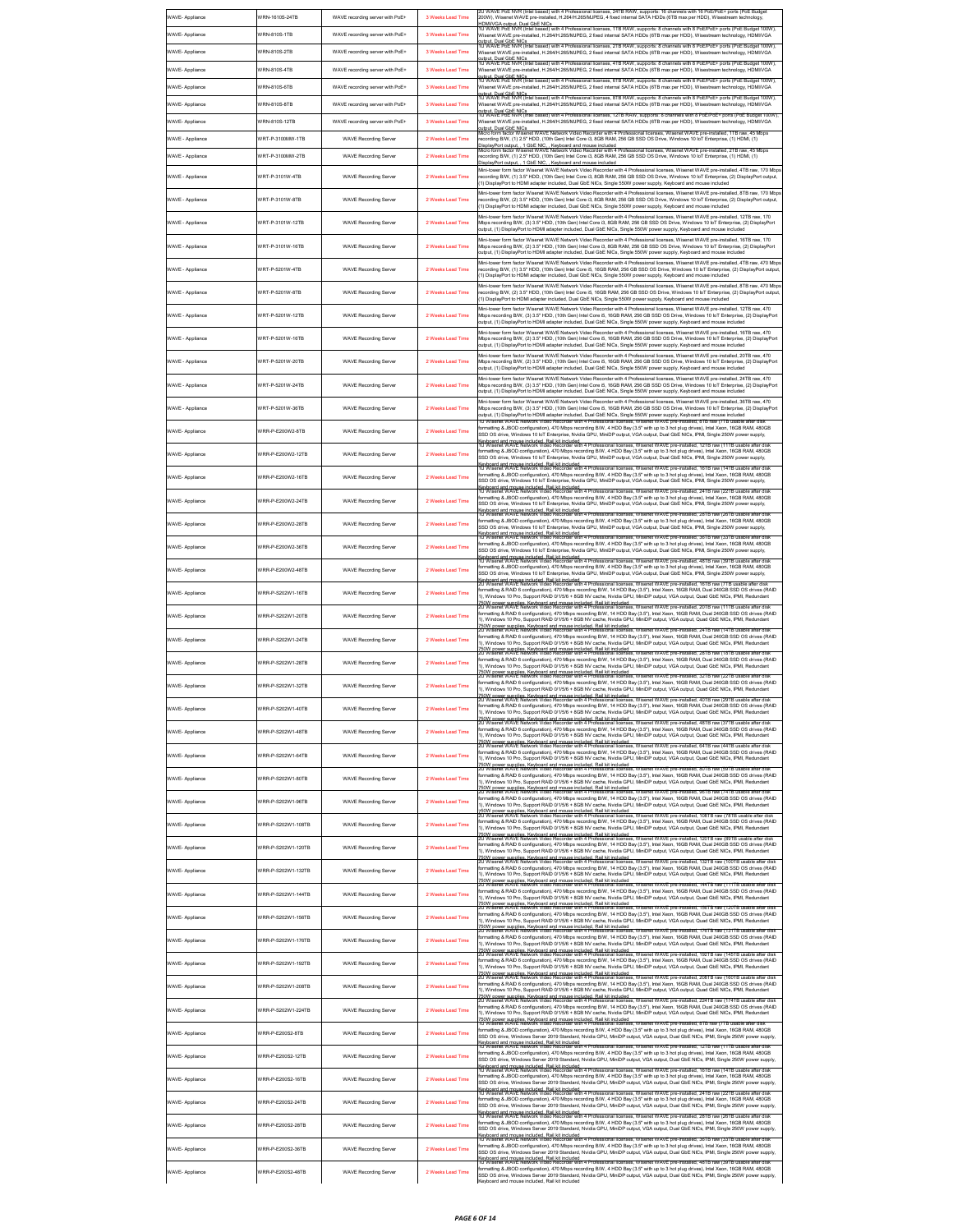| WAVE- Appliance                     | VRN-1610S-24TB                    | WAVE recording server with PoE+                                 | 3 Weeks Lead Time                      | 2U WAVE PoE NVR (Intel based) with 4 Professional licenses, 24TB RAW, supports: 16 channels with 16 PoE/PoE+ ports (PoE Budget<br>200W). Wisenet WAVE pre-installed. H.264/H.265/MJPEG. 4 fixed internal SATA HDDs (6TB max per HDD). Wisestream technology.                                                                                                                                                                                                                                                 |
|-------------------------------------|-----------------------------------|-----------------------------------------------------------------|----------------------------------------|--------------------------------------------------------------------------------------------------------------------------------------------------------------------------------------------------------------------------------------------------------------------------------------------------------------------------------------------------------------------------------------------------------------------------------------------------------------------------------------------------------------|
| WAVE- Appliance                     | WRN-810S-1TB                      | WAVE recording server with PoE+                                 | 3 Weeks Lead Time                      | uDMIVGA output, Dual GbE NICs<br>IDMIVGA output, Dual GbE NICs<br>U WAVE PoE NVR (Intel based) with 4 Professional licenses, 1TB RAW, supports: 8 channels with 8 PoE/PoE+ ports (PoE Budget 100W)<br>Wisenet WAVE pre-installed, H.264/H.265/MJPEG, 2 fixed internal SATA HDDs (6TB max per HDD), Wisestream technology, HDMI/VGA                                                                                                                                                                           |
| WAVE- Appliance                     | VRN-810S-2TB                      | WAVE recording server with PoE+                                 | 3 Weeks Lead Time                      | whull, Dual GbE NICs<br>IU WAVE PoE NVR (Intel based) with 4 Professional licenses, 2TB RAW, supports: 8 channels with 8 PoE/PoE+ ports (PoE Budget 100W).<br>Wisenet WAVE pre-installed, H.264/H.265/MJPEG, 2 fixed internal SATA HDDs (6TB max per HDD), Wisestream technology, HDMI/VGA<br>udout. Dual GbE NICs<br>IU WAVE PoE NVR (Intel based) with 4 Professional licenses, 4TB RAW, supports: 8 channels with 8 PoE/PoE+ ports (PoE Budget 100W),                                                     |
| WAVE- Appliance                     | WRN-810S-4TB                      | WAVE recording server with PoE+                                 | 3 Weeks Lead Time                      | Wisenet WAVE pre-installed, H.264/H.265/MJPEG, 2 fixed internal SATA HDDs (6TB max per HDD), Wisestream technology, HDMI/VGA<br>uutout. Dual GbE NICs<br>IU WAVE PoE NVR (Intel based) with 4 Professional licenses, 6TB RAW, supports: 8 channels with 8 PoE/PoE+ ports (PoE Budget 100W),                                                                                                                                                                                                                  |
| WAVE- Appliance                     | VRN-810S-6TB                      | WAVE recording server with PoE+                                 | 3 Weeks Lead Time                      | Wisenet WAVE pre-installed, H.264/H.265/MJPEG, 2 fixed internal SATA HDDs (6TB max per HDD), Wisestream technology, HDMI/VGA<br>outout. Dual ChE NICs<br>1U WAVE PoE KVR (Intel based) with 4 Professional licenses, 8TB RAW, supports: 8 channels with 8 PoE/PoE+ ports (PoE Budget 100W)<br>Wisenet WAVE pre-installed, H.264/H.265/MJPEG, 2 fixed internal SATA H                                                                                                                                         |
| WAVE- Appliance                     | VRN-810S-8TB                      | WAVE recording server with PoE+                                 | 3 Weeks Lead Time                      | outout. Dual GbE NICs<br>1U WAVE PoE NVR (Intel based) with 4 Professional licenses, 12TB RAW, supports: 8 channels with 8 PoE/PoE+ ports (PoE Budget 100W),                                                                                                                                                                                                                                                                                                                                                 |
| WAVE- Appliance<br>WAVE - Appliance | VRN-810S-12TB<br>WRT-P-3100MW-1TB | WAVE recording server with PoE+<br><b>WAVE Recording Server</b> | 3 Weeks Lead Time<br>2 Weeks Lead Time | Wisenet WAVE pre-installed, H.264/H.265/MJPEG, 2 fixed internal SATA HDDs (6TB max per HDD), Wisestream technology, HDMI/VGA<br>outout. Dual GbE NICs<br>Micro form factor Wisenet WAVE Network Video Recorder with 4 Professional licenses, Wisenet WAVE pre-installed, 1TB raw, 45 Mbps<br>ecording B/W, (1) 2.5" HDD, (10th Gen) Intel Core i3, 8GB RAM, 256 GB SSD OS Drive, Windows 10 IoT Enterprise, (1) HDMI, (1)                                                                                    |
| WAVE - Appliance                    | VRT-P-3100MW-2TB                  | <b>WAVE Recording Server</b>                                    | 2 Weeks Lead Time                      | isplayPort output1 GbE NIC Keyboard and mouse included<br>licro form factor Wisenet WAVE Network Video Recorder with 4 Professional licenses, Wisenet WAVE pre-installed, 2TB raw, 45 Mbps<br>ecording B/W, (1) 2.5" HDD, (10th Gen) Intel Core i3, 8GB RAM, 256 GB SSD OS Drive, Windows 10 IoT Enterprise, (1) HDMI, (1)                                                                                                                                                                                   |
| WAVE - Appliance                    | VRT-P-3101W-4TB                   | <b>WAVE Recording Server</b>                                    | 2 Weeks Lead Time                      | lisplayPort output 1 GbE NIC Keyboard and mouse included<br>Mini-tower form factor Wisenet WAVE Network Video Recorder with 4 Professional licenses. Wisenet WAVE pre-installed. 4TB raw. 170 Mbos<br>ecording B/W, (1) 3.5" HDD, (10th Gen) Intel Core i3, 8GB RAM, 256 GB SSD OS Drive, Windows 10 IoT Enterprise, (2) DisplayPort output,                                                                                                                                                                 |
| WAVE - Appliance                    | VRT-P-3101W-8TB                   | <b>WAVE Recording Server</b>                                    | 2 Weeks Lead Time                      | 1) DisplayPort to HDMI adapter included, Dual GbE NICs, Single 550W power supply, Keyboard and mouse include<br>Vini-tower form factor Wisenet WAVE Network Video Recorder with 4 Professional licenses. Wisenet WAVE pre-installed. 8TB raw. 170 Mbos<br>ecording B/W, (2) 3.5" HDD, (10th Gen) Intel Core i3, 8GB RAM, 256 GB SSD OS Drive, Windows 10 IoT Enterprise, (2) DisplayPort output,                                                                                                             |
|                                     |                                   |                                                                 |                                        | 1) DisplayPort to HDMI adapter included, Dual GbE NICs, Single 550W power supply, Keyboard and mouse include<br>Vini-tower form factor Wisenet WAVE Network Video Recorder with 4 Professional licenses. Wisenet WAVE pre-installed. 12TB raw, 170                                                                                                                                                                                                                                                           |
| WAVE - Appliance                    | WRT-P-3101W-12TB                  | <b>WAVE Recording Server</b>                                    | 2 Weeks Lead Time                      | Mbps recording B/W, (3) 3.5" HDD, (10th Gen) Intel Core i3, 8GB RAM, 256 GB SSD OS Drive, Windows 10 IoT Enterprise, (2) DisplayPort<br>sutput, (1) DisplayPort to HDMI adapter included, Dual GbE NICs, Single 550W power supply, Keyboard and mouse included                                                                                                                                                                                                                                               |
| WAVE - Appliance                    | VRT-P-3101W-16TB                  | <b>WAVE Recording Server</b>                                    | 2 Weeks Lead Time                      | Mini-tower form factor Wisenet WAVE Network Video Recorder with 4 Professional licenses, Wisenet WAVE pre-installed, 16TB raw, 170<br>Mbps recording B/W, (2) 3.5" HDD, (10th Gen) Intel Core i3, 8GB RAM, 256 GB SSD OS Drive, Windows 10 IoT Enterprise, (2) DisplayPort<br>utput, (1) DisplayPort to HDMI adapter included, Dual GbE NICs, Single 550W power supply, Keyboard and mouse included                                                                                                          |
| WAVE - Appliance                    | VRT-P-5201W-4TB                   | <b>WAVE Recording Server</b>                                    | 2 Weeks Lead Time                      | Mini-tower form factor Wisenet WAVE Network Video Recorder with 4 Professional licenses, Wisenet WAVE pre-installed, 4TB raw, 470 Mbps<br>ecording B/W, (1) 3.5" HDD, (10th Gen) Intel Core i5, 16GB RAM, 256 GB SSD OS Drive, Windows 10 IoT Enterprise, (2) DisplayPort output,<br>1) DisplayPort to HDMI adapter included, Dual GbE NICs, Single 550W power supply, Keyboard and mouse included                                                                                                           |
| WAVE - Appliance                    | VRT-P-5201W-8TB                   | <b>WAVE Recording Server</b>                                    | 2 Weeks Lead Time                      | Mini-tower form factor Wisenet WAVE Network Video Recorder with 4 Professional licenses, Wisenet WAVE pre-installed, 8TB raw, 470 Mbps<br>ecording B/W, (2) 3.5" HDD, (10th Gen) Intel Core i5, 16GB RAM, 256 GB SSD OS Drive, Windows 10 IoT Enterprise, (2) DisplayPort output,                                                                                                                                                                                                                            |
| WAVE - Appliance                    | WRT-P-5201W-12TB                  | <b>WAVE Recording Server</b>                                    | 2 Weeks Lead Time                      | 1) DisplayPort to HDMI adapter included, Dual GbE NICs, Single 550W power supply, Keyboard and mouse included<br>fini-tower form factor Wisenet WAVE Network Video Recorder with 4 Professional licenses, Wisenet WAVE pre-installed, 12TB raw, 470<br>Mbps recording B/W, (3) 3.5" HDD, (10th Gen) Intel Core i5, 16GB RAM, 256 GB SSD OS Drive, Windows 10 IoT Enterprise, (2) DisplayPort                                                                                                                 |
|                                     | VRT-P-5201W-16TB                  | <b>WAVE Recording Server</b>                                    | 2 Weeks Lead Time                      | utput, (1) DisplayPort to HDMI adapter included, Dual GbE NICs, Single 550W power supply, Keyboard and mouse included<br>fini-tower form factor Wisenet WAVE Network Video Recorder with 4 Professional licenses, Wisenet WAVE pre-installed, 16TB raw, 470                                                                                                                                                                                                                                                  |
| WAVE - Appliance                    |                                   |                                                                 |                                        | Mbps recording B/W, (2) 3.5" HDD, (10th Gen) Intel Core i5, 16GB RAM, 256 GB SSD OS Drive, Windows 10 IoT Enterprise, (2) DisplayPort<br>utput, (1) DisplayPort to HDMI adapter included, Dual GbE NICs, Single 550W power supply, Keyboard and mouse included<br>lini-tower form factor Wisenet WAVE Network Video Recorder with 4 Professional licenses, Wisenet WAVE pre-installed, 20TB raw, 470                                                                                                         |
| WAVE - Appliance                    | WRT-P-5201W-20TB                  | <b>WAVE Recording Server</b>                                    | 2 Weeks Lead Time                      | Mbps recording B/W, (2) 3.5" HDD, (10th Gen) Intel Core i5, 16GB RAM, 256 GB SSD OS Drive, Windows 10 IoT Enterprise, (2) DisplayPort<br>utput, (1) DisplayPort to HDMI adapter included, Dual GbE NICs, Single 550W power supply, Keyboard and mouse included<br>Mini-tower form factor Wisenet WAVE Network Video Recorder with 4 Professional licenses, Wisenet WAVE pre-installed, 24TB raw, 470                                                                                                         |
| WAVE - Appliance                    | WRT-P-5201W-24TB                  | <b>WAVE Recording Server</b>                                    | 2 Weeks Lead Time                      | Mbps recording B/W. (3) 3.5" HDD. (10th Gen) Intel Core i5, 16GB RAM, 256 GB SSD OS Drive, Windows 10 IoT Enterprise, (2) DisplayPort<br>output, (1) DisplayPort to HDMI adapter included. Dual GbE NICs. Single 550W power supply. Keyboard and mouse included                                                                                                                                                                                                                                              |
| WAVE - Appliance                    | WRT-P-5201W-36TB                  | <b>WAVE Recording Server</b>                                    | 2 Weeks Lead Time                      | Mini-tower form factor Wisenet WAVE Network Video Recorder with 4 Professional licenses, Wisenet WAVE pre-installed, 36TB raw, 470<br>Mbps recording B/W, (3) 3.5" HDD, (10th Gen) Intel Core i5, 16GB RAM, 256 GB SSD OS Drive, Windows 10 IoT Enterprise, (2) DisplayPort<br>output, (1) DisplayPort to HDMI adapter included, Dual GbE NICs, Single 550W power supply, Keyboard and mouse included                                                                                                        |
| WAVE- Appliance                     | VRR-P-E200W2-8TB                  | <b>WAVE Recording Server</b>                                    | 2 Weeks Lead Time                      | 1U Wisenet WAVE Network Video Recorder with 4 Professional licenses, Wisenet WAVE pre-installed, 8TB raw (7TB usable after disk<br>ormatting & JBOD configuration), 470 Mbps recording B/W, 4 HDD Bay (3.5" with up to 3 hot plug drives), Intel Xeon, 16GB RAM, 480GB<br>SSD OS drive, Windows 10 loT Enterprise, Nvidia GPU, MiniDP output, VGA output, Dual GbE NICs, IPMI, Single 250W power supply,                                                                                                     |
| WAVE- Appliance                     | //RR-P-E200W2-12TB                | <b>WAVE Recording Server</b>                                    | 2 Weeks Lead Time                      | Keyboard and mouse included. Rail kit included<br>10 Wisenet WAVE Network Video Recorder with 4 Professional licenses, Wisenet WAVE pre-installed, 12TB raw (11TB usable after disk<br>ormatting & JBOD configuration), 470 Mbps recording B/W, 4 HDD Bay (3.5" with up to 3 hot plug drives), Intel Xeon, 16GB RAM, 480GB                                                                                                                                                                                   |
|                                     |                                   |                                                                 |                                        | SSD OS drive, Windows 10 IoT Enterprise, Nvidia GPU, MiniDP output, VGA output, Dual GbE NICs, IPMI, Single 250W power supply,<br>(evboard and mouse included. Rail kit included<br>IU Wisenet WAVE Network Video Recorder with 4 Professional licenses, Wisenet WAVE pre-installed, 16TB raw (14TB usable after disk<br>ormatting & JBOD configuration), 470 Mbps recording B/W, 4 HDD Bay (3.5" with up to 3 hot plug drives), Intel Xeon, 16GB RAM, 480GB                                                 |
| WAVE- Appliance                     | VRR-P-E200W2-16TB                 | <b>WAVE Recording Server</b>                                    | 2 Weeks Lead Time                      | SSD OS drive, Windows 10 IoT Enterprise, Nvidia GPU, MiniDP output, VGA output, Dual GbE NICs, IPMI, Single 250W power supply,<br>ievboard and mouse included. Rail kit included<br>U Wisenet WAVE Network Video Recorder with 4 Professional ≣censes, Wisenet WAVE pre-insta<br>lled, 24TB raw (22TB usa                                                                                                                                                                                                    |
| WAVE- Appliance                     | VRR-P-E200W2-24TB                 | <b>WAVE Recording Server</b>                                    | 2 Weeks Lead Time                      | xmatting & JBOD configuration), 470 Mbps recording B/W, 4 HDD Bay (3.5" with up to 3 hot plug drives), Intel Xeon, 16GB RAM, 480GB<br>SSD OS drive, Windows 10 loT Enterprise, Nvidia GPU, MiniDP output, VGA output, Dual GbE NICs, IPMI, Single 250W power supply<br>(evboard and mouse included. Rail kit included<br>Û Wisenet WAVE Network Video Recorder with 4 Professional licenses, Wisenet WAVE pre-installed, 28TB raw (26TB usa                                                                  |
| WAVE- Appliance                     | /RR-P-E200W2-28TB                 | <b>WAVE Recording Server</b>                                    | 2 Weeks Lead Time                      | xmatting & JBOD configuration), 470 Mbps recording B/W, 4 HDD Bay (3.5" with up to 3 hot plug drives), Intel Xeon, 16GB RAM, 480GB<br>SSD OS drive, Windows 10 IoT Enterprise, Nvidia GPU, MiniDP output, VGA output, Dual GbE NICs, IPMI, Single 250W power supply<br>ievboard and mouse included. Rail kit included<br>Ü Wisenet WAVE Network Video Recorder with 4 Professional licenses, Wisenet WAVE pre-installed, 36TB raw (33TB usab                                                                 |
| WAVE- Appliance                     | /RR-P-E200W2-36TB                 | <b>WAVE Recording Server</b>                                    | 2 Weeks Lead Time                      | xmatting & JBOD configuration), 470 Mbps recording B/W, 4 HDD Bay (3.5" with up to 3 hot plug drives), Intel Xeon, 16GB RAM, 480GB<br>SSD OS drive, Windows 10 loT Enterprise, Nvidia GPU, MiniDP output, VGA output, Dual GbE NICs, IPMI, Single 250W power supply                                                                                                                                                                                                                                          |
| WAVE- Appliance                     | VRR-P-E200W2-48TB                 | <b>WAVE Recording Server</b>                                    | 2 Weeks Lead Time                      | ab OS Girls), removement of Rail kit included<br>whoard and mouse included. Rail kit included<br>J Wisenet WAVE Network Video Recorder with 4 Professional licenses, Wisenet WAVE pre-installed, 48TB raw (39TB usable after disk<br>ormatting & JBOD configuration). 470 Mbps recording B/W. 4 HDD Bay (3.5" with up to 3 hot plug drives), Intel Xeon, 16GB RAM, 480GB<br>SSD OS drive, Windows 10 IoT Enterprise, Nvidia GPU, MiniDP output, VGA output, Dual GbE NICs, IPMI, Single 250W power supply,   |
| WAVE- Appliance                     | VRR-P-S202W1-16TB                 | <b>WAVE Recording Server</b>                                    | 2 Weeks Lead Time                      | sub-oard and mouse included. Rail kit included<br>(evboard and mouse included. Rail kit included<br>U Wisenet WAVE Network Video Recorder with 4 Professional licenses, Wisenet WAVE pre-installed, 16TB raw (7TB usable after dist<br>ormatting & RAID 6 configuration), 470 Mbps recording B/W, 14 HDD Bay (3.5"), Intel Xeon, 16GB RAM, Dual 240GB SSD OS drives (RAID                                                                                                                                    |
|                                     |                                   |                                                                 |                                        | 1), Windows 10 Pro, Support RAID 0/1/5/6 + 8GB NV cache, Nvidia GPU, MiniDP output, VGA output, Quad GbE NICs, IPMI, Redundant<br>); who bower supplies. Keyboard and mouse included. Rail kit included.<br>50W bower supplies. Keyboard and mouse included. Rail kit included.<br>U Wisenet WAVE Network Video Recorder with 4 Professional licenses, Wisenet WAVE pr<br>ormatting & RAID 6 configuration), 470 Mbps recording B/W, 14 HDD Bay (3.5"), Intel Xeon, 16GB RAM, Dual 240GB SSD OS drives (RAID |
| WAVE- Appliance                     | VRR-P-S202W1-20TB                 | <b>WAVE Recording Server</b>                                    | 2 Weeks Lead Time                      | 1), Windows 10 Pro, Support RAID 0/1/5/6 + 8GB NV cache, Nvidia GPU, MiniDP output, VGA output, Quad GbE NICs, IPMI, Redundant<br>Row newer supplies. Keyboard and mouse included. Rail kit included<br>SOW power supplies. Keyboard and mouse included. Rail kit included<br>U Wisenet WAVE Network Video Recorder with 4 Professional licenses, Wisenet WAVE and DRA                                                                                                                                       |
| WAVE- Appliance                     | VRR-P-S202W1-24TB                 | <b>WAVE Recording Server</b>                                    | 2 Weeks Lead Time                      | ormatting & RAID 6 configuration), 470 Mbps recording B/W, 14 HDD Bay (3.5"), Intel Xeon, 16GB RAM, Dual 240GB SSD OS drives (RAID<br>), Windows 10 Pro, Support RAID 0/1/5/6 + 8GB NV cache, Nvidia GPU, MiniDP output, VGA output, Quad GbE NICs, IPMI, Redundant<br>.<br>50W power supplies. Keyboard and mouse included. Rail kit included.<br>U Wisenet WAVE Network Video Recorder with 4 Professional licenses, Wisenet WAVE pre-installed, 28TB raw (18TB usable after disk                          |
| WAVE- Appliance                     | VRR-P-S202W1-28TB                 | <b>WAVE Recording Server</b>                                    | 2 Weeks Lead Time                      | ormatting & RAID 6 configuration), 470 Mbps recording B/W, 14 HDD Bay (3.5"), Intel Xeon, 16GB RAM, Dual 240GB SSD OS drives (RAID<br>1), Windows 10 Pro, Support RAID 0/1/5/6 + 8GB NV cache, Nvidia GPU, MiniDP output, VGA output, Quad GbE NICs, IPMI, Redundant<br>rs was exposed to the Second and mouse included. Rail kit included<br>50W power supplies. Keyboard and mouse included. Rail kit included<br>U Wisenet WAVE Network Video Recorder with 4 Professional licenses, Wisenet WAVE pre-in  |
| WAVE- Appliance                     | VRR-P-S202W1-32TB                 | <b>WAVE Recording Server</b>                                    | 2 Weeks Lead Time                      | formatting & RAID 6 configuration), 470 Mbps recording B/W, 14 HDD Bay (3.5"), Intel Xeon, 16GB RAM, Dual 240GB SSD OS drives (RAID<br>1), Windows 10 Pro, Support RAID 0/1/5/6 + 8GB NV cache, Nvidia GPU, MiniDP output, VGA output, Quad GbE NICs, IPMI, Redundant                                                                                                                                                                                                                                        |
| WAVE- Appliance                     | WRR-P-S202W1-40TB                 | <b>WAVE Recording Server</b>                                    | 2 Weeks Lead Time                      | W nower supplies. Keyboard and mouse included. Rail kit included<br>formatting & RAID 6 configuration), 470 Mbps recording B/W, 14 HDD Bay (3.5"), Intel Xeon, 16GB RAM, Dual 240GB SSD OS drives (RAID<br>I), Windows 10 Pro, Support RAID 0/1/5/6 + 8GB NV cache, Nvidia GPU, MiniDP output, VGA output, Quad GbE NICs, IPMI, Redundant                                                                                                                                                                    |
| WAVE- Appliance                     | VRR-P-S202W1-48TR                 | <b>WAVE Recording Server</b>                                    | 2 Weeks Lead Time                      | 750W power supplies. Keyboard and mouse included. Rail kit included<br>20 Wisenet WAVE Network Video Recorder with 4 Professional licenses, Wisenet WAVE pre-installed, 48TB raw (37TB usable after disk<br>ormatting & RAID 6 configuration), 470 Mbps recording B/W, 14 HDD Bay (3.5"), Intel Xeon, 16GB RAM, Dual 240GB SSD OS drives (RAID                                                                                                                                                               |
|                                     |                                   |                                                                 |                                        | ), Windows 10 Pro, Support RAID 0/1/5/6 + 8GB NV cache, Nvidia GPU, MiniDP output, VGA output, Quad GbE NICs, IPMI, Redundant<br>.<br>750W power supplies. Keyboard and mouse included. Rail kit included<br>2U Wisenet WAVE Network Video Recorder with 4 Professional licenses, Wisenet WAVE pre-installed, 64TB raw (44TB usable after disk<br>ormatting & RAID 6 configuration), 470 Mbps recording B/W, 14 HDD Bay (3.5"), Intel Xeon, 16GB RAM, Dual 240GB SSD OS drives (RAID                         |
| WAVE- Appliance                     | //RR-P-S202W1-64TB                | <b>WAVE Recording Server</b>                                    | 2 Weeks Lead Time                      | I), Windows 10 Pro, Support RAID 0/1/5/6 + 8GB NV cache, Nvidia GPU, MiniDP output, VGA output, Quad GbE NICs, IPMI, Redundant<br><sup>r</sup> 50W nower sunnlies. Keyhoard and mouse included. Rail kit included.<br>20 Wisenet WAVE Network Video Recorder with 4 Professional licenses, Wisenet WAVE pre-installed, 80TB raw (59TB usable after disk                                                                                                                                                      |
| WAVE- Appliance                     | //RR-P-S202W1-80TB                | <b>WAVE Recording Server</b>                                    | 2 Weeks Lead Time                      | ormatting & RAID 6 configuration), 470 Mbps recording B/W, 14 HDD Bay (3.5"), Intel Xeon, 16GB RAM, Dual 240GB SSD OS drives (RAID<br>). Windows 10 Pro. Support RAID 0/1/5/6 + 8GB NV cache. Nvidia GPU. MiniDP output, VGA output, Quad GbE NICs, IPMI, Redundant<br>50W power supplies. Keyboard and mouse included. Rail kit included<br>U Wisenet WAVE Network Video Recorder with 4 Professional licenses, Wisenet<br>WAVE pre-ins                                                                     |
| <b>WAVE-Appliance</b>               | //RR-P-S202W1-96TB                | <b>WAVE Recording Server</b>                                    | 2 Weeks Lead Time                      | ormatting & RAID 6 configuration), 470 Mbps recording B/W, 14 HDD Bay (3.5"), Intel Xeon, 16GB RAM, Dual 240GB SSD OS drives (RAID<br>I), Windows 10 Pro, Support RAID 0/1/5/6 + 8GB NV cache, Nvidia GPU, MiniDP output, VGA output, Quad GbE NICs, IPMI, Redundant                                                                                                                                                                                                                                         |
| WAVE- Appliance                     | VRR-P-S202W1-108TB                | <b>WAVE Recording Server</b>                                    | 2 Weeks Lead Time                      | 50W power supplies. Keyboard and mouse included. Rail kit included<br>U Wisenet WAVE Network Video Recorder with 4 Professional licenses, '<br>ormatting & RAID 6 configuration), 470 Mbps recording B/W, 14 HDD Bay (3.5"), Intel Xeon, 16GB RAM, Dual 240GB SSD OS drives (RAID<br>1). Windows 10 Pro. Support RAID 0/1/5/6 + 8GB NV cache. Nvidia GPU. MiniDP output. VGA output. Quad GbE NICs. IPML Redundant                                                                                           |
| WAVE- Appliance                     | VRR-P-S202W1-120TB                | <b>WAVE Recording Server</b>                                    | 2 Weeks Lead Time                      | .<br>W nower sunnlies. Keyhoard and mouse included. Rail kit included.<br>Wisenet WAVE Network Video Recorder with 4 Professional licenses, Wisenet WAVE pre-insta<br>led. 120TB raw (89TB us<br>ormatting & RAID 6 configuration), 470 Mbps recording B/W, 14 HDD Bay (3.5"), Intel Xeon, 16GB RAM, Dual 240GB SSD OS drives (RAID<br>), Windows 10 Pro, Support RAID 0/1/5/6 + 8GB NV cache, Nvidia GPU, MiniDP output, VGA output, Quad GbE NICs, IPMI, Redundant                                         |
| WAVE- Appliance                     | VRR-P-S202W1-132TB                | <b>WAVE Recording Server</b>                                    | 2 Weeks Lead Time                      | .<br>50W power supplies. Keyboard and mouse included. Rail kit included<br>U Wisenet WAVE Network Video Recorder with 4 Professional licenses, Wisenet WAVE pre-installed, 132TB raw (100TB usable after disl<br>ormatting & RAID 6 configuration), 470 Mbps recording B/W, 14 HDD Bay (3.5"), Intel Xeon, 16GB RAM, Dual 240GB SSD OS drives (RAID                                                                                                                                                          |
|                                     |                                   |                                                                 |                                        | ). Windows 10 Pro. Support RAID 0/1/5/6 + 8GB NV cache. Nvidia GPU. MiniDP output. VGA output. Quad GbE NICs. IPMI. Redundant<br>.<br>50W power supplies. Keyboard and mouse included. Rail kit included.<br>U Wisenet WAVE Network Video Recorder with 4 Professional licenses, Wisenet WAVE pre-installed, 144TB raw (111TB usable after disk<br>ormatting & RAID 6 configuration), 470 Mbps recording B/W, 14 HDD Bay (3.5"), Intel Xeon, 16GB RAM, Dual 240GB SSD OS drives (RAID                        |
| WAVE- Appliance                     | //RR-P-S202W1-144TB               | <b>WAVE Recording Server</b>                                    | 2 Weeks Lead Time                      | 1. Windows 10 Pro. Support RAID 0/1/5/6 + 8GB NV cache. Nvidia GPU. MiniDP output. VGA output. Quad GbE NICs. IPMI. Redundant<br>.<br>150W nower sunnlies: Keyhoard and mouse included. Rail kit included.<br>20 Wisenet WAVE Network Video Recorder with 4 Professional licenses, Wisenet WAVE pre-installed, 156TB raw (120TB usable after disl                                                                                                                                                            |
| WAVE- Appliance                     | //RR-P-S202W1-156TB               | <b>WAVE Recording Server</b>                                    | 2 Weeks Lead Time                      | ormatting & RAID 6 configuration), 470 Mbps recording B/W, 14 HDD Bay (3.5"), Intel Xeon, 16GB RAM, Dual 240GB SSD OS drives (RAID<br>), Windows 10 Pro, Support RAID 0/1/5/6 + 8GB NV cache, Nvidia GPU, MiniDP output, VGA output, Quad GbE NICs, IPMI, Redundant<br>.<br>190W power supplies. Keyboard and mouse included. Rail kit included.<br>2U Wisenet WAVE Network Video Recorder with 4 Professional licenses, Wisenet WAVE pre-installed, 176TB raw (131TB usable after disk                      |
| WAVE- Appliance                     | //RR-P-S202W1-176TB               | <b>WAVE Recording Server</b>                                    | 2 Weeks Lead Time                      | formatting & RAID 6 configuration), 470 Mbps recording B/W, 14 HDD Bay (3.5"), Intel Xeon, 16GB RAM, Dual 240GB SSD OS drives (RAID<br>1), Windows 10 Pro, Support RAID 0/1/5/6 + 8GB NV cache, Nvidia GPU, MiniDP output, VGA output, Quad GbE NICs, IPMI, Redundan                                                                                                                                                                                                                                         |
| WAVE- Appliance                     | VRR-P-S202W1-192TB                | <b>WAVE Recording Server</b>                                    | 2 Weeks Lead Time                      | .<br>150W power supplies. Keyboard and mouse included. Rail kit included.<br>2U Wisenet WAVE Network Video Recorder with 4 Professional licenses, Wisenet WAVE pre-installed, 192TB raw (145TB usable after disk<br>formatting & RAID 6 configuration), 470 Mbps recording B/W, 14 HDD Bay (3.5"), Intel Xeon, 16GB RAM, Dual 240GB SSD OS drives (RAID<br>1), Windows 10 Pro, Support RAID 0/1/5/6 + 8GB NV cache, Nvidia GPU, MiniDP output, VGA output, Quad GbE NICs, IPMI, Redundant                    |
| WAVE- Appliance                     | WRR-P-S202W1-208TB                | <b>WAVE Recording Server</b>                                    | 2 Weeks Lead Time                      | .<br>20 Wisenet WAVE Network Video Recorder with 4 Professional licenses, Wisenet WAVE pre-installed, 208TB raw (160TB usable after disk<br>20 Wisenet WAVE Network Video Recorder with 4 Professional licenses, Wisenet WAVE pre-in<br>ormatting & RAID 6 configuration), 470 Mbps recording B/W, 14 HDD Bay (3.5"), Intel Xeon, 16GB RAM, Dual 240GB SSD OS drives (RAID<br>), Windows 10 Pro, Support RAID 0/1/5/6 + 8GB NV cache, Nvidia GPU, MiniDP output, VGA output, Quad GbE NICs, IPMI, Redundant  |
| WAVE- Appliance                     | VRR-P-S202W1-224TB                | <b>WAVE Recording Server</b>                                    | 2 Weeks Lead Time                      | .<br>750W power supplies. Keyboard and mouse included. Rail kit included<br>20 Wisenet WAVE Network Video Recorder with 4 Professional licenses, Wisenet WAVE pre-installed, 224TB raw (174TB usable after disk<br>formatting & RAID 6 configuration), 470 Mbps recording B/W, 14 HDD Bay (3.5"), Intel Xeon, 16GB RAM, Dual 240GB SSD OS drives (RAID                                                                                                                                                       |
|                                     |                                   |                                                                 |                                        | I), Windows 10 Pro, Support RAID 0/1/5/6 + 8GB NV cache, Nvidia GPU, MiniDP output, VGA output, Quad GbE NICs, IPMI, Redundant<br>'50W power supplies. Keyboard and mouse included. Rail kit included<br>U Wisenet WAVE Network Video Recorder with 4 Professional licenses, Wisenet WAVE pre-installed, 8TB raw (7TB usable after disk                                                                                                                                                                      |
| WAVE- Appliance                     | VRR-P-E200S2-8TB                  | <b>WAVE Recording Server</b>                                    | 2 Weeks Lead Time                      | ormatting & JBOD configuration), 470 Mbps recording B/W, 4 HDD Bay (3.5" with up to 3 hot plug drives), Intel Xeon, 16GB RAM, 480GB<br>SSD OS drive, Windows Server 2019 Standard, Nvidia GPU, MiniDP output, VGA output, Dual GbE NICs, IPMI, Single 250W power supply,<br>Keyboard and mouse included. Rail kit included<br>IU Wisenet WAVE Network Video Recorder with 4 Professional licenses, Wisenet WAVE pre-installed, 12TB raw (11TB usable after disk                                              |
| WAVE- Appliance                     | VRR-P-E200S2-12TB                 | <b>WAVE Recording Server</b>                                    | 2 Weeks Lead Time                      | ormatting & JBOD configuration), 470 Mbps recording B/W, 4 HDD Bay (3.5" with up to 3 hot plug drives), Intel Xeon, 16GB RAM, 480GB<br>SSD OS drive, Windows Server 2019 Standard, Nvidia GPU, MiniDP output, VGA output, Dual GbE NICs, IPMI, Single 250W power supply,<br>(evboard and mouse included. Rail kit included<br>U Wisenet WAVE Network Video Recorder with 4 Professional licenses, Wisenet WAVE pre-installed, 16TB raw (14TB usal                                                            |
| WAVE- Appliance                     | VRR-P-E200S2-16TB                 | <b>WAVE Recording Server</b>                                    | 2 Weeks Lead Time                      | xrmatting & JBOD configuration), 470 Mbps recording B/W, 4 HDD Bay (3.5" with up to 3 hot plug drives), Intel Xeon, 16GB RAM, 480GB<br>SSD OS drive, Windows Server 2019 Standard, Nvidia GPU, MiniDP output, VGA output, Dual GbE NICs, IPMI, Single 250W power supply                                                                                                                                                                                                                                      |
| WAVE- Appliance                     | VRR-P-E200S2-24TB                 | <b>WAVE Recording Server</b>                                    | 2 Weeks Lead Time                      | (evboard and mouse included. Rail kit included<br>U Wisenet WAVE Network Video Recorder with 4 Professional licenses, Wisenet WAVE pre-installed, 24TB raw (22TB usa<br>xrmatting & JBOD configuration), 470 Mbps recording B/W, 4 HDD Bay (3.5" with up to 3 hot plug drives), Intel Xeon, 16GB RAM, 480GB<br>SSD OS drive, Windows Server 2019 Standard, Nvidia GPU, MiniDP output, VGA output, Dual GbE NICs, IPMI, Single 250W power supply                                                              |
| WAVE- Appliance                     | /RR-P-E200S2-28TB                 | <b>WAVE Recording Server</b>                                    | 2 Weeks Lead Time                      | ieyboard and mouse included. Rail kit included<br>U Wisenet WAVE Network Video Recorder with 4 F<br>issional licenses, Wisenet WAVE pre-installed, 28TB raw (26TB usa<br>xrmatting & JBOD configuration), 470 Mbps recording B/W, 4 HDD Bay (3.5" with up to 3 hot plug drives), Intel Xeon, 16GB RAM, 480GB                                                                                                                                                                                                 |
|                                     |                                   |                                                                 |                                        | SSD OS drive, Windows Server 2019 Standard, Nvidia GPU, MiniDP output, VGA output, Dual GbE NICs, IPMI, Single 250W power supply<br>eyboard and mouse included. Rail kit included<br>J Wisenet WAVE Network Video Recorder with 4 Professional licenses, Wisenet WAVE pre-installed, 36TB raw (33TB usable after disi<br>ormatting & JBOD configuration), 470 Mbps recording B/W, 4 HDD Bay (3.5" with up to 3 hot plug drives), Intel Xeon, 16GB RAM, 480GB                                                 |
| WAVE- Appliance                     | /RR-P-E200S2-36TB                 | <b>WAVE Recording Server</b>                                    | 2 Weeks Lead Time                      | SSD OS drive, Windows Server 2019 Standard, Nvidia GPU, MiniDP output, VGA output, Dual GbE NICs, IPMI, Single 250W power supply                                                                                                                                                                                                                                                                                                                                                                             |
| WAVE- Appliance                     | VRR-P-E200S2-48TB                 | <b>WAVE Recording Server</b>                                    | 2 Weeks Lead Time                      | ormatting & JBOD configuration), 470 Mbps recording B/W, 4 HDD Bay (3.5" with up to 3 hot plug drives), Intel Xeon, 16GB RAM, 480GB<br>SSD OS drive, Windows Server 2019 Standard, Nvidia GPU, MiniDP output, VGA output, Dual GbE NICs, IPMI, Single 250W power supply,<br>Keyboard and mouse included. Rail kit included                                                                                                                                                                                   |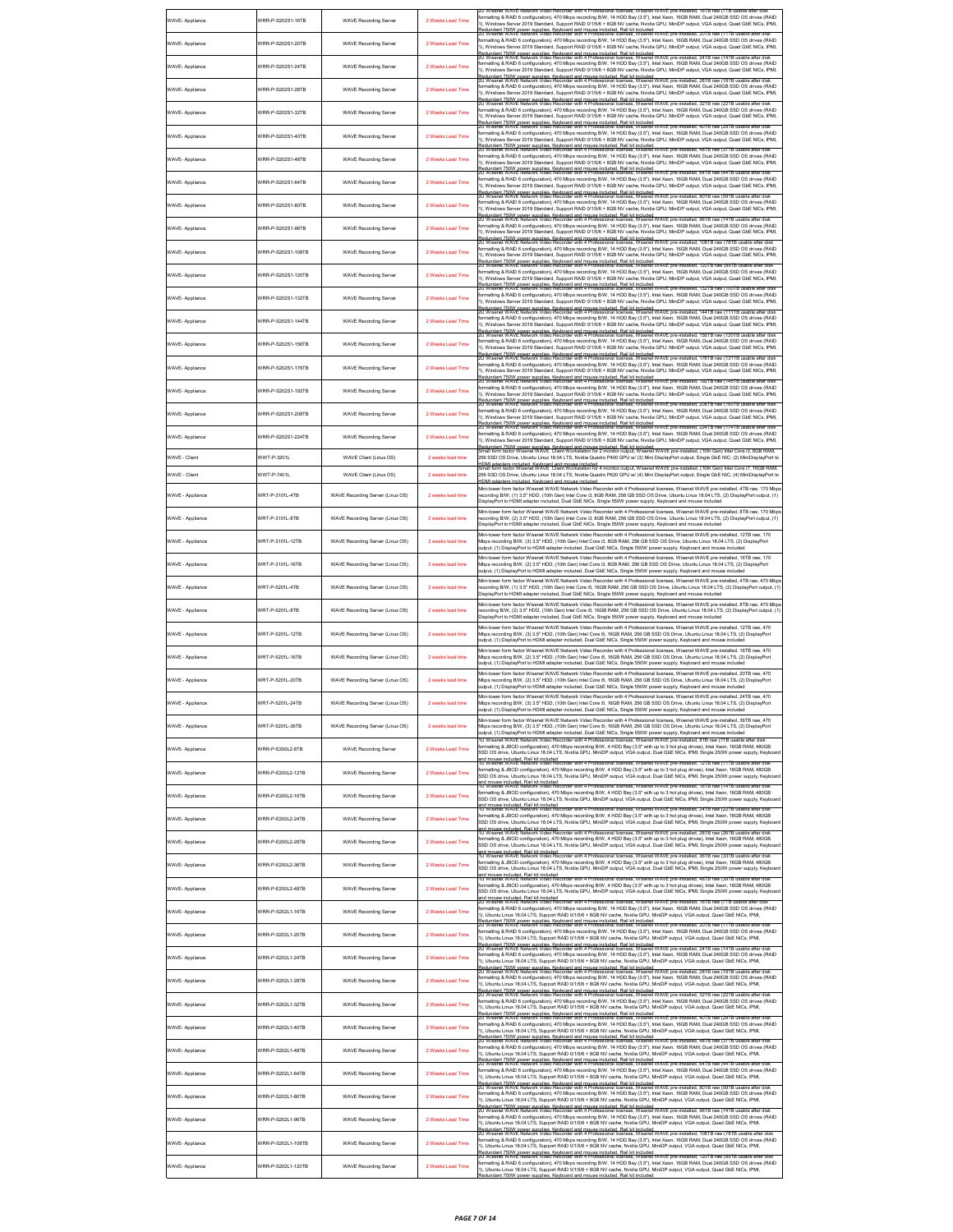| WAVE- Appliance  | WRR-P-S202S1-16TB  | <b>WAVE Recording Server</b>     | 2 Weeks Lead Time | 2U Wisenet WAVE Network Video Recorder with 4 Professional licenses, Wisenet WAVE pre-installed; 16TB raw (7TB usable after disi<br>formatting & RAID 6 configuration), 470 Mbps recording B/W, 14 HDD Bay (3.5"), Intel Xeon, 16GB RAM, Dual 240GB SSD OS drives (RAID<br>1), Windows Server 2019 Standard, Support RAID 0/1/5/6 + 8GB NV cache, Nvidia GPU, MiniDP output, VGA output, Quad GbE NICs, IPMI,                                                                                                                                                                   |
|------------------|--------------------|----------------------------------|-------------------|---------------------------------------------------------------------------------------------------------------------------------------------------------------------------------------------------------------------------------------------------------------------------------------------------------------------------------------------------------------------------------------------------------------------------------------------------------------------------------------------------------------------------------------------------------------------------------|
| WAVE- Appliance  | VRR-P-S202S1-20TB  | <b>WAVE Recording Server</b>     | 2 Weeks Lead Time | ri<br>Redundant 750W power supplies. Keyboard and mouse included. Rail kit included<br>20 Wisenet WAVE Network Video Recorder with 4 Professional licenses, Wisenet WAVE pre-installed, 20TB raw (11TB usable after disk<br>formatting & RAID 6 configuration), 470 Mbps recording B/W, 14 HDD Bay (3.5"), Intel Xeon, 16GB RAM, Dual 240GB SSD OS drives (RAID<br>1), Windows Server 2019 Standard, Support RAID 0/1/5/6 + 8GB NV cache, Nvidia GPU, MiniDP output, VGA output, Quad GbE NICs, IPMI,                                                                           |
| WAVE- Appliance  | WRR-P-S202S1-24TB  | <b>WAVE Recording Server</b>     | 2 Weeks Lead Time | Redundant 750W power supplies. Keyboard and mouse included. Rail kit included<br>20 Wisenet WAVE Network Video Recorder with 4 Professional licenses, Wisenet WAVE pre-installed, 24TB raw (14TB usable after disk<br>formatting & RAID 6 configuration), 470 Mbps recording B/W, 14 HDD Bay (3.5"), Intel Xeon, 16GB RAM, Dual 240GB SSD OS drives (RAID<br>1), Windows Server 2019 Standard, Support RAID 0/1/5/6 + 8GB NV cache, Nvidia GPU, MiniDP output, VGA output, Quad GbE NICs, IPMI,                                                                                 |
| WAVE- Appliance  | VRR-P-S202S1-28TB  | <b>WAVE Recording Server</b>     | 2 Weeks Lead Time | Redundant 750W power supplies. Keyboard and mouse included. Rail kit included<br>20 Wisenet WAVE Network Video Recorder with 4 Professional licenses, Wisenet WAVE pre-installed, 28TB raw (18TB usable after disk<br>formatting & RAID 6 configuration), 470 Mbps recording B/W, 14 HDD Bay (3.5"), Intel Xeon, 16GB RAM, Dual 240GB SSD OS drives (RAID<br>1), Windows Server 2019 Standard, Support RAID 0/1/5/6 + 8GB NV cache, Nvidia GPU, MiniDP output, VGA output, Quad GbE NICs, IPMI,                                                                                 |
| WAVE- Appliance  | WRR-P-S202S1-32TR  | <b>WAVE Recording Server</b>     | 2 Weeks Lead Time | Redundant 750W power supplies. Kevboard and mouse included. Rail kit included<br>?U Wisenet WAVE Network Video Recorder with 4 Professional licenses, Wisenet WAVE pre-installed, 32TB raw (22TB usable after disk<br>formatting & RAID 6 configuration), 470 Mbps recording B/W, 14 HDD Bay (3.5"), Intel Xeon, 16GB RAM, Dual 240GB SSD OS drives (RAID<br>), Windows Server 2019 Standard, Support RAID 0/1/5/6 + 8GB NV cache, Nvidia GPU, MiniDP output, VGA output, Quad GbE NICs, IPMI,                                                                                  |
| WAVE- Appliance  | WRR-P-S202S1-40TB  | <b>WAVE Recording Server</b>     | 2 Weeks Lead Time | .<br>Redundant 750W power supplies. Keyboard and mouse included. Rail kit included<br>20 Wisenet WAVE Network Video Recorder with 4 Professional licenses, Wisenet WAVE pre-installed, 40TB raw (29TB usable after disk<br>formatting & RAID 6 configuration), 470 Mbps recording B/W, 14 HDD Bay (3.5"), Intel Xeon, 16GB RAM, Dual 240GB SSD OS drives (RAID<br>1), Windows Server 2019 Standard, Support RAID 0/1/5/6 + 8GB NV cache, Nvidia GPU, MiniDP output, VGA output, Quad GbE NICs, IPMI,                                                                            |
| WAVE- Appliance  | WRR-P-S202S1-48TB  | <b>WAVE Recording Server</b>     | 2 Weeks Lead Time | Redundant 750W power supplies. Keyboard and mouse included. Rail kit included<br>20 Wisenet WAVE Network Video Recorder with 4 Professional licenses, Wisenet WAVE pre-installed, 48TB raw (37TB usable after disk<br>ormatting & RAID 6 configuration), 470 Mbps recording B/W, 14 HDD Bay (3.5"), Intel Xeon, 16GB RAM, Dual 240GB SSD OS drives (RAID<br>1), Windows Server 2019 Standard, Support RAID 0/1/5/6 + 8GB NV cache, Nvidia GPU, MiniDP output, VGA output, Quad GbE NICs, IPMI,                                                                                  |
| WAVE- Appliance  | VRR-P-S202S1-64TB  | <b>WAVE Recording Server</b>     | 2 Weeks Lead Time | Redundant 750W power supplies. Keyboard and mouse included. Rail kit included<br>20 Wisenet WAVE Network Video Recorder with 4 Professional licenses, Wisenet WAVE pre-installed, 64TB raw (44TB usable after disk<br>formatting & RAID 6 configuration), 470 Mbps recording B/W, 14 HDD Bay (3.5"), Intel Xeon, 16GB RAM, Dual 240GB SSD OS drives (RAID<br>1), Windows Server 2019 Standard, Support RAID 0/1/5/6 + 8GB NV cache, Nvidia GPU, MiniDP output, VGA output, Quad GbE NICs, IPMI,                                                                                 |
| WAVE- Appliance  | VRR-P-S202S1-80TB  | <b>WAVE Recording Server</b>     | 2 Weeks Lead Time | .<br>Redundant 750W power supplies. Keyboard and mouse included. Rail kit included<br>2U Wisenet WAVE Network Video Recorder with 4 Professional licenses, Wisenet WAVE pre-installed, 80TB raw (59TB usable after disk<br>formatting & RAID 6 configuration), 470 Mbps recording B/W, 14 HDD Bay (3.5"), Intel Xeon, 16GB RAM, Dual 240GB SSD OS drives (RAID<br>1), Windows Server 2019 Standard, Support RAID 0/1/5/6 + 8GB NV cache, Nvidia GPU, MiniDP output, VGA output, Quad GbE NICs, IPMI,                                                                            |
| WAVE- Appliance  | VRR-P-S202S1-96TB  | <b>WAVE Recording Server</b>     | 2 Weeks Lead Time | .<br>Redundant 750W power supplies. Keyboard and mouse included. Rail kit included.<br>20 Wisenet WAVE Network Video Recorder with 4 Professional licenses, Wisenet WAVE pre-insta<br>led. 96TB raw (7<br>formatting & RAID 6 configuration), 470 Mbps recording B/W, 14 HDD Bay (3.5"), Intel Xeon, 16GB RAM, Dual 240GB SSD OS drives (RAID<br>1), Windows Server 2019 Standard, Support RAID 0/1/5/6 + 8GB NV cache, Nvidia GPU, MiniDP output, VGA output, Quad GbE NICs, IPMI,                                                                                             |
| WAVE- Appliance  | VRR-P-S202S1-108TB | <b>WAVE Recording Server</b>     | 2 Weeks Lead Time | .<br>Redundant 750W power supplies. Keyboard and mouse included. Rail kit included<br>20 Wisenet WAVE Network Video Recorder with 4 Professional licenses, Wisenet WAVE pre-installed, 108TB raw (78TB usa<br>formatting & RAID 6 configuration), 470 Mbps recording B/W, 14 HDD Bay (3.5"), Intel Xeon, 16GB RAM, Dual 240GB SSD OS drives (RAID<br>1), Windows Server 2019 Standard, Support RAID 0/1/5/6 + 8GB NV cache, Nvidia GPU, MiniDP output, VGA output, Quad GbE NICs, IPMI,                                                                                         |
| WAVE- Appliance  | VRR-P-S202S1-120TB | <b>WAVE Recording Server</b>     | 2 Weeks Lead Time | .<br>150W nower sunnlies. Keyhoard and mouse included. Rail kit included.<br>WAVE Network Video Recorder with 4 Professional licenses, Wisenet WAVE pre-inst<br>ed, 120TB raw (89TB us:<br>formatting & RAID 6 configuration), 470 Mbps recording B/W, 14 HDD Bay (3.5"), Intel Xeon, 16GB RAM, Dual 240GB SSD OS drives (RAID<br>1), Windows Server 2019 Standard, Support RAID 0/1/5/6 + 8GB NV cache, Nvidia GPU, MiniDP output, VGA output, Quad GbE NICs, IPMI,                                                                                                            |
| WAVE- Appliance  | VRR-P-S202S1-132TB | <b>WAVE Recording Server</b>     | 2 Weeks Lead Time | r), wunderword as the summer and proposed and mouse included. Rail kit included<br>Redundant 750W power supplies, Keyboard and mouse included. Rail kit included<br>20 Wisenet WAVE Network Video Recorder with 4 Professional licen<br>formatting & RAID 6 configuration), 470 Mbps recording B/W, 14 HDD Bay (3.5"), Intel Xeon, 16GB RAM, Dual 240GB SSD OS drives (RAID<br>1), Windows Server 2019 Standard, Support RAID 0/1/5/6 + 8GB NV cache, Nvidia GPU, MiniDP output, VGA output, Quad GbE NICs, IPMI,                                                               |
| WAVE- Appliance  | VRR-P-S202S1-144TB | <b>WAVE Recording Server</b>     | 2 Weeks Lead Time | r), winnows course, winnows, comparison of mouse included. Rail kit included<br>Redundant 750W power supplies, Keyboard and mouse included. Rail kit included<br>20 Wisenet WAVE Network Video Recorder with 4 Professional licenses<br>formatting & RAID 6 configuration), 470 Mbps recording B/W, 14 HDD Bay (3.5"), Intel Xeon, 16GB RAM, Dual 240GB SSD OS drives (RAID<br>1). Windows Server 2019 Standard, Support RAID 0/1/5/6 + 8GB NV cache, Nvidia GPU, MiniDP output, VGA output, Quad GbE NICs, IPML                                                                |
| WAVE- Appliance  | VRR-P-S202S1-156TB | <b>WAVE Recording Server</b>     | 2 Weeks Lead Time | n<br>Rodundard 750M nower sunnlies. Keshoard and mouse included. Ball kil included<br>20 Wisenet WAVE Network Video Recorder with 4 Professional licenses, Wisenet WAVE pre-installed, 156TB raw (120TB usable after disk<br>formatting<br>1), Windows Server 2019 Standard, Support RAID 0/1/5/6 + 8GB NV cache, Nvidia GPU, MiniDP output, VGA output, Quad GbE NICs, IPMI,                                                                                                                                                                                                   |
| WAVE- Appliance  | /RR-P-S202S1-176TB | <b>WAVE Recording Server</b>     | 2 Weeks Lead Time | r), williauws source.<br>Redundant 750W power supplies. Keyboard and mouse included. Rail kit included<br>20 Wisenet WAVE Network Video Recorder with 4 Professional licenses, Wisenet WAVE pre-installed, 176TB raw (131TB usable<br>formatting & RAID 6 configuration), 470 Mbps recording B/W, 14 HDD Bay (3.5"), Intel Xeon, 16GB RAM, Dual 240GB SSD OS drives (RAID<br>1), Windows Server 2019 Standard, Support RAID 0/1/5/6 + 8GB NV cache, Nvidia GPU, MiniDP output, VGA output, Quad GbE NICs, IPMI,                                                                 |
| WAVE- Appliance  | VRR-P-S202S1-192TR | <b>WAVE Recording Server</b>     | 2 Weeks Lead Time | r), williauws source.<br>Redundant 750W power supplies. Keyboard and mouse included. Rail kit included<br>20 Wisenet WAVE Network Video Recorder with 4 Professional licenses, Wisenet WAVE pre-installed, 192TB raw (145TB usable<br>formatting & RAID 6 configuration), 470 Mbps recording B/W, 14 HDD Bay (3.5"), Intel Xeon, 16GB RAM, Dual 240GB SSD OS drives (RAID<br>1), Windows Server 2019 Standard, Support RAID 0/1/5/6 + 8GB NV cache, Nvidia GPU, MiniDP output, VGA output, Quad GbE NICs, IPMI,                                                                 |
| WAVE- Appliance  | VRR-P-S202S1-208TR | <b>WAVE Recording Server</b>     | 2 Weeks Lead Time | r), windows <i>serve, windows windows windows windows in the magnetial server windows and the magnetial server windows</i><br>Redundant 750M nower sunnies. Keehnend and mouse included. Rail kit included.<br>2U Wisenet WAVE Network Vi<br>formatting & RAID 6 configuration), 470 Mbps recording B/W, 14 HDD Bay (3.5"), Intel Xeon, 16GB RAM, Dual 240GB SSD OS drives (RAID<br>1), Windows Server 2019 Standard, Support RAID 0/1/5/6 + 8GB NV cache, Nvidia GPU, MiniDP output, VGA output, Quad GbE NICs, IPMI,                                                          |
| WAVE- Appliance  | VRR-P-S202S1-224TB | <b>WAVE Recording Server</b>     | 2 Weeks Lead Time | Redundant 750W power supplies. Keyboard and mouse included. Rail kit included<br>20 Wisenet WAVE Network Video Recorder with 4 Professional licenses, Wisenet WAVE pre-installed, 224TB raw (174TB usable after disk<br>ormatting & RAID 6 configuration), 470 Mbps recording B/W, 14 HDD Bay (3.5"), Intel Xeon, 16GB RAM, Dual 240GB SSD OS drives (RAID<br>1), Windows Server 2019 Standard, Support RAID 0/1/5/6 + 8GB NV cache, Nvidia GPU, MiniDP output, VGA output, Quad GbE NICs, IPMI,                                                                                |
| WAVE - Client    | VWT-P-3201L        | WAVE Client (Linux OS)           | 2 weeks lead time | .<br>Redundant 750W power supplies. Keyboard and mouse included. Rail kit included<br>Small form factor Wisenet WAVE  Client Workstation for 2 monitor output, Wisenet WAVE pre-installed, (10th Gen) Intel Core i3, 8GB RAM,<br>256 SSD OS Drive, Ubuntu Linux 18.04 LTS, Nvidia Quadro P400 GPU w/ (3) Mini DisplayPort output, Single GbE NIC, (2) MiniDisplayPort to<br>.<br>HDMI adapters included, Keyboard and mouse included<br>Small form factor Wisenet WAVE Client Workstation for 4 monitor output, Wisenet WAVE pre-installed, (10th Gen) Intel Core i7, 16GB RAM, |
| WAVE - Client    | //WT-P-7401L       | WAVE Client (Linux OS)           | 2 weeks lead time | 256 SSD OS Drive, Ubuntu Linux 18.04 LTS, Nvidia Quadro P620 GPU w/ (4) Mini DisplayPort output, Single GbE NIC, (4) MiniDisplayPort to<br>IDMI adapters included. Keyboard and mouse included<br>Mini-tower form factor Wisenet WAVE Network Video Recorder with 4 Professional licenses. Wisenet WAVE pre-installed, 4TB raw, 170 Mbp                                                                                                                                                                                                                                         |
| WAVE - Appliance | WRT-P-3101L-4TB    | WAVE Recording Server (Linux OS) | 2 weeks lead time | ecording B/W, (1) 3.5" HDD, (10th Gen) Intel Core i3, 8GB RAM, 256 GB SSD OS Drive, Ubuntu Linux 18.04 LTS, (2) DisplayPort output, (1)<br>DisplayPort to HDMI adapter included, Dual GbE NICs, Single 550W power supply, Keyboard and mouse included<br>Mini-tower form factor Wisenet WAVE Network Video Recorder with 4 Professional licenses. Wisenet WAVE pre-installed. 8TB raw, 170 Mbp                                                                                                                                                                                  |
| WAVE - Appliance | VRT-P-3101L-8TB    | WAVE Recording Server (Linux OS) | 2 weeks lead time | recording B/W, (2) 3.5" HDD, (10th Gen) Intel Core i3, 8GB RAM, 256 GB SSD OS Drive, Ubuntu Linux 18.04 LTS, (2) DisplayPort output, (1)<br>DisplayPort to HDMI adapter included, Dual GbE NICs, Single 550W power supply, Keyboard and mouse included<br>Mini-tower form factor Wisenet WAVE Network Video Recorder with 4 Professional licenses, Wisenet WAVE pre-installed, 12TB raw, 170                                                                                                                                                                                    |
| WAVE - Appliance | VRT-P-3101L-12TB   | WAVE Recording Server (Linux OS) | 2 weeks lead time | Mbps recording B/W, (3) 3.5" HDD, (10th Gen) Intel Core i3, 8GB RAM, 256 GB SSD OS Drive, Ubuntu Linux 18.04 LTS, (2) DisplayPort<br>sutput, (1) DisplayPort to HDMI adapter included, Dual GbE NICs, Single 550W power supply, Keyboard and mouse included<br>Mini-tower form factor Wisenet WAVE Network Video Recorder with 4 Professional licenses, Wisenet WAVE pre-installed, 16TB raw, 170                                                                                                                                                                               |
| WAVE - Appliance | VRT-P-3101L-16TB   | WAVE Recording Server (Linux OS) | 2 weeks lead time | Mbps recording B/W, (2) 3.5" HDD, (10th Gen) Intel Core i3, 8GB RAM, 256 GB SSD OS Drive, Ubuntu Linux 18.04 LTS, (2) DisplayPort<br>sutput, (1) DisplayPort to HDMI adapter included, Dual GbE NICs, Single 550W power supply, Keyboard and mouse included<br>Mini-tower form factor Wisenet WAVE Network Video Recorder with 4 Professional licenses, Wisenet WAVE pre-installed, 4TB raw, 470 Mbp                                                                                                                                                                            |
| WAVE - Appliance | VRT-P-5201L-4TB    | WAVE Recording Server (Linux OS) | 2 weeks lead time | ecording B/W, (1) 3.5" HDD, (10th Gen) Intel Core i5, 16GB RAM, 256 GB SSD OS Drive, Ubuntu Linux 18.04 LTS, (2) DisplayPort output, (1)<br>DisplayPort to HDMI adapter included, Dual GbE NICs, Single 550W power supply, Keyboard and mouse included<br>Mini-tower form factor Wisenet WAVE Network Video Recorder with 4 Professional licenses, Wisenet WAVE pre-installed, 8TB raw, 470 Mbp                                                                                                                                                                                 |
| WAVE - Appliance | VRT-P-5201L-8TB    | WAVE Recording Server (Linux OS) | 2 weeks lead time | ecording B/W, (2) 3.5" HDD, (10th Gen) Intel Core i5, 16GB RAM, 256 GB SSD OS Drive, Ubuntu Linux 18.04 LTS, (2) DisplayPort output, (1)<br>DisplayPort to HDMI adapter included, Dual GbE NICs, Single 550W power supply, Keyboard and mouse included<br>lini-tower form factor Wisenet WAVE Network Video Recorder with 4 Professional licenses, Wisenet WAVE pre-installed, 12TB raw, 470                                                                                                                                                                                    |
| WAVE - Appliance | VRT-P-5201L-12TB   | WAVE Recording Server (Linux OS) | 2 weeks lead time | Mbps recording B/W, (3) 3.5" HDD, (10th Gen) Intel Core i5, 16GB RAM, 256 GB SSD OS Drive, Ubuntu Linux 18.04 LTS, (2) DisplayPort<br>sutput, (1) DisplayPort to HDMI adapter included, Dual GbE NICs, Single 550W power supply, Keyboard and mouse included<br>Mini-tower form factor Wisenet WAVE Network Video Recorder with 4 Professional licenses, Wisenet WAVE pre-installed, 16TB raw, 470                                                                                                                                                                              |
| WAVE - Appliance | VRT-P-5201L-16TB   | WAVE Recording Server (Linux OS) | 2 weeks lead time | Mbps recording B/W, (2) 3.5" HDD, (10th Gen) Intel Core i5, 16GB RAM, 256 GB SSD OS Drive, Ubuntu Linux 18.04 LTS, (2) DisplayPort<br>output, (1) DisplayPort to HDMI adapter included, Dual GbE NICs, Single 550W power supply, Keyboard and mouse included<br>Mini-tower form factor Wisenet WAVE Network Video Recorder with 4 Professional licenses, Wisenet WAVE pre-installed, 20TB raw, 470                                                                                                                                                                              |
| WAVE - Appliance | WRT-P-5201L-20TB   | WAVE Recording Server (Linux OS) | 2 weeks lead time | Mbps recording B/W, (2) 3.5" HDD, (10th Gen) Intel Core i5, 16GB RAM, 256 GB SSD OS Drive, Ubuntu Linux 18.04 LTS, (2) DisplayPort<br>output, (1) DisplayPort to HDMI adapter included, Dual GbE NICs, Single 550W power supply, Keyboard and mouse included<br>Mini-tower form factor Wisenet WAVE Network Video Recorder with 4 Professional licenses. Wisenet WAVE pre-installed. 24TB raw. 470                                                                                                                                                                              |
|                  | RT-P-5201L-24TF    |                                  |                   | 2ore i5 16GB RAM 256 GB SSD OS<br>output, (1) DisplayPort to HDMI adapter included. Dual GbE NICs. Single 550W power supply. Keyboard and mouse included<br>Mini-tower form factor Wisenet WAVE Network Video Recorder with 4 Professional licenses, Wisenet WAVE pre-installed, 36TB raw, 470                                                                                                                                                                                                                                                                                  |
| WAVE - Appliance | VRT-P-5201L-36TB   | WAVE Recording Server (Linux OS) | 2 weeks lead time | Mbps recording B/W, (3) 3.5" HDD, (10th Gen) Intel Core i5, 16GB RAM, 256 GB SSD OS Drive, Ubuntu Linux 18.04 LTS, (2) DisplayPort<br>output, (1) DisplayPort to HDMI adapter included, Dual GbE NICs, Single 550W power supply, Keyboard and mouse included<br>1U Wisenet WAVE Network Video Recorder with 4 Professional licenses. Wisenet WAVE pre-installed. 8TB raw (7TB usable after disk                                                                                                                                                                                 |
| WAVE- Appliance  | //RR-P-E200L2-8TB  | <b>WAVE Recording Server</b>     | 2 Weeks Lead Time | formatting & JBOD configuration), 470 Mbps recording B/W, 4 HDD Bay (3.5" with up to 3 hot plug drives), Intel Xeon, 16GB RAM, 480GB<br>SSD OS drive, Ubuntu Linux 18.04 LTS, Nvidia GPU, MiniDP output, VGA output, Dual GbE NICs, IPMI, Single 250W power supply, Keyboar<br>and mouse included. Rail kit included.<br>1U Wisenet WAVE Network Video Recorder with 4 Professional licenses, Wisenet WAVE pre-installed, 12TB raw (11TB usable after disk                                                                                                                      |
| WAVE- Appliance  | VRR-P-E200L2-12TB  | <b>WAVE Recording Server</b>     | 2 Weeks Lead Time | ing & JBOD configuration), 470 Mbps recording B/W, 4 HDD Bay (3.5" with up to 3 hot plug drives), Intel Xeon, 16GB RAM, 480GB<br>SSD OS drive, Ubuntu Linux 18.04 LTS, Nvidia GPU, MiniDP output, VGA output, Dual GbE NICs, IPMI, Single 250W power supply, Keyboa<br>ind mouse included. Rail kit included.<br>IU Wisenet WAVE Network Video Re<br>VAVE pre-<br>licenses,                                                                                                                                                                                                     |
| WAVE- Appliance  | //RR-P-E200L2-16TB | <b>WAVE Recording Server</b>     | 2 Weeks Lead Time | formatting & JBOD configuration), 470 Mbps recording B/W, 4 HDD Bay (3.5" with up to 3 hot plug drives), Intel Xeon, 16GB RAM, 480GB<br>SSD OS drive, Ubuntu Linux 18.04 LTS, Nvidia GPU, MiniDP output, VGA output, Dual GbE NICs, IPMI, Single 250W power supply, Keyboar<br>and mouse included. Rail kit included<br>1U Wisenet WAVE Network Video Recorder                                                                                                                                                                                                                  |
| WAVE- Appliance  | VRR-P-E200L2-24TB  | <b>WAVE Recording Server</b>     | 2 Weeks Lead Time | formatting & JBOD configuration), 470 Mbps recording B/W, 4 HDD Bay (3.5" with up to 3 hot plug drives), Intel Xeon, 16GB RAM, 480GB<br>SSD OS drive, Ubuntu Linux 18.04 LTS, Nvidia GPU, MiniDP output, VGA output, Dual GbE NICs, IPMI, Single 250W power supply, Keyboa<br>ind mouse included. Rail kit included<br>IU Wisenet WAVE Network Video Rei<br><b>NAVE</b> pre-in<br>licenses, Wisene                                                                                                                                                                              |
| WAVE- Appliance  | //RR-P-E200L2-28TB | <b>WAVE Recording Server</b>     | 2 Weeks Lead Time | -<br>formatting & JBOD configuration), 470 Mbps recording B/W, 4 HDD Bay (3.5" with up to 3 hot plug drives), Intel Xeon, 16GB RAM, 480GB<br>SSD OS drive, Ubuntu Linux 18.04 LTS, Nvidia GPU, MiniDP output, VGA output, Dual GbE N<br>and mouse included. Rail kit included<br>1U Wisenet WAVE Network Video Recorder with 4 Professional licenses, Wisenet WAVE pre-installed, 36TB raw (33TB usable after disk                                                                                                                                                              |
| WAVE- Appliance  | VRR-P-E200L2-36TB  | <b>WAVE Recording Server</b>     | 2 Weeks Lead Time | formatting & JBOD configuration), 470 Mbps recording B/W, 4 HDD Bay (3.5" with up to 3 hot plug drives), Intel Xeon, 16GB RAM, 480GB<br>.<br>SSD OS drive, Ubuntu Linux 18.04 LTS, Nyidia GPU, MiniDP output, VGA output, Dual GbE NICs, IPMI, Single 250W power supply, Keyboa<br>and mouse included. Rail kit included<br>1U Wisenet WAVE Network Video Recorder with 4 Professional licenses, Wisenet WAVE pre-installed, 48TB raw (39TB usable after disk                                                                                                                   |
| WAVE- Appliance  | //RR-P-E200L2-48TB | <b>WAVE Recording Server</b>     | 2 Weeks Lead Time | formatting & JBOD configuration), 470 Mbps recording B/W, 4 HDD Bay (3.5" with up to 3 hot plug drives), Intel Xeon, 16GB RAM, 480GB<br>SSD OS drive, Ubuntu Linux 18.04 LTS, Nvidia GPU, MiniDP output, VGA output, Dual GbE NICs, IPMI, Single 250W power supply, Keyboar<br>and mouse included. Rail kit included<br>2U Wisenet WAVE Network Video Recorder with 4 Professional licenses, Wisenet WAVE pre-installed, 16TB raw (7TB usable after dis                                                                                                                         |
| WAVE- Appliance  | VRR-P-S202L1-16TB  | <b>WAVE Recording Server</b>     | 2 Weeks Lead Time | formatting & RAID 6 configuration), 470 Mbps recording B/W, 14 HDD Bay (3.5"), Intel Xeon, 16GB RAM, Dual 240GB SSD OS drives (RAID<br>1), Ubuntu Linux 18.04 LTS, Support RAID 0/1/5/6 + 8GB NV cache, Nvidia GPU, MiniDP output, VGA output, Quad GbE NICs, IPMI,<br>Redundant 750W power supplies. Keyboard and mouse included. Rail kit included<br>20 Wisenet WAVE Network Video Recorder with 4 Professional licenses, Wisenet WAVE pre-installed, 20TB raw (11TB usable after disk                                                                                       |
| WAVE- Appliance  | WRR-P-S202L1-20TB  | <b>WAVE Recording Server</b>     | 2 Weeks Lead Time | formatting & RAID 6 configuration), 470 Mbps recording B/W, 14 HDD Bay (3.5"), Intel Xeon, 16GB RAM, Dual 240GB SSD OS drives (RAID<br>1), Ubuntu Linux 18.04 LTS, Support RAID 0/1/5/6 + 8GB NV cache, Nvidia GPU, MiniDP output, VGA output, Quad GbE NICs, IPMI,<br>Redundant 750W power supplies. Keyboard and mouse included. Rail kit included<br>20 Wisenet WAVE Network Video Recorder with 4 Professional licenses, Wisenet WAVE pre-installed, 24TB raw (14TB usable after disk                                                                                       |
| WAVE- Appliance  | VRR-P-S202L1-24TB  | <b>WAVE Recording Server</b>     | 2 Weeks Lead Time | formatting & RAID 6 configuration), 470 Mbps recording B/W, 14 HDD Bay (3.5"), Intel Xeon, 16GB RAM, Dual 240GB SSD OS drives (RAID<br>1), Ubuntu Linux 18.04 LTS, Support RAID 0/1/5/6 + 8GB NV cache, Nvidia GPU, MiniDP output, VGA output, Quad GbE NICs, IPM<br>Redundant 750W power supplies. Keyboard and mouse included. Rail kit included<br>20 Wisenet WAVE Network Video Recorder with 4 Professional licenses, Wisenet WAVE pre-installed, 28TB raw (18TB usable after disk                                                                                         |
| WAVE- Appliance  | WRR-P-S202L1-28TB  | <b>WAVE Recording Server</b>     | 2 Weeks Lead Time | formatting & RAID 6 configuration), 470 Mbps recording B/W, 14 HDD Bay (3.5"), Intel Xeon, 16GB RAM, Dual 240GB SSD OS drives (RAID<br>I), Ubuntu Linux 18.04 LTS, Support RAID 0/1/5/6 + 8GB NV cache, Nvidia GPU, MiniDP output, VGA output, Quad GbE NICs, IPMI,<br>.<br>Redundant 750W power supplies. Keyboard and mouse included. Rail kit included<br>20 Wisenet WAVE Network Video Recorder with 4 Professional licenses, Wisenet WAVE pre-installed, 32TB raw (22TB usable after disk                                                                                  |
| WAVE- Appliance  | VRR-P-S202L1-32TB  | <b>WAVE Recording Server</b>     | 2 Weeks Lead Time | formatting & RAID 6 configuration), 470 Mbps recording B/W, 14 HDD Bay (3.5"), Intel Xeon, 16GB RAM, Dual 240GB SSD OS drives (RAID<br>1), Ubuntu Linux 18.04 LTS, Support RAID 0/1/5/6 + 8GB NV cache, Nvidia GPU, MiniDP output, VGA output, Quad GbE NICs, IPMI,<br>3edundant 750W power supplies. Keyboard and mouse included. Rail kit included<br>20 Wisenet WAVE Network Video Recorder with 4 Professional licenses, Wisenet WAVE pre-installed, 40TB raw (29TB usable after disk                                                                                       |
| WAVE- Appliance  | //RR-P-S202L1-40TB | <b>WAVE Recording Server</b>     | 2 Weeks Lead Time | formatting & RAID 6 configuration), 470 Mbps recording B/W, 14 HDD Bay (3.5"), Intel Xeon, 16GB RAM, Dual 240GB SSD OS drives (RAID<br>1), Ubuntu Linux 18.04 LTS, Support RAID 0/1/5/6 + 8GB NV cache, Nvidia GPU, MiniDP output, VGA output, Quad GbE NICs, IPMI,<br>Redundant 750W power supplies. Keyboard and mouse included. Rail kit included<br>20 Wisenet WAVE Network Video Recorder with 4 Professional licenses, Wisenet WAVE pre-installed, 48TB raw (37TB usable after disk                                                                                       |
| WAVE- Appliance  | //RR-P-S202L1-48TB | <b>WAVE Recording Server</b>     | 2 Weeks Lead Time | formatting & RAID 6 configuration), 470 Mbps recording B/W, 14 HDD Bay (3.5"), Intel Xeon, 16GB RAM, Dual 240GB SSD OS drives (RAID<br>1), Ubuntu Linux 18.04 LTS, Support RAID 0/1/5/6 + 8GB NV cache, Nvidia GPU, MiniDP output, VGA output, Quad GbE NICs, IPMI,<br>Redundant 750W power supplies. Keyboard and mouse included. Rail kit included<br>Redundant 750W power supplies. Keyboard and mouse included. Rail kit included<br>20 Wisenet WAVE Network Video Recorder with 4 Professional license                                                                     |
| WAVE- Appliance  | //RR-P-S202L1-64TB | <b>WAVE Recording Server</b>     | 2 Weeks Lead Time | formatting & RAID 6 configuration), 470 Mbps recording B/W, 14 HDD Bay (3.5"), Intel Xeon, 16GB RAM, Dual 240GB SSD OS drives (RAID<br>1), Ubuntu Linux 18.04 LTS, Support RAID 0/1/5/6 + 8GB NV cache, Nvidia GPU, MiniDP output, VGA output, Quad GbE NICs, IPMI,<br>Redundant 750W power supplies. Keyboard and mouse included. Rail kit included<br>20 Wisenet WAVE Network Video Recorder with 4 Professional licenses, Wisenet WAVE pre-inst                                                                                                                              |
| WAVE- Appliance  | //RR-P-S202L1-80TB | <b>WAVE Recording Server</b>     | 2 Weeks Lead Time | formatting & RAID 6 configuration), 470 Mbps recording B/W, 14 HDD Bay (3.5"), Intel Xeon, 16GB RAM, Dual 240GB SSD OS drives (RAID<br>1), Ubuntu Linux 18.04 LTS, Support RAID 0/1/5/6 + 8GB NV cache, Nvidia GPU, MiniDP output, VGA output, Quad GbE NICs, IPMI,<br>Redundant 750W power supplies. Keyboard and mouse included. Rail kit included<br>20 Wisenet WAVE Network Video Recorder with 4 Professional licenses, Wisenet WAVE pre-instal                                                                                                                            |
| WAVE- Appliance  | VRR-P-S202L1-96TB  | <b>WAVE Recording Server</b>     | 2 Weeks Lead Time | formatting & RAID 6 configuration), 470 Mbps recording B/W, 14 HDD Bay (3.5"), Intel Xeon, 16GB RAM, Dual 240GB SSD OS drives (RAID<br>1), Ubuntu Linux 18.04 LTS, Support RAID 0/1/5/6 + 8GB NV cache, Nvidia GPU, MiniDP output, VGA output, Quad GbE NICs, IPMI,<br>hoard and mouse included. Rail kit included.<br>corder with 4 Professional licenses, Wisenet WAVE pre-inst                                                                                                                                                                                               |
| WAVE- Appliance  | VRR-P-S202L1-108TB | <b>WAVE Recording Server</b>     | 2 Weeks Lead Time | ormatting & RAID 6 configuration), 470 Mbps recording B/W, 14 HDD Bay (3.5"), Intel Xeon, 16GB RAM, Dual 240GB SSD OS drives (RAID<br>1), Ubuntu Linux 18.04 LTS, Support RAID 0/1/5/6 + 8GB NV cache, Nvidia GPU, MiniDP output, VGA output, Quad GbE NICs, IPMI,<br>r), Ubuntu unua recent is sepperatione with the second of the second of the second of the second of the second<br>Redundant 750W power supplies. Keyboard and mouse included. Rail kit included<br>20 Wisenet WAVE Network Video Re                                                                       |
| WAVE- Appliance  | VRR-P-S202L1-120TB | <b>WAVE Recording Server</b>     | 2 Weeks Lead Time | ormatting & RAID 6 configuration), 470 Mbps recording B/W, 14 HDD Bay (3.5"), Intel Xeon, 16GB RAM, Dual 240GB SSD OS drives (RAID<br>1), Ubuntu Linux 18.04 LTS, Support RAID 0/1/5/6 + 8GB NV cache, Nvidia GPU, MiniDP output, VGA output, Quad GbE NICs, IPMI,<br>use included. Rail kit include                                                                                                                                                                                                                                                                            |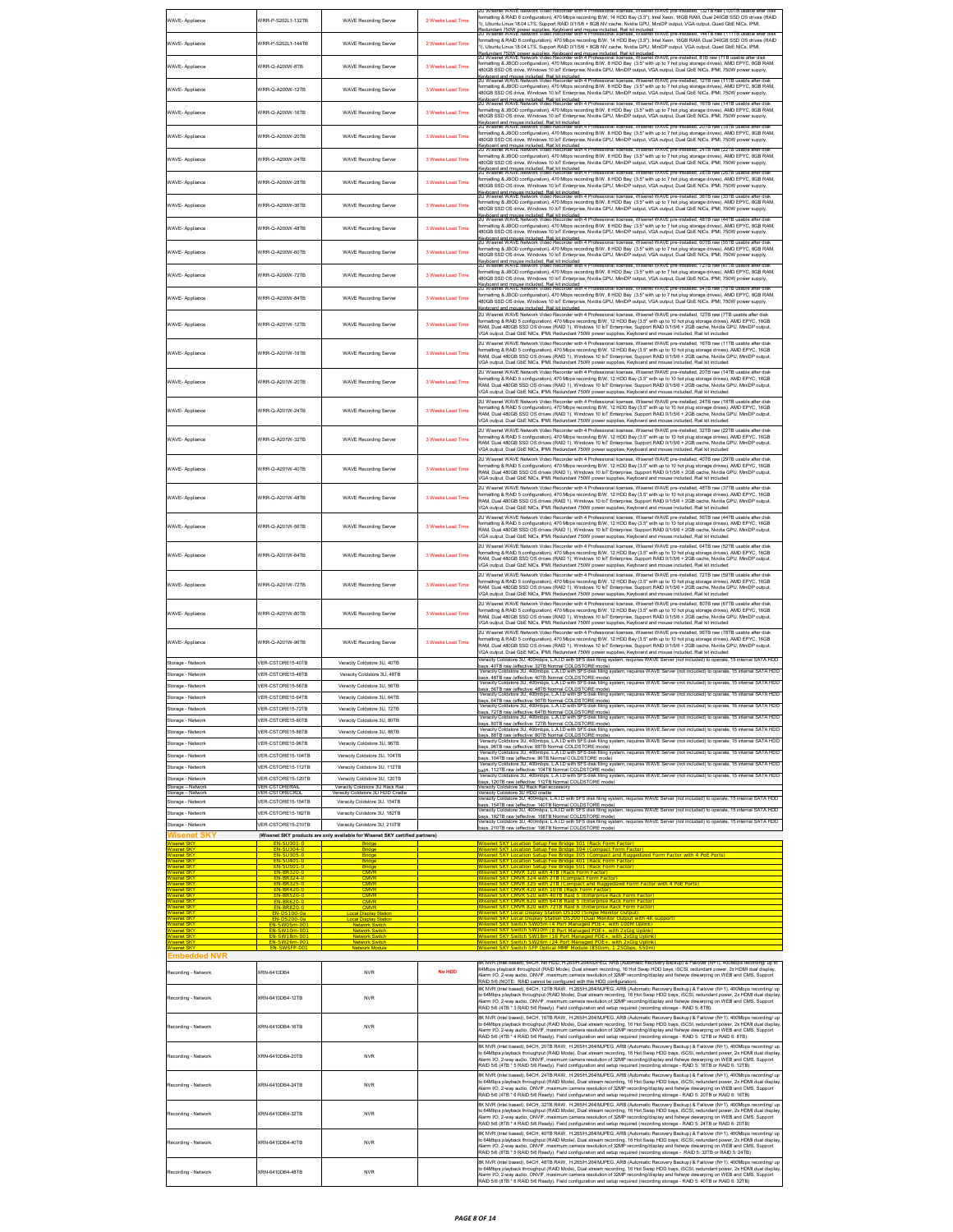| WAVE- Appliance                            | VRR-P-S202L1-132TB                      | <b>WAVE Recording Server</b>                                                                                 | 2 Weeks Lead Time | WAVE pre-i<br>ormatting & RAID 6 configuration), 470 Mbps recording B/W, 14 HDD Bay (3.5"), Intel Xeon, 16GB RAM, Dual 240GB SSD OS drives (RAID<br>1), Ubuntu Linux 18.04 LTS, Support RAID 0/1/5/6 + 8GB NV cache, Nvidia GPU, MiniDP output, VGA output, Quad GbE NICs, IPMI,<br>.<br>Redundant 750W power supplies. Keyboard and mouse included. Rail kit included.<br>20 Wisenet WAVE Network Video Recorder with 4 Professional licenses, Wisenet WAVE pre                                                                                                                                                                                                            |
|--------------------------------------------|-----------------------------------------|--------------------------------------------------------------------------------------------------------------|-------------------|-----------------------------------------------------------------------------------------------------------------------------------------------------------------------------------------------------------------------------------------------------------------------------------------------------------------------------------------------------------------------------------------------------------------------------------------------------------------------------------------------------------------------------------------------------------------------------------------------------------------------------------------------------------------------------|
| WAVE- Appliance                            | VRR-P-S202L1-144TB                      | <b>WAVE Recording Server</b>                                                                                 | 2 Weeks Lead Time | formatting & RAID 6 configuration), 470 Mbps recording B/W, 14 HDD Bay (3.5"), Intel Xeon, 16GB RAM, Dual 240GB SSD OS drives (RAID<br>1), Ubuntu Linux 18.04 LTS, Support RAID 0/1/5/6 + 8GB NV cache, Nvidia GPU, MiniDP output, VGA output, Quad GbE NICs, IPMI,                                                                                                                                                                                                                                                                                                                                                                                                         |
| WAVE- Appliance                            | VRR-Q-A200W-8TB                         | <b>WAVE Recording Server</b>                                                                                 | 3 Weeks Lead Time | المستخدم المستخدم المستخدم المستخدم المستخدم المستخدم المستخدم المستخدم المستخدم المستخدم المستخدم المستخدم ال<br>Redundant 750W cower supplies. Kendoard and mouse included. Rail kinduded WAVE pre-installed, 8TB raw (7TB usa<br>formatting & JBOD configuration), 470 Mbps recording B/W, 8 HDD Bay (3.5" with up to 7 hot plug storage drives), AMD EPYC, 8GB RAM<br>480GB SSD OS drive, Windows 10 IoT Enterprise, Nvidia GPU, MiniDP output, VGA output, Dual GbE NICs, IPMI, 750W power supply,                                                                                                                                                                     |
| WAVE- Appliance                            | VRR-Q-A200W-12TB                        | <b>WAVE Recording Server</b>                                                                                 | 3 Weeks Lead Time | Keyboard and mouse included. Rail kit included<br>20 Wisenet WAVE Network Video Recorder with 4 Professional licenses, Wisenet WAVE pre-installed, 12TB raw (11TB usable after disl<br>formatting & JBOD configuration), 470 Mbps recording B/W, 8 HDD Bay (3.5" with up to 7 hot plug storage drives), AMD EPYC, 8GB RAM,<br>480GB SSD OS drive. Windows 10 loT Enterprise. Nvidia GPU, MiniDP output, VGA output, Dual GbE NICs, IPMI, 750W power supply.                                                                                                                                                                                                                 |
| WAVE- Appliance                            | VRR-Q-A200W-16TB                        | <b>WAVE Recording Server</b>                                                                                 | 3 Weeks Lead Time | Keyboard and mouse included. Rail kit included<br>20 Wisenet WAVE Network Video Recorder with 4 Professional licenses, Wisenet WAVE pre-installed, 16TB raw (14TB usable after dis<br>formatting & JBOD configuration), 470 Mbps recording B/W, 8 HDD Bay (3.5" with up to 7 hot plug storage drives), AMD EPYC, 8GB RAM,<br>.<br>480GB SSD OS drive, Windows 10 IoT Enterprise, Nvidia GPU, MiniDP output, VGA output, Dual GbE NICs, IPMI, 750W power supply,                                                                                                                                                                                                             |
| WAVE- Appliance                            | WRR-Q-A200W-20TB                        | <b>WAVE Recording Server</b>                                                                                 | 3 Weeks Lead Time | .<br>Keyboard and mouse included. Rail kit included<br>20 Wisenet WAVE Network Video Recorder with 4 Professional licenses, Wisenet WAVE pre-installed, 20TB raw (18TB usable after disk<br>formatting & JBOD configuration), 470 Mbps recording B/W, 8 HDD Bay (3.5" with up to 7 hot plug storage drives), AMD EPYC, 8GB RAM,<br>480GB SSD OS drive, Windows 10 loT Enterprise, Nvidia GPU, MiniDP output, VGA output, Dual GbE NICs, IPMI, 750W power supply,                                                                                                                                                                                                            |
| WAVE- Appliance                            | VRR-Q-A200W-24TB                        | <b>WAVE Recording Server</b>                                                                                 | 3 Weeks Lead Time | Keyboard and mouse included. Rail kit included<br>20 Wisenet WAVE Network Video Recorder with 4 Professional licenses, Wisenet WAVE pre-installed, 24TB raw (22TB usable after disk<br>formatting & JBOD configuration), 470 Mbps recording B/W, 8 HDD Bay (3.5" with up to 7 hot plug storage drives), AMD EPYC, 8GB RAM,<br>480GB SSD OS drive, Windows 10 loT Enterprise, Nvidia GPU, MiniDP output, VGA output, Dual GbE NICs, IPMI, 750W power supply,                                                                                                                                                                                                                 |
| WAVE- Appliance                            | WRR-Q-A200W-28TB                        | <b>WAVE Recording Server</b>                                                                                 | 3 Weeks Lead Time | .<br>Keyboard and mouse included. Rail kit included<br>20 Wisenet WAVE Network Video Recorder with 4 Professional licenses, Wisenet WAVE pre-installed, 28TB raw (26TB usable after disk<br>formatting & JBOD configuration), 470 Mbps recording B/W, 8 HDD Bay (3.5" with up to 7 hot plug storage drives), AMD EPYC, 8GB RAM,                                                                                                                                                                                                                                                                                                                                             |
| WAVE- Appliance                            | VRR-Q-A200W-36TR                        | <b>WAVE Recording Server</b>                                                                                 | 3 Weeks Lead Time | 480GB SSD OS drive, Windows 10 loT Enterprise, Nvidia GPU, MiniDP output, VGA output, Dual GbE NICs, IPMI, 750W power supply,<br>.<br>Keyboard and mouse included. Rail kit included.<br>20 Wisenet WAVE Network Video Recorder with 4 Professional licenses. Wisenet WAVE pre-installed: 36TB raw (33TB usable after disk<br>ormatting & JBOD configuration), 470 Mbps recording B/W, 8 HDD Bay (3.5" with up to 7 hot plug storage drives), AMD EPYC, 8GB RAM,                                                                                                                                                                                                            |
|                                            | WRR-O-A200W-48TR                        | <b>WAVE Recording Server</b>                                                                                 | 3 Weeks Lead Time | 480GB SSD OS drive, Windows 10 loT Enterprise, Nvidia GPU, MiniDP output, VGA output, Dual GbE NICs, IPMI, 750W power supply,<br>Keyboard and mouse included. Rail kit included<br>20 Wisenet WAVE Network Video Recorder with 4 Professional licenses, Wisenet WAVE pre-installed, 48TB raw (44TB usable after disk<br>ormatting & JBOD configuration), 470 Mbps recording B/W, 8 HDD Bay (3.5" with up to 7 hot plug storage drives), AMD EPYC, 8GB RAM,                                                                                                                                                                                                                  |
| WAVE- Appliance                            |                                         |                                                                                                              |                   | 480GB SSD OS drive, Windows 10 loT Enterprise, Nvidia GPU, MiniDP output, VGA output, Dual GbE NICs, IPMI, 750W power supply,<br>Keyboard and mouse included. Rail kit included<br>20 Wisenet WAVE Network Video Recorder with 4 Professional licenses, Wisenet WAVE pre-installed, 60TB raw (55TB usable after disk<br>formatting & JBOD configuration), 470 Mbps recording B/W, 8 HDD Bay (3.5" with up to 7 hot plug storage drives), AMD EPYC, 8GB RAM,                                                                                                                                                                                                                 |
| WAVE- Appliance                            | VRR-Q-A200W-60TB                        | <b>WAVE Recording Server</b>                                                                                 | 3 Weeks Lead Time | 480GB SSD OS drive, Windows 10 loT Enterprise, Nvidia GPU, MiniDP output, VGA output, Dual GbE NICs, IPMI, 750W power supply,<br>Keyboard and mouse included. Rail kit included.<br>20 Wisenet WAVE Network Video Recorder with 4 Professional licenses, Wisenet WAVE pre-installed, 72TB raw (67TB usable after disk<br>formatting & JBOD configuration), 470 Mbps recording B/W, 8 HDD Bay (3.5" with up to 7 hot plug storage drives), AMD EPYC, 8GB RAM,                                                                                                                                                                                                                |
| WAVE- Appliance                            | //RR-Q-A200W-72TB                       | <b>WAVE Recording Server</b>                                                                                 | 3 Weeks Lead Time | 480GB SSD OS drive, Windows 10 IoT Enterprise, Nvidia GPU, MiniDP output, VGA output, Dual GbE NICs, IPMI, 750W power supply<br>Keyboard and mouse included. Rail kit included<br>20 Wisenet WAVE Network Video Recorder with 4 Professional licenses, Wisenet WAVE pre-inst:<br>led, 84TB raw (7                                                                                                                                                                                                                                                                                                                                                                           |
| WAVE- Appliance                            | //RR-Q-A200W-84TB                       | <b>WAVE Recording Server</b>                                                                                 | 3 Weeks Lead Time | formatting & JBOD configuration), 470 Mbps recording B/W, 8 HDD Bay (3.5" with up to 7 hot plug storage drives), AMD EPYC, 8GB RAM,<br>480GB SSD OS drive, Windows 10 IoT Enterprise, Nvidia GPU, MiniDP output, VGA output, Dual GbE NICs, IPMI, 750W power supply<br>levboard and mouse included. Rail kit included<br>.<br>2U Wisenet WAVE Network Video Recorder with 4 Professional licenses, Wisenet WAVE pre-installed, 12TB raw (7TB usable after disk                                                                                                                                                                                                              |
| WAVE- Appliance                            | WRR-Q-A201W-12TB                        | <b>WAVE Recording Server</b>                                                                                 | 3 Weeks Lead Time | ormatting & RAID 5 configuration), 470 Mbps recording B/W, 12 HDD Bay (3.5" with up to 10 hot plug storage drives), AMD EPYC, 16GB<br>RAM, Dual 480GB SSD OS drives (RAID 1), Windows 10 loT Enterprise, Support RAID 0/1/5/6 + 2GB cache, Nvidia GPU, MiniDP output,<br>VGA cutput, Dual GbE NICs, IPMI, Redundant 750W power supplies, Keyboard and mouse included, Rail kit included                                                                                                                                                                                                                                                                                     |
| WAVE- Appliance                            | VRR-Q-A201W-16TB                        | <b>WAVE Recording Server</b>                                                                                 | 3 Weeks Lead Time | 2U Wisenet WAVE Network Video Recorder with 4 Professional licenses, Wisenet WAVE pre-installed, 16TB raw (11TB usable after disk<br>formatting & RAID 5 configuration), 470 Mbps recording B/W, 12 HDD Bay (3.5" with up to 10 hot plug storage drives), AMD EPYC, 16GB<br>RAM, Dual 480GB SSD OS drives (RAID 1), Windows 10 IoT Enterprise, Support RAID 0/1/5/6 + 2GB cache, Nvidia GPU, MiniDP output,<br>/GA output, Dual GbE NICs, IPMI, Redundant 750W power supplies, Keyboard and mouse included, Rail kit included                                                                                                                                               |
| WAVE- Appliance                            | VRR-Q-A201W-20TB                        | <b>WAVE Recording Server</b>                                                                                 | 3 Weeks Lead Time | 2U Wisenet WAVE Network Video Recorder with 4 Professional licenses, Wisenet WAVE pre-installed, 20TB raw (14TB usable after disk<br>formatting & RAID 5 configuration), 470 Mbps recording B/W, 12 HDD Bay (3.5" with up to 10 hot plug storage drives), AMD EPYC, 16GB<br>RAM, Dual 480GB SSD OS drives (RAID 1), Windows 10 loT Enterprise, Support RAID 0/1/5/6 + 2GB cache, Nvidia GPU, MiniDP output,<br>/GA output, Dual GbE NICs, IPMI, Redundant 750W power supplies, Keyboard and mouse included, Rail kit included                                                                                                                                               |
| WAVE- Appliance                            | WRR-Q-A201W-24TR                        | <b>WAVE Recording Server</b>                                                                                 | 3 Weeks Lead Time | 2U Wisenet WAVE Network Video Recorder with 4 Professional licenses, Wisenet WAVE pre-installed, 24TB raw (18TB usable after disk<br>ormatting & RAID 5 configuration), 470 Mbps recording B/W, 12 HDD Bay (3.5" with up to 10 hot plug storage drives), AMD EPYC, 16GB<br>RAM, Dual 480GB SSD OS drives (RAID 1), Windows 10 IoT Enterprise, Support RAID 0/1/5/6 + 2GB cache, Nvidia GPU, MiniDP output,<br>/GA output, Dual GbE NICs, IPMI, Redundant 750W power supplies, Keyboard and mouse included, Rail kit included                                                                                                                                                |
| WAVE- Appliance                            | VRR-Q-A201W-32TB                        | <b>WAVE Recording Server</b>                                                                                 | 3 Weeks Lead Time | 2U Wisenet WAVE Network Video Recorder with 4 Professional licenses, Wisenet WAVE pre-installed, 32TB raw (22TB usable after disk<br>ormatting & RAID 5 configuration), 470 Mbps recording B/W, 12 HDD Bay (3.5" with up to 10 hot plug storage drives), AMD EPYC, 16GB<br>RAM, Dual 480GB SSD OS drives (RAID 1), Windows 10 loT Enterprise, Support RAID 0/1/5/6 + 2GB cache, Nvidia GPU, MiniDP output,<br>/GA output, Dual GbE NICs, IPMI, Redundant 750W power supplies, Keyboard and mouse included, Rail kit included                                                                                                                                                |
| WAVE- Appliance                            | WRR-Q-A201W-40TB                        | <b>WAVE Recording Server</b>                                                                                 | 3 Weeks Lead Time | 2U Wisenet WAVE Network Video Recorder with 4 Professional licenses, Wisenet WAVE pre-installed, 40TB raw (29TB usable after disk<br>rmatting & RAID 5 configuration), 470 Mbps recording B/W, 12 HDD Bay (3.5" with up to 10 hot plug storage drives), AMD EPYC, 16GB<br>RAM, Dual 480GB SSD OS drives (RAID 1), Windows 10 loT Enterprise, Support RAID 0/1/5/6 + 2GB cache, Nvidia GPU, MiniDP output,<br>VGA output, Dual GbE NICs, IPMI, Redundant 750W power supplies, Keyboard and mouse included, Rail kit included                                                                                                                                                 |
| WAVE- Appliance                            | VRR-Q-A201W-48TB                        | <b>WAVE Recording Server</b>                                                                                 | 3 Weeks Lead Time | 2U Wisenet WAVE Network Video Recorder with 4 Professional licenses, Wisenet WAVE pre-installed, 48TB raw (37TB usable after disk<br>formatting & RAID 5 configuration), 470 Mbps recording B/W, 12 HDD Bay (3.5" with up to 10 hot plug storage drives), AMD EPYC, 16GB<br>RAM, Dual 480GB SSD OS drives (RAID 1), Windows 10 IoT Enterprise, Support RAID 0/1/5/6 + 2GB cache, Nvidia GPU, MiniDP output,<br>/GA output, Dual GbE NICs, IPMI, Redundant 750W power supplies, Keyboard and mouse included, Rail kit included<br>2U Wisenet WAVE Network Video Recorder with 4 Professional licenses, Wisenet WAVE pre-installed, 56TB raw (44TB usable after disk          |
| WAVE- Appliance                            | VRR-Q-A201W-56TB                        | <b>WAVE Recording Server</b>                                                                                 | 3 Weeks Lead Time | formatting & RAID 5 configuration), 470 Mbps recording B/W, 12 HDD Bay (3.5" with up to 10 hot plug storage drives), AMD EPYC, 16GB<br>RAM, Dual 480GB SSD OS drives (RAID 1), Windows 10 loT Enterprise, Support RAID 0/1/5/6 + 2GB cache, Nvidia GPU, MiniDP output,<br>/GA output, Dual GbE NICs, IPMI, Redundant 750W power supplies, Keyboard and mouse included, Rail kit included<br>2U Wisenet WAVE Network Video Recorder with 4 Professional licenses. Wisenet WAVE pre-installed. 64TB raw (52TB usable after disk                                                                                                                                               |
| WAVE- Appliance                            | WRR-Q-A201W-64TB                        | <b>WAVE Recording Server</b>                                                                                 | 3 Weeks Lead Time | ormatting & RAID 5 configuration), 470 Mbps recording B/W, 12 HDD Bay (3.5" with up to 10 hot plug storage drives), AMD EPYC, 16GB<br>RAM, Dual 480GB SSD OS drives (RAID 1), Windows 10 loT Enterprise, Support RAID 0/1/5/6 + 2GB cache, Nvidia GPU, MiniDP output,<br>VGA output, Dual GbE NICs, IPMI, Redundant 750W power supplies, Keyboard and mouse included, Rail kit included                                                                                                                                                                                                                                                                                     |
| WAVE- Appliance                            | WRR-Q-A201W-72TB                        | <b>WAVE Recording Server</b>                                                                                 | 3 Weeks Lead Time | 2U Wisenet WAVE Network Video Recorder with 4 Professional licenses, Wisenet WAVE pre-installed, 72TB raw (59TB usable after disk<br>ormatting & RAID 5 configuration), 470 Mbps recording B/W, 12 HDD Bay (3.5" with up to 10 hot plug storage drives), AMD EPYC, 16GB<br>RAM, Dual 480GB SSD OS drives (RAID 1), Windows 10 loT Enterprise, Support RAID 0/1/5/6 + 2GB cache, Nvidia GPU, MiniDP output,<br>/GA output, Dual GbE NICs, IPMI, Redundant 750W power supplies, Keyboard and mouse included, Rail kit included                                                                                                                                                |
| WAVE- Appliance                            | WRR-Q-A201W-80TB                        | <b>WAVE Recording Server</b>                                                                                 | 3 Weeks Lead Time | 2U Wisenet WAVE Network Video Recorder with 4 Professional licenses, Wisenet WAVE pre-installed, 80TB raw (67TB usable after disk<br>ormatting & RAID 5 configuration), 470 Mbps recording B/W, 12 HDD Bay (3.5" with up to 10 hot plug storage drives), AMD EPYC, 16GB<br>RAM, Dual 480GB SSD OS drives (RAID 1), Windows 10 IoT Enterprise, Support RAID 0/1/5/6 + 2GB cache, Nvidia GPU, MiniDP output,<br>VGA output, Dual GbE NICs, IPMI, Redundant 750W power supplies, Keyboard and mouse included, Rail kit included                                                                                                                                                |
| WAVE- Appliance                            | VRR-Q-A201W-96TB                        | <b>WAVE Recording Server</b>                                                                                 | 3 Weeks Lead Time | 2U Wisenet WAVE Network Video Recorder with 4 Professional licenses, Wisenet WAVE pre-installed, 96TB raw (78TB usable after disk<br>formatting & RAID 5 configuration), 470 Mbps recording B/W, 12 HDD Bay (3.5" with up to 10 hot plug storage drives), AMD EPYC, 16GB<br>RAM, Dual 480GB SSD OS drives (RAID 1), Windows 10 loT Enterprise, Support RAID 0/1/5/6 + 2GB cache, Nvidia GPU, MiniDP output,<br>VGA output, Dual GbE NICs, IPMI, Redundant 750W power supplies, Keyboard and mouse included, Rail kit included<br>eracity Coldstore 3U, 400mbps, L.A.I.D with SFS disk filing system, requires WAVE Server (not included) to operate, 15 internal SATA HDD   |
| Storage - Network<br>Storage - Network     | /FR-CSTORF15-40TR<br>/ER-CSTORE15-48TB  | Veracity Coldstore 3LL 40TR<br>Veracity Coldstore 3U, 48TB                                                   |                   | vays, 40TB raw (effective: 32TB Normal COLDSTORE mode)<br>39/8, 40TB raw (effective: 32TB Normal COLDSTORE mode)<br>Veracity Coldstore 3U, 400mbps, L.A.I.D with SFS disk filing system, requires WAVE Server (not included) to ope<br><br>, 48TB raw (effective: 40TB Normal COLDSTORE mode)<br>scity Coldstore 3U, 400mbps, L.A.LD with SFS disk filing system, requires WAVE Server (not included) to operate, 15 internal SATA HDD                                                                                                                                                                                                                                      |
| Storage - Network<br>Storage - Network     | /ER-CSTORE15-56TB<br>/ER-CSTORE15-64TB  | Veracity Coldstore 3U, 56TB<br>Veracity Coldstore 3U, 64TB                                                   |                   |                                                                                                                                                                                                                                                                                                                                                                                                                                                                                                                                                                                                                                                                             |
| Storage - Network                          | /ER-CSTORE15-72TB                       | Veracity Coldstore 3U, 72TB                                                                                  |                   | bays, 64TB raw (effective: 56TB Normal COLDSTORE mode)<br>Veracity Coldstore 3U, 400mbps, L.A.I.D with SFS disk filing system,<br>requires WAVE Server (not included) to<br>lays, 72TB raw (effective: 64TB Normal COLDSTORE mode)<br>Veracity Coldstore 3U, 400mbps, L.A.LD with SFS disk filing system, requires WAVE Server (not included) to operate, 15 internal SATA HDD                                                                                                                                                                                                                                                                                              |
| Storage - Network                          | /ER-CSTORE15-80TB<br>VER-CSTORE15-88TB  | Veracity Coldstore 3U, 80TB<br>Veracity Coldstore 3U, 88TB                                                   |                   | ays, 80TB raw (effective: 72TB Normal COLDSTORE mode)<br>Veracity Coldstore 3U, 400mbps, L.A.I.D with SFS disk filing system, requires WAVE Server (not included) to operate, 15 internal SATA HDD                                                                                                                                                                                                                                                                                                                                                                                                                                                                          |
| Storage - Network<br>Storage - Network     | /ER-CSTORE15-96TB                       | Veracity Coldstore 3U, 96TB                                                                                  |                   | vays, 88TB raw (effective: 80TB Normal COLDSTORE mode)<br>Veracity Coldstore 3U, 400mbps, L.A.I.D with SFS disk filing s<br>disk filing system, requires WAVE Server (not included) to operate, 15 internal SATA HDD                                                                                                                                                                                                                                                                                                                                                                                                                                                        |
| Storage - Network                          | /ER-CSTORE15-104TB                      | Veracity Coldstore 3U, 104TB                                                                                 |                   | oays, 96TB raw (effective: 88TB Normal COLDSTORE mode)<br>29ys, 96TB raw (effective: 88TB Normal COLDSTORE mode)<br>Veracity Coldstore 3U, 400mbps, L.A.I.D with SFS disk filing system, requires WAVE Server (not included) to ope<br>vays. 104TR raw (effective: 96TR Normal COLDSTORE mode)                                                                                                                                                                                                                                                                                                                                                                              |
| Storage - Network<br>Storage - Network     | /ER-CSTORE15-112TB<br>ER-CSTORE15-120TB | Veracity Coldstore 3U, 112TB<br>Veracity Coldstore 3U, 120TB                                                 |                   | Veracity Coldstore 3U, 400mbps, L.A.LD with SFS disk filing system, requires WAVE Server (not included) to operate, 15 internal SATA HDD<br>bavs. 112TB raw (effective: 104TB Normal COLDSTORE mode)<br>Veracity Coldstore 3U, 400mbps, L.A.I.D with SFS disk filing system, requires WAVE Server (not included) to operate, 15 internal SATA HDD                                                                                                                                                                                                                                                                                                                           |
| Storage - Network                          | /ER-CSTORERA                            | Veracity Coldstore 3U Rack Rail                                                                              |                   | bays, 120TB raw (effective: 112TB Normal COLDSTORE mode)<br>acity Coldstore 3U Rack Rail accessory                                                                                                                                                                                                                                                                                                                                                                                                                                                                                                                                                                          |
| Storage - Network<br>torage - Network      | ER-CSTORE15-154TB                       | Veracity Coldstore 3U HDD Cradi<br>Veracity Coldstore 3U, 154TB                                              |                   | Veracity Coldstore 3U HDD cradle<br>enacity Coldstore 3U, 400mbps, L.A.I.D with SFS disk filing system, requires WAVE Server (not included) to operate, 15 internal SATA HDD                                                                                                                                                                                                                                                                                                                                                                                                                                                                                                |
| Storage - Network                          | VER-CSTORE15-182TB                      | Veracity Coldstore 3U, 182TB                                                                                 |                   | vouws, outware research and the mail COLDSTORE mode)<br>baye, 182TB raw (effective: 168TB Normal COLDSTORE mode)<br>Veracity Coldstore 3U, 400mbps, L.A.I.D with SFS disk filing system, requires WAVE Server (not included) to oper                                                                                                                                                                                                                                                                                                                                                                                                                                        |
| Storage - Network<br><b>Nisenet SK</b>     | /ER-CSTORE15-210TB                      | Veracity Coldstore 3U, 210TB<br>(Wisenet SKY products are only available for Wisenet SKY certified partners) |                   | ays, 210TB raw (effective: 196TB Normal COLDSTORE mode)                                                                                                                                                                                                                                                                                                                                                                                                                                                                                                                                                                                                                     |
| <b>isenet SK</b>                           |                                         |                                                                                                              |                   | senet SKY Location Setup Fee Bridge 301 (Rack Form Factor)<br>senet SKY Location Setup Fee Bridge 304 (Compact Form Factor                                                                                                                                                                                                                                                                                                                                                                                                                                                                                                                                                  |
| <b>isenel SKY</b><br><b>Anet SK</b>        |                                         | Bridge<br><b>Bridge</b>                                                                                      |                   | lisenet SKY Location Setup Fee Bridge 305 (Compact and Ruggedized Form Factor with 4 PoE Ports<br>et SKY Location Setup Fee Bridge 401 (Rack Form Fact                                                                                                                                                                                                                                                                                                                                                                                                                                                                                                                      |
| senet SKY                                  | EN-BR320-0                              | <b>CMVR</b>                                                                                                  |                   | enet SKY Location Setup Fee Bridge 501 (Rack Form Factor)<br>enet SKY CMVR 320 with 4TB (Rack Form Factor)                                                                                                                                                                                                                                                                                                                                                                                                                                                                                                                                                                  |
| senet SKY                                  | EN-BI<br>EN-BR                          | <b>CMVR</b><br><b>CMVR</b>                                                                                   |                   | net SKY CMVR 325 with 2TB (Compact and Ruggedized Form Factor with 4 PoE Ports                                                                                                                                                                                                                                                                                                                                                                                                                                                                                                                                                                                              |
| senet SKY<br>senet SKY                     |                                         | <b>CMVR</b><br>CMVR                                                                                          |                   | <u>CMVR 520 with 40TB Raid 5 (Enterprise Rack Form Factor)</u><br>CMVR 620 with 64TB Raid 5 (Enterprise Rack Form Factor)                                                                                                                                                                                                                                                                                                                                                                                                                                                                                                                                                   |
|                                            |                                         | I Display S                                                                                                  |                   |                                                                                                                                                                                                                                                                                                                                                                                                                                                                                                                                                                                                                                                                             |
| senet SKY                                  | <b>FN-SW18m-00</b>                      | letwork Switch<br><b>Network Switch</b>                                                                      |                   | ort Managed POE+, with 2xGig Uplink<br>enet SKY Switch SW18m (16 Port Managed POE+, with 2xGig Uplink                                                                                                                                                                                                                                                                                                                                                                                                                                                                                                                                                                       |
| senet SK <sup>®</sup>                      | <b>FN</b>                               | <b>Network Switch</b><br>vork Moduli                                                                         |                   | 26m (24 Port Managed POE+, with 2xGig Uplink)<br>et SKY Switch SFP Optical MMF Module (850nm, 1,25Gbps, 550m)                                                                                                                                                                                                                                                                                                                                                                                                                                                                                                                                                               |
| Embedded NVR                               |                                         |                                                                                                              |                   | .<br>NVR (Intel based), 64CH, No HDD, H.265/H.264/MJPEG, ARB (Automatic Recovery Backup) & Failover (N+1), 400Mbps recording/ up to<br>64Mbps playback throughput (RAID Mode), Dual stream recording, 16 Hot Swap HDD bays, iSCSI, redundant power, 2x HDMI dual display,                                                                                                                                                                                                                                                                                                                                                                                                   |
| Recording - Network<br>Recording - Network | (RN-6410DB4<br>KRN-6410DB4-12TB         | <b>NVR</b><br><b>NVR</b>                                                                                     | No HDD            | Narm I/O, 2-way audio, ONVIF, maximum camera resolution of 32MP recording/display and fisheye dewarping on WEB and CMS, Support<br>RAID 5/6 (NOTE: RAID cannot be configured with this HDD configuration).<br>8K NVR (Intel based), 64CH, 12TB RAW, H.265/H.264/MJPEG, ARB (Automatic Recovery Backup) & Failover (N+1), 400Mbps recording/ up<br>lo 64Mbps playback throughput (RAID Mode), Dual stream recording, 16 Hot Swap HDD bays, iSCSI, redundant power, 2x HDMI dual display                                                                                                                                                                                      |
| Recording - Network                        | XRN-6410DB4-16TB                        | <b>NVR</b>                                                                                                   |                   | Narm I/O, 2-way audio, ONVIF, maximum camera resolution of 32MP recording/display and fisheye dewarping on WEB and CMS, Support<br>RAID 5/6 (4TB * 3 RAID 5/6 Ready). Field configuration and setup required (recording storage - RAID 5: 8TB).<br>BK NVR (Intel based), 64CH, 16TB RAW, H.265/H.264/MJPEG, ARB (Automatic Recovery Backup) & Failover (N+1), 400Mbps recording/ up<br>to 64Mbps playback throughput (RAID Mode), Dual stream recording, 16 Hot Swap HDD bays, iSCSI, redundant power, 2x HDMI dual display                                                                                                                                                 |
| Recording - Network                        | KRN-6410DB4-20TB                        | <b>NVR</b>                                                                                                   |                   | rm I/O, 2-way audio, ONVIF, maximum camera resolution of 32MP recording/display and fisheye dewarping on WEB and CMS, Support<br>RAID 5/6 (4TB * 4 RAID 5/6 Ready). Field configuration and setup required (recording storage - RAID 5: 12TB or RAID 6: 8TB).<br>8K NVR (Intel based), 64CH, 20TB RAW, H.265/H.264/MJPEG, ARB (Automatic Recovery Backup) & Failover (N+1), 400Mbps recording/ up<br>to 64Mbps playback throughput (RAID Mode), Dual stream recording, 16 Hot Swap HDD bays, iSCSI, redundant power, 2x HDMI dual displa<br>Narm I/O, 2-way audio, ONVIF, maximum camera resolution of 32MP recording/display and fisheye dewarping on WEB and CMS, Support |
| Recording - Network                        | KRN-6410DB4-24TB                        | <b>NVR</b>                                                                                                   |                   | RAID 5/6 (4TB * 5 RAID 5/6 Ready). Field configuration and setup required (recording storage - RAID 5: 16TB or RAID 6: 12TB).<br>8K NVR (Intel based), 64CH, 24TB RAW, H.265/H.264/MJPEG, ARB (Automatic Recovery Backup) & Failover (N+1), 400Mbps recording/ up<br>o 64Mbps playback throughput (RAID Mode), Dual stream recording, 16 Hot Swap HDD bays, iSCSI, redundant power, 2x HDMI dual display<br>Alarm I/O, 2-way audio, ONVIF, maximum camera resolution of 32MP recording/display and fisheye dewarping on WEB and CMS, Support                                                                                                                                |
|                                            | XRN-6410DB4-32TB                        | <b>NVR</b>                                                                                                   |                   | RAID 5/6 (4TB * 6 RAID 5/6 Ready). Field configuration and setup required (recording storage - RAID 5: 20TB or RAID 6: 16TB)<br>8K NVR (Intel based), 64CH, 32TB RAW, H.265/H.264/MJPEG, ARB (Automatic Recovery Backup) & Failover (N+1), 400Mbps recording/ up                                                                                                                                                                                                                                                                                                                                                                                                            |
| Recording - Network<br>Recording - Network | KRN-6410DB4-40TB                        | <b>NVR</b>                                                                                                   |                   | to 64Mbps playback throughput (RAID Mode), Dual stream recording, 16 Hot Swap HDD bays, ISCSI, redundant power, 2x HDMI dual displa<br>Alarm I/O, 2-way audio, ONVIF, maximum camera resolution of 32MP recording/display and fis<br>RAID 5/6 (8TB * 4 RAID 5/6 Ready). Field configuration and setup required (recording storage - RAID 5: 24TB or RAID 6: 20TB)<br>8K NVR (Intel based), 64CH, 40TB RAW, H.265/H.264/MJPEG, ARB (Automatic Recovery Backup) & Failover (N+1), 400Mbps recording/ up<br>o 64Mbps playback throughput (RAID Mode), Dual stream recording, 16 Hot Swap HDD bays, iSCSI, redundant power, 2x HDMI dual display                                |
|                                            |                                         |                                                                                                              |                   | Alarm I/O, 2-way audio, ONVIF, maximum camera resolution of 32MP recording/display and fisheye dewarping on WEB and CMS, Support<br>RAID 5/6 (8TB * 5 RAID 5/6 Ready). Field configuration and setup required (recording storage - RAID 5: 32TB or RAID 5: 24TB)<br>BK NVR (Intel based), 64CH, 48TB RAW, H.265/H.264/MJPEG, ARB (Automatic Recovery Backup) & Failover (N+1), 400Mbps recording/ up                                                                                                                                                                                                                                                                        |
| Recording - Network                        | <b>XRN-6410DB4-48TB</b>                 | <b>NVR</b>                                                                                                   |                   | to 64Mbps playback throughput (RAID Mode), Dual stream recording, 16 Hot Swap HDD bays, iSCSI, redundant power, 2x HDMI dual display<br>arm I/O, 2-way audio, ONVIF, maximum camera resolution of 32MP recording/display and fisheye dewarping on WEB and CMS, Support<br>RAID 5/6 (8TB * 6 RAID 5/6 Ready). Field configuration and setup required (recording storage - RAID 5: 40TB or RAID 6: 32TB)                                                                                                                                                                                                                                                                      |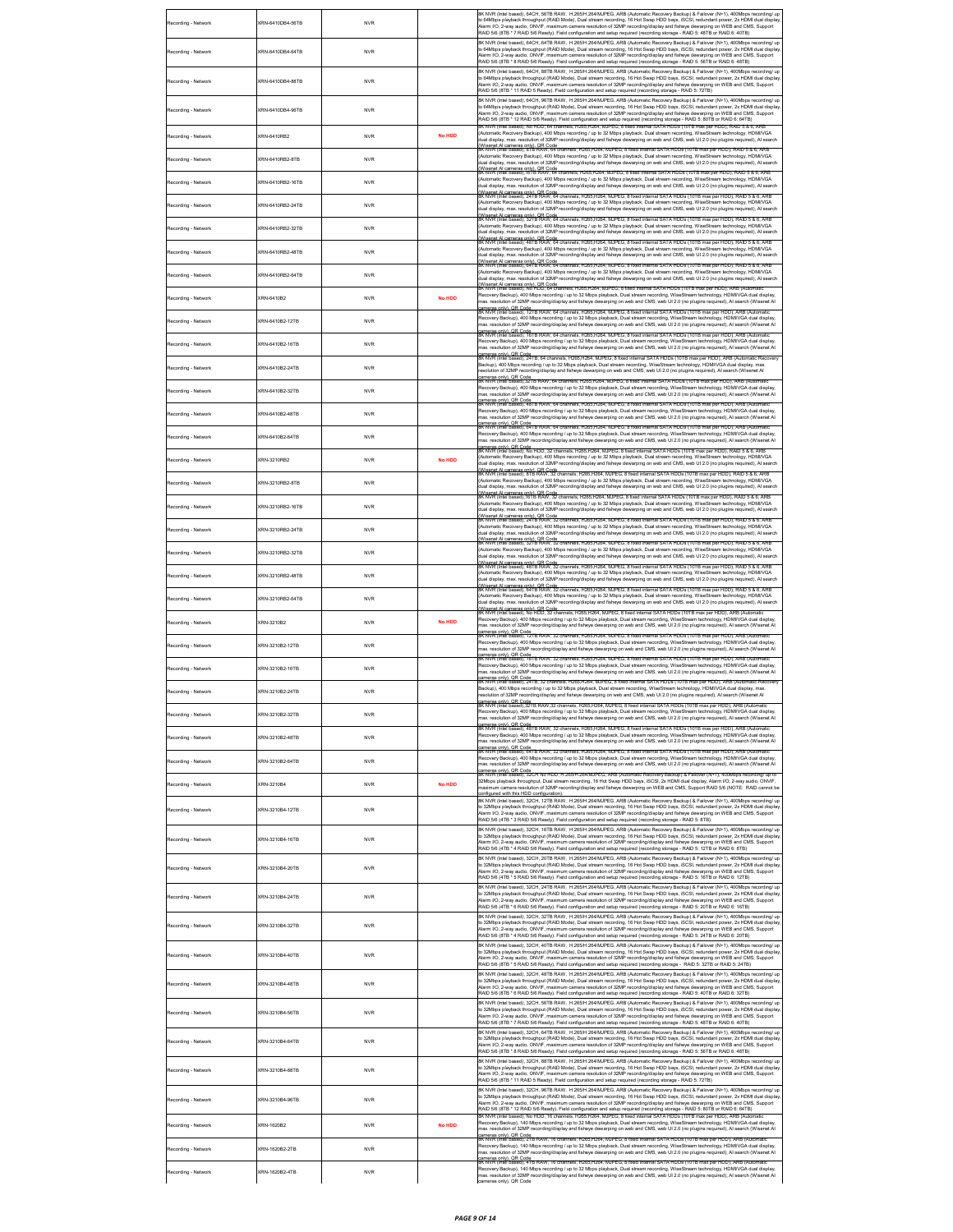| Recording - Network | (RN-6410DB4-56TB | <b>NVR</b> |               | 8K NVR (Intel based), 64CH, 56TB RAW, H.265/H.264/MJPEG, ARB (Automatic Recovery Backup) & Failover (N+1), 400Mbps recording/ up<br>to 64Mbps playback throughput (RAID Mode), Dual stream recording, 16 Hot Swap HDD bays, iSCSI, redundant power, 2x HDMI dual display<br>Narm I/O, 2-way audio. ONVIF, maximum camera resolution of 32MP recording/display and fisheve dewarping on WEB and CMS. Support<br>RAID 5/6 (8TB * 7 RAID 5/6 Ready). Field configuration and setup required (recording storage - RAID 5: 48TB or RAID 6: 40TB)                                                                            |
|---------------------|------------------|------------|---------------|------------------------------------------------------------------------------------------------------------------------------------------------------------------------------------------------------------------------------------------------------------------------------------------------------------------------------------------------------------------------------------------------------------------------------------------------------------------------------------------------------------------------------------------------------------------------------------------------------------------------|
| Recording - Network | KRN-6410DB4-64TB | <b>NVR</b> |               | 8K NVR (Intel based), 64CH, 64TB RAW, H.265/H.264/MJPEG, ARB (Automatic Recovery Backup) & Failover (N+1), 400Mbps recording/ up<br>to 64Mbps playback throughput (RAID Mode), Dual stream recording, 16 Hot Swap HDD bays, iSCSI, redundant power, 2x HDMI dual display<br>Alarm I/O, 2-way audio, ONVIF, maximum camera resolution of 32MP recording/display and fisheye dewarping on WEB and CMS, Support<br>RAID 5/6 (8TB * 8 RAID 5/6 Ready). Field configuration and setup required (recording storage - RAID 5: 56TB or RAID 6: 48TB)                                                                           |
| Recording - Network | (RN-6410DR4-88TR | <b>NVR</b> |               | BK NVR (Intel based), 64CH, 88TB RAW, H.265/H.264/MJPEG, ARB (Automatic Recovery Backup) & Failover (N+1), 400Mbps recording/ up<br>to 64Mbps playback throughput (RAID Mode), Dual stream recording, 16 Hot Swap HDD bays, iSCSI, redundant power, 2x HDMI dual displa<br>Alarm I/O, 2-way audio, ONVIF, maximum camera resolution of 32MP recording/display and fisheye dewarping on WEB and CMS, Support<br>RAID 5/6 (8TB * 11 RAID 5 Ready). Field configuration and setup required (recording storage - RAID 5: 72TB)                                                                                             |
| Recording - Network | KRN-6410DB4-96TB | <b>NVR</b> |               | 8K NVR (Intel based), 64CH, 96TB RAW, H.265/H.264/MJPEG, ARB (Automatic Recovery Backup) & Failover (N+1), 400Mbps recording/ up<br>o 64Mbps playback throughput (RAID Mode), Dual stream recording, 16 Hot Swap HDD bays, iSCSI, redundant power, 2x HDMI dual display<br>Alarm I/O, 2-way audio, ONVIF, maximum camera resolution of 32MP recording/display and fisheye dewarping on WEB and CMS, Support<br>RAID 5/6 (8TB * 12 RAID 5/6 Ready). Field configuration and setup required (recording storage - RAID 5: 80TB or RAID 6: 64TB)                                                                           |
| Recording - Network | (RN-6410RB2      | <b>NVR</b> | <b>No HDD</b> | 8K NVR (Intel based), No HDD, 64 channels, H265,H264, MJPEG, 8 fixed internal SATA HDDs (10TB max per HDD), RAID 5 & 6, ARB<br>Automatic Recovery Backup), 400 Mbps recording / up to 32 Mbps playback, Dual stream recording, WiseStream technology, HDMI/VGA<br>dual display, max. resolution of 32MP recording/display and fisheye dewarping on web and CMS, web UI 2.0 (no plugins required), AI search                                                                                                                                                                                                            |
| Recording - Network | (RN-6410RB2-8TB  | <b>NVR</b> |               | Wisenet Al cameras only). OR Code<br>IK NVR (Intel based), 8TB RAW, 64 channels, H285,H264, MJPEG, 8 fixed internal SATA HDDs (10TB max per HDD), RAID 5 & 6, ARB<br>Automatic Recovery Backup), 400 Mbps recording / up to 32 Mbps playback, Dual stream recording, WiseStream technology, HDMIVGA<br>dual display, max. resolution of 32MP recording/display and fisheye dewarping on web and CMS, web UI 2.0 (no plugins required), AI search                                                                                                                                                                       |
| Recording - Network | (RN-6410RB2-16TB | <b>NVR</b> |               | Wisenet Al cameras only), QR Code<br>IK NVR (Intel based),161B RAW, 64 channels, H265,H264, MJPEG, 8 fixed internal SATA HDDs (10TB max per HDD), RAID 5 & 6, ARB<br>Automatic Recovery Backup), 400 Mbps recording / up to 32 Mbps playback, Dual stream recording, WiseStream technology, HDMI/VGA<br>dual display, max. resolution of 32MP recording/display and fisheye dewarping on web and CMS, web UI 2.0 (no plugins required), AI search                                                                                                                                                                      |
| Recording - Network | (RN-6410RB2-24TB | <b>NVR</b> |               | Wisenet Al cameras only). QR Code<br>IK NVR (Intel based), 24TB RAW, 64 channels, H265,H264, MJPEG, 8 fixed internal SATA HDDs (10TB max per HDD), RAID 5 & 6, ARB<br>Automatic Recovery Backup), 400 Mbps recording / up to 32 Mbps playback, Dual stream recording, WiseStream technology, HDMIVGA<br>Jual display, max. resolution of 32MP recording/display and fisheye dewarping on web and CMS, web UI 2.0 (no plugins required), AI search                                                                                                                                                                      |
| Recording - Network | (RN-6410RB2-32TB | <b>NVR</b> |               | Wisenel Al cameras only), OR Code<br>K NVR (intel based), 321B RAW, 64 channels, H265,H264, MJPEG, 8 fixed internal SATA HDDs (10TB max per HDD), RAID 5 & 6, ARE<br>Automatic Recovery Backup), 400 Mbps recording / up to 32 Mbps playback, Dual stream recording, WiseStream technology, HDMI/VGA<br>dual display, max. resolution of 32MP recording/display and fisheye dewarping on web and CMS, web UI 2.0 (no plugins required), AI search                                                                                                                                                                      |
| Recording - Network | (RN-6410RB2-48TB | <b>NVR</b> |               | Wisenel Al cameras only), OR Code<br>K NVR (intel based), 481B RAW, 64 channels, H285,H284, MJPEG, 8 fixed internal SATA HDDs (10TB max per HDD), RAID 5 & 6, AR<br>Automatic Recovery Backup), 400 Mbps recording / up to 32 Mbps playback, Dual stream recording, WiseStream technology, HDMI/VGA<br>dual display, max. resolution of 32MP recording/display and fisheye dewarping on web and CMS, web UI 2.0 (no plugins required), AI search<br>Alisenet Al cameras only). OR Code<br>K NVR (Intel based), 64TB RAW, 64 channels, H265,H264, MJPEG, 8 fixed internal SATA HDDs (10TB max per HDD), RAID 5 & 6, ARB |
| Recording - Network | (RN-6410RB2-64TB | <b>NVR</b> |               | Automatic Recovery Backup), 400 Mbps recording / up to 32 Mbps playback, Dual stream recording, WiseStream technology, HDMIV/GA<br>Jual display, max. resolution of 32MP recording/display and fisheye dewarping on web and CMS, web UI 2.0 (no plugins required), AI search<br>Wisenel Al cameras only), QR Code<br>IK NVR (Intel based), No HDD, 64 channels, H265,H264, MJPEG, 8 fixed internal SATA HDDs (10TB max per HDD), ARB (Autor                                                                                                                                                                            |
| Recording - Network | (RN-6410B2       | <b>NVR</b> | <b>No HDD</b> | Recovery Backup), 400 Mbps recording / up to 32 Mbps playback, Dual stream recording, WiseStream technology, HDMI/VGA dual display,<br>nax. resolution of 32MP recording/display and fisheye dewarping on web and CMS, web UI 2.0 (no plugins required), AI search (Wisenet AI                                                                                                                                                                                                                                                                                                                                         |
| Recording - Network | (RN-6410B2-12TB  | <b>NVR</b> |               | :ameras only), QR Code<br>IK NVR (Intel based), 12TB RAW, 64 channels, H265,H264, MJPEG, 8 fixed internal SATA HDDs (10TB max per HDD), ARB (Automat<br>Recovery Backup), 400 Mbps recording / up to 32 Mbps playback, Dual stream recording, WiseStream technology, HDMI/VGA dual display,<br>nax. resolution of 32MP recording/display and fisheye dewarping on web and CMS, web UI 2.0 (no plugins required), AI search (Wisenet AI                                                                                                                                                                                 |
| Recording - Network | (RN-6410B2-16TB  | <b>NVR</b> |               | <u>ramens onlu∖. OR Code</u><br>SK NVR (Intel based), 16TB RAW, 64 channels, H265,H264, MJPEG, 8 fixed internal SATA HDDs (10TB max per HDD), ARB (Automatic<br>Recovery Backup), 400 Mbps recording / up to 32 Mbps playback, Dual stre<br>nax. resolution of 32MP recording/display and fisheye dewarping on web and CMS, web UI 2.0 (no plugins required), AI search (Wisenet AI<br>ameras only), QR Code<br>K NVR (Intel based), 241B, 64 channels, H265,H264, MJPEG, 8 fixed internal SATA HDDs (10TB max per HDD), ARB (Automatic Rec                                                                            |
| Recording - Network | (RN-6410B2-24TB  | <b>NVR</b> |               | Backup), 400 Mbps recording / up to 32 Mbps playback, Dual stream recording, WiseStream technology, HDMI/VGA dual display, max.<br>esolution of 32MP recording/display and fisheye dewarping on web and CMS, web UI 2.0 (no plugins required), AI search (Wisenet AI<br>ameras only), QR Code<br>IK NVR (Intel based), 32TB RAW, 64 channels, H265,H264, MJPEG, 8 fixed internal SATA HDDs (10TB max per HDD), ARB (Automat                                                                                                                                                                                            |
| Recording - Network | (RN-6410B2-32TB  | <b>NVR</b> |               | .<br>Recovery Backup), 400 Mbps recording / up to 32 Mbps playback, Dual stream recording, WiseStream technology, HDMI/VGA dual display,<br>nax. resolution of 32MP recording/display and fisheye dewarping on web and CMS, web UI 2.0 (no plugins required), AI search (Wisenet AI<br>cameras.only), OR Code.<br>BK NVR (Intel based), 48TB RAW, 64 channels, H265,H264, MJPEG, 8 fixed internal SATA HDDs (10TB max per HDD), ARB (Automatic                                                                                                                                                                         |
| Recording - Network | KRN-6410B2-48TB  | <b>NVR</b> |               | Recovery Backup), 400 Mbps recording / up to 32 Mbps playback, Dual stream recording, WiseStream technology, HDMIVGA dual display,<br>nax. resolution of 32MP recording/display and fisheye dewarping on web and CMS, web UI 2.0 (no plugins required), AI search (Wisenet AI<br>cameras only), QR Code<br>SK NVR (Intel based), 64TB RAW, 64 channels, H265,H264, MJPEG, 8 fixed internal SATA HDDs (10TB max per HDD), ARB (Automatic                                                                                                                                                                                |
| Recording - Network | (RN-6410B2-64TB  | <b>NVR</b> |               | .<br>Recovery Backup), 400 Mbps recording / up to 32 Mbps playback, Dual stream recording, WiseStream technology, HDMI/VGA dual display,<br>nax. resolution of 32MP recording/display and fisheye dewarping on web and CMS, web UI 2.0 (no plugins required), AI search (Wisenet AI<br>cameras only), QR Code<br>BK NVR (Intel based), No HDD, 32 channels, H265,H264, MJPEG, 8 fixed internal SATA HDDs (10TB max per HDD), RAID 5 & 6, ARB                                                                                                                                                                           |
| Recording - Network | KRN-3210RB2      | <b>NVR</b> | <b>No HDD</b> | Automatic Recovery Backup), 400 Mbps recording / up to 32 Mbps playback, Dual stream recording, WiseStream technology, HDMI/VGA<br>dual display, max. resolution of 32MP recording/display and fisheye dewarping on web and CMS, web UI 2.0 (no plugins required), AI search<br>Wisenel Al cameras only), OR Code.<br>IK NVR (Intel based), 8TB RAW, 32 channels, H265,H264, MJPEG, 8 fixed internal SATA HDDs (10TB max per HDD), RAID 5 & 6, AR                                                                                                                                                                      |
| Recording - Network | (RN-3210RB2-8TB  | <b>NVR</b> |               | Automatic Recovery Backup), 400 Mbps recording / up to 32 Mbps playback, Dual stream recording, WiseStream technology, HDMIVGA<br>lual display, max. resolution of 32MP recording/display and fisheye dewarping on web and CMS, web UI 2.0 (no plugins required), AI search<br>.<br>Wisenet Al cameras only), QR Code<br>sk NVR (Intel based), 16TB RAW, 32 char                                                                                                                                                                                                                                                       |
| Recording - Network | KRN-3210RB2-16TB | <b>NVR</b> |               | is, H265,H264, MJPEG, 8 fixed internal SATA HDDs (10TB max per<br>Automatic Recovery Backup), 400 Mbps recording / up to 32 Mbps playback, Dual stream recording, WiseStream technology, HDMI/VGA<br>lual display, max. resolution of 32MP recording/display and fisheye dewarping on web and CMS, web UI 2.0 (no plugins required), AI search<br>Wisenet Al cameras only), OR Code<br>IK NVR (Intel based), 241B RAW, 32 channels, H265,H264, MJPEG, 8 fixed internal SATA HDDs (10TB                                                                                                                                 |
| Recording - Network | (RN-3210RB2-24TB | <b>NVR</b> |               | (Automatic Recovery Backup), 400 Mbps recording / up to 32 Mbps playback, Dual stream recording, WiseStream technology, HDMI/VGA<br>dual display, max. resolution of 32MP recording/display and fisheye dewarping on web and CMS, web UI 2.0 (no plugins required), AI search<br>Wisenet Al cameras only), QR Code<br>IK NVR (Intel based), 32TB RAW, 32 channels, H265,H264, MJPEG, 8 fixed in                                                                                                                                                                                                                        |
| Recording - Network | (RN-3210RB2-32TB | <b>NVR</b> |               | ternal SATA HDDs (10TB<br>Automatic Recovery Backup), 400 Mbps recording / up to 32 Mbps playback, Dual stream recording, WiseStream technology, HDMI/VGA<br>lual display, max. resolution of 32MP recording/display and fisheye dewarping on web and CMS, web UI 2.0 (no plugins required), AI search<br>ree.<br>Wisenet Al cameras only), OR Code<br>IK NVR (Intel based), 481B RAW, 32 channels, H265,H264, MJPEG, 8 fixed internal SATA HDDs (10TB max per HDD), RAID 5 & 6, ARB                                                                                                                                   |
| Recording - Network | (RN-3210RB2-48TB | <b>NVR</b> |               | Automatic Recovery Backup), 400 Mbps recording / up to 32 Mbps playback, Dual stream recording, WiseStream technology, HDMIV/GA<br>Jual display, max. resolution of 32MP recording/display and fisheye dewarping on web and CMS, web UI 2.0 (no plugins required), AI search<br>ree.<br>Wisenet Al cameras only), OR Code<br>IK NVR (Intel based), 641B RAW, 32 channels, H265,H264, MJPEG, 8 fixed internal SATA HDDs (10TB max per HDD), RAID 5 & 6, ARB                                                                                                                                                             |
| Recording - Network | KRN-3210RB2-64TB | <b>NVR</b> |               | Automatic Recovery Backup), 400 Mbps recording / up to 32 Mbps playback, Dual stream recording, WiseStream technology, HDMIV/GA<br>Jual display, max. resolution of 32MP recording/display and fisheye dewarping on web and CMS, web UI 2.0 (no plugins required), AI search<br>.<br>Wisenet Al cameras only), QR Code.<br>IK NVR (Intel based). No HDD. 32 channels, H265,H264, MJPEG, 8 fixed internal SATA HDDs (10TB max per HDD), ARB (Auto                                                                                                                                                                       |
| Recording - Network | CROL3210R2       | <b>NVR</b> | <b>No HDD</b> | Recovery Backup), 400 Mbps recording / up to 32 Mbps playback, Dual stream recording, WiseStream technology, HDMI/VGA dual display,<br>nax, resolution of 32MP recording/display and fisheve dewarping on web and CMS, web UI2.0 (no plugins required). Al search (Wisenet AI<br>ameras only), OR Code<br>Smeras only), OR Code<br>IK NVR (Intel based), 12TB RAW, 32 channels, H265,H264, MJPEG, 8 fixed internal SATA HDDs (10TB max per HDD),                                                                                                                                                                       |
| Recording - Network | KRN-3210B2-12TB  | <b>NVR</b> |               | Recovery Backup), 400 Mbps recording / up to 32 Mbps playback, Dual stream recording, WiseStream technology, HDMI/VGA dual display,<br>nax. resolution of 32MP recording/display and fisheye dewarping on web and CMS, web UI 2.0 (no plugins required), AI search (Wisenet AI<br>cameras only), QR Code<br>IK NVR (Intel based), 18TB RAW, 32 channels, H265,H264, MJPEG, 8 fixed internal SATA HDDs (10TB max per HDD), ARB (Autom                                                                                                                                                                                   |
| Recording - Network | (RN-3210B2-16TB  | <b>NVR</b> |               | Recovery Backup), 400 Mbps recording / up to 32 Mbps playback, Dual stream recording, WiseStream technology, HDMI/VGA dual display,<br>nax. resolution of 32MP recording/display and fisheye dewarping on web and CMS, web UI 2.0 (no plugins required), AI search (Wisenet AI<br>;ameras only), QR Code<br>IK NVR (Intel based), 24TB, 32 channels, H285,H284, MJPEG, 8 fixed internal SATA HDDs (10TB max per HDD), ARB (Automatic Recover                                                                                                                                                                           |
| Recording - Network | KRN-3210B2-24TB  | <b>NVR</b> |               | Backup), 400 Mbps recording / up to 32 Mbps playback, Dual stream recording, WiseStream technology, HDMI/VGA dual display, max<br>esolution of 32MP recording/display and fisheye dewarping on web and CMS, web UI 2.0 (no plugins required), AI search (Wisenet AI<br>ameras only), QR Code<br>IK NVR (Intel based),321B RAW,32 channels, H265,H264, MJPEG, 8 fixed internal SATA HDDs (10TB max per HDD), ARB (Automati                                                                                                                                                                                              |
| Recording - Network | KRN-3210B2-32TB  | <b>NVR</b> |               | Recovery Backup), 400 Mbps recording / up to 32 Mbps playback, Dual stream recording, WiseStream technology, HDMI/VGA dual display,<br>nax. resolution of 32MP recording/display and fisheye dewarping on web and CMS, web UI 2.0 (no plugins required), AI search (Wisenet AI<br>ameras only), QR Code<br>IK NVR (Inlei based), 48TB RAW, 32 channels, H265,H264, MJPEG, 8 fixed internal SATA HDDs (10TB max per HDD), ARB (Automatic                                                                                                                                                                                |
| Recording - Network | (RN-3210B2-48TB  | <b>NVR</b> |               | Recovery Backup), 400 Mbps recording / up to 32 Mbps playback, Dual stream recording, WiseStream technology, HDMI/VGA dual display,<br>nax. resolution of 32MP recording/display and fisheye dewarping on web and CMS, web UI 2.0 (no plugins required), AI search (Wisenet AI<br>cameras only), QR Code<br>SK NVR (Intel based), 641B RAW, 32 channels, H265,H264, MJPEG, 8 fixed internal SATA HDDs (10TB max per HDD), ARB (Automatic                                                                                                                                                                               |
| Recording - Network | (RN-3210B2-64TB  | <b>NVR</b> |               | Recovery Backup), 400 Mbps recording / up to 32 Mbps playback, Dual stream recording, WiseStream technology, HDMI/VGA dual display,<br>nax. resolution of 32MP recording/display and fisheye dewarping on web and CMS, web UI 2.0 (no plugins required), AI search (Wisenet AI<br>ameras only). QR Code<br>K NVR (Intel based), 32CH No HDD, H.265M 264/MJPEG, ARB (Automatic Recovery Backup) & Failover (N+1), 400Mbps recording/ up to                                                                                                                                                                              |
| Recording - Network | (RN-3210B4       | <b>NVR</b> | <b>No HDD</b> | 32Mbps playback throughput, Dual stream recording, 16 Hot Swap HDD bays, iSCSI, 2x HDMI dual display, Alarm I/O, 2-way audio, ONVIF,<br>naximum camera resolution of 32MP recording/display and fisheye dewarping on WEB and CMS, Support RAID 5/6 (NOTE: RAID cannot be<br>onfigured with this HDD configuration).                                                                                                                                                                                                                                                                                                    |
| Recording - Network | KRN-3210B4-12TB  | <b>NVR</b> |               | 8K NVR (Intel based), 32CH, 12TB RAW, H.265/H.264/MJPEG, ARB (Automatic Recovery Backup) & Failover (N+1), 400Mbps recording/ up<br>to 32Mbps playback throughput (RAID Mode), Dual stream recording, 16 Hot Swap HDD bays, ISCSI, redundant power, 2x HDMI dual display<br>Narm I/O, 2-way audio, ONVIF, maximum camera resolution of 32MP recording/display and fisheye dewarping on WEB and CMS, Support<br>RAID 5/6 (4TB * 3 RAID 5/6 Ready). Field configuration and setup required (recording storage - RAID 5: 8TB)                                                                                             |
| Recording - Network | KRN-3210B4-16TB  | <b>NVR</b> |               | 8K NVR (Intel based), 32CH, 16TB RAW, H.265/H.264/MJPEG, ARB (Automatic Recovery Backup) & Failover (N+1), 400Mbps recording/ up<br>to 32Mbps playback throughput (RAID Mode), Dual stream recording, 16 Hot Swap HDD bays, iSCSI, redundant power, 2x HDMI dual display<br>Varm I/O, 2-way audio, ONVIF, maximum camera resolution of 32MP recording/display and fisheye dewarping on WEB and CMS, Support<br>RAID 5/6 (4TB * 4 RAID 5/6 Ready). Field configuration and setup required (recording storage - RAID 5: 12TB or RAID 6: 8TB)                                                                             |
| Recording - Network | (RN-3210B4-20TB  | <b>NVR</b> |               | 8K NVR (Intel based), 32CH, 20TB RAW, H.265/H.264/MJPEG, ARB (Automatic Recovery Backup) & Failover (N+1), 400Mbps recording/ up<br>to 32Mbps playback throughput (RAID Mode), Dual stream recording, 16 Hot Swap HDD bays, iSCSI, redundant power, 2x HDMI dual display<br>Narm I/O, 2-way audio, ONVIF, maximum camera resolution of 32MP recording/display and fisheye dewarping on WEB and CMS, Support<br>RAID 5/6 (4TB * 5 RAID 5/6 Ready). Field configuration and setup required (recording storage - RAID 5: 16TB or RAID 6: 12TB)                                                                            |
| Recording - Network | KRN-3210B4-24TB  | <b>NVR</b> |               | SK NVR (Intel based), 32CH, 24TR RAW, H 265/H 264/M/IPEG, ARR (Automatic Recovery Rackun) & Failover (N+1), 400Mbns recording/ un<br>to 32Mbps playback throughput (RAID Mode), Dual stream recording, 16 Hot Swap HDD bays, iSCSI, redundant power, 2x HDMI dual display<br>ay audio, ONVIF, maximum camera resolution of 32MP recording/display and fisheye dewarping on WEB and CMS, Support<br>RAID 5/6 (4TB * 6 RAID 5/6 Ready). Field configuration and setup required (recording storage - RAID 5: 20TB or RAID 6: 16TB)                                                                                        |
| Recording - Network | (RN-3210B4-32TB  | <b>NVR</b> |               | 8K NVR (Intel based), 32CH, 32TB RAW, H.265/H.264/MJPEG, ARB (Automatic Recovery Backup) & Failover (N+1), 400Mbps recording/ up<br>to 32Mbps playback throughput (RAID Mode), Dual stream recording, 16 Hot Swap HDD bays, iSCSI, redundant power, 2x HDMI dual display<br>Narm I/O, 2-way audio, ONVIF, maximum camera resolution of 32MP recording/display and fisheye dewarping on WEB and CMS, Support<br>RAID 5/6 (8TB * 4 RAID 5/6 Ready). Field configuration and setup required (recording storage - RAID 5: 24TB or RAID 6: 20TB)                                                                            |
| Recording - Network | KRN-3210B4-40TB  | <b>NVR</b> |               | 8K NVR (Intel based), 32CH, 40TB RAW, H.265/H.264/MJPEG, ARB (Automatic Recovery Backup) & Failover (N+1), 400Mbps recording/ up<br>to 32Mbps playback throughput (RAID Mode), Dual stream recording, 16 Hot Swap HDD bays, iSCSI, redundant power, 2x HDMI dual display<br>Narm I/O, 2-way audio, ONVIF, maximum camera resolution of 32MP recording/display and fisheye dewarping on WEB and CMS, Support<br>RAID 5/6 (8TB * 5 RAID 5/6 Ready). Field configuration and setup required (recording storage - RAID 5: 32TB or RAID 5: 24TB)                                                                            |
| Recording - Network | KRN-3210B4-48TB  | <b>NVR</b> |               | 8K NVR (Intel based), 32CH, 48TB RAW, H.265/H.264/MJPEG, ARB (Automatic Recovery Backup) & Failover (N+1), 400Mbps recording/ up<br>to 32Mbps playback throughput (RAID Mode), Dual stream recording, 16 Hot Swap HDD bays, ISCSI, redundant power, 2x HDMI dual display<br>.<br>Varm I/O, 2-way audio, ONVIF, maximum camera resolution of 32MP recording/display and fisheye dewarping on WEB and CMS, Support<br>RAID 5/6 (8TB * 6 RAID 5/6 Ready). Field configuration and setup required (recording storage - RAID 5: 40TB or RAID 6: 32TB)                                                                       |
| Recording - Network | KRN-3210B4-56TB  | <b>NVR</b> |               | 8K NVR (Intel based), 32CH, 56TB RAW, H.265/H.264/MJPEG, ARB (Automatic Recovery Backup) & Failover (N+1), 400Mbps recording/ up<br>to 32Mbps playback throughput (RAID Mode), Dual stream recording, 16 Hot Swap HDD bays, iSCSI, redundant power, 2x HDMI dual display<br>Narm I/O, 2-way audio, ONVIF, maximum camera resolution of 32MP recording/display and fisheye dewarping on WEB and CMS, Support<br>RAID 5/6 (8TB * 7 RAID 5/6 Ready). Field configuration and setup required (recording storage - RAID 5: 48TB or RAID 6: 40TB)                                                                            |
| Recording - Network | KRN-3210B4-64TB  | <b>NVR</b> |               | 8K NVR (Intel based), 32CH, 64TB RAW, H.265/H.264/MJPEG, ARB (Automatic Recovery Backup) & Failover (N+1), 400Mbps recording/ up<br>to 32Mbps playback throughput (RAID Mode), Dual stream recording, 16 Hot Swap HDD bays, iSCSI, redundant power, 2x HDMI dual display<br>arm I/O, 2-way audio, ONVIF, maximum camera resolution of 32MP recording/display and fisheye dewarping on WEB and CMS, Support<br>RAID 5/6 (8TB * 8 RAID 5/6 Ready). Field configuration and setup required (recording storage - RAID 5: 56TB or RAID 6: 48TB)                                                                             |
| Recording - Network | (RN-3210B4-88TB  | <b>NVR</b> |               | 8K NVR (Intel based), 32CH, 88TB RAW, H.265/H.264/MJPEG, ARB (Automatic Recovery Backup) & Failover (N+1), 400Mbps recording/ up<br>to 32Mbps playback throughput (RAID Mode), Dual stream recording, 16 Hot Swap HDD bays, iSCSI, redundant power, 2x HDMI dual displa<br>Alarm I/O, 2-way audio, ONVIF, maximum camera resolution of 32MP recording/display and fisheye dewarping on WEB and CMS, Support<br>RAID 5/6 (8TB * 11 RAID 5 Ready). Field configuration and setup required (recording storage - RAID 5: 72TB)                                                                                             |
| Recording - Network | KRN-3210B4-96TB  | <b>NVR</b> |               | 8K NVR (Intel based), 32CH, 96TB RAW, H.265/H.264/MJPEG, ARB (Automatic Recovery Backup) & Failover (N+1), 400Mbps recording/ up<br>to 32Mbps playback throughput (RAID Mode), Dual stream recording, 16 Hot Swap HDD bays, iSCSI, redundant power, 2x HDMI dual display<br>Alarm I/O, 2-way audio, ONVIF, maximum camera resolution of 32MP recording/display and fisheye dewarping on WEB and CMS, Support<br>RAID 5/6 (8TB * 12 RAID 5/6 Ready). Field configuration and setup required (recording storage - RAID 5: 80TB or RAID 6: 64TB)                                                                          |
| Recording - Network | KRN-1620B2       | <b>NVR</b> | <b>No HDD</b> | .<br>SK NVR (Intel based): No HDD, 16 channels, H265.H264, MJPEG, 8 fixed internal SATA HDDs (10TB max per HDD), ARB (Autom<br>Recovery Backup), 140 Mbps recording / up to 32 Mbps playback, Dual stream recording, WiseStream technology, HDMI/VGA dual display,<br>nax. resolution of 32MP recording/display and fisheye dewarping on web and CMS, web UI 2.0 (no plugins required), AI search (Wisenet AI                                                                                                                                                                                                          |
| Recording - Network | KRN-1620B2-2TB   | <b>NVR</b> |               | ameras only), QR Code<br>IK NVR (Intel based), 21B RAW, 16 channels, H265,H264, MJPEG, 8 floed internal SATA HDDs (10TB max per HDD), ARB (Automatic<br>Recovery Backup), 140 Mbps recording / up to 32 Mbps playback, Dual stream recording, WiseStream technology, HDMI/VGA dual display,<br>nax. resolution of 32MP recording/display and fisheye dewarping on web and CMS, web UI 2.0 (no plugins required), AI search (Wisenet AI                                                                                                                                                                                 |
| Recording - Network | (RN-1620B2-4TB   | <b>NVR</b> |               | cameras only), QR Code<br>SK NVR (Intel based), 4TB RAW, 16 channels, H265,H264, MJPEG, 8 floed internal SATA HDDs (10TB max per HDD), ARB (Automatic<br>Recovery Backup), 140 Mbps recording / up to 32 Mbps playback, Dual stream recording, WiseStream technology, HDMI/VGA dual display,<br>nax. resolution of 32MP recording/display and fisheye dewarping on web and CMS, web UI 2.0 (no plugins required), AI search (Wisenet AI<br>ameras only), QR Code                                                                                                                                                       |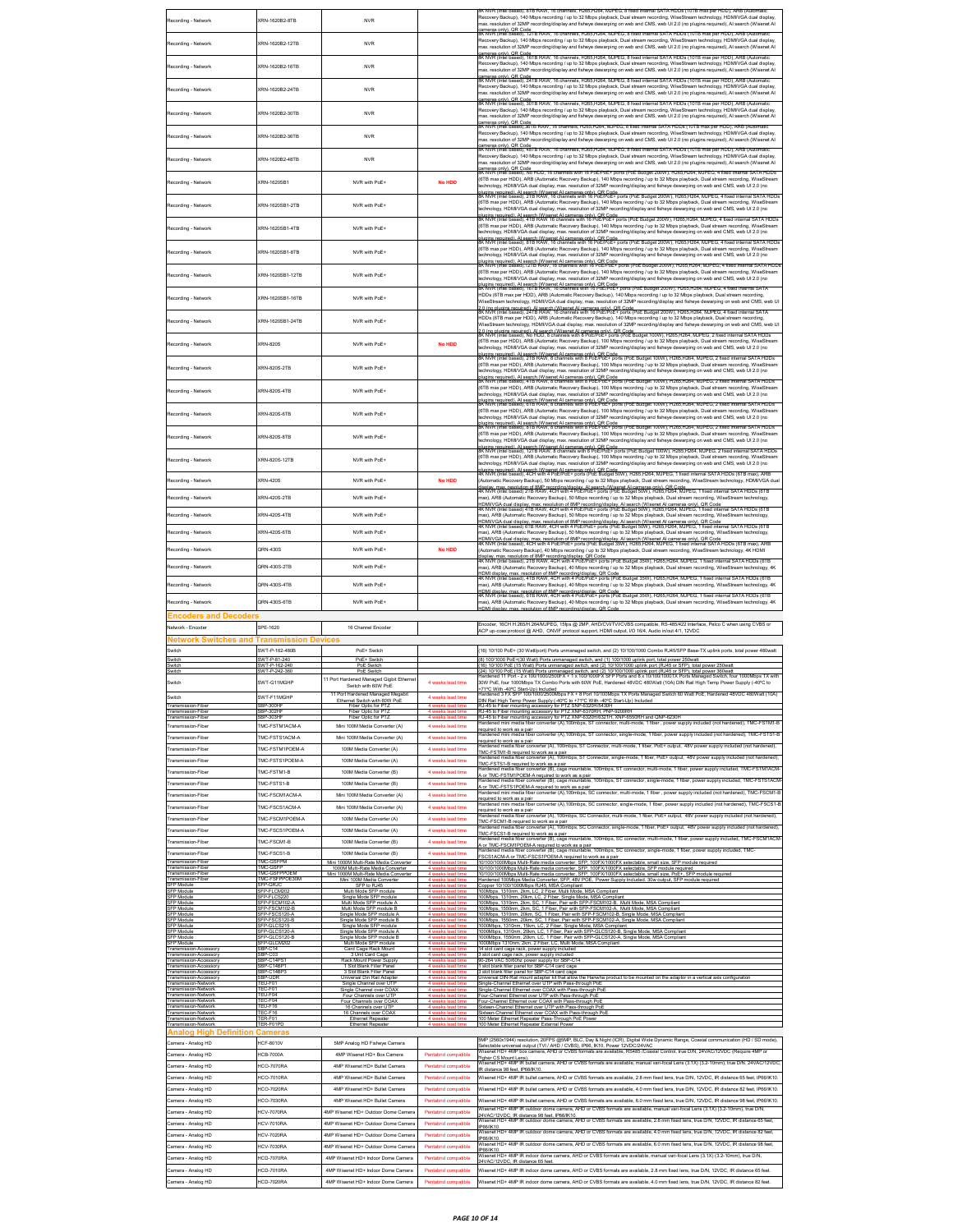|                                                            |                                           |                                                                                   |                                              | K NVR (Intel based), 8TB RAW, 16 channels, H265,H264, MJPEG, 8 fixed internal SATA HDDs (10TB max per HDD), ARB (Automati                                                                                                                                                                                                                                              |
|------------------------------------------------------------|-------------------------------------------|-----------------------------------------------------------------------------------|----------------------------------------------|------------------------------------------------------------------------------------------------------------------------------------------------------------------------------------------------------------------------------------------------------------------------------------------------------------------------------------------------------------------------|
| Recording - Network                                        | KRN-1620B2-8TB                            | <b>NVR</b>                                                                        |                                              | Recovery Backup), 140 Mbps recording / up to 32 Mbps playback, Dual stream recording, WiseStream technology, HDMI/VGA dual display<br>max. resolution of 32MP recording/display and fisheye dewarping on web and CMS, web UI 2.0 (no plugins required), Al search (Wisenet AI                                                                                          |
|                                                            |                                           |                                                                                   |                                              | ameras only), QR Code<br>SK NVR (Intel based), 12TB RAW, 16 channels, H265,H264, MJPEG, 8 fixed internal SATA HDDs (10TB max per HDD), ARB (Auto                                                                                                                                                                                                                       |
| Recording - Network                                        | KRN-1620B2-12TR                           | <b>NVR</b>                                                                        |                                              | Recovery Backup), 140 Mbps recording / up to 32 Mbps playback, Dual stream recording, WiseStream technology, HDMI/VGA dual display,<br>max. resolution of 32MP recording/display and fisheye dewarping on web and CMS, web UI 2.0 (no plugins required), AI search (Wisenet AI                                                                                         |
|                                                            |                                           |                                                                                   |                                              | :ameras only), QR Code<br>SK NVR (Intel based), 16TB RAW, 16 channels, H265,H264, MJPEG, 8 fixed internal SATA HDDs (10TB max per HDD), ARB (Autom:                                                                                                                                                                                                                    |
| Recording - Network                                        | KRN-1620B2-16TB                           | <b>NVR</b>                                                                        |                                              | Recovery Backup), 140 Mbps recording / up to 32 Mbps playback, Dual stream recording, WiseStream technology, HDMI/VGA dual display,<br>nax. resolution of 32MP recording/display and fisheye dewarping on web and CMS, web UI 2.0 (no plugins required), Al search (Wisenet AI                                                                                         |
|                                                            |                                           |                                                                                   |                                              | :ameras only), QR Code<br>SK NVR (Intel based), 24TB RAW, 16 channels, H265,H264; MJPEG; 8 fixed internal SATA HDDs (10TB max per HDD), ARB (Automatic                                                                                                                                                                                                                 |
| Recording - Network                                        | XRN-1620B2-24TB                           | <b>NVR</b>                                                                        |                                              | Recovery Backup), 140 Mbps recording / up to 32 Mbps playback, Dual stream recording, WiseStream technology, HDMI/VGA dual display,<br>nax. resolution of 32MP recording/display and fisheye dewarping on web and CMS, web UI 2.0 (no plugins required), Al search (Wisenet AI                                                                                         |
|                                                            |                                           |                                                                                   |                                              | :ameras only), QR Code<br>SK NVR (Intel based), 30TB RAW, 16 channels, H265,H264, MJPEG, 8 fixed internal SATA HDDs (10TB max per HDD), ARB (Automa                                                                                                                                                                                                                    |
| Recording - Network                                        | XRN-1620B2-30TB                           | <b>NVR</b>                                                                        |                                              | Recovery Backup), 140 Mbps recording / up to 32 Mbps playback. Dual stream recording. WiseStream technology. HDMI/VGA dual display.<br>nax. resolution of 32MP recording/display and fisheye dewarping on web and CMS, web UI 2.0 (no plugins required), Al search (Wisenet AI                                                                                         |
|                                                            |                                           |                                                                                   |                                              | ;ameras only), QR Code<br>šK NVR (Intel based),38TB RAW, 16 channels, H265,H264, MJPEG, 8 fixed internal SATA HDDs (10TB max per HDD), ARB (Automatic                                                                                                                                                                                                                  |
| Recording - Network                                        | XRN-1620B2-36TB                           | <b>NVR</b>                                                                        |                                              | Recovery Backup), 140 Mbps recording / up to 32 Mbps playback, Dual stream recording, WiseStream technology, HDMI/VGA dual display,<br>nax. resolution of 32MP recording/display and fisheye dewarping on web and CMS, web UI 2.0 (no plugins required), Al search (Wisenet AI                                                                                         |
|                                                            |                                           |                                                                                   |                                              | cameras only), QR Code<br>SK NVR (Intel based), 48TB RAW, 16 channels, H265,H264, MJPEG, 8 fixed internal SATA HDDs (10TB max per HDD), ARB (Automatic                                                                                                                                                                                                                 |
| Recording - Network                                        | (RN-1620B2-48TB                           | <b>NVR</b>                                                                        |                                              | Recovery Backup), 140 Mbps recording / up to 32 Mbps playback, Dual stream recording, WiseStream technology, HDMI/VGA dual display,<br>nax. resolution of 32MP recording/display and fisheye dewarping on web and CMS, web UI 2.0 (no plugins required), Al search (Wisenet AI                                                                                         |
|                                                            |                                           |                                                                                   |                                              | cameras only), QR Code<br>SK NVR (Intel based), No HDD, 16 channels with 16 PoE/PoE+ ports (PoE Budget 200W), H265,H264, MJPEG, 4 fixed internal SATA HDDs<br>(6TB max per HDD), ARB (Automatic Recovery Backup), 140 Mbps recording / up to 32 Mbps playback, Dual stream recording, WiseStream                                                                       |
| Recording - Network                                        | KRN-1620SB1                               | NVR with PoE+                                                                     | No HDD                                       | echnology, HDMI/VGA dual display, max. resolution of 32MP recording/display and fisheye dewarping on web and CMS, web UI 2.0 (no                                                                                                                                                                                                                                       |
|                                                            |                                           |                                                                                   |                                              | pluains required). Al search (Wisenet Al cameras onl∨). QR Code<br>8K NVR (Intel based), 2TB RAW, 16 channels with 16 PoE/PoE+ ports (PoE Budget 200W), H265,H264, MJPEG, 4 fixed internal SATA HDDs<br>(6TB max per HDD), ARB (Automatic Recovery Backup), 140 Mbps recording / up to 32 Mbps playback, Dual stream recording, WiseStream                             |
| Recording - Network                                        | KRN-1620SB1-2TB                           | NVR with PoE+                                                                     |                                              | echnology, HDMI/VGA dual display, max. resolution of 32MP recording/display and fisheye dewarping on web and CMS, web UI 2.0 (no                                                                                                                                                                                                                                       |
|                                                            |                                           |                                                                                   |                                              | )lugins required). Al search (Wisenet Al cameras only), QR Code<br>K NVR (Intel based), 4TB RAW 16 channels with 16 PoE/PoE+ ports (PoE Budget 200W), H265,H264, MJPEG, 4 fixed internal SATA HDI<br>(6TB max per HDD), ARB (Automatic Recovery Backup), 140 Mbps recording / up to 32 Mbps playback, Dual stream recording, WiseStream                                |
| Recording - Network                                        | KRN-1620SB1-4TB                           | NVR with PoE+                                                                     |                                              | echnology, HDMI/VGA dual display, max. resolution of 32MP recording/display and fisheye dewarping on web and CMS, web UI 2.0 (no<br><sub>blugins required). Al search (Wisenet Al cameras only), QR Code<br/>K NVR (Intel based), 8TB RAW, 16 channels with 16 PoE/PoE+ ports (PoE Budget 200W), H265,H264, MJPEG, 4 fixed internal SATA HDDs</sub>                    |
| Recording - Network                                        | (RN-1620SB1-8TB                           | NVR with PoE+                                                                     |                                              | (6TB max per HDD), ARB (Automatic Recovery Backup), 140 Mbps recording / up to 32 Mbps playback, Dual stream recording, WiseStream                                                                                                                                                                                                                                     |
|                                                            |                                           |                                                                                   |                                              | echnology, HDMI/VGA dual display, max. resolution of 32MP recording/display and fisheye dewarping on web and CMS, web UI 2.0 (no                                                                                                                                                                                                                                       |
| Recording - Network                                        | (RN-1620SB1-12TB                          | NVR with PoE+                                                                     |                                              | (6TB max per HDD), ARB (Automatic Recovery Backup), 140 Mbps recording / up to 32 Mbps playback, Dual stream recording, WiseStrea                                                                                                                                                                                                                                      |
|                                                            |                                           |                                                                                   |                                              | echnology, HDMI/VGA dual display, max. resolution of 32MP recording/display and fisheye dewarping on web and CMS, web UI 2.0 (no<br>annougy, richting in 1982.<br>Igins regulred). Al search (Wisenet Al cameras only). OR Code<br>NVR (Intel based), 161B RAW, 16 channels with 16 PoElPoE+ ports (PoE Budget 200W), H285,H284, MJPEG, 4 fixed internal SAT           |
| Recording - Network                                        | (RN-1620SB1-16TB                          | NVR with PoE+                                                                     |                                              | HDDs (6TB max per HDD), ARB (Automatic Recovery Backup), 140 Mbps recording / up to 32 Mbps playback, Dual stream recording                                                                                                                                                                                                                                            |
|                                                            |                                           |                                                                                   |                                              | .<br>2.0 (no plugins required), Al search (Wisenet Al cameras only), QR Code<br>BK NVR (Intel based), 241B RAW, 16 channels with 16 PoE/PoE+ ports (PoE Budget 200W), H265,H264, MJPEG, 4 fixed internal SAT.                                                                                                                                                          |
| Recording - Network                                        | KRN-1620SB1-24TB                          | NVR with PoE+                                                                     |                                              | HDDs (6TB max per HDD), ARB (Automatic Recovery Backup), 140 Mbps recording / up to 32 Mbps playback, Dual stream recording,<br>WiseStream technology, HDMIVGA dual display, max. resolution of 32MP recording/display and fisheye dewarping on web and CMS, web UI                                                                                                    |
|                                                            |                                           |                                                                                   |                                              | 2.0 (no niunine required), Al search (Wisenel Al Cameras cab); OR Code.<br>SK NVR (Intel based), No HDD, 8 channels with 8 PGEPoE+ ports (PoE Budget 100W), H265,H264, MJPEG, 2 fixed internal SATA HDDs<br>(6TB max per HDD), ARB (                                                                                                                                   |
| Recording - Network                                        | (RN-820S                                  | NVR with PoE+                                                                     | <b>No HDD</b>                                | echnology, HDMI/VGA dual display, max. resolution of 32MP recording/display and fisheye dewarping on web and CMS, web UI 2.0 (no                                                                                                                                                                                                                                       |
|                                                            |                                           |                                                                                   |                                              | olugins reguired). Al search (Wisenet Al cameras only), QR Code.<br>3K NVR (Intel based), 2TB RAW, 8 channels with 8 PoE/PoE+ ports (PoE Budget 100W), H285,H284, MJPEG, 2 fixed internal SATA HDDs                                                                                                                                                                    |
| Recording - Network                                        | KRN-820S-2TB                              | NVR with PoE+                                                                     |                                              | (6TB max per HDD), ARB (Automatic Recovery Backup), 100 Mbps recording / up to 32 Mbps playback, Dual stream recording, WiseStream<br>echnology, HDMI/VGA dual display, max. resolution of 32MP recording/display and fisheye dewarping on web and CMS, web UI 2.0 (no                                                                                                 |
|                                                            |                                           |                                                                                   |                                              | .<br>Jugins required), Al search (Wisenet Al cameras only), QR Code<br>BK NVR (Intel based), 4TB RAW, 8 channels with 8 PoE/PoE+ ports (PoE Budget 100W), H285,H284, MJPEG, 2 fixed internal SATA HDDs                                                                                                                                                                 |
| Recording - Network                                        | KRN-820S-4TR                              | NVR with PoE+                                                                     |                                              | (6TB max per HDD), ARB (Automatic Recovery Backup), 100 Mbps recording / up to 32 Mbps playback, Dual stream recording, WiseStream<br>echnology, HDMI/VGA dual display, max. resolution of 32MP recording/display and fisheye dewarping on web and CMS, web UI 2.0 (no                                                                                                 |
|                                                            |                                           |                                                                                   |                                              | nlugins required). Al search (Wisenet Al cameras only). OR Code.<br>8K NVR (Intel based), 6TB RAW, 8 channels with 8 PoE/PoE+ ports (PoE Budget 100W), H265,H264, MJPEG, 2 fixed internal SATA HDDs                                                                                                                                                                    |
| Recording - Network                                        | KRN-820S-6TR                              | NVR with PoF+                                                                     |                                              | (6TB max per HDD), ARB (Automatic Recovery Backup), 100 Mbps recording / up to 32 Mbps playback, Dual stream recording, WiseStream<br>echnology, HDMI/VGA dual display, max. resolution of 32MP recording/display and fisheye dewarping on web and CMS, web UI 2.0 (no                                                                                                 |
|                                                            |                                           |                                                                                   |                                              | plugins required). Al search (Wisenet Al cameras only), QR Code<br>SK NVR (Intel based), 8TB RAW, 8 channels with 8 PoE/PoE+ ports (PoE Budget 100W), H265,H264, MJPEG, 2 fixed internal SATA HDDs                                                                                                                                                                     |
| Recording - Network                                        | KRN-820S-8TB                              | NVR with PoE+                                                                     |                                              | (6TB max per HDD), ARB (Automatic Recovery Backup), 100 Mbps recording / up to 32 Mbps playback, Dual stream recording, WiseStream<br>echnology, HDMI/VGA dual display, max. resolution of 32MP recording/display and fisheye dewarping on web and CMS, web UI 2.0 (no                                                                                                 |
|                                                            |                                           |                                                                                   |                                              | plugins required). Al search (Wisenet Al cameras only), QR Code<br>BK NVR (Intel based), 12TB RAW, 8 channels with 8 PoE/PoE+ ports (PoE Budget 100W), H265,H264, MJPEG, 2 fixed internal SATA HDDs                                                                                                                                                                    |
| Recording - Network                                        | KRN-820S-12TB                             | NVR with PoE+                                                                     |                                              | (6TB max per HDD), ARB (Automatic Recovery Backup), 100 Mbps recording / up to 32 Mbps playback, Dual stream recording, WiseStream<br>echnology, HDMI/VGA dual display, max. resolution of 32MP recording/display and fisheye dewarping on web and CMS, web UI 2.0 (no                                                                                                 |
|                                                            |                                           |                                                                                   |                                              | nlugins required). Al search (Wisenet Al cameras only). OR Corle.<br>4K NVR (Intel based), 4CH with 4 PoE/PoE+ ports (PoE Budget 50W), H265,H264, MJPEG, 1 fixed internal SATA HDDs (6TB max), ARB                                                                                                                                                                     |
| Recording - Network                                        | (RN-420S                                  | NVR with PoE+                                                                     | No HDD                                       | Automatic Recovery Backup), 50 Mbps recording / up to 32 Mbps playback, Dual stream recording, WiseStream technology, HDMI/VGA dual<br>displav, max, resolution of 8MP recording/displav, AI search (Wisenet AI cameras only), QR Code<br>4K NVR (Intel based) 2TB RAW, 4CH with 4 PoE/PoE÷ ports (PoE Budget 50W), H265,H264, MJPEG, 1 fixed internal SATA HDDs (6TB  |
| Recording - Network                                        | KRN-420S-2TB                              | NVR with PoE+                                                                     |                                              | nax), ARB (Automatic Recovery Backup), 50 Mbps recording / up to 32 Mbps playback, Dual stream recording, WiseStream technology                                                                                                                                                                                                                                        |
|                                                            |                                           |                                                                                   |                                              | .<br>HDMIVGA dual display, max, resolution of 8MP recording/display, Al search (Wisenet Al cameras only). QR Code<br>4K NVR (Intel based) 4TB RAW, 4CH with 4 PoE/PoE+ ports (PoE Budget 50W), H265,H264, MJPEG, 1 fixed internal S                                                                                                                                    |
| Recording - Network                                        | (RN-420S-4TB                              | NVR with PoE+                                                                     |                                              | nax), ARB (Automatic Recovery Backup), 50 Mbps recording / up to 32 Mbps playback, Dual stream recording, WiseStream technology,<br>.<br>HDMIV/GA dual display, max, resolution of SMP recording/display. Al search (Wisenet Al cameras only), QR Code<br>4K NVR (Intel based) 6TB RAW, 4CH with 4 PoE/PoE+ ports (PoE Budget 50W), H285,H284, MJPEG, 1 fixed internal |
| Recording - Network                                        | (RN-420S-6TB                              | NVR with PoE+                                                                     |                                              | max), ARB (Automatic Recovery Backup), 50 Mbps recording / up to 32 Mbps playback, Dual stream recording, WiseStream technology,                                                                                                                                                                                                                                       |
|                                                            |                                           |                                                                                   |                                              | .<br>HDMIV/GA dual display, max. resolution of 8MP recording/display, Al search (Wisenet Al cameras only), QR Code<br>IK NVR (Intel based), 4CH with 4 PoE/PoE+ ports (PoE Budget 35W), H285,H284, MJPEG, 1 fixed internal SATA HDD                                                                                                                                    |
| Recording - Network                                        | QRN-430S                                  | NVR with PoE+                                                                     | No HDD                                       | Automatic Recovery Backup), 40 Mbps recording / up to 32 Mbps playback, Dual stream recording, WiseStream technology, 4K HDMI<br>display, max, resolution of 8MP recording/display, QR Code<br>4K NVR (Intel based), 2TB RAW, 4CH with 4 PoE/PoE+ ports (PoE Budget 35W), H265,H264, MJPEG, 1 fixed internal SATA HDDs (6TB                                            |
| Recording - Network                                        | <b>QRN-430S-2TB</b>                       | NVR with PoE+                                                                     |                                              | max), ARB (Automatic Recovery Backup), 40 Mbps recording / up to 32 Mbps playback, Dual stream recording, WiseStream technology, 4K                                                                                                                                                                                                                                    |
| Recording - Network                                        | <b>QRN-430S-4TB</b>                       | NVR with PoE+                                                                     |                                              | .<br>HDMI display, max, resolution of 8MP recording/display, QR Code.<br>4K NVR (Intel based), 4TB RAW, 4CH with 4 PoE/PoE+ ports (PoE Budget 35W), H265,H264, MJPEG, 1 fixed internal SATA HDDs (6TB                                                                                                                                                                  |
|                                                            |                                           |                                                                                   |                                              | max), ARB (Automatic Recovery Backup), 40 Mbps recording / up to 32 Mbps playback, Dual stream recording, WiseStream technology, 4K                                                                                                                                                                                                                                    |
|                                                            |                                           |                                                                                   |                                              |                                                                                                                                                                                                                                                                                                                                                                        |
| Recording - Network                                        | 2RN-430S-6TB                              | NVR with PoE+                                                                     |                                              | HDMI display, max, resolution of 8MP recording/display, QR Code<br>4K NVR (Intel based), 6TB RAW, 4CH with 4 PoE/PoE+ ports (PoE Budget 35W), H265,H264, MJPEG, 1 fixed internal SATA HDDs (6TB<br>max), ARB (Automatic Recovery Backup), 40 Mbps recording / up to 32 Mbps playback, Dual stream recording, WiseStream technology, 4K                                 |
| Encoders and Decoder                                       |                                           |                                                                                   |                                              | HDMI display, max. resolution of 8MP recording/display, QR Code                                                                                                                                                                                                                                                                                                        |
| Network - Encoder                                          | SPE-1620                                  | 16 Channel Encoder                                                                |                                              | Encoder, 16CH H.265/H.264/MJPEG, 15fps @ 2MP, AHD/CVITVI/CVBS compatible, RS-485/422 Interface, Pelco C when using CVBS or<br>ACP up-coax protocol @ AHD, ONVIF protocol support, HDMI output, I/O 16/4, Audio in/out 4/1, 12VDC                                                                                                                                       |
| Network Switches and Transmission Devices                  |                                           |                                                                                   |                                              |                                                                                                                                                                                                                                                                                                                                                                        |
| witch                                                      | SWT-P-162-480B                            | PoE+ Switch                                                                       |                                              | 16) 10/100 PoE+ (30 Watt/port) Ports unmanaged switch, and (2) 10/100/1000 Combo RJ45/SFP Base-TX uplink ports, total power 480watt                                                                                                                                                                                                                                    |
| Switch<br>Switch                                           | SWT-P-81-240<br>SWT-P-162-240             | PoE+ Switch<br>PoE Switch                                                         |                                              | (8) 100/1000 PoE+(30 Watt) Ports unmanaged switch, and (1) 100/1000 uplink port, total power 250watt<br>(16) 10/100 PoE (15 Watt) Ports unmanaged switch, and (2) 10/100/1000 uplink port (RJ45 or SFP), total power 250watt                                                                                                                                           |
| witcl                                                      | WT-P-242                                  | PoE                                                                               |                                              | .<br>24) 10/100 PoE (15 Watt) Ports unmanaged switch, and (2) 10/100/1000 uplink port (RJ45 or SFP), total power<br>fardened 11 Port - 2 x 100/1000/2500FX + 1 x 100/1000FX SFP Ports and 8 x 10/100/1000TX Ports Managed<br>ch. four 1000Mbps TX wi                                                                                                                   |
| Switch                                                     | SWT-G11MGHP                               | 11 Port Hardened Managed Gigbit Etherne<br>Switch with 60W PoE                    | 4 weeks lead time                            | 30W PoE, four 1000Mbps TX Combo Ports with 60W PoE, Hardened 48VDC 480Watt (10A) DIN Rail High Temp Power Supply (-40°C to                                                                                                                                                                                                                                             |
| Switch                                                     | SWT-F11MGHP                               | 11 Port Hardened Managed Megabit                                                  | 4 weeks lead time                            | +71°C With -40°C Start-Uo) Included<br>Hardened 3 FX SFP 100/1000/2500Mbps FX + 8 Port 10/100Mbps TX Ports Managed Switch 60 Watt PoE, Hardened 48VDC 480Watt (10A)                                                                                                                                                                                                    |
| Transmission-Fiber<br>Transmission-Fiber                   | SBP-300H<br>BP-302H                       | Fiber Optic for PTZ<br>Fiber Optic for                                            |                                              | ory for PTZ SNP-6320H/5430H<br>RJ-45 to Fiber mounting acce<br>RJ-45 to Fiber mounting accessory for PTZ XNP-6370RH, PNP-9200RI                                                                                                                                                                                                                                        |
| Transmission-Fiber<br>Transmission-Fiber                   | SBP-303HF<br><b>IMC-FSTM1ACM-A</b>        | Fiber Optic for PT2<br>Mini 100M Media Converter (A)                              | A weeke lead time<br>4 weeks lead time       | RJ-45 to Fiber mounting accessory for PTZ XNP-6320H6321H, XNP-6550RH and QNP-6230H<br>Hardened mini media fiber converter (A),100mbps, ST connector, multi-mode, 1 fiber , power supply included (not hardened), TMC-FSTM1-B                                                                                                                                           |
| Transmission-Fiber                                         | TMC-FSTS1ACM-A                            | Mini 100M Media Converter (A)                                                     | 4 weeks lead time                            | equired to work as a pair<br>ed mini media fiber converter (A),100mbps, ST connector, single-mode, 1 fiber, power supply included (not hardened), TMC-FSTS1-B                                                                                                                                                                                                          |
| Transmission-Fiber                                         | <b>IMC-FSTM1POEM-A</b>                    | 100M Media Converter (A)                                                          | 4 weeks lead time                            | equired to work as a pair<br><br>converter (A), 100mbps, ST Connector, multi-mode, 1 fiber, PoE+ output, 48V power supply included (not harder                                                                                                                                                                                                                         |
| Transmission-Fiber                                         | TMC-FSTS1POEM-A                           | 100M Media Converter (A)                                                          | 4 weeks lead time                            | rTMC-FSTM1-B required to work as a pair<br>TMC-FSTM1-B required to work as a pair<br>Hardened media fiber converter (A), 100mbps, ST Connector, single-mode, 1 fiber, PoE+ output, 48V power supply included (not hardened),                                                                                                                                           |
| Transmission-Fiber                                         | MC-FSTM1-B                                | 100M Media Converter (B)                                                          | 4 weeks lead time                            | TMC-FSTS1-B required to work as a pair<br>converter (B), cage mountable, 100mbps, ST connector, multi-mode, 1 fiber, power supply included, TMC-FSTM1ACM                                                                                                                                                                                                               |
| Fransmission-Fiber                                         | MC-FSTS1-B                                | 100M Media Converter (B)                                                          | 4 weeks lead time                            | A or TMC-FSTM1POEM-A required to work as a pair<br>fardened media fiber converter (B), cage mountable, 100mbps, ST connector, single-mode, 1 fiber, power supply included, TMC-FSTS1ACM<br>A or TMC-ESTS1POEM-A required to work as a pair                                                                                                                             |
| Fransmission-Fiber                                         | MC-FSCM1ACM-A                             | Mini 100M Media Converter (A)                                                     | 4 weeks lead time                            | mini media fiber converter (A),100mbps, SC connector, multi-mode, 1 fiber , power supply included (not hardened), TMC-FSCM1-E<br>equired to work as a pair                                                                                                                                                                                                             |
| Fransmission-Fiber                                         | MC-FSCS1ACM-A                             | Mini 100M Media Converter (A)                                                     | 4 weeks lead time                            | Stational and the file of the converter (A),100mbps, SC connector, single-mode, 1 fiber, power supply included (not hardened), TMC-FSCS1-B<br>equired to work as a pair                                                                                                                                                                                                |
| Fransmission-Fiber                                         | MC-FSCM1POEM-A                            | 100M Media Converter (A)                                                          | 4 weeks lead time                            | ardened media fiber converter (A). 100mbps: SC Connector: multi-mode: 1 fiber. PoE+ output: 48V power supply included (not hardened).<br>TMC-FSCM1-B required to work as a pair                                                                                                                                                                                        |
| Fransmission-Fiber                                         | MC-FSCS1POEM-A                            | 100M Media Converter (A)                                                          | 4 weeks lead time                            | Hardened media fiber converter (A), 100mbps, SC Connector, single-mode, 1 fiber, PoE+ output, 48V power supply included (not hardened)<br>TMC-FSCS1-B required to work as a pair                                                                                                                                                                                       |
| Transmission-Fiber                                         | <b>IMC-ESCM1-R</b>                        | 100M Media Converter (B)                                                          | 4 weeks lead time                            | dardened media fiber converter (B), cage mountable, 100mbps, SC connector, multi-mode, 1 fiber, power supply included, TMC-FSCM1ACM<br>A or TMC-FSCM1POEM-A required to work as a pair                                                                                                                                                                                 |
| Transmission-Fiber                                         | <b>IMC-FSCS1-B</b>                        | 100M Media Converter (B)                                                          | 4 weeks lead time                            | -tardened media fiber converter (B), cage mountable, 100mbps, SC connector, single-mode, 1 fiber, power supply included, TMC-<br>SCS1ACM-A or TMC-FSCS1POEM-A required to work as a pair                                                                                                                                                                               |
| Transmission-Fiber                                         | TMC-GSFPM<br>MC-GSFP                      | Mini 1000M Multi-Rate Media Converter<br>1000M Multi-Rate Media Converter         | 4 weeks lead tim                             | 10/100/1000Mbps Multi-Rate media converter, SFP, 100FX/1000FX selectable, small size, SFP module required<br>0/100/1000Mbps Multi-Rate media converter, SFP, 100FX/1000FX selectable, SFP module required                                                                                                                                                              |
| Transmission-Fiber<br>Transmission-Fibe<br>SFP Module      | TMC-GSFPPOEM<br>MC-FSFPPOE30M<br>SFP-GRJC | Mini 1000M Multi-Rate Media Converter<br>Mini 100M Media Converter<br>SFP to RJ45 | 4 weeks lead tin                             | 10/100/1000Mbps Multi-Rate media converter, SFP, 100FX/1000FX selectable, small size, PoE+, SFP module required<br>Hardened 100Mbps Media Converter, SFP, 48V POE, Power Supply Included. 30w output, SFP module required                                                                                                                                              |
| Transmission-Fiber<br>SFP Module                           | P-FLCM202<br>P-FLCS.                      | Multi Mode SFP module<br>Single Mode SFP module                                   |                                              | Copper 10/100/1000Mbps RJ45, MSA Compliant<br>100Mbps, 1310nm, 2km, LC, 2 Fiber, Multi Mode, MSA Compliant                                                                                                                                                                                                                                                             |
| SEP Module<br>SFP Module                                   | FP-ESCM102-A<br>SFP-FSCM102-B             | Multi Mode SFP module A<br>Multi Mode SFP module B                                |                                              | 100Mbps. 1310nm, 20km, LC, 2 Fiber, Single Mode, MSA Compliant<br>100Mbps, 1310nm, 2km, SC, 1 Fiber, Pair with SFP-FSCM102-B, Multi Mode, MSA Compliant<br>100Mbps, 1550nm, 2km, SC, 1 Fiber, Pair with SFP-FSCM102-A, Multi Mode, MSA Compliant                                                                                                                       |
| SEP Module<br>SFP Module                                   | SEP-ESCS120-A<br>FP-FSCS120-B             | Single Mode SFP module A<br>Single Mode SFP module B                              |                                              | voormoper, roommi, zenin, SC, 1 Fiber, Pair with SFP-FSCM102-B, Single Mode, MSA Complaint<br>100Mbps, 1310nm, 20km, SC, 1 Fiber, Pair with SFP-FSCM102-B, Single Mode, MSA Compliant<br>100Mbps, 1550nm, 20km, SC, 1 Fiber, Pair wi                                                                                                                                   |
| SFP Module<br>SFP Module                                   | FP-GLCS215<br>SFP-GLCS120-A               | Single Mode SFP module<br>Single Mode SFP module A                                |                                              | 000Mbps, 1310nm, 15km, LC, 2 Fiber, Single Mode, MSA Compliant<br>1000Mbps, 1310nm, 20km, LC, 1 Fiber, Pair with SFP-GLCS120-B, Single Mode, MSA Compliant                                                                                                                                                                                                             |
| SFP Module<br>SFP Module                                   | FP-GLCS120-<br>SFP-GLCM202                | Single Mode SFP module B<br>Multi Mode SFP module                                 | 4 weeks lead ti                              | 1000Mbps, 1550nm, 20km, LC, 1 Fiber, Pair with SFP-GLCS120-A, Single Mode, MSA Complian<br>1000Mbps 1310nm, 2km, 2 Fiber, LC, Multi Mode, MSA Compliant                                                                                                                                                                                                                |
| ransmission-Accessory<br>Transmission-Accessory            | <b>BP-C14</b><br>SBP-C03                  | Card Cage Rack Mount<br>3 Unit Card Cage                                          |                                              | 14 slot card cage rack, power supply include<br>3 slot card cage rack, power supply included                                                                                                                                                                                                                                                                           |
| ansmission-Accessory<br>Transmission-Accessory             | BP-C14PS1<br>BP-C14BF                     | Rack Mount Power Supply<br>1 Slot Blank Filler Panel                              | 4 weeks lead ti                              | 264 VAC 50/60hz power supply for SBP-C14<br>1 slot blank filler panel for SBP-C14 card cage                                                                                                                                                                                                                                                                            |
| <b>Transmission-Accessory</b>                              | BP-C14BP<br>BP-UDR                        | Slot Blank Filler Pane<br>Universal Din Rail Adapter                              |                                              | slot blank filler panel for SBP-C14 card cag-<br>Universal DIN-Rail mount adapter kit that allow the Hanwha product to be mounted on the adaptor in a vertical a                                                                                                                                                                                                       |
| <b>Transmission-Network</b><br><b>Transmission-Network</b> | TEU-F01<br>EC-F01                         | Single Channel over UTF<br>Single Channel over COA)                               |                                              | ingle-Channel Ethernet over UTP with Pass-through Pob                                                                                                                                                                                                                                                                                                                  |
| Fransmission-Network<br>Transmission-Network               | EU-F04<br>EC-F04                          | Channels over UTF<br>Four Channels over COAX                                      |                                              | Single-Channel Ethernet over COAX with Pass-through PoE<br>Four-Channel Ethernet over UTP with Pass-through PoE<br>Four-Channel Ethernet over COAX with Pass-through Pot                                                                                                                                                                                               |
| <b>Transmission-Network</b><br>Transmission-Network        | TEU-F16<br>FEC-F16                        | 16 Channels over UTP<br>16 Channels over COAX                                     |                                              | Sixteen-Channel Ethernet over UTP with Pass-through PoE<br>Sixteen-Channel Ethernet over COAX with Pass-through PoE                                                                                                                                                                                                                                                    |
| <b>Transmission-Network</b><br>Transmission-Network        | TER-F01<br>TER-F01PD                      | <b>Ethernet Repeater</b><br>Ethernet Repeater                                     |                                              | 100 Meter Ethernet Repeater Pass-Through PoE Powe<br>100 Meter Ethernet Repeater External Power                                                                                                                                                                                                                                                                        |
| <b>Analog High Definition Cameras</b>                      |                                           |                                                                                   |                                              |                                                                                                                                                                                                                                                                                                                                                                        |
| Camera - Analog HD                                         | <b>HCF-8010V</b>                          | 5MP Analog HD Fisheye Camera                                                      |                                              | 5MP (2560x1944) resolution, 20FPS @5MP, BLC, Day & Night (ICR), Digital Wide Dynamic Range, Coaxial communication (HD / SD mode),<br>Selectable universal output (TVI / AHD / CVBS), IP66, IK10, Power 12VDC/24VAC<br>Wisenet HD+ 4MP box camera, AHD or CVBS formats are available, RS485 /Coaxial Control, true D/N, 24VAC/12VDC (Require 4MP or                     |
| Camera - Analog HD                                         | <b>ICB-7000A</b>                          | 4MP Wisenet HD+ Box Camera                                                        | Pentabrid compatible                         |                                                                                                                                                                                                                                                                                                                                                                        |
| Camera - Analog HD                                         | <b>ICO-7070RA</b>                         | 4MP Wisenet HD+ Bullet Camera                                                     | Pentabrid compatible                         | higher CS Mount Lens).<br>Wisenet HD+ 4MP IR bullet camera, AHD or CVBS formats are available, manual vari-focal Lens (3.1X) (3.2-10mm), true D/N, 24VAC/12VDC<br>R distance 98 feet, IP66/IK10.                                                                                                                                                                       |
| Camera - Analog HD                                         | ICO-7010RA                                | 4MP Wisenet HD+ Bullet Camera                                                     | Pentabrid compatible                         | Visenet HD+ 4MP IR bullet camera, AHD or CVBS formats are available, 2.8 mm fixed lens, true D/N, 12VDC, IR distance 65 feet, IP66/IK10.                                                                                                                                                                                                                               |
| Camera - Analog HD                                         | <b>HCO-7020RA</b>                         | 4MP Wisenet HD+ Bullet Camera                                                     | Pentabrid compatible<br>Pentahrid compatible | Wisenet HD+ 4MP IR bullet camera, AHD or CVBS formats are available, 4.0 mm fixed lens, true D/N, 12VDC, IR distance 82 feet, IP66/IK10.                                                                                                                                                                                                                               |
| Camera - Analog HD                                         | <b>HCO-7030RA</b><br>HCV-7070RA           | 4MP Wisenet HD+ Bullet Camera<br>4MP Wisenet HD+ Outdoor Dome Camera              | Pentabrid compatible                         | Wisenet HD+ 4MP IR bullet camera, AHD or CVBS formats are available, 6.0 mm fixed lens, true D/N, 12VDC, IR distance 98 feet, IP66/IK10.<br>Wisenet HD+ 4MP IR outdoor dome camera, AHD or CVBS formats are available, manual vari-focal Lens (3.1X) (3.2-10mm), true D/N,                                                                                             |
| Camera - Analog HD<br>Camera - Analog HD                   | <b>ICV-7010RA</b>                         | 4MP Wisenet HD+ Outdoor Dome Camer:                                               | Pentabrid compatible                         | 24VAC/12VDC. IR distance 98 feet. IP88/IK10.<br>Wisenet HD+ 4MP IR outdoor dome camera, AHD or CVBS formats are available, 2.8 mm fixed lens, true D/N, 12VDC, IR distance 65 feet,                                                                                                                                                                                    |
| Camera - Analog HD                                         | <b>HCV-7020RA</b>                         | 4MP Wisenet HD+ Outdoor Dome Camera                                               | Pentabrid compatible                         | P66/IK10<br>Visenet HD+ 4MP IR outdoor dome camera, AHD or CVBS formats are available, 4.0 mm fixed lens, true D/N, 12VDC, IR distance 82 feet,                                                                                                                                                                                                                        |
| Camera - Analog HD                                         | <b>ICV-7030RA</b>                         | 4MP Wisenet HD+ Outdoor Dome Camera                                               | Pentabrid compatible                         | P66/IK10<br>vouwer.<br>Wisenet HD+ 4MP IR outdoor dome camera, AHD or CVBS formats are available, 6.0 mm fixed lens, true D/N, 12VDC, IR distance 98 feet,                                                                                                                                                                                                             |
| Camera - Analog HD                                         | HCD-7070RA                                | 4MP Wisenet HD+ Indoor Dome Camera                                                | Pentabrid compatible                         | P66/IK10<br>Visenet HD+ 4MP IR indoor dome camera, AHD or CVBS formats are available, manual vari-focal Lens (3.1X) (3.2-10mm), true D/N,                                                                                                                                                                                                                              |
| Camera - Analog HD                                         | HCD-7010RA                                | 4MP Wisenet HD+ Indoor Dome Camera                                                | Pentabrid compatible                         | 24VAC/12VDC, IR distance 65 feet.<br>Wisenet HD+ 4MP IR indoor dome camera. AHD or CVBS formats are available. 2.8 mm fixed lens, true D/N, 12VDC. IR distance 65 feet.                                                                                                                                                                                                |
| Camera - Analog HD                                         | HCD-7020RA                                | 4MP Wisenet HD+ Indoor Dome Camera                                                | Pentabrid compatible                         | Wisenet HD+ 4MP IR indoor dome camera. AHD or CVBS formats are available. 4.0 mm fixed lens, true D/N, 12VDC. IR distance 82 feet.                                                                                                                                                                                                                                     |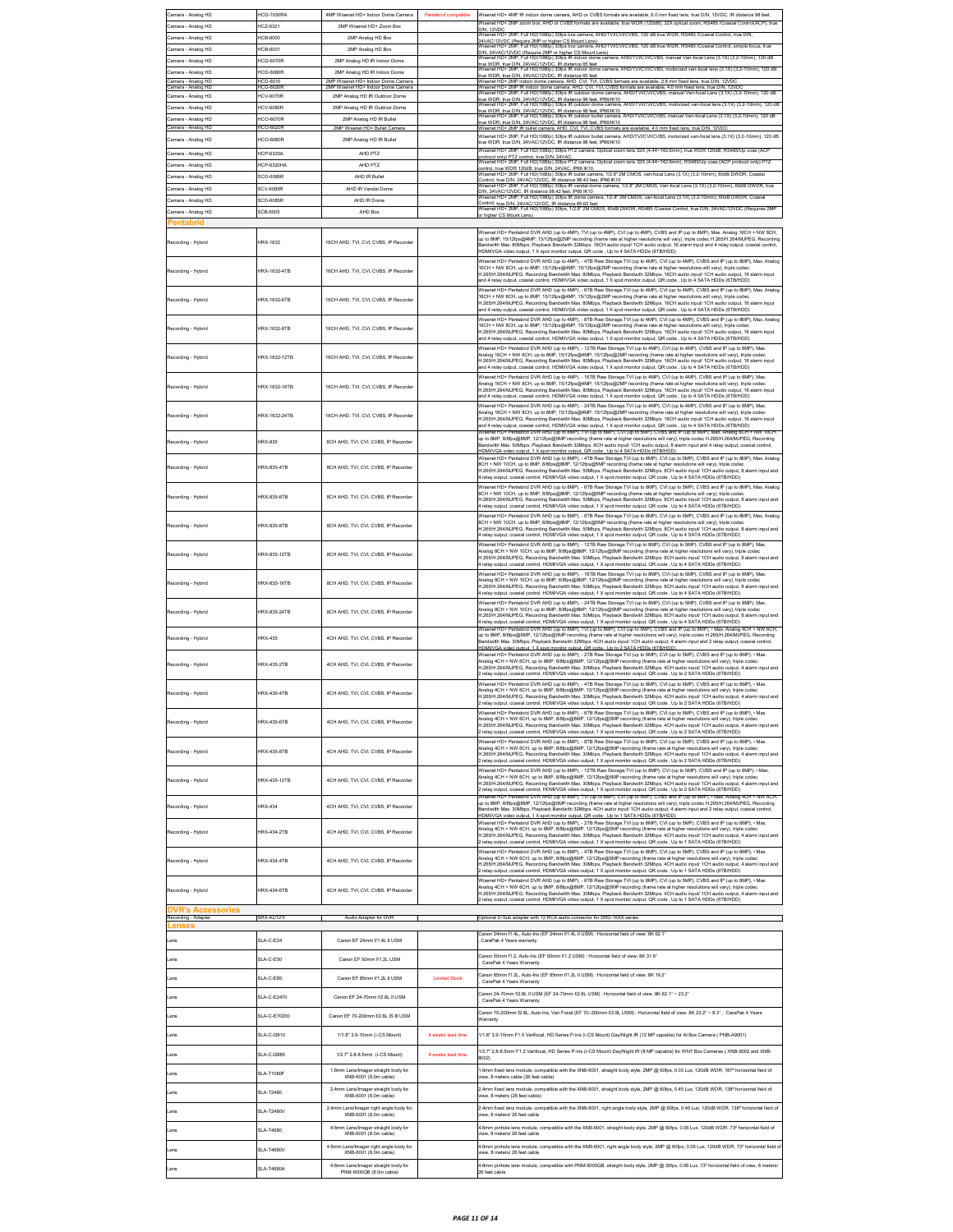| Camera - Analog HD                              | ICD-7030RA                    | 4MP Wisenet HD+ Indoor Dome Camera                                       | Pentabrid compatible | Wisenet HD+ 4MP IR indoor dome camera, AHD or CVBS formats are available, 6.0 mm fixed lens, true D/N, 12VDC, IR distance 98 feet.                                                                                                                                                                                                                                                                                 |
|-------------------------------------------------|-------------------------------|--------------------------------------------------------------------------|----------------------|--------------------------------------------------------------------------------------------------------------------------------------------------------------------------------------------------------------------------------------------------------------------------------------------------------------------------------------------------------------------------------------------------------------------|
| Camera - Analog HD                              | ICZ-6321                      | 2MP Wisenet HD+ Zoom Box                                                 |                      | Visenet HD+ 2MP zoom box, AHD or CVBS formats are available, true WDR (120dB), 32X optical zoom, RS485 /Coaxial Control(ACP), true                                                                                                                                                                                                                                                                                 |
| Camera - Analog HD                              | ICB-6000                      | 2MP Analog HD Box                                                        |                      | )/N, 12VDC<br>Visenet HD+ 2MP, Full HD(1080p) 30fps box camera, AHD/TVI/CVI/CVBS, 120 dB true WDR, RS485 /Coaxial Control, true D/                                                                                                                                                                                                                                                                                 |
| Camera - Analog HD                              | ICB-6001                      | 2MP Analog HD Box                                                        |                      | 24VAC/12VDC (Require 2MP or higher CS Mount Lens)<br>Wisenet HD+ 2MP, Full HD(1080p) 30(ps box camera, AHD/TVI/CVI/CVBS, 120 dB true WDR, RS485 /Coaxial Control, simple focus, true                                                                                                                                                                                                                               |
| Camera - Analog HD                              | ICD-6070R                     | 2MP Analog HD IR Indoor Dome                                             |                      | D/N, 24VAC/12VDC (Require 2MP or higher CS Mount Lens)<br>Wisenet HD+ 2MP, Full HD(1080p) 30fps IR indoor dome can<br>cal Lens (3.1X) (3.2-10mm), 120 dB                                                                                                                                                                                                                                                           |
| Camera - Analog HD                              | <b>ICD-6080R</b>              | 2MP Analog HD IR Indoor Dome                                             |                      | true WDR, true D/N, 24VAC/12VDC, IR distance 65 feet<br>Wisenet HD+ 2MP, Full HD(1080p) 30fps IR indoor dome camera, AHD/TVICVICVBS, motorized vari-focal lens (3.1X) (3.2-10mm), 120 dB<br>rue WDR, true D/N, 24VAC/12VDC, IR distance 65 feet                                                                                                                                                                    |
| Camera - Analog HD<br>Camera - Analog HD        | ICD-6010<br>ICD-6020          | 2MP Wisenet HD+ Indoor Dome Camera<br>2MP Wisenet HD+ Indoor Dome Camera |                      | Visenet HD+ 2MP indoor dome camera, AHD, CVI, TVI, CVBS formats are available, 2.8 mm fixed lens, true D/N,<br>12VD<br>/isenet HD+ 2MP IR indoor dome camera, AHD, CVI, TVI, CVBS formats are available, 4.0 mm fixed lens, true D/N, 12VD                                                                                                                                                                         |
| Camera - Analog HD                              | <b>ICV-6070R</b>              | 2MP Analog HD IR Outdoor Dome                                            |                      | Visenet HD+ 2MP, Full HD(1080p) 30fps IR outdoor dome camera, AHD/TV//CV/ICVBS, manual Vari-focal Lens (3.1X) (3.2-10mm), 120 dB<br>rue WDR, true D/N, 24VAC/12VDC, IR distance 98 feet, IP66/IK10                                                                                                                                                                                                                 |
| Camera - Analog HD                              | <b>ICV-6080R</b>              | 2MP Analog HD IR Outdoor Dome                                            |                      | et HD+ 2MP, Full HD(1080p) 30fps IR outdoor dome camera, AHD/TVI/CVI/CVBS, motorized vari-focal lens (3.1X) (3.2-10r<br>true WDR, true D/N, 24VAC/12VDC, IR distance 98 feet, IP66/IK10<br>Wisenet HD+ 2MP, Full HD(1080p) 30fps IR outdoor bullet camera, AHD/TVICVICVBS, manual Vari-focal Lens (3.1X) (3.2-10mm), 120 dB                                                                                        |
| Camera - Analog HD                              | <b>ICO-6070R</b>              | 2MP Analog HD IR Bullet                                                  |                      | rue WDR, true D/N, 24VAC/12VDC, IR distance 98 feet, IP66/IK10                                                                                                                                                                                                                                                                                                                                                     |
| Camera - Analog HD<br>Camera - Analog HD        | ICO-6020F<br><b>ICO-6080R</b> | 2MP Wisenet HD+ Bullet Camer:<br>2MP Analog HD IR Bullet                 |                      | Visenet HD+ 2MP IR bullet camera, AHD, CVI, TVI, CVBS formats are available, 4.0 mm fixed lens, true D/N, 12VE<br>Wisenet HD+ 2MP, Full HD(1080p) 30fps IR outdoor bullet camera, AHD/TVI/CVI/CVBS, motorized vari-focal lens (3.1X) (3.2-10mm), 120 dB                                                                                                                                                            |
|                                                 |                               |                                                                          |                      | true WDR, true D/N, 24VAC/12VDC, IR distance 98 feet, IP66/IK10<br>/isenet HD+ 2MP, Full HD(1080p) 30fps PTZ camera, Optical zoom lens 32X (4.44~142.6mm), true WDR 120dB, RS485/Up                                                                                                                                                                                                                                |
| Camera - Analog HD                              | ICP-6320A                     | AHD PTZ                                                                  |                      | protocol only) PTZ control true D/N 24VAC<br>Wisenet HD+ 2MP, Full HD(1080p) 30fps PTZ camera, Optical zoom lens 32X (4.44∼142.6mm), RS485/Up coax (ACP protocol only) PTZ                                                                                                                                                                                                                                         |
| Camera - Analog HD                              | CP-6320HA                     | AHD PTZ                                                                  |                      | ontrol, true WDR 120dB, true D/N, 24VAC, IP66 IK10.<br>Wisenet HD+ 2MP, Full HD(1080p) 30fps IR bullet camera, 1/2.8° 2M CMOS, vari-focal Lens (3.1X) (3.2-10mm), 60dB DWDR, Coaxia                                                                                                                                                                                                                                |
| Camera - Analog HD<br>Camera - Analog HD        | SCO-6085R<br>CV-6085R         | AHD IR Bullet<br>AHD IR Vandal Dome                                      |                      | .<br>Control, true DIN, 24VAC/12VDC, IR distance 98.43 feet, IP66 IK10<br>Wisenet HD+ 2MP, Full HD(1080p) 30fps IR vandal dome camera, 1/2.8" 2M CMOS, Vari-focal Lens (3.1X) (3.2-10mm), 60dB DWDR, true                                                                                                                                                                                                          |
| Camera - Analog HD                              | CD-6085R                      | AHD IR Dome                                                              |                      | D/N, 24VAC/12VDC, IR distance 98.42 feet, IP66 IK10<br>Wisenet HD+ 2MP, Full HD(1080p) 30fps IR dome camera, 1/2.8* 2M CMOS, vari-focal Lens (3.1X) (3.2-10mm), 60dB DWDR, Coaxial                                                                                                                                                                                                                                 |
| Camera - Analog HD                              | CB-6005                       | AHD Box                                                                  |                      | Control, true DIN, 24VAC/12VDC, IR distance 65.62 feet<br>Control, true DIN, 24VAC/12VDC, IR distance 65.62 feet<br>Wisenet HD+ 2MP, Full HD(1080p) 30fps, 1/2.8* 2M CMOS, 60dB DWDR, RS485 /Coaxial Control, true DIN, 24VAC/12VDC                                                                                                                                                                                |
| Pentabrid                                       |                               |                                                                          |                      | or higher CS Mount Lens)                                                                                                                                                                                                                                                                                                                                                                                           |
|                                                 |                               |                                                                          |                      | Wisenet HD+ Pentabrid DVR AHD (up to 4MP), TVI (up to 4MP), CVI (up to 4MP), CVBS and IP (up to 8MP), Max. Analog 16CH + NW 8CH,                                                                                                                                                                                                                                                                                   |
| Recording - Hybrid                              | HRX-1632                      | 16CH AHD, TVI, CVI, CVBS, IP Recorder                                    |                      | up to 8MP, 15/12fps@4MP, 15/12fps@2MP recording (frame rate at higher resolutions will vary), triple codec H.265/H.264/MJPEG, Recording<br>.<br>Bandwitth Max. 80Mbps, Playback Bandwith 32Mbps. 16CH audio input/ 1CH audio output, 16 alarm input and 4 relay output, coaxial control,                                                                                                                           |
|                                                 |                               |                                                                          |                      | IDMIVGA video output, 1 X spot monitor output, QR code , Up to 4 SATA HDDs (6TB/HDD)<br>Wisenet HD+ Pentabrid DVR AHD (up to 4MP), - 4TB Raw Storage.TVI (up to 4MP), CVI (up to 4MP), CVBS and IP (up to 8MP), Max. Analog                                                                                                                                                                                        |
| Recording - Hybrid                              | HRX-1632-4TB                  | 16CH AHD, TVI, CVI, CVBS, IP Recorder                                    |                      | 16CH + NW 8CH, up to 8MP, 15/12fps@4MP, 15/12fps@2MP recording (frame rate at higher resolutions will vary), triple code<br>H.265/H.264/MJPEG, Recording Bandwitth Max. 80Mbps, Playback Bandwith 32Mbps. 16CH audio input/ 1CH audio output, 16 alarm input                                                                                                                                                       |
|                                                 |                               |                                                                          |                      | and 4 relay output, coaxial control, HDMI/VGA video output, 1 X spot monitor output, QR code , Up to 4 SATA HDDs (6TB/HDD)                                                                                                                                                                                                                                                                                         |
| Recording - Hybrid                              | HRX-1632-6TB                  | 16CH AHD, TVI, CVI, CVBS, IP Recorder                                    |                      | Wisenet HD+ Pentabrid DVR AHD (up to 4MP), - 6TB Raw Storage.TVI (up to 4MP), CVI (up to 4MP), CVBS and IP (up to 8MP), Max. Analog<br>16CH + NW 8CH, up to 8MP, 15/12fps@4MP, 15/12fps@2MP recording (frame rate at higher resol                                                                                                                                                                                  |
|                                                 |                               |                                                                          |                      | .265/H.264/MJPEG, Recording Bandwitth Max. 80Mbps, Playback Bandwith 32Mbps. 16CH audio input/ 1CH audio output, 16 alarm input<br>nd 4 relay output, coaxial control, HDMIVGA video output, 1 X spot monitor output, QR code , Up to 4 SATA HDDs (6TB/HDD)                                                                                                                                                        |
|                                                 |                               |                                                                          |                      | Visenet HD+ Pentabrid DVR AHD (up to 4MP), - 8TB Raw Storage.TVI (up to 4MP), CVI (up to 4MP), CVBS and IP (up to 8MP), Max. Analog                                                                                                                                                                                                                                                                                |
| Recording - Hybrid                              | (RX-1632-8TB                  | 16CH AHD, TVI, CVI, CVBS, IP Recorde                                     |                      | 16CH + NW 8CH, up to 8MP, 15/12fps@4MP, 15/12fps@2MP recording (frame rate at higher resolutions will vary), triple codec<br>H.265/H.264/MJPEG, Recording Bandwitth Max. 80Mbps, Playback Bandwith 32Mbps. 16CH audio input/ 1CH<br>nd 4 relay output, coaxial control, HDMIVGA video output, 1 X spot monitor output, QR code , Up to 4 SATA HDDs (6TB/HDD)                                                       |
|                                                 |                               |                                                                          |                      | Wisenet HD+ Pentabrid DVR AHD (up to 4MP), - 12TB Raw Storage.TVI (up to 4MP), CVI (up to 4MP), CVBS and IP (up to 8MP), Max.                                                                                                                                                                                                                                                                                      |
| Recording - Hybrid                              | HRX-1632-12TB                 | 16CH AHD, TVI, CVI, CVBS, IP Recorder                                    |                      | Analog 16CH + NW 8CH, up to 8MP, 15/12/ps@4MP, 15/12/ps@2MP recording (frame rate at higher resolutions will vary), triple code<br>H.265/H.264/MJPEG, Recording Bandwitth Max. 80Mbps, Playback Bandwith 32Mbps. 16CH audio input/ 1CH audio output, 16 alarm input                                                                                                                                                |
|                                                 |                               |                                                                          |                      | and 4 relay output, coaxial control, HDMI/VGA video output, 1 X spot monitor output, QR code , Up to 4 SATA HDDs (6TB/HDD)<br>Wisenet HD+ Pentabrid DVR AHD (up to 4MP), - 16TB Raw Storage.TVI (up to 4MP), CVI (up to 4MP), CVBS and IP (up to 8MP), Max.                                                                                                                                                        |
| Recording - Hybrid                              | HRX-1632-16TB                 | 16CH AHD, TVI, CVI, CVBS, IP Recorde                                     |                      | Analog 16CH + NW 8CH, up to 8MP, 15/12fps@4MP, 15/12fps@2MP recording (frame rate at higher resolutions will vary), triple codec<br>1.265/H.264/MJPEG, Recording Bandwitth Max. 80Mbps, Playback Bandwith 32Mbps. 16CH audio input/ 1CH audio output, 16 alarm input                                                                                                                                               |
|                                                 |                               |                                                                          |                      | nd 4 relay output, coaxial control, HDMI/VGA video output, 1 X spot monitor output, QR code , Up to 4 SATA HDDs (6TB/HDD)                                                                                                                                                                                                                                                                                          |
| Recording - Hybrid                              | HRX-1632-24TB                 | 16CH AHD, TVI, CVI, CVBS, IP Recorder                                    |                      | Wisenet HD+ Pentabrid DVR AHD (up to 4MP), - 24TB Raw Storage.TVI (up to 4MP), CVI (up to 4MP), CVBS and IP (up to 8MP), Max.<br>Analog 16CH + NW 8CH, up to 8MP, 15/12fps@4MP, 15/12fps@2MP recording (frame rate at higher resolutions will vary), triple codec                                                                                                                                                  |
|                                                 |                               |                                                                          |                      | H.265/H.264/MJPEG, Recording Bandwitth Max. 80Mbps, Playback Bandwith 32Mbps. 16CH audio input/ 1CH audio output, 16 alarm input<br>and 4 relay output, coaxial control, HDMIVGA video output, 1 X spot monitor output, QR code , Up to 4 SATA HDDs (6TB/HDD)                                                                                                                                                      |
| Recording - Hybrid                              | <b>HRX-835</b>                | <b>8CH AHD TVI CVI CVRS IP Recorder</b>                                  |                      | .<br>Wisenet HD+ Pentabrid DVR AHD (up to 8MP), TVI (up to 8MP), CVI (up to 5MP), CVBS and IP (up to 8MP), Max. Analog 8CH + NW 10CH,<br>up to 8MP, 8/8fps@8MP, 12/12fps@5MP recording (frame rate at higher resolutions will vary), triple codec H.265/H.264/MJPEG, Recording                                                                                                                                     |
|                                                 |                               |                                                                          |                      | Sandwitth Max. 50Mbps, Playback Bandwith 32Mbps. 8CH audio input/ 1CH audio output, 8 alarm input and 4 relay output, coaxial control,<br>IDMIVGA video output. 1 X spot monitor output, QR code., Up to 4 SATA HDDs (6TB/HDD).                                                                                                                                                                                    |
| Recording - Hybrid                              | HRX-835-4TB                   | 8CH AHD, TVI, CVI, CVBS, IP Recorder                                     |                      | Wisenet HD+ Pentabrid DVR AHD (up to 8MP), - 4TB Raw Storage.TVI (up to 8MP), CVI (up to 5MP), CVBS and IP (up to 8MP), Max. Analog<br>8CH + NW 10CH, up to 8MP, 8/8fps@8MP, 12/12fps@5MP recording (frame rate at higher resolutions will vary), triple codec                                                                                                                                                     |
|                                                 |                               |                                                                          |                      | .265/H.264/MJPEG, Recording Bandwitth Max. 50Mbps, Playback Bandwith 32Mbps. 8CH audio input/ 1CH audio output, 8 alarm input and<br>relay output, coaxial control, HDMIVGA video output, 1 X spot monitor output, QR code, Up to 4 SATA HDDs (6TB/HDD)                                                                                                                                                            |
|                                                 |                               |                                                                          |                      | Wisenet HD+ Pentabrid DVR AHD (up to 8MP), - 6TB Raw Storage.TVI (up to 8MP), CVI (up to 5MP), CVBS and IP (up to 8MP), Max. Analog<br>8CH + NW 10CH, up to 8MP, 8/8fps@8MP, 12/12fps@5MP recording (frame rate at higher resolutions will vary), triple codec                                                                                                                                                     |
| Recording - Hybrid                              | <b>IRX-835-6TB</b>            | 8CH AHD, TVI, CVI, CVBS, IP Recorder                                     |                      | 1.265/H.264/MJPEG, Recording Bandwitth Max. 50Mbps, Playback Bandwith 32Mbps. 8CH audio input/ 1CH audio output, 8 alarm input and<br>relay output, coaxial control, HDMIV/GA video output, 1 X spot monitor output, QR code, Up to 4 SATA HDDs (6TB/HDD)                                                                                                                                                          |
|                                                 |                               |                                                                          |                      | Wisenet HD+ Pentabrid DVR AHD (up to 8MP), - 8TB Raw Storage.TVI (up to 8MP), CVI (up to 5MP), CVBS and IP (up to 8MP), Max. Analog                                                                                                                                                                                                                                                                                |
| Recording - Hybrid                              | HRX-835-8TB                   | 8CH AHD, TVI, CVI, CVBS, IP Recorder                                     |                      | SCH + NW 10CH, up to 8MP, 8/8fps@8MP, 12/12fps@5MP recording (frame rate at higher resolutions will vary), triple coded<br>1.265/H.264/MJPEG, Recording Bandwitth Max. 50Mbps, Playback Bandwith 32Mbps. 8CH audio input/ 1CH audio output, 8 alarm input and<br>relay output, coaxial control, HDMIVGA video output, 1 X spot monitor output, QR code, Up to 4 SATA HDDs (6TB/HDD)                                |
|                                                 |                               |                                                                          |                      | Wisenet HD+ Pentabrid DVR AHD (up to 8MP), - 12TB Raw Storage.TVI (up to 8MP), CVI (up to 5MP), CVBS and IP (up to 8MP), Max.<br>Analog 8CH + NW 10CH, up to 8MP, &/8fps@8MP, 12/12fps@5MP recording (frame rate at higher resol                                                                                                                                                                                   |
| Recording - Hybrid                              | HRX-835-12TB                  | 8CH AHD, TVI, CVI, CVBS, IP Recorder                                     |                      | .265/H.264/MJPEG, Recording Bandwitth Max. 50Mbps, Playback Bandwith 32Mbps. 8CH audio input/ 1CH audio output, 8 alarm input and                                                                                                                                                                                                                                                                                  |
|                                                 |                               |                                                                          |                      | relay output, coaxial control, HDMIVGA video output, 1 X spot monitor output, QR code , Up to 4 SATA HDDs (6TB/HDD)<br>Wisenet HD+ Pentabrid DVR AHD (up to 8MP), - 16TB Raw Storage.TVI (up to 8MP), CVI (up to 5MP), CVBS and IP (up to 8MP), Max.                                                                                                                                                               |
| Recording - Hybrid                              | HRX-835-16TB                  | 8CH AHD, TVI, CVI, CVBS, IP Recorder                                     |                      | Analog 8CH + NW 10CH, up to 8MP, 8/8fps@8MP, 12/12fps@5MP recording (frame rate at higher resolutions will vary), triple code<br>H.265/H.264/MJPEG, Recording Bandwitth Max. 50Mbps, Playback Bandwith 32Mbps. 8CH audio input/ 1CH audio output, 8 alarm input and                                                                                                                                                |
|                                                 |                               |                                                                          |                      | 4 relay output, coaxial control, HDMIVGA video output, 1 X spot monitor output, QR code , Up to 4 SATA HDDs (6TB/HDD)                                                                                                                                                                                                                                                                                              |
| Recording - Hybrid                              | <b>HRX-835-24TR</b>           | 8CH AHD, TVI, CVI, CVBS, IP Recorder                                     |                      | Wisenet HD+ Pentabrid DVR AHD (up to 8MP), - 24TB Raw Storage.TVI (up to 8MP), CVI (up to 5MP), CVBS and IP (up to 8MP), Max.<br>.<br>Analog BCH + NW 10CH, up to 8MP, 8/8fps@8MP, 12/12fps@5MP recording (frame rate at higher resolutions will vary), triple codec                                                                                                                                               |
|                                                 |                               |                                                                          |                      | .<br>265/H.264/MJPEG, Recording Bandwitth Max. 50Mbps, Playback Bandwith 32Mbps. 8CH audio input/ 1CH audio output, 8 alarm input and<br>relay output, coaxial control, HDMIVGA video output, 1 X spot monitor output, QR code, Up to 4 SATA HDDs (6TB/HDD)                                                                                                                                                        |
| Recording - Hybrid                              | <b>HRX-435</b>                | 4CH AHD, TVI, CVI, CVBS, IP Recorder                                     |                      | Nisenet HD+ Pentabrid DVR AHD (up to 8MP), TV1 (up to 8MP), CV1 (up to 5MP), CVBS and IP (up to 8MP), • Max. Analog 4CH + NW 6CH,<br>up to 8MP, 8/8fps@8MP, 12/12fps@5MP recording (frame rate at higher resolutions will vary), triple codec H.265/H.264/MJPEG, Recording<br>ndwitth Max. 30Mbps, Playback Bandwith 32Mbps. 4CH audio input/ 1CH audio output, 4 alarm input and 2 relay output, coaxial control, |
|                                                 |                               |                                                                          |                      | HDMIVGA video output, 1 X spot monitor output, QR code., Up to 2 SATA HDDs (6TB/HDD).<br>Wisenet HD+ Pentabrid DVR AHD (up to 8MP), - 2TB Raw Storage.TVI (up to 8MP), CVI (up to 5MP), CVBS and IP (up to 8MP), - Max                                                                                                                                                                                             |
| Recording - Hybrid                              | <b>HRX-435-2TB</b>            | 4CH AHD, TVI, CVI, CVBS, IP Recorder                                     |                      | Analog 4CH + NW 6CH, up to 8MP, 8/8fps@8MP, 12/12fps@5MP recording (frame rate at higher resolutions will vary), triple codec<br>1.265/H.264/MJPEG. Recording Bandwitth Max. 30Mbps. Playback Bandwith 32Mbps. 4CH audio input/ 1CH audio output. 4 alarm input and                                                                                                                                                |
|                                                 |                               |                                                                          |                      | relay output, coaxial control, HDMIVGA video output, 1 X spot monitor output, QR code , Up to 2 SATA HDDs (6TB/HDD)                                                                                                                                                                                                                                                                                                |
| Recording - Hybrid                              | <b>IRX-435-4TR</b>            | 4CH AHD, TVI, CVI, CVBS, IP Recorder                                     |                      | Wisenet HD+ Pentabrid DVR AHD (up to 8MP), - 4TB Raw Storage.TVI (up to 8MP), CVI (up to 5MP), CVBS and IP (up to 8MP), - Max.<br>\nalog 4CH + NW 6CH, up to 8MP, 8/8fps@8MP, 12/12fps@5MP recording (frame rate at higher resolutions will vary), triple codec<br>H.265/H.264/MJPEG, Recording Bandwitth Max. 30Mbps, Playback Bandwith 32Mbps. 4CH audio input/ 1CH audio output, 4 alarm input and              |
|                                                 |                               |                                                                          |                      | relay output, crossial control. HDMIV/GA video output, 1.X spot monitor output. OR code. Up to 2 SATA HDDs (6TR/HDD                                                                                                                                                                                                                                                                                                |
| Recording - Hybrid                              | HRX-435-6TB                   | 4CH AHD, TVI, CVI, CVBS, IP Recorder                                     |                      | Wisenet HD+ Pentabrid DVR AHD (up to 8MP), - 6TB Raw Storage. TVI (up to 8MP), CVI (up to 5MP), CVBS and IP (up to 8MP), - Max.<br>Analog 4CH + NW 6CH, up to 8MP, 8/8fps@8MP, 12/12fps@5MP recording (frame rate at higher resolutions will vary), triple coded                                                                                                                                                   |
|                                                 |                               |                                                                          |                      | .265/H.264/MJPEG, Recording Bandwitth Max. 30Mbps, Playback Bandwith 32Mbps. 4CH audio input/ 1CH audio output, 4 alarm input and<br>2 relay output, coaxial control, HDMIVGA video output, 1 X spot monitor output, QR code , Up to 2 SATA HDDs (6TB/HDD)                                                                                                                                                         |
|                                                 |                               |                                                                          |                      | Wisenet HD+ Pentabrid DVR AHD (up to 8MP), - 8TB Raw Storage.TVI (up to 8MP), CVI (up to 5MP), CVBS and IP (up to 8MP), . Max.<br>Analog 4CH + NW 6CH, up to 8MP, 8/8fps@8MP, 12/12fps@5MP recording (frame rate at higher resolutions will vary), triple cor                                                                                                                                                      |
| Recording - Hybrid                              | HRX-435-8TB                   | 4CH AHD, TVI, CVI, CVBS, IP Recorder                                     |                      | H.265/H.264/MJPEG, Recording Bandwitth Max. 30Mbps, Playback Bandwith 32Mbps. 4CH audio input/ 1CH audio output, 4 alarm input and<br>relay output, coaxial control, HDMIVGA video output, 1 X spot monitor output, QR code , Up to 2 SATA HDDs (6TB/HDD)                                                                                                                                                          |
|                                                 |                               |                                                                          |                      | Wisenet HD+ Pentabrid DVR AHD (up to 8MP), - 12TB Raw Storage.TVI (up to 8MP), CVI (up to 5MP), CVBS and IP (up to 8MP), - Max.                                                                                                                                                                                                                                                                                    |
| Recording - Hybrid                              | HRX-435-12TB                  | 4CH AHD TVLCVLCVRS IP Recorder                                           |                      | inalog 4CH + NW 6CH, up to 8MP, 8/8fps@8MP, 12/12fps@5MP recording (frame rate at higher resolutions will vary), triple codec<br>1.265/H.264/MJPEG, Recording Bandwitth Max. 30Mbps, Playback Bandwith 32Mbps. 4CH audio input/ 1CH audio output, 4 alarm input and                                                                                                                                                |
|                                                 |                               |                                                                          |                      | relay output, coaxial control. HDMIV/GA video output, 1 X spot monitor output, QR code . Up to 2 SATA HDDs (6TB/HDD)<br>.<br>Wisenet HD+ Pentabrid DVR AHD (up to 8MP). TVI (up to 8MP). CVI (up to 5MP). CVBS and IP (up to 8MP). - Max. Analog 4CH + NW 6CH.                                                                                                                                                     |
| Recording - Hybrid                              | <b>HRX-434</b>                | 4CH AHD. TVI. CVI. CVBS. IP Recorder                                     |                      | up to 8MP, 8/8fps@8MP, 12/12fps@5MP recording (frame rate at higher resolutions will vary), triple codec H.265/H.264/MJPEG, Recording<br>ndwitth Max. 30Mbps, Playback Bandwith 32Mbps. 4CH audio input/ 1CH audio output, 4 alarm input and 2 relay output, coaxial control,                                                                                                                                      |
|                                                 |                               |                                                                          |                      | HDMIVGA video output, 1 X spot monitor output, QR code., Up to 1 SATA HDDs (6TB/HDD).<br>Wisenet HD+ Pentabrid DVR AHD (up to 8MP), - 2TB Raw Storage.TVI (up to 8MP), CVI (up to 5MP), CVBS and IP (up to 8MP), - Max                                                                                                                                                                                             |
| Recording - Hybrid                              | <b>HRX-434-2TB</b>            | 4CH AHD, TVI, CVI, CVBS, IP Recorder                                     |                      | Analog 4CH + NW 6CH, up to 8MP, 8/8fps@8MP, 12/12fps@5MP recording (frame rate at higher resolutions will vary), triple codec<br>.<br>1.265/H.264/MJPEG, Recording Bandwitth Max. 30Mbps, Playback Bandwith 32Mbps. 4CH audio input/ 1CH audio output, 4 alarm input and<br>relay output, coaxial control, HDMIVGA video output, 1 X spot monitor output, QR code, Up to 1 SATA HDDs (6TB/HDD)                     |
|                                                 |                               |                                                                          |                      | Wisenet HD+ Pentabrid DVR AHD (up to 8MP), - 4TB Raw Storage.TVI (up to 8MP), CVI (up to 5MP), CVBS and IP (up to 8MP), - Max.                                                                                                                                                                                                                                                                                     |
| Recording - Hybrid                              | <b>HRX-434-4TB</b>            | 4CH AHD, TVI, CVI, CVBS, IP Recorder                                     |                      | Analog 4CH + NW 6CH, up to 8MP, 8/8fps@8MP, 12/12fps@5MP recording (frame rate at higher resolutions will vary), triple code<br>H.265/H.264/MJPEG, Recording Bandwitth Max. 30Mbps, Playback Bandwith 32Mbps. 4CH audio input/ 1CH audio output, 4 alarm input and                                                                                                                                                 |
|                                                 |                               |                                                                          |                      | relay output, coaxial control, HDMIVGA video output, 1 X spot monitor output, QR code, Up to 1 SATA HDDs (6TB/HDD)<br>Wisenet HD+ Pentabrid DVR AHD (up to 8MP), - 6TB Raw Storage.TVI (up to 8MP), CVI (up to 5MP), CVBS and IP (up to 8MP), • Max.                                                                                                                                                               |
| Recording - Hybrid                              | HRX-434-6TB                   | 4CH AHD, TVI, CVI, CVBS, IP Recorder                                     |                      | Analog 4CH + NW 6CH, up to 8MP, 8/8fps@8MP, 12/12fps@5MP recording (frame rate at higher resolutions will vary), triple code<br>1.265/H.264/MJPEG, Recording Bandwitth Max. 30Mbps, Playback Bandwith 32Mbps. 4CH audio input/ 1CH audio output, 4 alarm input and                                                                                                                                                 |
|                                                 |                               |                                                                          |                      | 2 relay output, coaxial control, HDMIVGA video output, 1 X spot monitor output, QR code , Up to 1 SATA HDDs (6TB/HDD)                                                                                                                                                                                                                                                                                              |
| <b>DVR's Accessories</b><br>Recording - Adapter | SRX-AU121                     | Audio Adapter for DVR                                                    |                      | Optional D-Sub adapter with 12 RCA audio connector for SRD-16XX series                                                                                                                                                                                                                                                                                                                                             |
| ense.                                           |                               |                                                                          |                      | "anon 24mm f1.4L, Auto-Iris (EF 24mm f/1.4L II USM) : Horizontal field of view: 8K 62.1                                                                                                                                                                                                                                                                                                                            |
| ens                                             | SLA-C-E24                     | Canon EF 24mm f/1.4L II USM                                              |                      | CarePak 4 Years warranty                                                                                                                                                                                                                                                                                                                                                                                           |
| ens                                             | SLA-C-E50                     | Canon EF 50mm f/1.2L USM                                                 |                      | anon 50mm f1.2, Auto-Iris (EF 50mm f/1.2 USM) : Horizontal field of view: 8K 31.6*                                                                                                                                                                                                                                                                                                                                 |
|                                                 |                               |                                                                          |                      | CarePak 4 Years Warranty<br>anon 85mm f1.2L, Auto-Iris (EF 85mm f/1.2L II USM) : Horizontal field of view: 8K 19.2'                                                                                                                                                                                                                                                                                                |
| ens                                             | SLA-C-E85                     | Canon EF 85mm f/1.2L II USM                                              | <b>Limited Stock</b> | CarePak 4 Years Warranty                                                                                                                                                                                                                                                                                                                                                                                           |
| ens                                             | SLA-C-E2470                   | Canon EF 24-70mm f/2.8L II USM                                           |                      | 2anon 24-70mm f/2.8L II USM (EF 24-70mm f/2.8L USM) : Horizontal field of view :8K 62.1" ~ 23.2"<br>CarePak 4 Years Warranty                                                                                                                                                                                                                                                                                       |
|                                                 |                               |                                                                          |                      | Canon 70-200mm f2.8L, Auto-Iris, Vari Focal (EF 70-200mm f/2.8L USM) : Horizontal field of view: 8K 23.2" ~ 8.3", CarePak 4 Years                                                                                                                                                                                                                                                                                  |
| ens                                             | SLA-C-E70200                  | Canon EF 70-200mm f/2.8L IS III USM                                      |                      | Varranty                                                                                                                                                                                                                                                                                                                                                                                                           |
| ens                                             | SLA-C-13910                   | 1/1.8" 3.9-10mm (i-CS Mount)                                             | 4 weeks lead time    | 1/1.8" 3.9-10mm F1.5 Varifocal, HD Series P-iris (i-CS Mount) Day/Night IR (12 MP capable) for Al Box Camera (PNB-A9001)                                                                                                                                                                                                                                                                                           |
|                                                 |                               |                                                                          |                      | 1/2.7" 2.8-8.5mm F1.2 Varifocal, HD Series P-iris (i-CS Mount) Day/Night IR (8 MP capable) for WN7 Box Cameras (XNB-9002 and XNB-                                                                                                                                                                                                                                                                                  |
| ens                                             | <b>SLA-C-I2885</b>            | 1/2.7" 2.8-8.5mm (i-CS Mount)                                            | 4 weeks lead time    | 8002)                                                                                                                                                                                                                                                                                                                                                                                                              |
| Lens                                            | <b>SLA-T1080F</b>             | 1.6mm Lens/Imager straight body for<br>XNB-6001 (8.0m cable)             |                      | .6mm fixed lens module, compatible with the XNB-6001, straight body style, 2MP @ 60fps, 0.03 Lux, 120dB WDR, 187° horizontal field of<br>iew. 8 meters cable (26 feet cable)                                                                                                                                                                                                                                       |
| Lens                                            | <b>SLA-T2480</b>              | 2.4mm Lens/Imager straight body for                                      |                      | 4mm fixed lens module, compatible with the XNB-6001, straight body style, 2MP @ 60fps, 0.45 Lux, 120dB WDR, 138° horizontal field of                                                                                                                                                                                                                                                                               |
|                                                 |                               | XNB-6001 (8.0m cable)                                                    |                      | iew, 8 meters (26 feet cable)                                                                                                                                                                                                                                                                                                                                                                                      |
| Lens                                            | <b>SLA-T2480V</b>             | 2.4mm Lens/Imager right angle body for<br>XNB-6001 (8.0m cable)          |                      | 4mm fixed lens module, compatible with the XNB-6001, right angle body style, 2MP @ 60fps, 0.45 Lux, 120dB WDR, 138° horizontal field of<br>iew, 8 meters/ 26 feet cable                                                                                                                                                                                                                                            |
| Lens                                            | SLA-T4680                     | 4.6mm Lens/Imager straight body for                                      |                      | 4.6mm pinhole lens module, compatible with the XNB-6001, straight body style, 2MP @ 60fps, 0.06 Lux, 120dB WDR, 73° horizontal field of                                                                                                                                                                                                                                                                            |
|                                                 |                               | XNB-6001 (8.0m cable)                                                    |                      | iew, 8 meters/ 26 feet cable                                                                                                                                                                                                                                                                                                                                                                                       |
| ens                                             |                               |                                                                          |                      | 4.6mm pinhole lens module, compatible with the XNB-6001, right angle body style, 2MP @ 60fps, 0.06 Lux, 120dB WDR, 73° horizontal field of                                                                                                                                                                                                                                                                         |
|                                                 | <b>SLA-T4680V</b>             | 4.6mm Lens/Imager right angle body for<br>XNB-6001 (8.0m cable)          |                      | riew. 8 meters/ 26 feet cable                                                                                                                                                                                                                                                                                                                                                                                      |
| ens                                             | LA-T4680A                     | 4.6mm Lens/Imager straight body for<br>PNM-9000QB (8.0m cable)           |                      | 4.6mm pinhole lens module, compatible with PNM-9000QB, straight body style, 2MP @ 30fps, 0.06 Lux, 73° horizontal field of view, 8 meters/<br>26 feet cable                                                                                                                                                                                                                                                        |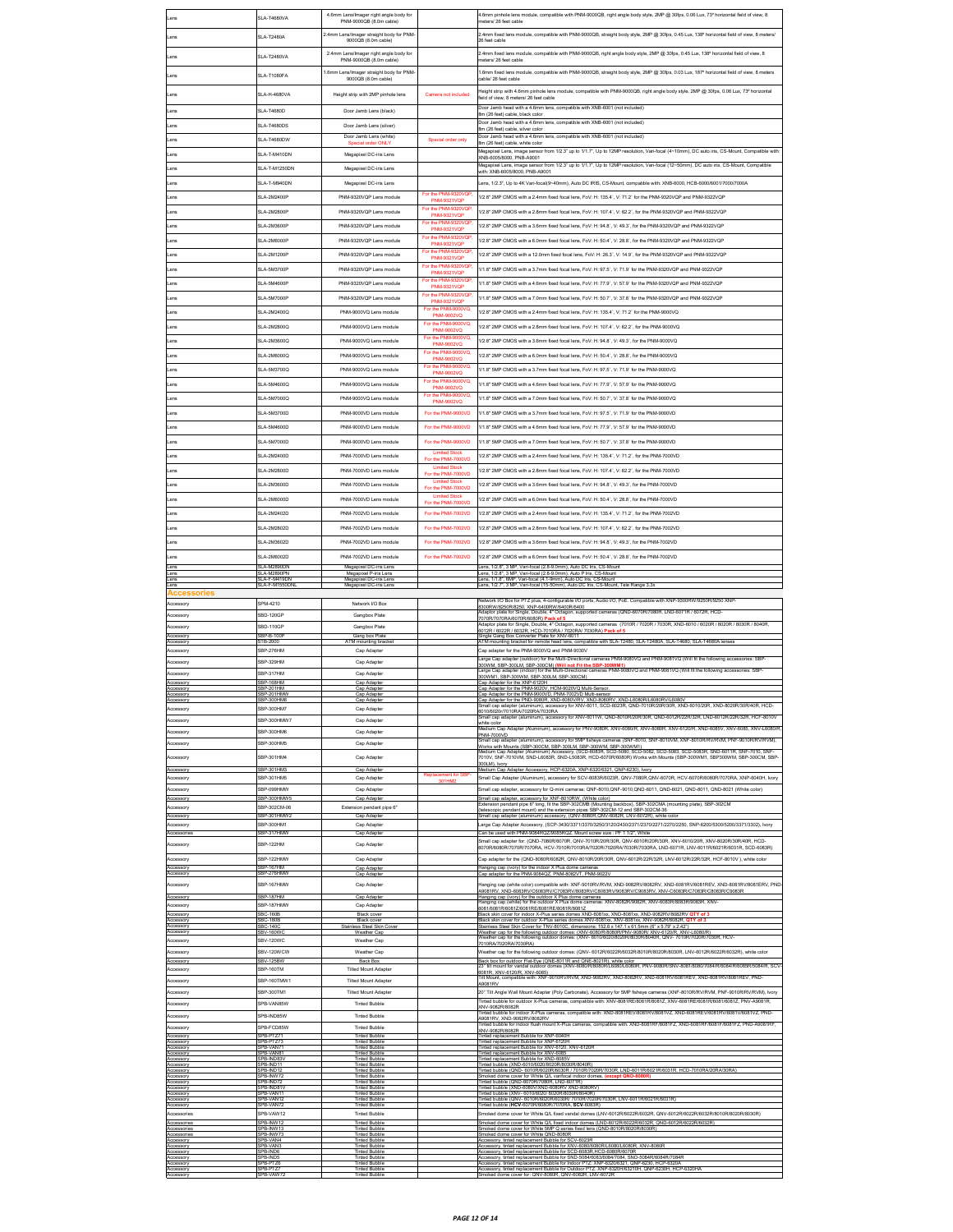|                                                 | SLA-T4680VA                                      | 4.6mm Lens/Imager right angle body for<br>PNM-9000QB (8.0m cable)                           |                                                                  | 4.6mm pinhole lens module, compatible with PNM-9000QB, right angle body style, 2MP @ 30fps, 0.06 Lux, 73° horizontal field of view, 8<br>eters/26 feet cable                                                                                                                                                                                                              |
|-------------------------------------------------|--------------------------------------------------|---------------------------------------------------------------------------------------------|------------------------------------------------------------------|---------------------------------------------------------------------------------------------------------------------------------------------------------------------------------------------------------------------------------------------------------------------------------------------------------------------------------------------------------------------------|
| ens                                             | <b>SLA-T2480A</b>                                | 2.4mm Lens/Imager straight body for PNM-<br>9000QB (8.0m cable)                             |                                                                  | 2.4mm fixed lens module, compatible with PNM-9000QB, straight body style, 2MP @ 30fps, 0.45 Lux, 138° horizontal field of view, 8 meters/<br>26 feet cable                                                                                                                                                                                                                |
| ens                                             | <b>SLA-T2480VA</b>                               | 2.4mm Lens/Imager right angle body for                                                      |                                                                  | 2.4mm fixed lens module, compatible with PNM-9000QB, right angle body style, 2MP @ 30fps, 0.45 Lux, 138° horizontal field of view, 8                                                                                                                                                                                                                                      |
|                                                 |                                                  | PNM-9000OB (8.0m cable)<br>1.6mm Lens/Imager straight body for PNM-                         |                                                                  | neters/26 feet cable<br>1.6mm fixed lens module, compatible with PNM-9000QB, straight body style, 2MP @ 30fps, 0.03 Lux, 187° horizontal field of view, 8 meters                                                                                                                                                                                                          |
| Lens                                            | SLA-T1080FA                                      | 9000QB (8.0m cable)                                                                         |                                                                  | able/26 feet cable                                                                                                                                                                                                                                                                                                                                                        |
| Lens                                            | <b>SLA-H-4680VA</b>                              | Height strip with 2MP pinhole lens                                                          | Camera not included                                              | Height strip with 4.6mm pinhole lens module, compatible with PNM-9000QB, right angle body style, 2MP @ 30fps, 0.06 Lux, 73° horizontal<br>field of view, 8 meters/ 26 feet cable                                                                                                                                                                                          |
| Lens                                            | SLA-T4680D                                       | Door Jamb Lens (black)                                                                      |                                                                  | Door Jamb head with a 4.6mm lens, compatible with XNB-6001 (not included)<br>8m (26 feet) cable, black color                                                                                                                                                                                                                                                              |
| ens                                             | <b>SLA-T4680DS</b>                               | Door Jamb Lens (silver)                                                                     |                                                                  | Door Jamb head with a 4.6mm lens, compatible with XNB-6001 (not included)<br>8m (26 feet) cable, silver color                                                                                                                                                                                                                                                             |
| ens                                             | SLA-T4680DW                                      | Door Jamb Lens (white)<br>pecial order ONL'                                                 | Special order only                                               | Door Jamb head with a 4.6mm lens, compatible with XNB-6001 (not included)<br>8m (26 feet) cable, white color                                                                                                                                                                                                                                                              |
| ens                                             | SLA-T-M410DN                                     | Megapixel DC-iris Lens                                                                      |                                                                  | Megapixel Lens, image sensor from 1/2.3" up to 1/1.7", Up to 12MP resolution, Vari-focal (4~10mm), DC auto iris, CS-Mount, Compatible with:<br>XNB-6005/8000, PNB-A9001                                                                                                                                                                                                   |
| ens                                             | SLA-T-M1250DN                                    | Megapixel DC-iris Lens                                                                      |                                                                  | Megapixel Lens, image sensor from 1/2.3" up to 1/1.7", Up to 12MP resolution, Vari-focal (12~50mm), DC auto iris, CS-Mount, Compatible<br>with: XNB-6005/8000. PNB-A9001                                                                                                                                                                                                  |
| ens                                             | SLA-T-M940DN                                     | Megapixel DC-iris Lens                                                                      | 9320VQF                                                          | ens. 1/2.3". Up to 4K Vari-focal(9~40mm). Auto DC IRIS. CS-Mount. compatible with: XNB-6000. HCB-6000/6001/7000/7000A                                                                                                                                                                                                                                                     |
| Lens                                            | SLA-2M2400P                                      | PNM-9320VQP Lens module<br>PNM-9320VOP Lens module                                          | <b>PNM-9321VQP</b><br>For the PNM-9320VQP                        | 1/2.8" 2MP CMOS with a 2.4mm fixed focal lens. FoV: H: 135.4", V: 71.2" for the PNM-9320VQP and PNM-9322VQP                                                                                                                                                                                                                                                               |
| Lens<br>ens                                     | SLA-2M2800P<br>SLA-2M3600P                       | PNM-9320VQP Lens module                                                                     | <b>PNM-9321VQF</b><br>For the PNM-9320VQP                        | 1/2.8" 2MP CMOS with a 2.8mm fixed focal lens, FoV: H: 107.4", V: 62.2", for the PNM-9320VQP and PNM-9322VQP<br>1/2.8" 2MP CMOS with a 3.6mm fixed focal lens, FoV: H: 94.8", V: 49.3", for the PNM-9320VQP and PNM-9322VQP                                                                                                                                               |
| ens                                             | <b>SLA-2M6000P</b>                               | PNM-9320VQP Lens module                                                                     | NM-9321VQI<br>For the PNM-9320VQP                                | 1/2.8" 2MP CMOS with a 6.0mm fixed focal lens, FoV: H: 50.4", V: 28.8", for the PNM-9320VQP and PNM-9322VQP                                                                                                                                                                                                                                                               |
| ens                                             | <b>SLA-2M1200P</b>                               | PNM-9320VQP Lens module                                                                     | <b>PNM-9321VOP</b><br>For the PNM-9320VQP                        | 1/2.8" 2MP CMOS with a 12.0mm fixed focal lens, FoV: H: 26.3", V: 14.9", for the PNM-9320VQP and PNM-9322VQP                                                                                                                                                                                                                                                              |
| ens                                             | <b>SLA-5M3700P</b>                               | PNM-9320VQP Lens module                                                                     | PNM-9321VQP<br>For the PNM-9320VQP<br><b>PNM-9321VQP</b>         | 1/1.8" 5MP CMOS with a 3.7mm fixed focal lens, FoV: H: 97.5", V: 71.9" for the PNM-9320VQP and PNM-9322VQP                                                                                                                                                                                                                                                                |
| Lens                                            | SLA-5M4600P                                      | PNM-9320VQP Lens module                                                                     | For the PNM-9320VQP<br><b>PNM-9321VOP</b>                        | 1/1.8" 5MP CMOS with a 4.6mm fixed focal lens, FoV: H: 77.9", V: 57.9" for the PNM-9320VQP and PNM-9322VQP                                                                                                                                                                                                                                                                |
| Lens                                            | SLA-5M7000P                                      | PNM-9320VQP Lens module                                                                     | For the PNM-9320VQP<br><b>PNM-9321VQP</b>                        | 1/1.8" 5MP CMOS with a 7.0mm fixed focal lens, FoV: H: 50.7", V: 37.8" for the PNM-9320VQP and PNM-9322VQP                                                                                                                                                                                                                                                                |
| ens                                             | SLA-2M2400Q                                      | PNM-9000VQ Lens module                                                                      | For the PNM-9000VQ,<br>PNM-9002VQ                                | 1/2.8" 2MP CMOS with a 2.4mm fixed focal lens, FoV: H: 135.4", V: 71.2" for the PNM-9000VQ                                                                                                                                                                                                                                                                                |
| ens                                             | SLA-2M2800Q                                      | PNM-9000VQ Lens module                                                                      | For the PNM-9000VQ,<br>PNM-9002VQ                                | /2.8" 2MP CMOS with a 2.8mm fixed focal lens, FoV: H: 107.4", V: 62.2", for the PNM-9000VQ                                                                                                                                                                                                                                                                                |
| ens                                             | SLA-2M3600Q                                      | PNM-9000VQ Lens module                                                                      | For the PNM-9000VQ,<br>PNM-9002VQ                                | 1/2.8" 2MP CMOS with a 3.6mm fixed focal lens, FoV: H: 94.8", V: 49.3", for the PNM-9000VQ                                                                                                                                                                                                                                                                                |
| ens                                             | SLA-2M6000Q                                      | PNM-9000VQ Lens module                                                                      | For the PNM-9000VQ,<br>PNM-9002VQ                                | 1/2.8" 2MP CMOS with a 6.0mm fixed focal lens. FoV: H: 50.4", V: 28.8", for the PNM-9000VQ                                                                                                                                                                                                                                                                                |
| ens                                             | SLA-5M3700Q                                      | PNM-9000VQ Lens module                                                                      | For the PNM-9000VQ,<br>PNM-9002VO                                | 1/1.8" 5MP CMOS with a 3.7mm fixed focal lens, FoV: H: 97.5", V: 71.9" for the PNM-9000VQ                                                                                                                                                                                                                                                                                 |
| Lens                                            | SLA-5M4600Q                                      | PNM-9000VO Lens module                                                                      | For the PNM-9000VQ,<br>PNM-9002VQ<br>For the PNM-9000VQ,         | 1/1.8" 5MP CMOS with a 4.6mm fixed focal lens. FoV: H: 77.9", V: 57.9" for the PNM-9000VQ                                                                                                                                                                                                                                                                                 |
| ens                                             | SLA-5M7000Q                                      | PNM-9000VQ Lens module                                                                      |                                                                  | 1/1.8" 5MP CMOS with a 7.0mm fixed focal lens, FoV: H: 50.7", V: 37.8" for the PNM-9000VQ                                                                                                                                                                                                                                                                                 |
| ens                                             | SLA-5M3700D                                      | PNM-9000VD Lens module                                                                      | For the PNM-9000VD                                               | 1/1.8" 5MP CMOS with a 3.7mm fixed focal lens, FoV: H: 97.5", V: 71.9" for the PNM-9000VD                                                                                                                                                                                                                                                                                 |
| ens<br>Lens                                     | SLA-5M4600D<br>SLA-5M7000D                       | PNM-9000VD Lens module<br>PNM-9000VD Lens module                                            | For the PNM-9000VD<br>For the PNM-9000VD                         | 1/1.8" 5MP CMOS with a 4.6mm fixed focal lens, FoV: H: 77.9", V: 57.9" for the PNM-9000VD<br>1/1.8" 5MP CMOS with a 7.0mm fixed focal lens, FoV: H: 50.7", V: 37.8" for the PNM-9000VD                                                                                                                                                                                    |
| ens                                             | SLA-2M2400D                                      | PNM-7000VD Lens module                                                                      | <b>Limited Stock</b>                                             | 1/2.8" 2MP CMOS with a 2.4mm fixed focal lens, FoV: H: 135.4", V: 71.2", for the PNM-7000VD                                                                                                                                                                                                                                                                               |
| Lens                                            | SLA-2M2800D                                      | PNM-7000VD Lens module                                                                      | For the PNM-7000VD<br><b>Limited Stock</b>                       | 1/2.8" 2MP CMOS with a 2.8mm fixed focal lens, FoV: H: 107.4", V: 62.2", for the PNM-7000VD                                                                                                                                                                                                                                                                               |
| ens                                             | SLA-2M3600D                                      | PNM-7000VD Lens module                                                                      | For the PNM-7000VD<br><b>Limited Stock</b>                       | 1/2.8" 2MP CMOS with a 3.6mm fixed focal lens, FoV: H: 94.8", V: 49.3", for the PNM-7000VD                                                                                                                                                                                                                                                                                |
| ens                                             | SLA-2M6000D                                      | PNM-7000VD Lens module                                                                      | For the PNM-7000VD<br><b>Limited Stock</b><br>For the PNM-7000VD | 1/2.8" 2MP CMOS with a 6.0mm fixed focal lens, FoV: H: 50.4", V: 28.8", for the PNM-7000VD                                                                                                                                                                                                                                                                                |
| ens                                             | SLA-2M2402D                                      | PNM-7002VD Lens module                                                                      | For the PNM-7002VD                                               | 1/2.8" 2MP CMOS with a 2.4mm fixed focal lens, FoV: H: 135.4", V: 71.2", for the PNM-7002VD                                                                                                                                                                                                                                                                               |
| ens                                             | SLA-2M2802D                                      | PNM-7002VD Lens module                                                                      | For the PNM-7002VD                                               | 1/2.8" 2MP CMOS with a 2.8mm fixed focal lens, FoV: H: 107.4", V: 62.2", for the PNM-7002VD                                                                                                                                                                                                                                                                               |
| ens                                             | SLA-2M3602D                                      | PNM-7002VD Lens module                                                                      | For the PNM-7002VD                                               | 1/2.8" 2MP CMOS with a 3.6mm fixed focal lens, FoV: H: 94.8", V: 49.3", for the PNM-7002VD                                                                                                                                                                                                                                                                                |
| Lens                                            | SLA-2M6002D                                      | PNM-7002VD Lens module                                                                      | For the PNM-7002VD                                               | 1/2.8" 2MP CMOS with a 6.0mm fixed focal lens. FoV: H: 50.4". V: 28.8", for the PNM-7002VD                                                                                                                                                                                                                                                                                |
| Lens<br>Lens<br>Lens                            | <b>SLA-M2890DM</b><br>SLA-M2890PN<br>LA-F-M419DN | Megapixel DC-iris Lens<br>Megapixel P-iris Lens<br>Megapixel DC-iris Lens                   |                                                                  | ens, 1/2.8", 3 MP, Vari-focal (2.8-9.0mm), Auto DC Iris, CS-Moun<br>Lens, 1/2.8", 3 MP, Vari-focal (2.8-9.0mm), Auto P Iris, CS-Mount<br>ens, 1/1.8", 6MP, Vari-focal (4.1-9mm), Auto DC Iris, CS-Moun                                                                                                                                                                    |
|                                                 | SLA-F-M1550DNI                                   | Megapixel DC-iris Lens                                                                      |                                                                  |                                                                                                                                                                                                                                                                                                                                                                           |
| <b>Accessories</b>                              |                                                  |                                                                                             |                                                                  | Lens, 1/2.7", 3 MP, Vari-focal (15-50mm), Auto DC Iris, CS-Mount, Tele Range 3.3x                                                                                                                                                                                                                                                                                         |
| Accessory                                       | SPM-4210                                         | Network I/O Box                                                                             |                                                                  | Network I/O Box for PTZ plus, 4-configurable I/O ports, Audio I/O, PoE. Compatible with XNP-9300RW/9250R/9250 XNR<br>300RW/8250R/8250, XNP-6400RW/6400R/6400                                                                                                                                                                                                              |
| Accessory                                       | SRD-120GF                                        | Ganghox Plate                                                                               |                                                                  | Adaptor plate for Single, Double, 4" Octagon, supported cameras (QND-6070R/7080R, LND-6071R / 6072R, HCD-<br>.<br>7070R/7070RA/6070R/6080R) Pack of 5<br>Adaptor plate for Single, Double, 4* Octagon, supported cameras (7010R / 7020R / 7030R, XND-6010 / 6020R / 8020R / 8030R / 8040R,                                                                                |
| Accessory<br>Accessory                          | SBD-110GP<br>SBP-B-100P                          | Gangbox Plate<br>Gang box Plate                                                             |                                                                  | 6012R / 6022R / 6032R, HCD-7010RA / 7020RA/ 7030RA) Pack of 5<br>ingle Gang Box Converter Plate for XNV-6011                                                                                                                                                                                                                                                              |
| Accessory<br>Accessory                          | TB-2000<br>SBP-276HM                             | ATM mounting bracke<br>Cap Adapter                                                          |                                                                  | ATM mounting bracket for remote head lens, compatible with SLA-T2480, SLA-T2480A, SLA-T4680, SLA-T4680A lenses<br>Cap adapter for the PNM-9000VQ and PNM-9030V                                                                                                                                                                                                            |
| Accessory                                       | SBP-329HM<br>SRP-317HM                           | Cap Adapter                                                                                 |                                                                  | arge Cap adapter (outdoor) for the Multi-Directional cameras PNM-9080VQ and PNM-9081VQ (Will fit the following accessories: SBP-<br>300WM, SBP-300LM, SBP-300CM) (Will not Fit the SBP-300WM1)<br>Large Cap adapter (indoor) for the Multi-Directional cameras PNM-9080VQ and PNM-9081VQ (Will fit the following accessories: SBP                                         |
| Accessory<br>Accessory                          | RP-168HM<br>SBP-201HM                            | Cap Adapter<br>Cap Adapter                                                                  |                                                                  | 00WM1, SBP-300WM, SBP-300LM, SBP-300CM)<br>ap Adapter for the XNP-6120H                                                                                                                                                                                                                                                                                                   |
| Accessor<br>Accessory<br>Accessory              | SBP-201HMV<br>BP-300HM8                          | Cap Adapte<br>Cap Adapter<br>Cap Adapter                                                    |                                                                  | ap Adapter for the PNM-9020V, HCM-9020VQ Multi-Sensor<br>Cap Adapter for the PNM-9000VD. PNM-7002VD Multi-sensor                                                                                                                                                                                                                                                          |
|                                                 | <b>SRD.300HM7</b><br>SRP-300HMW7                 | Can Adapter                                                                                 |                                                                  | ar-vaspee, or, are - ren-vaspee, r. ren-vaspee, waar-vaspee.<br>ap Adapter for the PND-9080R, XND-6080VRV, XND-8080RV, XND-L6080RU.6080RVL6080V<br>mail cap adapter (aluminum), accessory for XNV-6011, SCD-6023R, QND-7010R/20R/30R<br>nall cap adapter (aluminum), accessory for XNV-6011W, QND-8010R/20R/30R, QND-6012R/22R/32R, LND-6012R/22R/32R, HCF-8010V          |
| Accessory<br>Accesson                           | SBP-300HM6                                       | Cap Adapter<br>Cap Adapter                                                                  |                                                                  | white colo<br>.<br>hdium Cap Adapter (Aluminum), accessory for PNV-9080R, XNV-6080R, XNV-8080R, XNV-6120/R, XND-6085V, XNV-6085, XNV-L6080/R                                                                                                                                                                                                                              |
| Accessory                                       | SBP-300HM5                                       | Cap Adapter                                                                                 |                                                                  | PNM-7000VD<br>cap adapter (aluminum), accessory for 5MP fisheye cameras (SNF-8010, SNF-8010VM, XNF-8010R/RV/RVM, PNF-9010R/RV/RVM),                                                                                                                                                                                                                                       |
| Accessory                                       | SBP-301HM4                                       | Cap Adapter                                                                                 |                                                                  | Works with Mounts (SBP-300CM, SBP-300LM, SBP-300WM, SBP-300WM1)<br>Medium Cap Adapter (Aluminum) Accessory, (SCD-6063R, SCD-5060, SCD-5062, SCD-5063, SCD-5063R, SND-6011R, SNF-7010, SNF<br>7010V. SNF-7010VM. SND-L6083R. SND-L5083R. HCD-6070R/6080R) Works with Mounts (SBP-300WM1. SBP300WM. SBP-300CM. SBP-<br>OOLM), Ivory                                         |
| Accesson<br>Accessory                           | SBP-301HM3<br>SBP-301HM5                         | Cap Adapter<br>Cap Adapter                                                                  | Replacement for SBF<br>301HM2                                    | ledium Cap Adapter Accessory, HCP-6320A, XNP-6320/6321, QNP-6230), Ivory<br>Small Cap Adapter (Aluminum), accessory for SCV-6083R/6023R, QNV-7080R, QNV-6070R, HCV-6070R/6080R/7070RA, XNP-6040H, Ivory                                                                                                                                                                   |
| Accessory                                       | SBP-099HMW<br>SBP-300HMW5                        | Cap Adapter<br>Cap Adapte                                                                   |                                                                  | .<br>Small cap adapter, accessory for Q-mini cameras: QNF-8010,QNF-9010,QND-6011, QND-6021, QND-8011, QND-8021 (White color)                                                                                                                                                                                                                                              |
| Accessory<br>Accessory                          | SRP-302CM-06                                     | Extension pendant pipe 6"                                                                   |                                                                  | imall cap adapter, accessory for XNF-8010RW, (White color)<br>ixtension pendant pipe 6" long, fit the SBP-302CMB (Mounting backbox), SBP-302CMA (mounting plate), SBP-302CM<br>telescopic pendant mount) and the extension pipes SBP-302CM-12 and SBP-302CM-36                                                                                                            |
| Accessory<br>Accessory                          | SBP-301HMW2<br>SRP-300HM1                        | Cap Adapter<br>Cap Adapter                                                                  |                                                                  | Small cap adapter (aluminum) accessory, (QNV-8080R,QNV-6082R, LNV-6072R), white color<br>arge Cap Adapter Accessory, (SCP-3430/3371/3370/3250/3120/2430/2371/2370/2271/2270/2250, SNP-6200/5300/5200/3371/3302), Ivory                                                                                                                                                    |
| Accessorie<br>Accessory                         | SBP-317HMV<br>SBP-122HM                          | Cap Adapter<br>Cap Adapter                                                                  |                                                                  | Can be used with PNM-9084RQZ/9085RQZ. Mount screw size : PF 1 1/2", White<br>Small cap adapter for: (QND-7080R/6070R, QNV-7010R/20R/30R, QNV-6010R/20R/30R, XNV-6010/20R, XNV-8020R/30R/40R, HCD-                                                                                                                                                                         |
| Accessory                                       | SBP-122HMW                                       | Cap Adapter                                                                                 |                                                                  | 6070R/6080R/7070R/7070RA, HCV-7010R/7010RA/7020R/7020RA/7030R/7030RA, LND-6071R, LNV-6011R/6021R/6031R, SCD-6083R)<br>ap adapter for the (QND-8080R/6082R, QNV-8010R/20R/30R, QNV-6012R/22R/32R, LNV-6012R/22R/32R, HCF-8010V ), white color                                                                                                                              |
| Accesson<br>Accessory                           | SRP-167HM<br>BP-276HMV                           | Cap Adapter<br>Cap Adapter                                                                  |                                                                  | Hanging cap (ivory) for the indoor X Plus dome camerar<br>Cap adapter for the PNM-9084QZ, PNM-8082VT, PNM-9022V                                                                                                                                                                                                                                                           |
| Accessory                                       | SBP-167HMW                                       | Cap Adapter                                                                                 |                                                                  | langing cap (white color) compatible with: XNF-9010RV/RVM, XND-9082RV/8082RV, XND-6081RV/6081REV, XND-8081RV/8081ERV, PND                                                                                                                                                                                                                                                 |
| Accessory<br>ccessory                           | BP-187HM<br>BP-187HMW                            | Cap Adapter<br>Cap Adapter                                                                  |                                                                  | A9081RV, XND-6083RV/C6083RV/C7083RV/6083RV/C8083RV/9083RV/C9083RV, XNV-C6083R/C7083R/C8083R/C9083R<br>Honding one (iven) for the outdoor X Dive dome opposed<br>r the outdoor X<br>anging cap (ivory) fo<br>is dome camer<br>Hanging cap (white) for the outdoor X Plus dome cameras: XNV-8082R/9082R, XNV-6083R/8083R/9083R, XNV-                                        |
| Accesson<br>Accessory                           | <b>SBC-1606</b><br>SBC-180E                      | <b>Black cover</b><br>Black cover                                                           |                                                                  | 081/6081R/6081Z/6081RE/8081RE/8081R/8081Z<br>Black skin cover for indoor X-Plus series domes XND-6081xx, XND-8081xx, XND-9082RV/8082RV C<br>Black skin cover for outdoor X-Plus series domes XNV-6081xx, XNV-8081xx, XNV-9082R/8082R, QTY of 3                                                                                                                            |
| Accessor<br>Accessory                           | <b>BC-140</b><br>SBV-160W                        | Stainless Steel Skin Cove<br>Weather Cap                                                    |                                                                  | tainless Steel Skin Cover for TNV-8010C, dimensions: 152.6 x 147.1 x 61.5mm (6" x 5.79" x 2.42")                                                                                                                                                                                                                                                                          |
| ccessory<br>kccessory                           | SBV-120WC<br>SBV-120WCW                          | Weather Cap<br>Weather Cap                                                                  |                                                                  | Weather cap for the following outdoor domes: (XNV-6080/R/8080R/PNV-9080R/ XNV-6120/R, XNV-L6080/R)<br>Weather cap for the following outdoor domes: (XNV- 6010/6020/8020R/8030R/8040R, QNV-7010R/7020R/7030R, HCV-<br>7010RA/7020RA/7030RA)<br>Weather cap for the following outdoor domes: (QNV- 6012R/6022R/6032R/8010R/8020R/8030R, LNV-6012R/6022R/6032R), white color |
| Accesson<br>Accessory                           | <b>SBV-125BW</b><br>SBP-160TM                    | <b>Tilted Mount Adapter</b>                                                                 |                                                                  | Back box for outdoor Flat-Eye (QNE-8011R and QNE-8021R), white color<br>23* tilt mount for vandal outdoor domes (XNV-6080/R/8080R/L6080L6080R, PNV-9080R/SNV-8081/8080/7084/R/6084/R/6085R/5084/R, SCV                                                                                                                                                                    |
| Accessory                                       | SBP-160TMW1                                      | <b>Tilted Mount Adapter</b>                                                                 |                                                                  | 6081R XNV-6120/R. XNV-6085)<br>ilt Mount, compatible with: XNF-9010RV/RVM, XND-9082RV, XND-8082RV, XND-6081RV/6081REV, XND-8081RV/8081REV, PND<br>49081RV                                                                                                                                                                                                                 |
| Accessory                                       | SBP-300TM1                                       | <b>Tilted Mount Adapter</b>                                                                 |                                                                  | 20" Tilt Angle Wall Mount Adapter (Poly Carbonate), Accessory for 5MP fisheye cameras (XNF-8010R/RV/RVM, PNF-9010R/RV/RVM), Ivory<br>inted bubble for outdoor X-Plus cameras, compatible with: XNV-8081RE/8081R/8081Z, XNV-6081RE/6081R/6081/6081Z, PNV-A9081R                                                                                                            |
| Accessory<br>Accessory                          | SPB-VAN85W<br>SPB-IND85W                         | <b>Tinted Bubble</b><br><b>Tinted Bubble</b>                                                |                                                                  | KNV-9082R/8082R<br>nted bubble for indoor X-Plus cameras, compatible with: XND-8081REV/8081RV/8081VZ, XND-6081RE                                                                                                                                                                                                                                                          |
| Accessory                                       | SPB-FCD85W                                       | <b>Tinted Bubble</b>                                                                        |                                                                  | 9081RV. XND-9082RV/8082RV<br>inted bubble for indoor flush mount X-Plus cameras, compatible with: XND-8081RF/8081FZ, XND-6081RF/6081F/6081FZ, PND-A9081RF<br>(NV-9082R/8082R                                                                                                                                                                                              |
| Accessory<br>Accessory                          | B-PTZ7<br>PR-VAN7                                | <b>Tinted Bubble</b><br><b>Tinted Bubble</b><br><b>Tinted Bubble</b>                        |                                                                  | replacement Bubble for XNP-6040H<br>inted replacement Bubble for XNP-6120H                                                                                                                                                                                                                                                                                                |
| Accessor<br>Accessory<br>Accessory              | SPB-VAN8<br>PB-IND83                             | <b>Tinted Bubble</b><br><b>Tinted Bubble</b>                                                |                                                                  | nted replacement Bubble for XNV-6120, XNV-6120R<br><u>inted replacement Bubble for XNV-608</u><br>Tinted replacement Bubble for XND-6085V                                                                                                                                                                                                                                 |
| Accessory<br>Accessory<br>Accessory             | PB-IND1<br>PB-IND12<br>PB-INW7                   | <b>Tinted Bubble</b><br><b>Tinted Bubble</b><br><b>Tinted Bubble</b>                        |                                                                  | inted bubble (XND-6010/6020/8020R/8030R/8040R)<br>inted bubble (QND- 6010R/6020R/6030R / 7010R/7020R/7030R, LND-6011R/6021R/6031R, HCD-7010RA/20RA/30RA<br>Smoked dome cover for White Q/L varifocal indoor domes, (except QND-8080R                                                                                                                                      |
| Accessory<br>Accessory<br>Accessory             | PB-IND72<br>PB-IND81<br>PB-VAN1                  | <b>Tinted Bubble</b><br><b>Tinted Bubble</b><br><b>Tinted Bubble</b>                        |                                                                  | Tinted bubble (QND-6070R/7080R, LND-6071R)<br>inted bubble (XND-6080V/XND-6080RV XND-8080RV)<br>inted bubble (XNV- 6010/6020/ 8020R/8030R/8040R)                                                                                                                                                                                                                          |
| Accessory<br>Accessory                          | PB-VAN1<br>SPB-VAN72                             | <b>Tinted Bubble</b><br><b>Tinted Bubble</b>                                                |                                                                  | inted bubble (QNV- 6010R/6020R/6030R/ 7010R/7020R/7030R, LNV-6011R/6021R/6031R)<br>Tinted bubble (HCV-6070R/6080R/7070RA, SCV-6083R)                                                                                                                                                                                                                                      |
| Accessories<br>Accessories                      | SPB-VAW12<br>PB-INW1                             | <b>Tinted Bubble</b><br><b>Tinted Bubble</b>                                                |                                                                  | Smoked dome cover for White Q/L fixed vandal domes (LNV-6012R/6032R/6032R, QNV-6012R/6032R/6032R/8010R/8020R/8030R)<br>Smoked dome cover for White Q/L fixed indoor domes (LND-6012R/6022R/6032R, QND-6012R/6022R/6032R)                                                                                                                                                  |
| Accessorier<br>Accessories<br>Accessory         | SPB-INW13<br>PB-INW73<br>PB-VAN4                 | <b>Tinted Bubble</b><br><b>Tinted Bubble</b><br><b>Tinted Bubble</b>                        |                                                                  | Smoked dome cover for White 5MP Q series fixed lens (QND-8010R/8020R/8030R)<br>Smoked dome cover for White QND-8080R<br>ccessory, tinted replacement Bubble for SCV-6023R                                                                                                                                                                                                 |
| Accessory<br>Accessory                          | PB-VAN3<br>PB-INDE                               | <b>Tinted Bubble</b><br><b>Tinted Bubble</b>                                                |                                                                  | Accessory, tinted replacement Bubble for XNV-6080/6080R/L6080/L6080R, XNV-8080R<br>ccessory, tinted replacement Bubble for SCD-6083R,HCD-6080R/6070R                                                                                                                                                                                                                      |
| Accessory<br>Accessory<br>Accessor<br>Accessory | PB-IND5<br>PB-PTZ6<br>PR-PTZ<br>SPB-VAW1         | <b>Tinted Bubble</b><br><b>Tinted Bubble</b><br><b>Tinted Bubbl</b><br><b>Tinted Bubble</b> |                                                                  | Accessory, linted replacement Bubble for SND-5084/6083/60847084, SND-5084R/6084R7084R<br>Accessory, linted replacement Bubble for Indoor PTZ: XNP-63306321, CNP-6230, HCP-6320A<br>Accessory, linted replacement Bubble for Outdoor<br>noked dome cover for: QNV-8080R, QNV-6082R, LNV-6072R                                                                              |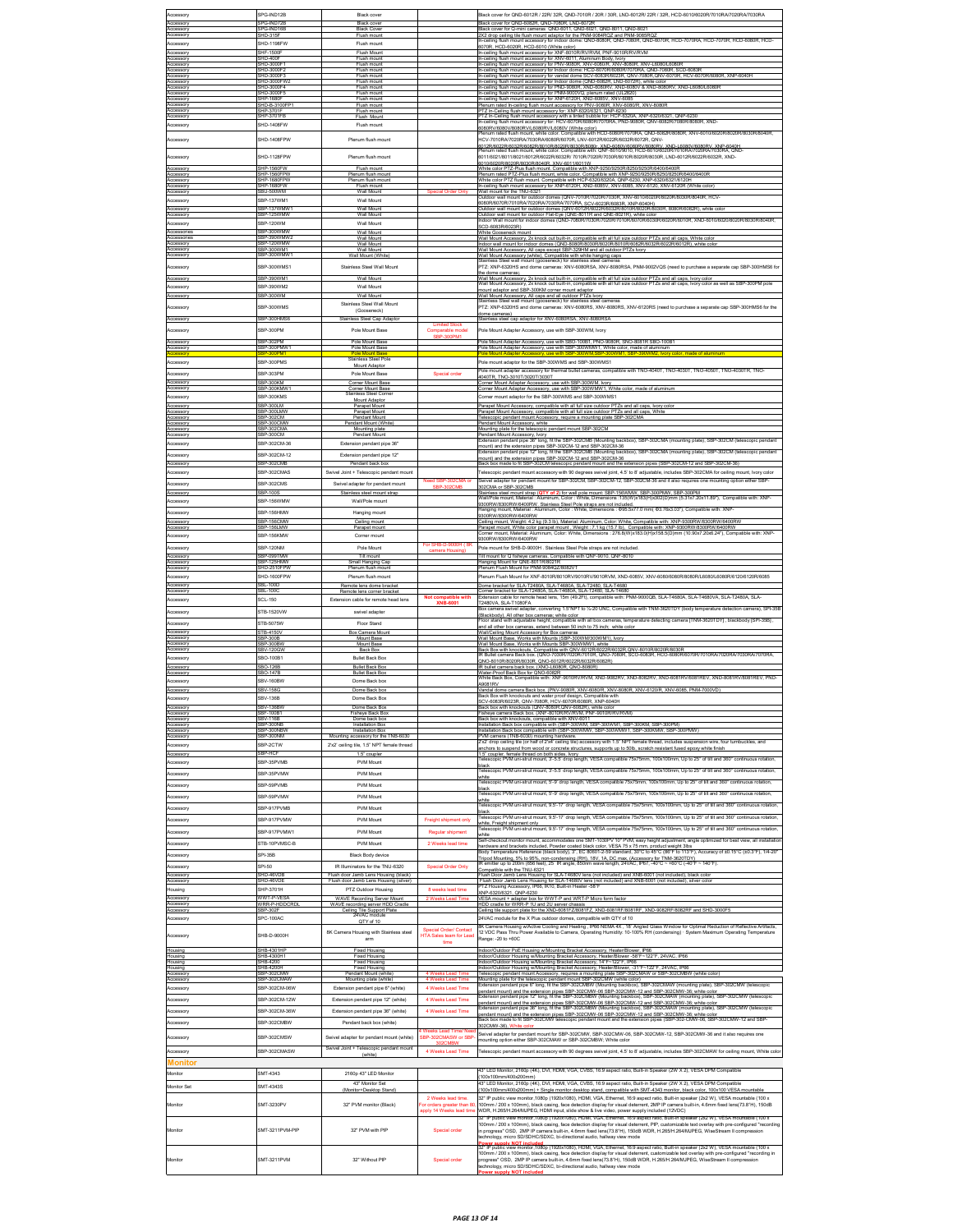|                          | SPG-IND12B                      |                                                                          |                                                |                                                                                                                                                                                                                                                                                                                  |
|--------------------------|---------------------------------|--------------------------------------------------------------------------|------------------------------------------------|------------------------------------------------------------------------------------------------------------------------------------------------------------------------------------------------------------------------------------------------------------------------------------------------------------------|
| Accessory<br>Accesson    | <b>G-IND7</b>                   | Black cover                                                              |                                                | Black cover for QND-6012R / 22R/ 32R, QND-7010R / 20R / 30R, LND-6012R/ 22R / 32R, HCD-6010/6020R/7010RA/7020RA/7030RA<br>lack cover for QND-6082R, QND-7080R, LND-6072F                                                                                                                                         |
| Accessor<br>Accessory    | SPG-IND16B                      | Black cover<br>Black Cover                                               |                                                | 3lack cover for Q-mini cameras QND-6011, QND-6021, QND-8011, QND-8021<br>X2 drop ceiling tile flush mount adaptor for the PNM-9084RQZ and PNM-9085RQ                                                                                                                                                             |
| Accessory                | SHD-1198FW                      | -lush moun<br>Flush mount                                                |                                                | In-ceiling flush mount accessory for indoor dome: QND-8080R, QND-7080R, QND-6070R, HCD-7070RA, HCD-7070R, HCD-6080R, HCD-                                                                                                                                                                                        |
| Accessory                | SHF-1500                        | Flush Mount                                                              |                                                | 6070R. HCD-6020R. HCD-6010 (White color)<br>In-ceiling flush mount accessory for XNF-8010R/RV/RVM, PNF-9010R/RV/RVM                                                                                                                                                                                              |
| Accessory<br>Accesson    | SHD-400F<br>HD-3000F            | Flush mount<br>Flush moun                                                |                                                | In-ceiling flush mount accessory for XNV-6011, Aluminum Body, Ivory<br>ceiling flush mount accessory for PNV-9080R, XNV-6080/R, XNV-8080R, XNV-L6080/L6080R                                                                                                                                                      |
| Accesson<br>Accesson     | <u>нр-зооог 2</u><br>нр-зооог 3 | Flush mount<br>Flush moun                                                |                                                | In-ceiling flush mount accessory for Indoor dome: HCD-6070R/6080R/7070RA, QND-7080R, SCD-6083R<br>In-ceiling flush mount accessory for vandal dome SCV-6083R/6023R, QNV-7080R,QNV-6070R, HCV-6070R/6080R, XNP-6040H                                                                                              |
| Accessory<br>Accessory   | HD-3000FW<br>SHD-3000F4         | Flush mount<br>Flush mount                                               |                                                | In-ceiling flush mount accessory for Indoor dome (QND-6082R, LND-6072R), white color<br>n-ceiling flush mount accessory for PND-9080R, XND-6080RV, XND-6080V & XND-8080RV, XND-L6080IL6080R                                                                                                                      |
| Accesson                 | HD-3000F5                       | Flush mount                                                              |                                                | In-ceiling flush mount accessory for PNM-9000VQ, plenum rated (UL2820)                                                                                                                                                                                                                                           |
| Accesson<br>Accessory    | SHP-1680F<br>HD-B-3100FP        | Flush mount<br>Flush mount                                               |                                                | a-ceiling flush mount accessory for XNP-6120H, XND-6085V, XNV-6085<br>lenum rated in-ceiling flush mount accessory for PNV-9080R, XNV-6080R, XNV-8080R                                                                                                                                                           |
| Accesson<br>Accesson     | SHP-3701F<br>SHP-3701FB         | Flush mount<br>Flush Mount                                               |                                                | TZ In-Ceiling flush mount accessory for: XNP-6320/6321, QNP-6230<br>PTZ In-Ceiling flush mount accessory with a tinted bubble for: HCP-6320A, XNP-6320/6321, QNP-6230<br>In-ceiling flush mount accessory for: HCV-6070R/6080R/7070RA, PND-9080R, QNV-6082R/7080R/8080R, XND-                                    |
| Accessory                | SHD-1408FW                      | Flush mount                                                              |                                                | 080RV/6080V/8080RV/L6080RV/L6080V (White color)                                                                                                                                                                                                                                                                  |
| Accessory                | SHD-1408FPW                     | Plenum flush mount                                                       |                                                | lenum rated flush mount, white color. Compatible with HCD-6080R/7070RA, QND-6082R/8080R, XNV-6010/6020R/8020R/8030R/8040R<br>CV-7010RA/7020RA/7030RA/6080R/6070R, LNV-6012R/6022R/6032R/6072R, QNV-                                                                                                              |
|                          |                                 |                                                                          |                                                | 012R/6022R/6032R/6082R/8010R/8020R/8030R/8080r, XND-6080V/6080RV/8080RV, XND-L6080V/6080RV, XNP-6040H<br>fenum rated flush mount, white color, Compatible with: QNF-8010/9010, HCD-6010/6020R/7010RA/7020RA/7030RA, QND                                                                                          |
| Accessory                | SHD-1128FPW                     | Plenum flush mount                                                       |                                                | 6011/6021/8011/8021/6012R/6022R/6032R/ 7010R/7020R/7030R/8010R/8020R/8030R, LND-6012R/6022R/6032R, XND-                                                                                                                                                                                                          |
| Accessory                | SHP-1560FV                      | Flush mount                                                              |                                                | 010/6020R/8020R/8030R/8040R, XNV-6011/6011W<br>White color PTZ-Plus flush mount. Compatible with XNP-9250/9250R/8250/9250R/6400/6400F                                                                                                                                                                            |
| ccesson<br>Accessory     | HP-1560FPW<br>SHP-1680FPW       | Plenum flush moun<br>Plenum flush mount                                  |                                                | Plenum rated PTZ-Plus flush mount, white color. Compatible with XNP-9250/9250R/8250/8250RJ6400B400F<br>White color PTZ flush mount. Compatible with HCP-6320/6320A, QNP-6230, XNP-6320/6321/6120H                                                                                                                |
| Accessor<br>Accessory    | <b>HP-1680</b><br>SBU-500WM     | Flush moun<br>Wall Mount                                                 |                                                | ceiling flush mount accessory for XNP-6120H, XND-6085V, XNV-6085, XNV-6120, XNV-6120R (White color<br>Wall mount for the TNU-6321                                                                                                                                                                                |
| ccessory                 | BP-137WM1                       | Wall Mount                                                               |                                                | utdoor wall mount for outdoor domes (QNV-7010R/7020R/7030R, XNV-6010/6020R/8020R/8030R/8040R, HCV-<br>6080R/6070R/7010RA/7020RA/7030RA/7070RA, SCV-6023R/6083R, XNP-6040H)                                                                                                                                       |
| Accesson                 | SBP-137WMW<br>SBP-125WMW        | Wall Mount                                                               |                                                | utdoor wall mount for outdoor domes (QNV-6012R/6022R/6032R/8010R/8020R/8030R, 8080R/6082R), white cold                                                                                                                                                                                                           |
| Accessory<br>Accessory   | SRP-120WM                       | Wall Mount<br>Wall Mount                                                 |                                                | Outdoor wall mount for outdoor Flat-Eye (QNE-8011R and QNE-8021R), white color<br>Indoor Wall mount for indoor domes (QND-7080R/7030R/7020R/7010R/6070R/6030R/6020R/6010R, XND-6010/6020/8020R/8030R/8040R                                                                                                       |
| Accessorier              | SBP-300WMW                      | Wall Mount                                                               |                                                | SCD-6083R/6023R)<br>White Gooseneck mount                                                                                                                                                                                                                                                                        |
| Accessories<br>Accessory | SBP-390WMW<br>SBP-120WMW        | Wall Mount<br>Wall Mount                                                 |                                                | Wall Mount Accessory, 2x knock out built-in, compatible with all full size outdoor PTZs and all caps, White color<br>ndoor wall mount for indoor domes (QND-8080R/8030R/8020R/8010R/6082R/6032R/6022R/6012R), white color                                                                                        |
| Accessory<br>Accessor    | SBP-300WM1<br>SBP-300WMW        | Wall Mount<br>Wall Mount (White                                          |                                                | Wall Mount Accessory, All caps except SBP-329HM and all outdoor PTZs Ivory.                                                                                                                                                                                                                                      |
| Accessory                | SBP-300WMS1                     | Stainless Steel Wall Mount                                               |                                                | Vall Mount Accessory (white), Compatible with white hanging caps<br>Stainless Steel wall mount (gooseneck) for stainless steel cameras                                                                                                                                                                           |
|                          |                                 |                                                                          |                                                | PTZ: XNP-6320HS and dome cameras: XNV-6080RSA, XNV-8080RSA, PNM-9002VQS (need to purchase a separate cap SBP-300HMS6 for<br>he dome cameras)                                                                                                                                                                     |
| Accessory<br>Accessory   | SBP-390WM1<br>SBP-390WM2        | Wall Mount<br>Wall Mount                                                 |                                                | Wall Mount Accessory, 2x knock out built-in, compatible with all full size outdoor PTZs and all caps, Ivory color<br>Vall Mount Accessory, 2x knock out built-in, compatible with all full size outdoor PTZs and all caps, Ivory color as well as SBP-300PM pole                                                 |
| Accesson                 | SBP-300WM                       |                                                                          |                                                | nount adaptor and SBP-300KM corner mount adaptor<br>Vall Mount Accessory, All caps and all outdoor PTZs lvory<br>Stainless Steel wall mount (gooseneck) for stainless steel                                                                                                                                      |
| Accessory                | SBP-300WMS                      | Stainless Steel Wall Mount                                               |                                                | cameras<br>PTZ: XNP-6320HS and dome cameras: XNV-6080RS, XNV-8080RS, XNV-6120RS (need to purchase a separate cap SBP-300HMS6 for the                                                                                                                                                                             |
|                          |                                 | (Gooseneck)                                                              |                                                | fome cameras)                                                                                                                                                                                                                                                                                                    |
| Accesson                 | SBP-300HMS                      | sinless Steel Cap Ad                                                     |                                                | tainless steel cap adaptor for XNV-6080RSA, XNV-8080RSA                                                                                                                                                                                                                                                          |
| Accessory                | SRP-300PM                       | Pole Mount Base                                                          | Comparable model<br>SBP-300PM1                 | Pole Mount Adapter Accessory, use with SBP-300WM, Ivory                                                                                                                                                                                                                                                          |
| Accesson<br>ccesson      | SBP-302PM<br>SBP-300PMW         | Pole Mount Base<br>Pole Mount Base                                       |                                                | ole Mount Adapter Accessory, use with SBO-100B1, PNO-9080R, SNO-8081R SBO-100B1<br>Pole Mount Adapter Accessory, use with SBP-300WMW1, White color, made of aluminum                                                                                                                                             |
|                          | SBP-300PMS                      | Stainless Steel Pole                                                     |                                                | made of alumin                                                                                                                                                                                                                                                                                                   |
| Accessory                |                                 | Mount Adaptor                                                            |                                                | Pole mount adaptor for the SBP-300WMS and SBP-300WMS1<br>ile mount adapter accessory for thermal bullet cameras, compatible with TNO-4040T, TNO-4030T, TNO-4050T, TNO-4030TR, TNO                                                                                                                                |
| Accesson                 | SBP-303PM<br>SBP-300KM          | Pole Mount Base<br>Corner Mount Base                                     | Special order                                  | 4040TR. TNO-3010T/3020T/3030T                                                                                                                                                                                                                                                                                    |
| Accessory<br>Accesson    | SBP-300KMW*                     | Corner Mount Base<br>Stainless Steel Corn                                |                                                | Corner Mount Adapter Accessory, use with SBP-300WM, Ivory<br>orner Mount Adapter Accessory, use with SBP-300WMW1, White color, made of aluminum                                                                                                                                                                  |
| Accessory                | SBP-300KMS                      | Mount Adaptor                                                            |                                                | Corner mount adaptor for the SBP-300WMS and SBP-300WMS1                                                                                                                                                                                                                                                          |
| Accessory<br>Accessory   | BP-300LM<br>SBP-300LMW          | Parapet Mount<br>Parapet Mount                                           |                                                | Parapet Mount Accessory, compatible with all full size outdoor PTZs and all caps, lvory color<br>arapet Mount Accessory, compatible with all full size outdoor PTZs and all caps, White                                                                                                                          |
| Accessory<br>Accessory   | BP-302CM<br>SBP-300CMW          | Pendant Mount<br>Pendant Mount (White)                                   |                                                | elescopic pendant mount Accessory, require a mounting plate SBP-302CMA<br>endant Mount Accessory, white                                                                                                                                                                                                          |
| Accessory<br>Accessory   | BP-302CM/<br>SBP-300CM          | Mounting plate<br>Pendant Mount                                          |                                                | Mounting plate for the telescopic pendant mount SBP-302CM<br>endant Mount Accessory, Nory                                                                                                                                                                                                                        |
| kccessory                | SBP-302CM-36                    | Extension pendant pipe 36"                                               |                                                | Extension pendant pipe 36" long, fit the SBP-302CMB (Mounting backbox), SBP-302CMA (mounting plate), SBP-302CM (telescopic pendan                                                                                                                                                                                |
| Accessory                | BP-302CM-12                     | Extension pendant pipe 12"                                               |                                                | mount) and the extension nines SBP-302CM-12 and SBP-302CM-36<br>Extension pendant pipe 12" long, fit the SBP-302CMB (Mounting backbox), SBP-302CMA (mounting plate), SBP-302CM (telescopic pendant                                                                                                               |
| Accesson                 | SBP-302CM                       | Pendant back b                                                           |                                                | nount) and the extension pipes SBP-302CM-12 and SBP-302CM-36<br>ack box made to fit SBP-302CM telescopic pendant mount and the extension pipes (SBP-302CM-12 and SBP                                                                                                                                             |
| Accessory                | SBP-302CMAS                     | Swivel Joint + Telescopic pendant mount                                  |                                                | Telescopic pendant mount accessory with 90 degrees swivel joint, 4.5' to 8' adjustable, includes SBP-302CMA for ceiling mount, Ivory color                                                                                                                                                                       |
| Accessory                | SBP-302CMS                      | Swivel adapter for pendant mount                                         |                                                | wivel adapter for pendant mount for SBP-302CM, SBP-302CM-12, SBP-302CM-36 and it also requires one mounting option either SBP-<br>302CMA or SBP-302CMB                                                                                                                                                           |
| Accessory                | SBP-100S                        | Stainless steel mount strap                                              |                                                | Stainless steel mount strap (QTY of 2) for wall pole mount: SBP-156WMW, SBP-300PMW, SBP-300PM                                                                                                                                                                                                                    |
| <b>Accessory</b>         | BP-156WMW                       | Wall/Pole mount                                                          |                                                | Wall/Pole mount, Material : Aluminum, Color : White, Dimensions :135(W)x183(H)x302(D)mm (5.31x7.20x11.89"), Compatible with: XNP-                                                                                                                                                                                |
| Accessory                | SBP-156HMW                      | Hanging mount                                                            |                                                | 9300RW/8300RW/6400RW                                                                                                                                                                                                                                                                                             |
| Accesson<br>Accessory    | SBP-156CMW<br>SBP-156LMW        | Ceiling mount<br>Parapet mount                                           |                                                | eiling mount, Weight: 4.2 kg (9.3 lb), Material: Aluminum, Color: White, Compatible with: XNP-9300RW/8300RW/6400RW                                                                                                                                                                                               |
| Accessory                | SBP-156KMW                      | Corner mount                                                             |                                                | Parapet mount, White color parapet mount , Weight : 7.1 kg (15.7 lb), Compatible with: XNP-9300RW/8300RW/6400RW<br>Corner mount, Material: Aluminum, Color: White, Dimensions : 276.8(W)x183.0(H)x158.5(D)mm (10.90x7.20x6.24"),<br>9300RW/8300RW/6400RW                                                         |
| Accessory                | SBP-120NM                       | Pole Mount                                                               | For SHB-D-9000H ( 8K                           | Pole mount for SHB-D-9000H . Stainless Steel Pole straps are not included.                                                                                                                                                                                                                                       |
| Accessory                | SBP-099TMW                      | Tilt mount                                                               | camera Housing)                                | Tilt mount for Q fisheye cameras, Compatible with QNF-9010, QNF-8010.                                                                                                                                                                                                                                            |
| Accessory<br>Accesson    | SBP-125HMV<br>SHD-2510FPV       | Small Hanging Cap<br>Plenum flush mount                                  |                                                | Hanging Mount for QNE-8011R/8021R<br>Plenum Flush Mount for PNM-9084QZ/8082V                                                                                                                                                                                                                                     |
| Accessory                | SHD-1600FPW                     | Plenum flush mount                                                       |                                                | 7enum Flush Mount for XNF-8010R/8010RV/9010RV/9010RVM, XND-6085V, XNV-6080/6080R/8080R/L6080L6080R/6120/6120R/6085                                                                                                                                                                                               |
| Accessory<br>Accessory   | SBL-100D<br>SBL-100C            | Remote lens dome bracket                                                 |                                                | Dome bracket for SLA-T2480A, SLA-T4680A, SLA-T2480, SLA-T468<br>orner bracket for SLA-T2480A, SLA-T4680A, SLA-T2480, SLA-T4680                                                                                                                                                                                   |
| Accessory                | <b>SCL-150</b>                  | Remote lens corner bracke<br>Extension cable for remote head lens        | Not compatible with                            | dension cable for remote head lens, 15m (49.2Ft), compatible with: PNM-9000QB, SLA-T4680A, SLA-T4680VA, SLA-T2480A, SLA-                                                                                                                                                                                         |
| Accessory                | STB-1520VW                      | swivel adapter                                                           | <b>XNB-6001</b>                                | T2480VA, SLA-T1080FA<br>x camera swivel adapter, converting 1.5 NPT to %-20 UNC, Compatible with TNM-3620TDY (body temperature detection camera), SPI-35B                                                                                                                                                        |
|                          |                                 |                                                                          |                                                | (Blackbodv). All other box cameras: white color<br>Floor stand with adjustable height; compatible with all box cameras, temperature detecting camera [TNM-3620TDY] , blackbody [SPI-35B] ,                                                                                                                       |
| Accessory<br>Accessory   | STB-5075W<br>TB-4150\           | Floor Stand<br>Box Camera Mount                                          |                                                | and all other box cameras, extend between 50 inch to 75 inch; white color<br>Wall/Ceiling Mount Accessory for Box cameras                                                                                                                                                                                        |
| Accesson                 | SBP-300B                        | Mount Base                                                               |                                                | Vall Mount Base. Works with Mounts (SBP-300WM/300WM1). Ivory                                                                                                                                                                                                                                                     |
| Accessory<br>Accessory   | SBP-300BV<br>SBV-120GW          | Mount Base<br><b>Back Box</b>                                            |                                                | Wall Mount Base, Works with Mounts SBP-300WMW1, white<br>ack Box with knockouts, Compatible with QNV-6012R/6022R/6032R,QNV-8010R/8020R/8030R<br>R Bullet camera Back box. (QNO-7030R/7020R/7010R, QNO-7060R, SCO-6083R, HCO-6080R/6070R/7010RA/7020RA/7030RA/7070RA                                              |
| Accessory                | SBO-100B1                       | <b>Bullet Back Box</b>                                                   |                                                | 2NO-8010R/8020R/8030R, QNO-6012R/6022R/6032R/6082R)                                                                                                                                                                                                                                                              |
| Accessory<br>Accessory   | SBO-126B<br>SBO-147B            | <b>Bullet Back Box</b><br><b>Bullet Back Box</b>                         |                                                | IR bullet camera back box. (XNO-L6080R, QNO-8080R)<br>Water-Proof Back Box for QNO-6082R                                                                                                                                                                                                                         |
| Accessory                | SBV-160BW                       | Dome Back box                                                            |                                                | White Back Box, Compatible with: XNF-9010RV/RVM, XND-9082RV, XND-8082RV, XND-6081RV/6081REV, XND-8081RV/8081REV, PND<br>A9081RV                                                                                                                                                                                  |
| Accessory                | <b>SBV-158G</b>                 | Dome Back box                                                            |                                                | andal dome camera Back box. (PNV-9080R, XNV-6080/R, XNV-8080R, XNV-6120/R, XNV-6085, PNM-7000VD/<br>Back Box with knockouts and water proof design. Compatible with                                                                                                                                              |
| Accessory                | <b>SBV-136B</b>                 | Dome Back Box                                                            |                                                | LIGACIO CIVIZ CORROSICIONE UNO CORRECTED DECORDED VALUE                                                                                                                                                                                                                                                          |
| Accessory<br>Accesson    | BV-136BW<br>BF-100B             | Dome Back Box<br>Fisheye Back Bo:                                        |                                                | Back box with knockouts (QNV-8080R,QNV-6082R), white color<br>isheye camera Back box. (XNF-8010R/RV/RVM, PNF-9010R/RV/RVM)                                                                                                                                                                                       |
| Accessory                | BV-116B<br><b>BP-300NE</b>      | Dome back box<br>Installation Bo                                         |                                                | Back box with knockouts, compatible with XNV-6011<br>ation Back box compatible with (SBP-300WM, SBP-300WM1, SBP-300KM, SBP-300PM)                                                                                                                                                                                |
| eccesson<br>Accesson     | BP-300NBW<br>SBP-300NM          | Installation Box<br>Mounting accessory for the TNB-6030                  |                                                | Installation Back box compatible with (SBP-300WMW, SBP-300WMW1, SBP-300KMW, SBP-300PMW                                                                                                                                                                                                                           |
| Accessory                | SRP-2CTW                        | 2'x2' ceiling tile, 1.5" NPT female thread                               |                                                | nera (TNB-6030) mounting hardware.<br>p ceiling tile (or half of 2x4' ceiling tile) accessory with 1.5" NPT female thread, includes suspension wire, four turnbuckles, and<br>drop ce                                                                                                                            |
| Accessory                | SBP-HCF                         | 1.5° couple                                                              |                                                | inchors to suspend from wood or concrete structures, supports up to 50lb, scratch resistant fused epoxy white finish<br>5" coupler, female thread on both sides, Ivory                                                                                                                                           |
| Accessory                | SBP-35PVMB                      | PVM Mount                                                                |                                                | elescopic PVM uni-strut mount, 3'-5.5' drop length, VESA compatible 75x75mm, 100x100mm, Up to 25" of tilt and 360" continuous rotation,<br>ack                                                                                                                                                                   |
| Accessory                | SRP-35PVMW                      | PVM Mount                                                                |                                                | elescopic PVM uni-strut mount; 3'-5.5' drop length; VESA compatible 75x75mm; 100x100mm; Up to 25" of tilt and 360" continuous rotation;<br>hite                                                                                                                                                                  |
| Accesson                 | BP-59PVMB                       | PVM Mount                                                                |                                                | elescopic PVM uni-strut mount, 5-9' drop length, VESA compatible 75x75mm, 100x100mm, Up to 25" of tilt and 360" continuous rotation,<br>ack                                                                                                                                                                      |
| Accessory                | SBP-59PVMW                      | <b>PVM Mount</b>                                                         |                                                | elescopic PVM uni-strut mount, 5-9' drop length, VESA compatible 75x75mm, 100x100mm, Up to 25" of tilt and 360" continuous rotation,<br>hite                                                                                                                                                                     |
| Accesson                 | SBP-917PVMB                     | PVM Mount                                                                |                                                | elescopic PVM uni-strut mount: 9.5-17' drop length: VESA compatible 75x75mm. 100x100mm. Up to 25" of tilt and 360" continuous rotation.                                                                                                                                                                          |
| Accessory                | SBP-917PVMW                     | PVM Mount                                                                | Freight shipment only                          | lack<br>elescopic PVM uni-strut mount, 9.5-17' drop length, VESA compatible 75x75mm, 100x100mm, Up to 25" of tilt and 360" continuous rotation,<br>hite. Freight shipment only                                                                                                                                   |
| Accesson                 | SBP-917PVMW1                    | <b>PVM Mount</b>                                                         | Regular shipment                               | elescopic PVM uni-strut mount, 9.5-17' drop length, VESA compatible 75x75mm, 100x100mm, Up to 25" of tilt and 360" continuous rotation,                                                                                                                                                                          |
| Accessory                | STB-10PVMSC-B                   | PVM Mount                                                                | 2 Weeks lead time                              | Self-checkout monitor mount, accommodates one SMT-1030PV 10" PVM, easy height adjustment, angle optimized for best view, all installation                                                                                                                                                                        |
| Accessory                | SPI-35B                         | <b>Black Body device</b>                                                 |                                                | ardware and brackets included. Powder coated black color, VESA 75 x 75 mm, product weight 3lbs<br>ardware and brackets included. Powder coated black color, VESA 75 x 75 mm, product weight 3lbs<br>lody Temperature Reference (blac                                                                             |
|                          |                                 |                                                                          |                                                | .<br>Tripod Mounting, 5% to 95%, non-condensing (RH), 18V, 1A, DC max, (Accessory for TNM-3620TDY)<br>R emitter up to 200m (656 feet), 25' IR angle, 850nm wave length, 24VAC, IP67, -40°C ∼ +60°C (-40°I<br>$- + 60^{\circ}$ C (-40 <sup>*</sup> F ~ 140 <sup>*</sup> F)                                        |
| Accessory<br>Accessory   | SPI-50<br>SHD-46VDB             | IR Illuminators for the TNU-6320<br>Flush door Jamb Lens Housing (black) | Special Order Only                             | ompatible with the TNU-6321<br>Flush Door Jamb Lens Housing for SLA-T4680V lens (not included) and XNB-6001 (not included), black color                                                                                                                                                                          |
| Accessor                 | HD-46VD                         | Flush door Jamb Lens Housing (silver                                     |                                                | ilush Door Jamb Lens Housing for SLA-T4680V lens (not included) and XNB-6001 (not included), silver colo<br>TZ Housing Accessory, IP66, IK10, Built-in Heater -58°F                                                                                                                                              |
| Housing                  | SHP-3701H<br><b>WVT-P-VES</b>   | PTZ Outdoor Housing                                                      | 8 weeks lead time                              | XNP-6320/6321, QNP-6230                                                                                                                                                                                                                                                                                          |
| Accessory<br>Accesson    | VRR-P-HDDCRD                    | WAVE Recording Server Mount<br>WAVE recording server HDD Cradle          | Weeks Lead Tim                                 | VESA mount + adapter box for WWT-P and WRT-P Micro form factor<br>IDD cradle for WRR-P 1U and 2U server chassis                                                                                                                                                                                                  |
| Accessory<br>Accessory   | SBP-302F<br>SPC-100AC           | Ceiling Tile Support Plate<br>24VAC module                               |                                                | Ceiling tile support plate for the XND-6081FZ/8081FZ, XND-6081RF/8081RF, XND-9082RF/8082RF and SHD-3000F5<br>24VAC module for the X Plus outdoor domes, compatible with QTY of 10                                                                                                                                |
|                          |                                 | QTY of 10                                                                | Special Order/ Contact                         | . Camera Housing w/Active Cooling and Heating , IP66 NEMA 4X , 18' Angled Glass Window for Optimal Reduction of Refle                                                                                                                                                                                            |
| Accessory                | HB-D-9000H                      | 8K Camera Housing with Stainless steel<br>arm                            | <b>HTA Sales team for Lead</b>                 | 12 VDC Pass Thru Power Available to Camera, Operating Humidity: 10-100% RH (condensing) · System Maximum Operating Temperature<br>Range: -20 to +60C                                                                                                                                                             |
| Housing                  | SHB-4301HF                      | <b>Fixed Housing</b>                                                     | time                                           | indoor/Outdoor PoE Housing w/Mounting Bracket Accessory, Heater/Blower, IP66                                                                                                                                                                                                                                     |
| Housing                  | SHB-4300H1<br>SHB-4200          | <b>Fixed Housing</b>                                                     |                                                | Indoor/Outdoor Housing w/Mounting Bracket Accessory, Heater/Blower-58"F~122"F, 24VAC, IP66<br>Indoor/Outdoor Housing w/Mounting Bracket Accessory, 14"F~122"F, IP66                                                                                                                                              |
| Housing<br>Housing       | HB-4200H                        | <b>Fixed Housing</b><br>Fixed Housing                                    |                                                | door/Outdoor Housing w/Mounting Bracket Accessory, Heater/Blower, -31"F<br>22"F, 24VAC, IP6                                                                                                                                                                                                                      |
| Accessory<br>Accesson    | SBP-302CMW<br>BP-302CMAV        | Pendant Mount (white)<br>Mounting plate (white                           |                                                | Telescopic pendant mount Accessory, requires a mounting plate SBP-302CMAW or SBP-302CMBW (white color)                                                                                                                                                                                                           |
| Accessory                | SBP-302CM-06W                   | Extension pendant pipe 6" (white)                                        | 4 Weeks Lead Time                              | Mounting plate for the telescopic pendant mount SBP-302CMW (white color)<br>Extension pendant pipe 6" long, fit the SBP-302CMBW (Mounting backbox), SBP-302CMAW (mounting plate), SBP-302CMW (telescopic                                                                                                         |
| Accesson                 | SBP-302CM-12W                   | Extension pendant pipe 12" (white)                                       | 4 Weeks Lead Time                              | endant mount) and the extension pipes SBP-302CMW-06 SBP-302CMW-12 and SBP-302CMW-36; white color<br>offersion pendant pipe 12" long, fit the SBP-302CMBW (Mounting backbox), SBP-302CMAW (mounting plate), SBP-302CMW (telescopic                                                                                |
| Accessory                | SBP-302CM-36W                   | Extension pendant pipe 36" (white)                                       | 4 Weeks Lead Time                              | endant mount) and the extension pipes SBP-302CMW-06 SBP-302CMW-12 and SBP-302CMW-36; white color<br>xtension pendant pipe 36" long, fit the SBP-302CMBW (Mounting backbox), SBP-302CMAW (mounting plate), SBP-302CMW (te                                                                                         |
| Accessory                | SBP-302CMBW                     | Pendant back box (white)                                                 |                                                | endant mount) and the extension pipes SBP-302CMW-06 SBP-302CMW-12 and SBP-302CMW-36; white color<br>ack box made to fit SBP-302CMW telescopic pendant mount and the extension pipes (SBP-302-CMW-06, SBP-302CMW-12 and SBP                                                                                       |
|                          |                                 |                                                                          |                                                | 802CMW-36), White color<br>Swivel adapter for pendant mount for SBP-302CMW, SBP-302CMW-06, SBP-302CMW-12, SBP-302CMW-36 and it also requires one                                                                                                                                                                 |
| Accessory                | SBP-302CMSW                     | Swivel adapter for pendant mount (white)                                 | <b>SBP-302CMASW or SBP</b>                     | ounting option either SBP-302CMAW or SBP-302CMBW; White color                                                                                                                                                                                                                                                    |
| Accesson                 | SRP-302CMASW                    | Swivel Joint + Telescopic pendant mount                                  | 4 Weeks Lead Time                              | elescopic pendant mount accessory with 90 degrees swivel joint, 4.5' to 8' adjustable, includes SBP-302CMAW for ceiling mount, White color                                                                                                                                                                       |
| Monitor                  |                                 | (white)                                                                  |                                                |                                                                                                                                                                                                                                                                                                                  |
| Monitor                  | SMT-4343                        | 2160p 43" LED Monitor                                                    |                                                | 3" LED Monitor, 2160p (4K), DVI, HDMI, VGA, CVBS, 16:9 aspect ratio, Built-in Speaker (2W X 2), VESA DPM Compatible                                                                                                                                                                                              |
|                          |                                 | 43" Monitor Set                                                          |                                                | 100x100mm/400x200mm<br>43" LED Monitor, 2160p (4K), DVI, HDMI, VGA, CVBS, 16:9 aspect ratio, Built-in Speaker (2W X 2), VESA DPM Compatible                                                                                                                                                                      |
| Monitor Set              | 2243-TM2                        | (Monitor+Desktop Stand)                                                  |                                                | 100x100mm/400x200mm) + Single monitor desktop stand, compatible with SMT-4343 monitor, black color, 100x100 VESA mou                                                                                                                                                                                             |
| Monitor                  | SMT-3230PV                      | 32" PVM monitor (Black)                                                  | 2 Weeks lead time<br>or orders greater than 80 | 32" IP public view monitor, 1080p (1920x1080), HDMI, VGA, Ethernet, 16:9 aspect ratio, Built-in speaker (2x2 W), VESA mountable (100 x<br>100mm / 200 x 100mm), black casing, face detection display for visual deterrent, 2MP IP camera built-in, 4.6mm fixed lens(73.8°H), 150dB                               |
|                          |                                 |                                                                          | apply 14 Weeks lead time                       | WDR, H.265/H.264/MJPEG, HDMI input, slide show & live video, power supply included (12VDC)                                                                                                                                                                                                                       |
|                          |                                 |                                                                          |                                                | s2" IP public view monitor,1080p (1920x1080), HDMI, VGA, Ethernet, 16:9 aspect ratio, Built-in speaker (2x2 W), VESA mountable (100 x                                                                                                                                                                            |
|                          |                                 |                                                                          |                                                | 00mm / 200 x 100mm), black casing, face detection display for visual deterrent, PIP, customizable text overlay with pre-configured "recording                                                                                                                                                                    |
| Monitor                  | SMT-3211PVM-PIP                 | 32" PVM with PIP                                                         | Special order                                  | progress" OSD, 2MP IP camera built-in, 4.6mm fixed lens(73.8"H), 150dB WDR, H.265/H.264/MJPEG, WiseStream II compression                                                                                                                                                                                         |
|                          |                                 |                                                                          |                                                | echnology, micro SD/SDHC/SDXC, bi-directional audio, hallway view mode                                                                                                                                                                                                                                           |
|                          |                                 |                                                                          |                                                | ower supply NOT included<br>2" IP public view monitor,1080p (1920x1080), HDMI, VGA, Ethernet, 16:9 aspect ratio, Built-in speaker (2x2 W), VESA mountable (100 x<br>(00mm / 200 x 100mm), black casing, face detection display for visual deterrent, customizable text overlay with pre-configured "recording in |
| Monitor                  | MT-3211PVM                      | 32" Without PIP                                                          | Special order                                  | orogress" OSD, 2MP IP camera built-in, 4.6mm fixed lens(73.8"H), 150dB WDR, H.265/H.264/MJPEG, WiseStream II compression<br>chnology, micro SD/SDHC/SDXC, bi-directional audio, hallway view mode<br><b>ply NOT included</b>                                                                                     |